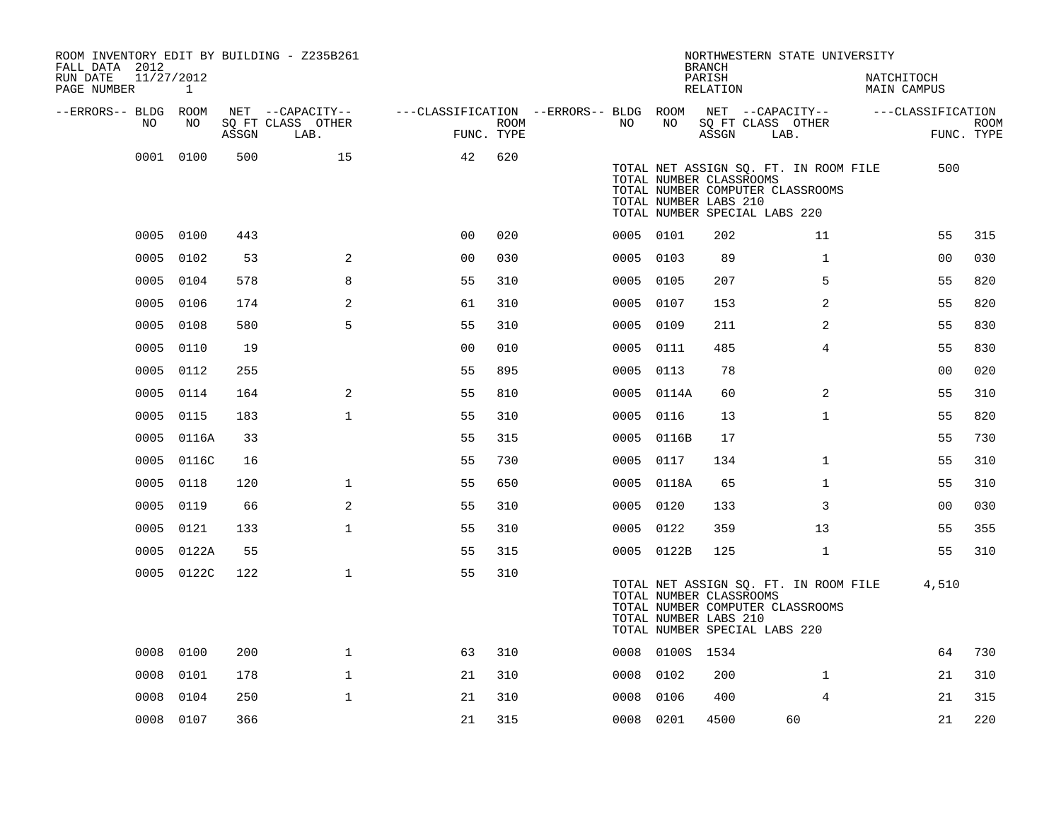| ROOM INVENTORY EDIT BY BUILDING - Z235B261<br>FALL DATA 2012 |            |       |                           |                                        |      |           |                 | <b>BRANCH</b>                                    | NORTHWESTERN STATE UNIVERSITY                                                                              |                           |                           |
|--------------------------------------------------------------|------------|-------|---------------------------|----------------------------------------|------|-----------|-----------------|--------------------------------------------------|------------------------------------------------------------------------------------------------------------|---------------------------|---------------------------|
| RUN DATE<br>11/27/2012<br>PAGE NUMBER                        | 1          |       |                           |                                        |      |           |                 | PARISH<br>RELATION                               |                                                                                                            | NATCHITOCH<br>MAIN CAMPUS |                           |
| --ERRORS-- BLDG ROOM                                         |            |       | NET --CAPACITY--          | ---CLASSIFICATION --ERRORS-- BLDG ROOM |      |           |                 |                                                  | NET --CAPACITY--                                                                                           | ---CLASSIFICATION         |                           |
| NO.                                                          | NO.        | ASSGN | SQ FT CLASS OTHER<br>LAB. | FUNC. TYPE                             | ROOM | NO.       | NO              | ASSGN                                            | SQ FT CLASS OTHER<br>LAB.                                                                                  |                           | <b>ROOM</b><br>FUNC. TYPE |
|                                                              | 0001 0100  | 500   | 15                        | 42                                     | 620  |           |                 | TOTAL NUMBER CLASSROOMS<br>TOTAL NUMBER LABS 210 | TOTAL NET ASSIGN SQ. FT. IN ROOM FILE<br>TOTAL NUMBER COMPUTER CLASSROOMS<br>TOTAL NUMBER SPECIAL LABS 220 | 500                       |                           |
|                                                              | 0005 0100  | 443   |                           | 0 <sub>0</sub>                         | 020  | 0005 0101 |                 | 202                                              | 11                                                                                                         | 55                        | 315                       |
|                                                              | 0005 0102  | 53    | 2                         | 0 <sub>0</sub>                         | 030  |           | 0005 0103       | 89                                               | $\mathbf{1}$                                                                                               | 00                        | 030                       |
| 0005                                                         | 0104       | 578   | 8                         | 55                                     | 310  |           | 0005 0105       | 207                                              | 5                                                                                                          | 55                        | 820                       |
| 0005                                                         | 0106       | 174   | 2                         | 61                                     | 310  |           | 0005 0107       | 153                                              | 2                                                                                                          | 55                        | 820                       |
| 0005                                                         | 0108       | 580   | 5                         | 55                                     | 310  | 0005 0109 |                 | 211                                              | 2                                                                                                          | 55                        | 830                       |
|                                                              | 0005 0110  | 19    |                           | 0 <sub>0</sub>                         | 010  | 0005 0111 |                 | 485                                              | $\overline{4}$                                                                                             | 55                        | 830                       |
|                                                              | 0005 0112  | 255   |                           | 55                                     | 895  | 0005 0113 |                 | 78                                               |                                                                                                            | 0 <sub>0</sub>            | 020                       |
| 0005                                                         | 0114       | 164   | 2                         | 55                                     | 810  |           | 0005 0114A      | 60                                               | $\overline{2}$                                                                                             | 55                        | 310                       |
|                                                              | 0005 0115  | 183   | $\mathbf{1}$              | 55                                     | 310  | 0005 0116 |                 | 13                                               | $\mathbf{1}$                                                                                               | 55                        | 820                       |
|                                                              | 0005 0116A | 33    |                           | 55                                     | 315  |           | 0005 0116B      | 17                                               |                                                                                                            | 55                        | 730                       |
|                                                              | 0005 0116C | 16    |                           | 55                                     | 730  |           | 0005 0117       | 134                                              | $\mathbf{1}$                                                                                               | 55                        | 310                       |
| 0005                                                         | 0118       | 120   | $\mathbf 1$               | 55                                     | 650  |           | 0005 0118A      | 65                                               | $\mathbf{1}$                                                                                               | 55                        | 310                       |
| 0005                                                         | 0119       | 66    | 2                         | 55                                     | 310  | 0005 0120 |                 | 133                                              | 3                                                                                                          | 00                        | 030                       |
| 0005                                                         | 0121       | 133   | $\mathbf{1}$              | 55                                     | 310  | 0005 0122 |                 | 359                                              | 13                                                                                                         | 55                        | 355                       |
|                                                              | 0005 0122A | 55    |                           | 55                                     | 315  |           | 0005 0122B      | 125                                              | $\mathbf{1}$                                                                                               | 55                        | 310                       |
|                                                              | 0005 0122C | 122   | $\mathbf{1}$              | 55                                     | 310  |           |                 | TOTAL NUMBER CLASSROOMS<br>TOTAL NUMBER LABS 210 | TOTAL NET ASSIGN SQ. FT. IN ROOM FILE<br>TOTAL NUMBER COMPUTER CLASSROOMS<br>TOTAL NUMBER SPECIAL LABS 220 | 4,510                     |                           |
|                                                              | 0008 0100  | 200   | $\mathbf 1$               | 63                                     | 310  |           | 0008 0100S 1534 |                                                  |                                                                                                            | 64                        | 730                       |
| 0008                                                         | 0101       | 178   | $\mathbf 1$               | 21                                     | 310  | 0008      | 0102            | 200                                              | $\mathbf{1}$                                                                                               | 21                        | 310                       |
| 0008                                                         | 0104       | 250   | $\mathbf{1}$              | 21                                     | 310  | 0008      | 0106            | 400                                              | 4                                                                                                          | 21                        | 315                       |
|                                                              | 0008 0107  | 366   |                           | 21                                     | 315  | 0008 0201 |                 | 4500                                             | 60                                                                                                         | 21                        | 220                       |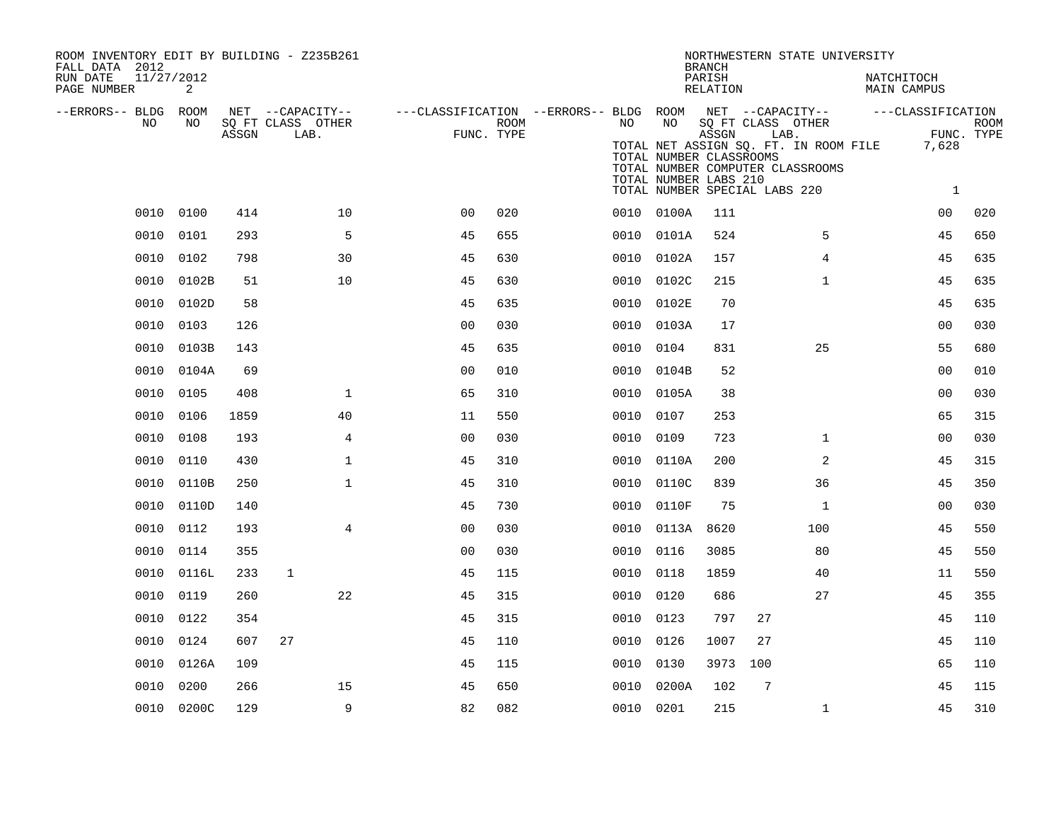| ROOM INVENTORY EDIT BY BUILDING - Z235B261<br>FALL DATA 2012 |            |       |                           |                |                    |                                                                              |                                                        | <b>BRANCH</b>      | NORTHWESTERN STATE UNIVERSITY                                                                                                           |                           |                           |
|--------------------------------------------------------------|------------|-------|---------------------------|----------------|--------------------|------------------------------------------------------------------------------|--------------------------------------------------------|--------------------|-----------------------------------------------------------------------------------------------------------------------------------------|---------------------------|---------------------------|
| RUN DATE<br>11/27/2012<br>PAGE NUMBER                        | 2          |       |                           |                |                    |                                                                              |                                                        | PARISH<br>RELATION |                                                                                                                                         | NATCHITOCH<br>MAIN CAMPUS |                           |
| --ERRORS-- BLDG ROOM                                         |            |       | NET --CAPACITY--          |                |                    | ---CLASSIFICATION --ERRORS-- BLDG ROOM NET --CAPACITY--    ---CLASSIFICATION |                                                        |                    |                                                                                                                                         |                           |                           |
| NO                                                           | NO         | ASSGN | SQ FT CLASS OTHER<br>LAB. |                | ROOM<br>FUNC. TYPE | NO                                                                           | NO<br>TOTAL NUMBER CLASSROOMS<br>TOTAL NUMBER LABS 210 | ASSGN              | SQ FT CLASS OTHER<br>LAB.<br>TOTAL NET ASSIGN SQ. FT. IN ROOM FILE<br>TOTAL NUMBER COMPUTER CLASSROOMS<br>TOTAL NUMBER SPECIAL LABS 220 | 7,628<br><sup>1</sup>     | <b>ROOM</b><br>FUNC. TYPE |
|                                                              | 0010 0100  | 414   | 10 <sup>°</sup>           | 0 <sub>0</sub> | 020                |                                                                              | 0010 0100A                                             | 111                |                                                                                                                                         | 0 <sub>0</sub>            | 020                       |
|                                                              | 0010 0101  | 293   | 5                         | 45             | 655                |                                                                              | 0010 0101A                                             | 524                | 5                                                                                                                                       | 45                        | 650                       |
| 0010                                                         | 0102       | 798   | 30                        | 45             | 630                |                                                                              | 0010 0102A                                             | 157                | 4                                                                                                                                       | 45                        | 635                       |
| 0010                                                         | 0102B      | 51    | 10                        | 45             | 630                |                                                                              | 0010 0102C                                             | 215                | $\mathbf{1}$                                                                                                                            | 45                        | 635                       |
|                                                              | 0010 0102D | 58    |                           | 45             | 635                |                                                                              | 0010 0102E                                             | 70                 |                                                                                                                                         | 45                        | 635                       |
| 0010                                                         | 0103       | 126   |                           | 0 <sub>0</sub> | 030                |                                                                              | 0010 0103A                                             | 17                 |                                                                                                                                         | 0 <sub>0</sub>            | 030                       |
| 0010                                                         | 0103B      | 143   |                           | 45             | 635                | 0010                                                                         | 0104                                                   | 831                | 25                                                                                                                                      | 55                        | 680                       |
| 0010                                                         | 0104A      | 69    |                           | 0 <sub>0</sub> | 010                | 0010                                                                         | 0104B                                                  | 52                 |                                                                                                                                         | 00                        | 010                       |
| 0010                                                         | 0105       | 408   | $\mathbf 1$               | 65             | 310                | 0010                                                                         | 0105A                                                  | 38                 |                                                                                                                                         | 00                        | 030                       |
| 0010                                                         | 0106       | 1859  | 40                        | 11             | 550                | 0010                                                                         | 0107                                                   | 253                |                                                                                                                                         | 65                        | 315                       |
| 0010                                                         | 0108       | 193   | 4                         | 0 <sub>0</sub> | 030                | 0010                                                                         | 0109                                                   | 723                | $\mathbf{1}$                                                                                                                            | 00                        | 030                       |
| 0010                                                         | 0110       | 430   | $\mathbf 1$               | 45             | 310                |                                                                              | 0010 0110A                                             | 200                | 2                                                                                                                                       | 45                        | 315                       |
| 0010                                                         | 0110B      | 250   | $\mathbf{1}$              | 45             | 310                |                                                                              | 0010 0110C                                             | 839                | 36                                                                                                                                      | 45                        | 350                       |
| 0010                                                         | 0110D      | 140   |                           | 45             | 730                |                                                                              | 0010 0110F                                             | 75                 | $\mathbf{1}$                                                                                                                            | 0 <sub>0</sub>            | 030                       |
| 0010                                                         | 0112       | 193   | $\overline{4}$            | 0 <sub>0</sub> | 030                | 0010                                                                         | 0113A                                                  | 8620               | 100                                                                                                                                     | 45                        | 550                       |
|                                                              | 0010 0114  | 355   |                           | 0 <sub>0</sub> | 030                |                                                                              | 0010 0116                                              | 3085               | 80                                                                                                                                      | 45                        | 550                       |
|                                                              | 0010 0116L | 233   | 1                         | 45             | 115                | 0010                                                                         | 0118                                                   | 1859               | 40                                                                                                                                      | 11                        | 550                       |
|                                                              | 0010 0119  | 260   | 22                        | 45             | 315                |                                                                              | 0010 0120                                              | 686                | 27                                                                                                                                      | 45                        | 355                       |
| 0010                                                         | 0122       | 354   |                           | 45             | 315                | 0010                                                                         | 0123                                                   | 797                | 27                                                                                                                                      | 45                        | 110                       |
|                                                              | 0010 0124  | 607   | 27                        | 45             | 110                |                                                                              | 0010 0126                                              | 1007               | 27                                                                                                                                      | 45                        | 110                       |
| 0010                                                         | 0126A      | 109   |                           | 45             | 115                | 0010                                                                         | 0130                                                   | 3973               | 100                                                                                                                                     | 65                        | 110                       |
| 0010                                                         | 0200       | 266   | 15                        | 45             | 650                | 0010                                                                         | 0200A                                                  | 102                | 7                                                                                                                                       | 45                        | 115                       |
|                                                              | 0010 0200C | 129   | 9                         | 82             | 082                |                                                                              | 0010 0201                                              | 215                | $\mathbf{1}$                                                                                                                            | 45                        | 310                       |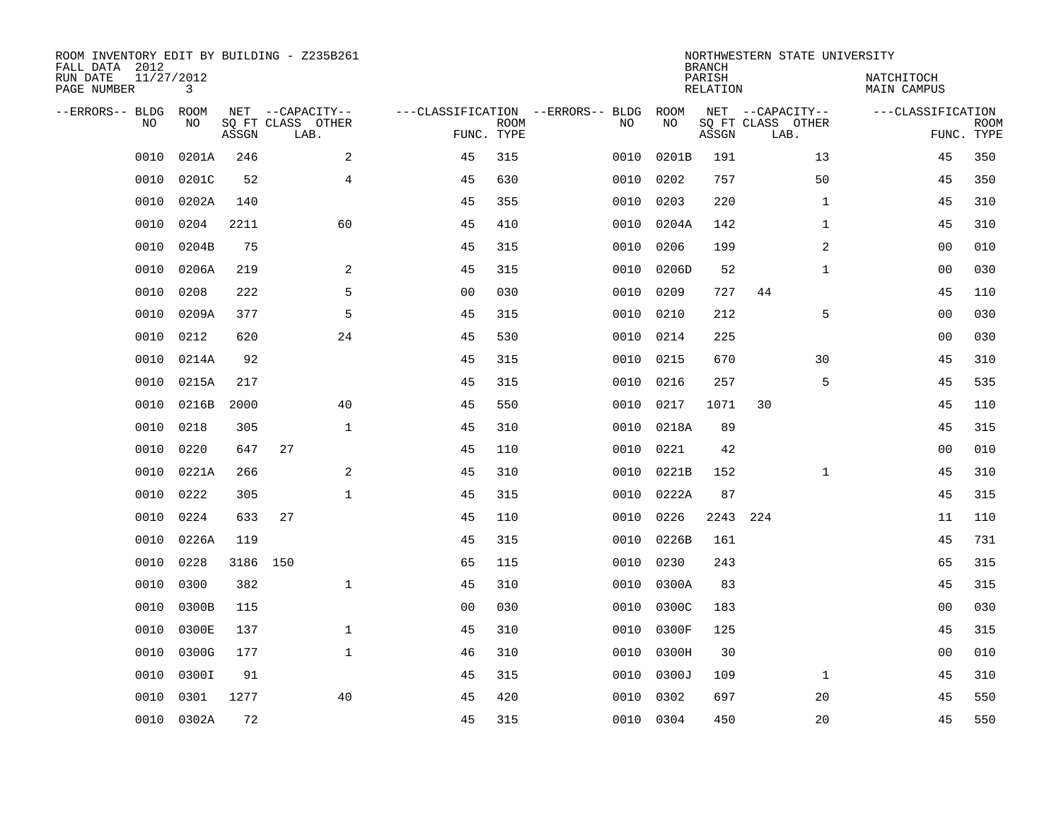| ROOM INVENTORY EDIT BY BUILDING - Z235B261<br>FALL DATA 2012 |                 |       |                           |                |             |                                   |           | <b>BRANCH</b>      | NORTHWESTERN STATE UNIVERSITY |                           |                           |
|--------------------------------------------------------------|-----------------|-------|---------------------------|----------------|-------------|-----------------------------------|-----------|--------------------|-------------------------------|---------------------------|---------------------------|
| RUN DATE<br>PAGE NUMBER                                      | 11/27/2012<br>3 |       |                           |                |             |                                   |           | PARISH<br>RELATION |                               | NATCHITOCH<br>MAIN CAMPUS |                           |
| --ERRORS-- BLDG                                              | ROOM            |       | NET --CAPACITY--          |                |             | ---CLASSIFICATION --ERRORS-- BLDG | ROOM      |                    | NET --CAPACITY--              | ---CLASSIFICATION         |                           |
| N <sub>O</sub>                                               | NO.             | ASSGN | SO FT CLASS OTHER<br>LAB. | FUNC. TYPE     | <b>ROOM</b> | NO.                               | NO        | ASSGN              | SO FT CLASS OTHER<br>LAB.     |                           | <b>ROOM</b><br>FUNC. TYPE |
| 0010                                                         | 0201A           | 246   | 2                         | 45             | 315         | 0010                              | 0201B     | 191                | 13                            | 45                        | 350                       |
| 0010                                                         | 0201C           | 52    | $\overline{4}$            | 45             | 630         | 0010                              | 0202      | 757                | 50                            | 45                        | 350                       |
| 0010                                                         | 0202A           | 140   |                           | 45             | 355         | 0010                              | 0203      | 220                | $\mathbf{1}$                  | 45                        | 310                       |
| 0010                                                         | 0204            | 2211  | 60                        | 45             | 410         | 0010                              | 0204A     | 142                | $\mathbf{1}$                  | 45                        | 310                       |
| 0010                                                         | 0204B           | 75    |                           | 45             | 315         | 0010                              | 0206      | 199                | $\overline{c}$                | 00                        | 010                       |
| 0010                                                         | 0206A           | 219   | 2                         | 45             | 315         | 0010                              | 0206D     | 52                 | $\mathbf{1}$                  | 00                        | 030                       |
| 0010                                                         | 0208            | 222   | 5                         | 0 <sub>0</sub> | 030         | 0010                              | 0209      | 727                | 44                            | 45                        | 110                       |
| 0010                                                         | 0209A           | 377   | 5                         | 45             | 315         | 0010                              | 0210      | 212                | 5                             | 0 <sub>0</sub>            | 030                       |
| 0010                                                         | 0212            | 620   | 24                        | 45             | 530         | 0010                              | 0214      | 225                |                               | 0 <sub>0</sub>            | 030                       |
| 0010                                                         | 0214A           | 92    |                           | 45             | 315         | 0010                              | 0215      | 670                | 30                            | 45                        | 310                       |
| 0010                                                         | 0215A           | 217   |                           | 45             | 315         | 0010                              | 0216      | 257                | 5                             | 45                        | 535                       |
| 0010                                                         | 0216B           | 2000  | 40                        | 45             | 550         | 0010                              | 0217      | 1071               | 30                            | 45                        | 110                       |
| 0010                                                         | 0218            | 305   | $\mathbf{1}$              | 45             | 310         | 0010                              | 0218A     | 89                 |                               | 45                        | 315                       |
| 0010                                                         | 0220            | 647   | 27                        | 45             | 110         | 0010                              | 0221      | 42                 |                               | 0 <sub>0</sub>            | 010                       |
| 0010                                                         | 0221A           | 266   | $\mathbf{2}$              | 45             | 310         | 0010                              | 0221B     | 152                | $\mathbf{1}$                  | 45                        | 310                       |
| 0010                                                         | 0222            | 305   | $\mathbf{1}$              | 45             | 315         | 0010                              | 0222A     | 87                 |                               | 45                        | 315                       |
| 0010                                                         | 0224            | 633   | 27                        | 45             | 110         | 0010                              | 0226      | 2243               | 224                           | 11                        | 110                       |
| 0010                                                         | 0226A           | 119   |                           | 45             | 315         | 0010                              | 0226B     | 161                |                               | 45                        | 731                       |
| 0010                                                         | 0228            | 3186  | 150                       | 65             | 115         | 0010                              | 0230      | 243                |                               | 65                        | 315                       |
| 0010                                                         | 0300            | 382   | $\mathbf{1}$              | 45             | 310         | 0010                              | 0300A     | 83                 |                               | 45                        | 315                       |
| 0010                                                         | 0300B           | 115   |                           | 0 <sub>0</sub> | 030         | 0010                              | 0300C     | 183                |                               | 00                        | 030                       |
| 0010                                                         | 0300E           | 137   | $\mathbf{1}$              | 45             | 310         | 0010                              | 0300F     | 125                |                               | 45                        | 315                       |
| 0010                                                         | 0300G           | 177   | $\mathbf{1}$              | 46             | 310         | 0010                              | 0300H     | 30                 |                               | 0 <sub>0</sub>            | 010                       |
| 0010                                                         | 0300I           | 91    |                           | 45             | 315         | 0010                              | 0300J     | 109                | $\mathbf{1}$                  | 45                        | 310                       |
| 0010                                                         | 0301            | 1277  | 40                        | 45             | 420         | 0010                              | 0302      | 697                | 20                            | 45                        | 550                       |
| 0010                                                         | 0302A           | 72    |                           | 45             | 315         |                                   | 0010 0304 | 450                | 20                            | 45                        | 550                       |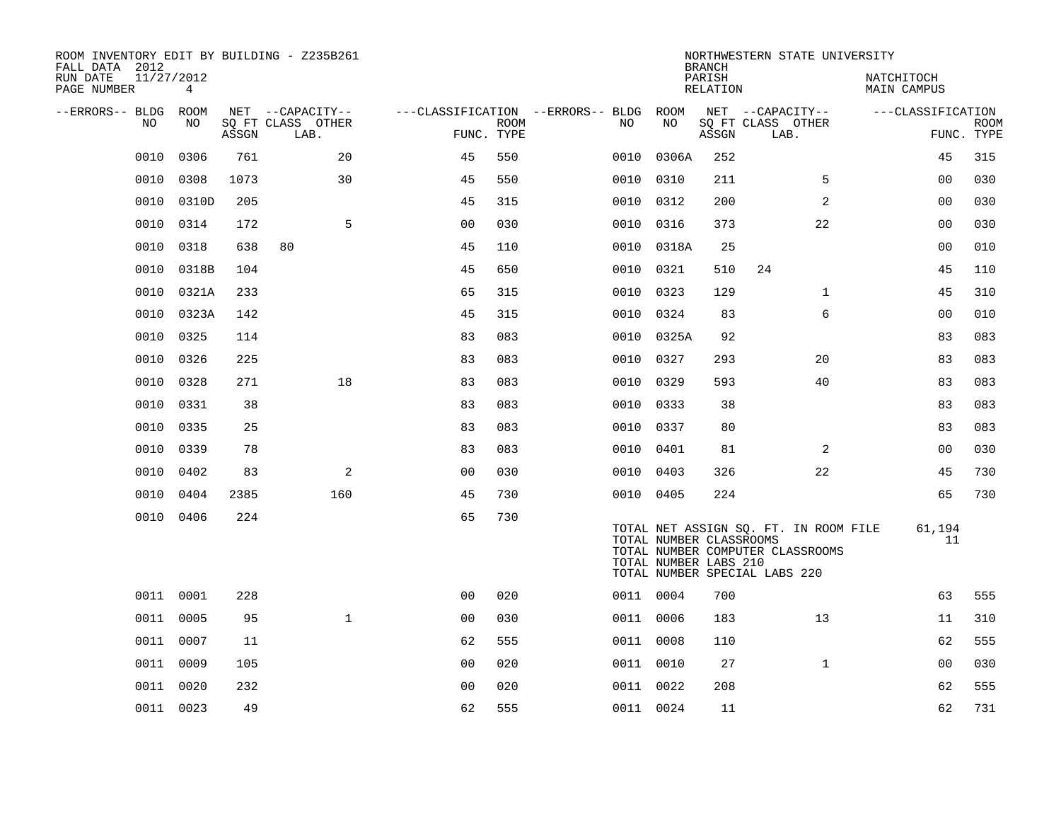| ROOM INVENTORY EDIT BY BUILDING - Z235B261<br>FALL DATA 2012 |                 |       |                           |                |      |                                        |                                                  | <b>BRANCH</b>      | NORTHWESTERN STATE UNIVERSITY                                                                              |                                  |                           |
|--------------------------------------------------------------|-----------------|-------|---------------------------|----------------|------|----------------------------------------|--------------------------------------------------|--------------------|------------------------------------------------------------------------------------------------------------|----------------------------------|---------------------------|
| 11/27/2012<br>RUN DATE<br>PAGE NUMBER                        | $4\overline{ }$ |       |                           |                |      |                                        |                                                  | PARISH<br>RELATION |                                                                                                            | NATCHITOCH<br><b>MAIN CAMPUS</b> |                           |
| --ERRORS-- BLDG ROOM                                         |                 |       | NET --CAPACITY--          |                |      | ---CLASSIFICATION --ERRORS-- BLDG ROOM |                                                  |                    | NET --CAPACITY--                                                                                           | ---CLASSIFICATION                |                           |
| NO                                                           | NO              | ASSGN | SQ FT CLASS OTHER<br>LAB. | FUNC. TYPE     | ROOM | NO                                     | NO                                               | ASSGN              | SQ FT CLASS OTHER<br>LAB.                                                                                  |                                  | <b>ROOM</b><br>FUNC. TYPE |
| 0010                                                         | 0306            | 761   | 20                        | 45             | 550  | 0010                                   | 0306A                                            | 252                |                                                                                                            | 45                               | 315                       |
| 0010                                                         | 0308            | 1073  | 30                        | 45             | 550  | 0010                                   | 0310                                             | 211                | 5                                                                                                          | 0 <sub>0</sub>                   | 030                       |
| 0010                                                         | 0310D           | 205   |                           | 45             | 315  |                                        | 0010 0312                                        | 200                | $\overline{2}$                                                                                             | 00                               | 030                       |
| 0010                                                         | 0314            | 172   | 5                         | 0 <sub>0</sub> | 030  | 0010                                   | 0316                                             | 373                | 22                                                                                                         | 0 <sub>0</sub>                   | 030                       |
| 0010                                                         | 0318            | 638   | 80                        | 45             | 110  |                                        | 0010 0318A                                       | 25                 |                                                                                                            | 00                               | 010                       |
| 0010                                                         | 0318B           | 104   |                           | 45             | 650  |                                        | 0010 0321                                        | 510                | 24                                                                                                         | 45                               | 110                       |
|                                                              | 0010 0321A      | 233   |                           | 65             | 315  |                                        | 0010 0323                                        | 129                | $\mathbf{1}$                                                                                               | 45                               | 310                       |
| 0010                                                         | 0323A           | 142   |                           | 45             | 315  | 0010                                   | 0324                                             | 83                 | 6                                                                                                          | 0 <sub>0</sub>                   | 010                       |
| 0010                                                         | 0325            | 114   |                           | 83             | 083  |                                        | 0010 0325A                                       | 92                 |                                                                                                            | 83                               | 083                       |
|                                                              | 0010 0326       | 225   |                           | 83             | 083  |                                        | 0010 0327                                        | 293                | 20                                                                                                         | 83                               | 083                       |
| 0010                                                         | 0328            | 271   | 18                        | 83             | 083  |                                        | 0010 0329                                        | 593                | 40                                                                                                         | 83                               | 083                       |
| 0010                                                         | 0331            | 38    |                           | 83             | 083  | 0010                                   | 0333                                             | 38                 |                                                                                                            | 83                               | 083                       |
| 0010                                                         | 0335            | 25    |                           | 83             | 083  |                                        | 0010 0337                                        | 80                 |                                                                                                            | 83                               | 083                       |
| 0010                                                         | 0339            | 78    |                           | 83             | 083  |                                        | 0010 0401                                        | 81                 | 2                                                                                                          | 0 <sub>0</sub>                   | 030                       |
| 0010                                                         | 0402            | 83    | 2                         | 00             | 030  |                                        | 0010 0403                                        | 326                | 22                                                                                                         | 45                               | 730                       |
| 0010                                                         | 0404            | 2385  | 160                       | 45             | 730  |                                        | 0010 0405                                        | 224                |                                                                                                            | 65                               | 730                       |
|                                                              | 0010 0406       | 224   |                           | 65             | 730  |                                        | TOTAL NUMBER CLASSROOMS<br>TOTAL NUMBER LABS 210 |                    | TOTAL NET ASSIGN SQ. FT. IN ROOM FILE<br>TOTAL NUMBER COMPUTER CLASSROOMS<br>TOTAL NUMBER SPECIAL LABS 220 | 61,194<br>11                     |                           |
|                                                              | 0011 0001       | 228   |                           | 0 <sub>0</sub> | 020  |                                        | 0011 0004                                        | 700                |                                                                                                            | 63                               | 555                       |
|                                                              | 0011 0005       | 95    | $\mathbf{1}$              | 00             | 030  |                                        | 0011 0006                                        | 183                | 13                                                                                                         | 11                               | 310                       |
|                                                              | 0011 0007       | 11    |                           | 62             | 555  |                                        | 0011 0008                                        | 110                |                                                                                                            | 62                               | 555                       |
|                                                              | 0011 0009       | 105   |                           | 0 <sub>0</sub> | 020  |                                        | 0011 0010                                        | 27                 | $\mathbf{1}$                                                                                               | 0 <sub>0</sub>                   | 030                       |
|                                                              | 0011 0020       | 232   |                           | 0 <sub>0</sub> | 020  |                                        | 0011 0022                                        | 208                |                                                                                                            | 62                               | 555                       |
|                                                              | 0011 0023       | 49    |                           | 62             | 555  |                                        | 0011 0024                                        | 11                 |                                                                                                            | 62                               | 731                       |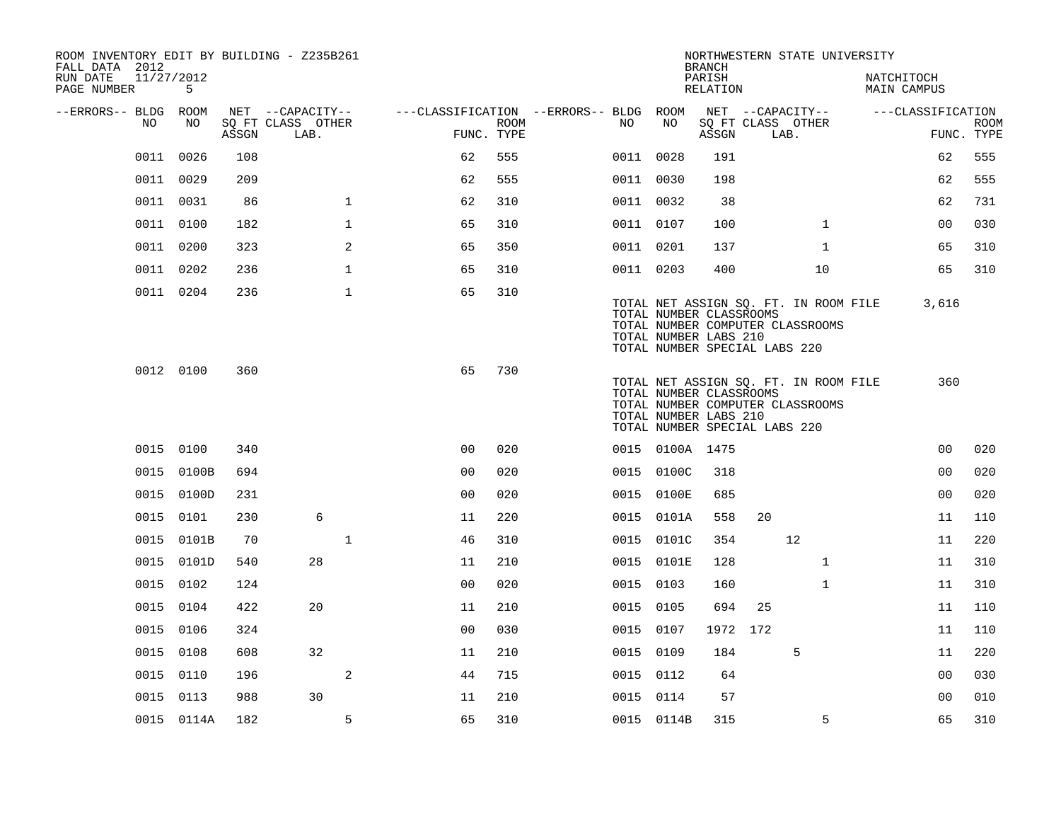| ROOM INVENTORY EDIT BY BUILDING - Z235B261<br>FALL DATA 2012 |            |       |                           |              |                                        |      |           |                                                                                   | <b>BRANCH</b>      |      | NORTHWESTERN STATE UNIVERSITY                                             |                           |                           |
|--------------------------------------------------------------|------------|-------|---------------------------|--------------|----------------------------------------|------|-----------|-----------------------------------------------------------------------------------|--------------------|------|---------------------------------------------------------------------------|---------------------------|---------------------------|
| 11/27/2012<br>RUN DATE<br>PAGE NUMBER                        | 5          |       |                           |              |                                        |      |           |                                                                                   | PARISH<br>RELATION |      |                                                                           | NATCHITOCH<br>MAIN CAMPUS |                           |
| --ERRORS-- BLDG ROOM                                         |            |       | NET --CAPACITY--          |              | ---CLASSIFICATION --ERRORS-- BLDG ROOM |      |           |                                                                                   |                    |      | NET --CAPACITY--                                                          | ---CLASSIFICATION         |                           |
| NO.                                                          | NO         | ASSGN | SQ FT CLASS OTHER<br>LAB. |              | FUNC. TYPE                             | ROOM | NO.       | NO                                                                                | ASSGN              | LAB. | SQ FT CLASS OTHER                                                         |                           | <b>ROOM</b><br>FUNC. TYPE |
| 0011                                                         | 0026       | 108   |                           |              | 62                                     | 555  |           | 0011 0028                                                                         | 191                |      |                                                                           | 62                        | 555                       |
|                                                              | 0011 0029  | 209   |                           |              | 62                                     | 555  |           | 0011 0030                                                                         | 198                |      |                                                                           | 62                        | 555                       |
|                                                              | 0011 0031  | 86    |                           | $\mathbf{1}$ | 62                                     | 310  |           | 0011 0032                                                                         | 38                 |      |                                                                           | 62                        | 731                       |
|                                                              | 0011 0100  | 182   |                           | $\mathbf{1}$ | 65                                     | 310  |           | 0011 0107                                                                         | 100                |      | $\mathbf{1}$                                                              | 0 <sub>0</sub>            | 030                       |
|                                                              | 0011 0200  | 323   |                           | 2            | 65                                     | 350  |           | 0011 0201                                                                         | 137                |      | $\mathbf{1}$                                                              | 65                        | 310                       |
|                                                              | 0011 0202  | 236   |                           | 1            | 65                                     | 310  |           | 0011 0203                                                                         | 400                |      | 10                                                                        | 65                        | 310                       |
|                                                              | 0011 0204  | 236   |                           | $\mathbf{1}$ | 65                                     | 310  |           | TOTAL NUMBER CLASSROOMS<br>TOTAL NUMBER LABS 210<br>TOTAL NUMBER SPECIAL LABS 220 |                    |      | TOTAL NET ASSIGN SQ. FT. IN ROOM FILE<br>TOTAL NUMBER COMPUTER CLASSROOMS | 3,616                     |                           |
|                                                              | 0012 0100  | 360   |                           |              | 65                                     | 730  |           | TOTAL NUMBER CLASSROOMS<br>TOTAL NUMBER LABS 210<br>TOTAL NUMBER SPECIAL LABS 220 |                    |      | TOTAL NET ASSIGN SQ. FT. IN ROOM FILE<br>TOTAL NUMBER COMPUTER CLASSROOMS | 360                       |                           |
|                                                              | 0015 0100  | 340   |                           |              | 0 <sup>0</sup>                         | 020  |           | 0015 0100A 1475                                                                   |                    |      |                                                                           | 0 <sub>0</sub>            | 020                       |
|                                                              | 0015 0100B | 694   |                           |              | 0 <sub>0</sub>                         | 020  |           | 0015 0100C                                                                        | 318                |      |                                                                           | 0 <sub>0</sub>            | 020                       |
|                                                              | 0015 0100D | 231   |                           |              | 0 <sub>0</sub>                         | 020  |           | 0015 0100E                                                                        | 685                |      |                                                                           | 0 <sub>0</sub>            | 020                       |
|                                                              | 0015 0101  | 230   | 6                         |              | 11                                     | 220  |           | 0015 0101A                                                                        | 558                | 20   |                                                                           | 11                        | 110                       |
|                                                              | 0015 0101B | 70    |                           | $\mathbf{1}$ | 46                                     | 310  |           | 0015 0101C                                                                        | 354                |      | 12                                                                        | 11                        | 220                       |
|                                                              | 0015 0101D | 540   | 28                        |              | 11                                     | 210  |           | 0015 0101E                                                                        | 128                |      | $\mathbf{1}$                                                              | 11                        | 310                       |
|                                                              | 0015 0102  | 124   |                           |              | 0 <sub>0</sub>                         | 020  |           | 0015 0103                                                                         | 160                |      | $\mathbf{1}$                                                              | 11                        | 310                       |
|                                                              | 0015 0104  | 422   | 20                        |              | 11                                     | 210  |           | 0015 0105                                                                         | 694                | 25   |                                                                           | 11                        | 110                       |
|                                                              | 0015 0106  | 324   |                           |              | 0 <sub>0</sub>                         | 030  |           | 0015 0107                                                                         | 1972 172           |      |                                                                           | 11                        | 110                       |
| 0015                                                         | 0108       | 608   | 32                        |              | 11                                     | 210  | 0015 0109 |                                                                                   | 184                |      | 5                                                                         | 11                        | 220                       |
| 0015                                                         | 0110       | 196   |                           | 2            | 44                                     | 715  |           | 0015 0112                                                                         | 64                 |      |                                                                           | 0 <sub>0</sub>            | 030                       |
|                                                              | 0015 0113  | 988   | 30                        |              | 11                                     | 210  |           | 0015 0114                                                                         | 57                 |      |                                                                           | 0 <sub>0</sub>            | 010                       |
|                                                              | 0015 0114A | 182   |                           | 5            | 65                                     | 310  |           | 0015 0114B                                                                        | 315                |      | 5                                                                         | 65                        | 310                       |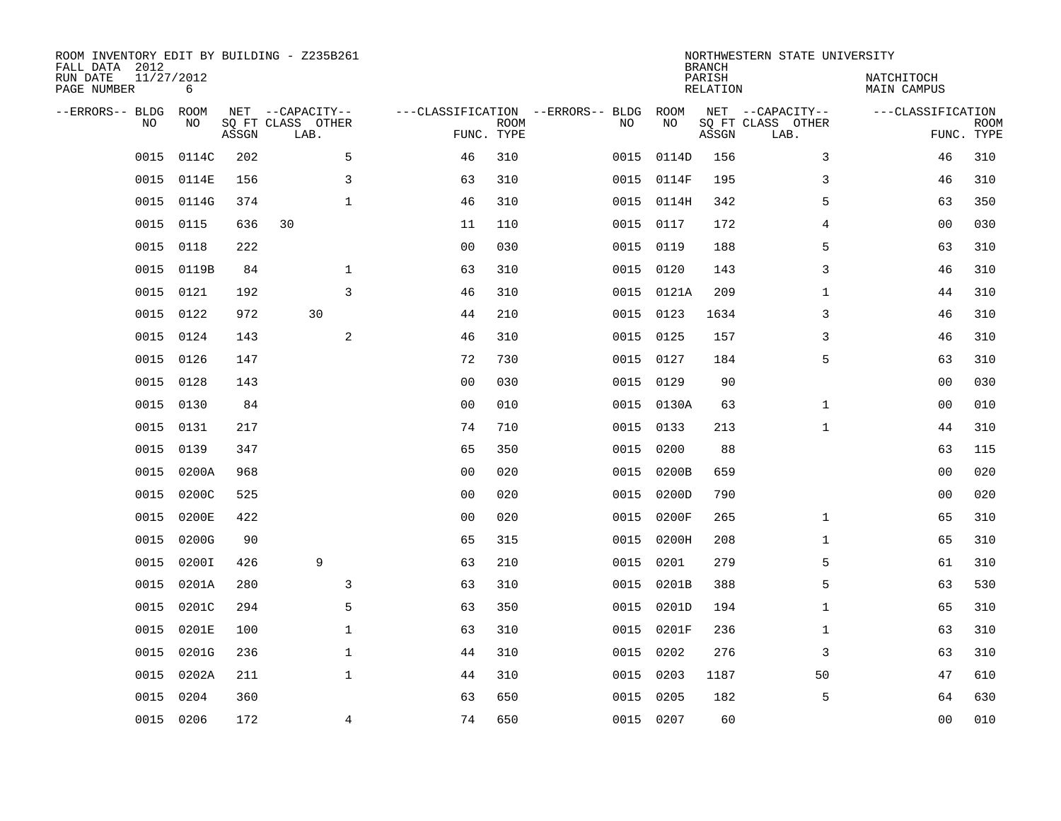| ROOM INVENTORY EDIT BY BUILDING - Z235B261<br>FALL DATA 2012 |                 |       |                           |              |                                   |                           |      |            | <b>BRANCH</b>             | NORTHWESTERN STATE UNIVERSITY |                                  |                           |
|--------------------------------------------------------------|-----------------|-------|---------------------------|--------------|-----------------------------------|---------------------------|------|------------|---------------------------|-------------------------------|----------------------------------|---------------------------|
| RUN DATE<br>PAGE NUMBER                                      | 11/27/2012<br>6 |       |                           |              |                                   |                           |      |            | PARISH<br><b>RELATION</b> |                               | NATCHITOCH<br><b>MAIN CAMPUS</b> |                           |
| --ERRORS-- BLDG                                              | ROOM            |       | NET --CAPACITY--          |              | ---CLASSIFICATION --ERRORS-- BLDG |                           |      | ROOM       |                           | NET --CAPACITY--              | ---CLASSIFICATION                |                           |
| NO                                                           | NO              | ASSGN | SQ FT CLASS OTHER<br>LAB. |              |                                   | <b>ROOM</b><br>FUNC. TYPE | NO   | NO         | ASSGN                     | SQ FT CLASS OTHER<br>LAB.     |                                  | <b>ROOM</b><br>FUNC. TYPE |
| 0015                                                         | 0114C           | 202   |                           | 5            | 46                                | 310                       | 0015 | 0114D      | 156                       | 3                             | 46                               | 310                       |
| 0015                                                         | 0114E           | 156   |                           | $\mathsf{3}$ | 63                                | 310                       |      | 0015 0114F | 195                       | 3                             | 46                               | 310                       |
| 0015                                                         | 0114G           | 374   |                           | $\mathbf{1}$ | 46                                | 310                       | 0015 | 0114H      | 342                       | 5                             | 63                               | 350                       |
| 0015                                                         | 0115            | 636   | 30                        |              | 11                                | 110                       |      | 0015 0117  | 172                       | 4                             | 00                               | 030                       |
| 0015                                                         | 0118            | 222   |                           |              | 0 <sub>0</sub>                    | 030                       | 0015 | 0119       | 188                       | 5                             | 63                               | 310                       |
| 0015                                                         | 0119B           | 84    |                           | $\mathbf{1}$ | 63                                | 310                       |      | 0015 0120  | 143                       | 3                             | 46                               | 310                       |
| 0015                                                         | 0121            | 192   |                           | 3            | 46                                | 310                       |      | 0015 0121A | 209                       | $\mathbf{1}$                  | 44                               | 310                       |
| 0015                                                         | 0122            | 972   | 30                        |              | 44                                | 210                       |      | 0015 0123  | 1634                      | 3                             | 46                               | 310                       |
| 0015                                                         | 0124            | 143   |                           | 2            | 46                                | 310                       | 0015 | 0125       | 157                       | 3                             | 46                               | 310                       |
| 0015                                                         | 0126            | 147   |                           |              | 72                                | 730                       |      | 0015 0127  | 184                       | 5                             | 63                               | 310                       |
| 0015                                                         | 0128            | 143   |                           |              | 0 <sub>0</sub>                    | 030                       | 0015 | 0129       | 90                        |                               | 00                               | 030                       |
| 0015                                                         | 0130            | 84    |                           |              | 0 <sub>0</sub>                    | 010                       |      | 0015 0130A | 63                        | $\mathbf{1}$                  | 00                               | 010                       |
| 0015                                                         | 0131            | 217   |                           |              | 74                                | 710                       | 0015 | 0133       | 213                       | $\mathbf{1}$                  | 44                               | 310                       |
| 0015                                                         | 0139            | 347   |                           |              | 65                                | 350                       | 0015 | 0200       | 88                        |                               | 63                               | 115                       |
| 0015                                                         | 0200A           | 968   |                           |              | 0 <sub>0</sub>                    | 020                       | 0015 | 0200B      | 659                       |                               | 00                               | 020                       |
| 0015                                                         | 0200C           | 525   |                           |              | 0 <sub>0</sub>                    | 020                       | 0015 | 0200D      | 790                       |                               | 0 <sub>0</sub>                   | 020                       |
| 0015                                                         | 0200E           | 422   |                           |              | 0 <sub>0</sub>                    | 020                       | 0015 | 0200F      | 265                       | $\mathbf{1}$                  | 65                               | 310                       |
| 0015                                                         | 0200G           | 90    |                           |              | 65                                | 315                       | 0015 | 0200H      | 208                       | $\mathbf{1}$                  | 65                               | 310                       |
| 0015                                                         | 0200I           | 426   | 9                         |              | 63                                | 210                       | 0015 | 0201       | 279                       | 5                             | 61                               | 310                       |
| 0015                                                         | 0201A           | 280   |                           | 3            | 63                                | 310                       | 0015 | 0201B      | 388                       | 5                             | 63                               | 530                       |
| 0015                                                         | 0201C           | 294   |                           | 5            | 63                                | 350                       |      | 0015 0201D | 194                       | $\mathbf{1}$                  | 65                               | 310                       |
| 0015                                                         | 0201E           | 100   |                           | $\mathbf 1$  | 63                                | 310                       | 0015 | 0201F      | 236                       | $\mathbf{1}$                  | 63                               | 310                       |
| 0015                                                         | 0201G           | 236   |                           | $\mathbf{1}$ | 44                                | 310                       | 0015 | 0202       | 276                       | 3                             | 63                               | 310                       |
| 0015                                                         | 0202A           | 211   |                           | $\mathbf{1}$ | 44                                | 310                       | 0015 | 0203       | 1187                      | 50                            | 47                               | 610                       |
| 0015                                                         | 0204            | 360   |                           |              | 63                                | 650                       | 0015 | 0205       | 182                       | 5                             | 64                               | 630                       |
|                                                              | 0015 0206       | 172   |                           | 4            | 74                                | 650                       |      | 0015 0207  | 60                        |                               | 0 <sub>0</sub>                   | 010                       |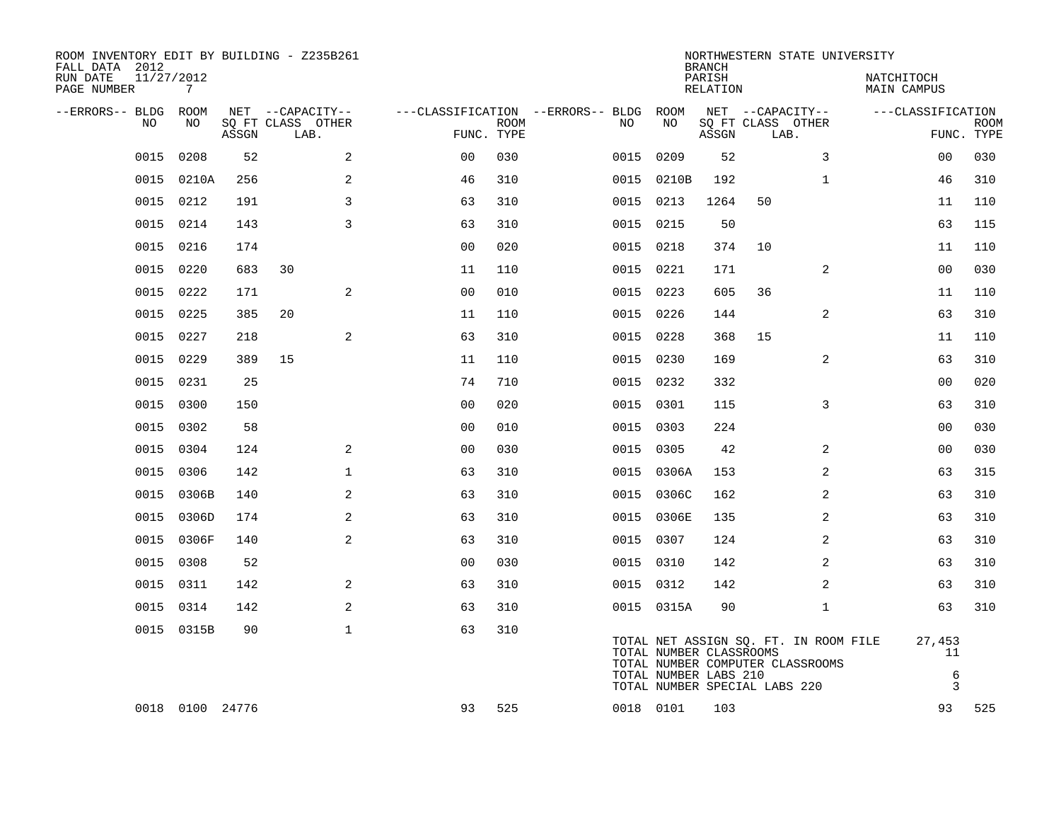| ROOM INVENTORY EDIT BY BUILDING - Z235B261<br>FALL DATA 2012<br>RUN DATE | 11/27/2012      |       |                                       |                      |             |                                               |                                                  | <b>BRANCH</b><br>PARISH |                                       | NORTHWESTERN STATE UNIVERSITY                                             | NATCHITOCH             |             |
|--------------------------------------------------------------------------|-----------------|-------|---------------------------------------|----------------------|-------------|-----------------------------------------------|--------------------------------------------------|-------------------------|---------------------------------------|---------------------------------------------------------------------------|------------------------|-------------|
| PAGE NUMBER                                                              | 7               |       |                                       |                      |             |                                               |                                                  | RELATION                |                                       |                                                                           | MAIN CAMPUS            |             |
| --ERRORS-- BLDG ROOM<br>NO                                               | NO              |       | NET --CAPACITY--<br>SQ FT CLASS OTHER |                      | <b>ROOM</b> | ---CLASSIFICATION --ERRORS-- BLDG ROOM<br>NO. | NO                                               |                         | NET --CAPACITY--<br>SQ FT CLASS OTHER |                                                                           | ---CLASSIFICATION      | <b>ROOM</b> |
|                                                                          |                 | ASSGN | LAB.                                  |                      | FUNC. TYPE  |                                               |                                                  | ASSGN                   | LAB.                                  |                                                                           |                        | FUNC. TYPE  |
| 0015                                                                     | 0208            | 52    |                                       | 2<br>0 <sub>0</sub>  | 030         | 0015                                          | 0209                                             | 52                      |                                       | 3                                                                         | 00                     | 030         |
| 0015                                                                     | 0210A           | 256   |                                       | 2<br>46              | 310         | 0015                                          | 0210B                                            | 192                     |                                       | $\mathbf{1}$                                                              | 46                     | 310         |
|                                                                          | 0015 0212       | 191   |                                       | 3<br>63              | 310         | 0015                                          | 0213                                             | 1264                    | 50                                    |                                                                           | 11                     | 110         |
| 0015                                                                     | 0214            | 143   |                                       | 3<br>63              | 310         | 0015                                          | 0215                                             | 50                      |                                       |                                                                           | 63                     | 115         |
| 0015                                                                     | 0216            | 174   |                                       | 0 <sub>0</sub>       | 020         |                                               | 0015 0218                                        | 374                     | 10                                    |                                                                           | 11                     | 110         |
| 0015                                                                     | 0220            | 683   | 30                                    | 11                   | 110         | 0015                                          | 0221                                             | 171                     |                                       | 2                                                                         | 0 <sub>0</sub>         | 030         |
| 0015                                                                     | 0222            | 171   |                                       | 2<br>0 <sub>0</sub>  | 010         |                                               | 0015 0223                                        | 605                     | 36                                    |                                                                           | 11                     | 110         |
| 0015                                                                     | 0225            | 385   | 20                                    | 11                   | 110         | 0015                                          | 0226                                             | 144                     |                                       | 2                                                                         | 63                     | 310         |
| 0015                                                                     | 0227            | 218   |                                       | 2<br>63              | 310         |                                               | 0015 0228                                        | 368                     | 15                                    |                                                                           | 11                     | 110         |
| 0015                                                                     | 0229            | 389   | 15                                    | 11                   | 110         |                                               | 0015 0230                                        | 169                     |                                       | $\overline{2}$                                                            | 63                     | 310         |
| 0015                                                                     | 0231            | 25    |                                       | 74                   | 710         |                                               | 0015 0232                                        | 332                     |                                       |                                                                           | 0 <sub>0</sub>         | 020         |
| 0015                                                                     | 0300            | 150   |                                       | 0 <sub>0</sub>       | 020         |                                               | 0015 0301                                        | 115                     |                                       | 3                                                                         | 63                     | 310         |
| 0015                                                                     | 0302            | 58    |                                       | 0 <sub>0</sub>       | 010         |                                               | 0015 0303                                        | 224                     |                                       |                                                                           | 0 <sub>0</sub>         | 030         |
| 0015                                                                     | 0304            | 124   |                                       | 2<br>0 <sub>0</sub>  | 030         |                                               | 0015 0305                                        | 42                      |                                       | 2                                                                         | 0 <sub>0</sub>         | 030         |
| 0015                                                                     | 0306            | 142   |                                       | $\mathbf{1}$<br>63   | 310         |                                               | 0015 0306A                                       | 153                     |                                       | 2                                                                         | 63                     | 315         |
| 0015                                                                     | 0306B           | 140   |                                       | $\overline{a}$<br>63 | 310         |                                               | 0015 0306C                                       | 162                     |                                       | 2                                                                         | 63                     | 310         |
| 0015                                                                     | 0306D           | 174   |                                       | 2<br>63              | 310         |                                               | 0015 0306E                                       | 135                     |                                       | 2                                                                         | 63                     | 310         |
| 0015                                                                     | 0306F           | 140   |                                       | 2<br>63              | 310         |                                               | 0015 0307                                        | 124                     |                                       | $\overline{a}$                                                            | 63                     | 310         |
| 0015                                                                     | 0308            | 52    |                                       | 0 <sub>0</sub>       | 030         |                                               | 0015 0310                                        | 142                     |                                       | 2                                                                         | 63                     | 310         |
| 0015                                                                     | 0311            | 142   |                                       | $\overline{a}$<br>63 | 310         |                                               | 0015 0312                                        | 142                     |                                       | $\overline{a}$                                                            | 63                     | 310         |
| 0015                                                                     | 0314            | 142   |                                       | 2<br>63              | 310         |                                               | 0015 0315A                                       | 90                      |                                       | $\mathbf{1}$                                                              | 63                     | 310         |
|                                                                          | 0015 0315B      | 90    |                                       | $\mathbf 1$<br>63    | 310         |                                               | TOTAL NUMBER CLASSROOMS<br>TOTAL NUMBER LABS 210 |                         | TOTAL NUMBER SPECIAL LABS 220         | TOTAL NET ASSIGN SQ. FT. IN ROOM FILE<br>TOTAL NUMBER COMPUTER CLASSROOMS | 27,453<br>11<br>6<br>3 |             |
|                                                                          | 0018 0100 24776 |       |                                       | 93                   | 525         |                                               | 0018 0101                                        | 103                     |                                       |                                                                           | 93                     | 525         |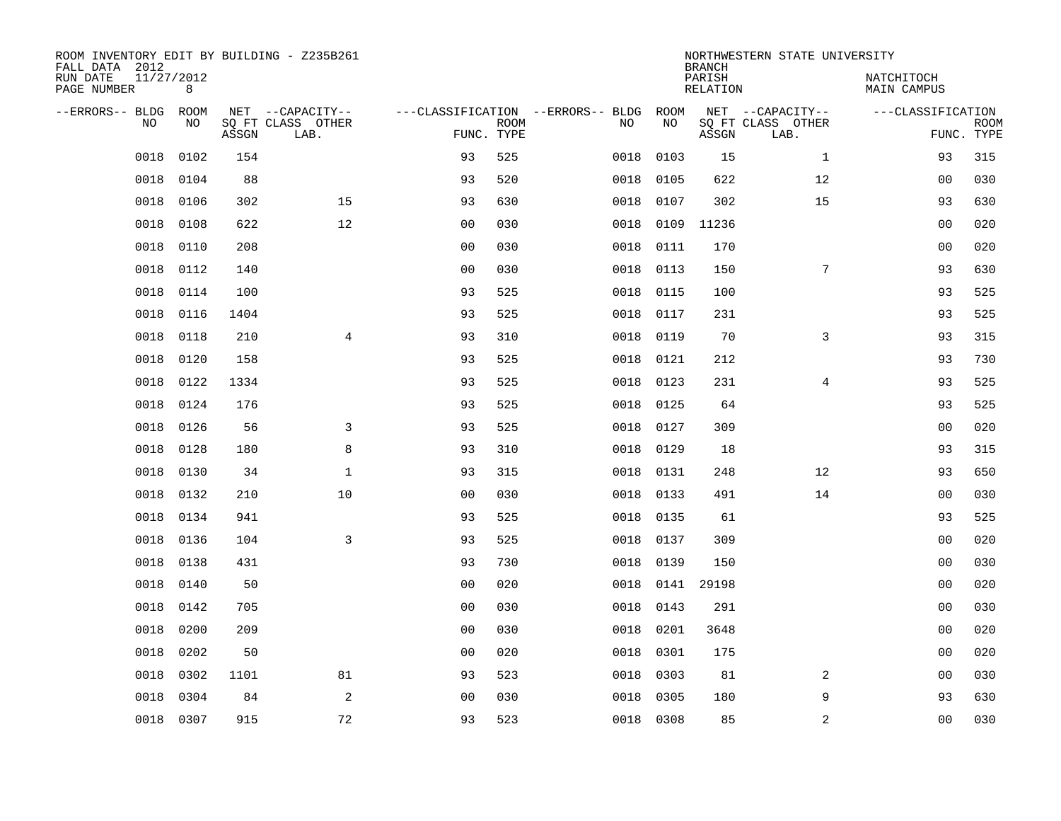| ROOM INVENTORY EDIT BY BUILDING - Z235B261<br>FALL DATA 2012 |                 |       |                           |                |             |                                              |           | <b>BRANCH</b>             | NORTHWESTERN STATE UNIVERSITY |                                  |             |
|--------------------------------------------------------------|-----------------|-------|---------------------------|----------------|-------------|----------------------------------------------|-----------|---------------------------|-------------------------------|----------------------------------|-------------|
| RUN DATE<br>PAGE NUMBER                                      | 11/27/2012<br>8 |       |                           |                |             |                                              |           | PARISH<br><b>RELATION</b> |                               | NATCHITOCH<br><b>MAIN CAMPUS</b> |             |
| --ERRORS-- BLDG ROOM<br>NO                                   | NO              |       | NET --CAPACITY--          |                | <b>ROOM</b> | ---CLASSIFICATION --ERRORS-- BLDG ROOM<br>NO | NO        |                           | NET --CAPACITY--              | ---CLASSIFICATION                | <b>ROOM</b> |
|                                                              |                 | ASSGN | SQ FT CLASS OTHER<br>LAB. | FUNC. TYPE     |             |                                              |           | ASSGN                     | SQ FT CLASS OTHER<br>LAB.     |                                  | FUNC. TYPE  |
| 0018                                                         | 0102            | 154   |                           | 93             | 525         | 0018                                         | 0103      | 15                        | $\mathbf{1}$                  | 93                               | 315         |
| 0018                                                         | 0104            | 88    |                           | 93             | 520         | 0018                                         | 0105      | 622                       | 12                            | 00                               | 030         |
| 0018                                                         | 0106            | 302   | 15                        | 93             | 630         | 0018                                         | 0107      | 302                       | 15                            | 93                               | 630         |
| 0018                                                         | 0108            | 622   | 12                        | 0 <sub>0</sub> | 030         | 0018                                         |           | 0109 11236                |                               | 00                               | 020         |
| 0018                                                         | 0110            | 208   |                           | 0 <sub>0</sub> | 030         | 0018                                         | 0111      | 170                       |                               | 0 <sub>0</sub>                   | 020         |
| 0018                                                         | 0112            | 140   |                           | 0 <sub>0</sub> | 030         | 0018                                         | 0113      | 150                       | $7\phantom{.0}$               | 93                               | 630         |
| 0018                                                         | 0114            | 100   |                           | 93             | 525         | 0018                                         | 0115      | 100                       |                               | 93                               | 525         |
| 0018                                                         | 0116            | 1404  |                           | 93             | 525         | 0018                                         | 0117      | 231                       |                               | 93                               | 525         |
| 0018                                                         | 0118            | 210   | $\overline{4}$            | 93             | 310         | 0018                                         | 0119      | 70                        | 3                             | 93                               | 315         |
| 0018                                                         | 0120            | 158   |                           | 93             | 525         | 0018                                         | 0121      | 212                       |                               | 93                               | 730         |
| 0018                                                         | 0122            | 1334  |                           | 93             | 525         | 0018                                         | 0123      | 231                       | $\overline{4}$                | 93                               | 525         |
| 0018                                                         | 0124            | 176   |                           | 93             | 525         | 0018                                         | 0125      | 64                        |                               | 93                               | 525         |
| 0018                                                         | 0126            | 56    | 3                         | 93             | 525         | 0018                                         | 0127      | 309                       |                               | 00                               | 020         |
| 0018                                                         | 0128            | 180   | 8                         | 93             | 310         | 0018                                         | 0129      | 18                        |                               | 93                               | 315         |
| 0018                                                         | 0130            | 34    | $\mathbf 1$               | 93             | 315         | 0018                                         | 0131      | 248                       | 12                            | 93                               | 650         |
| 0018                                                         | 0132            | 210   | 10                        | 0 <sub>0</sub> | 030         | 0018                                         | 0133      | 491                       | 14                            | 0 <sub>0</sub>                   | 030         |
| 0018                                                         | 0134            | 941   |                           | 93             | 525         | 0018                                         | 0135      | 61                        |                               | 93                               | 525         |
| 0018                                                         | 0136            | 104   | 3                         | 93             | 525         | 0018                                         | 0137      | 309                       |                               | 0 <sub>0</sub>                   | 020         |
| 0018                                                         | 0138            | 431   |                           | 93             | 730         | 0018                                         | 0139      | 150                       |                               | 0 <sub>0</sub>                   | 030         |
| 0018                                                         | 0140            | 50    |                           | 0 <sub>0</sub> | 020         | 0018                                         |           | 0141 29198                |                               | 0 <sub>0</sub>                   | 020         |
| 0018                                                         | 0142            | 705   |                           | 0 <sub>0</sub> | 030         | 0018                                         | 0143      | 291                       |                               | 00                               | 030         |
| 0018                                                         | 0200            | 209   |                           | 0 <sub>0</sub> | 030         | 0018                                         | 0201      | 3648                      |                               | 00                               | 020         |
| 0018                                                         | 0202            | 50    |                           | 0 <sub>0</sub> | 020         | 0018                                         | 0301      | 175                       |                               | 0 <sub>0</sub>                   | 020         |
| 0018                                                         | 0302            | 1101  | 81                        | 93             | 523         | 0018                                         | 0303      | 81                        | 2                             | 00                               | 030         |
| 0018                                                         | 0304            | 84    | 2                         | 0 <sub>0</sub> | 030         | 0018                                         | 0305      | 180                       | 9                             | 93                               | 630         |
|                                                              | 0018 0307       | 915   | 72                        | 93             | 523         |                                              | 0018 0308 | 85                        | 2                             | 0 <sub>0</sub>                   | 030         |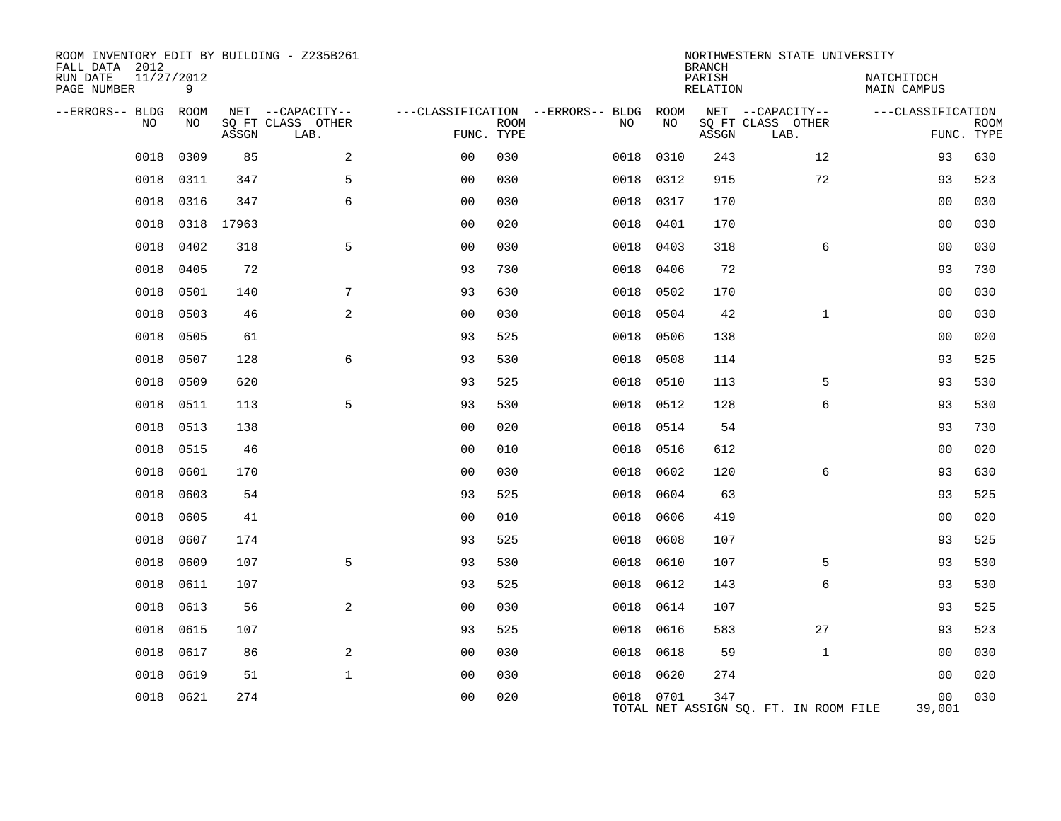| ROOM INVENTORY EDIT BY BUILDING - Z235B261<br>FALL DATA 2012<br>RUN DATE | 11/27/2012 |       |                                       |                |             |                                         |            | <b>BRANCH</b><br>PARISH | NORTHWESTERN STATE UNIVERSITY         | NATCHITOCH               |             |
|--------------------------------------------------------------------------|------------|-------|---------------------------------------|----------------|-------------|-----------------------------------------|------------|-------------------------|---------------------------------------|--------------------------|-------------|
| PAGE NUMBER                                                              | 9          |       |                                       |                |             |                                         |            | RELATION                |                                       | <b>MAIN CAMPUS</b>       |             |
| --ERRORS-- BLDG<br>NO                                                    | ROOM<br>NO |       | NET --CAPACITY--<br>SQ FT CLASS OTHER |                | <b>ROOM</b> | ---CLASSIFICATION --ERRORS-- BLDG<br>NO | ROOM<br>NO |                         | NET --CAPACITY--<br>SQ FT CLASS OTHER | ---CLASSIFICATION        | <b>ROOM</b> |
|                                                                          |            | ASSGN | LAB.                                  | FUNC. TYPE     |             |                                         |            | ASSGN                   | LAB.                                  |                          | FUNC. TYPE  |
| 0018                                                                     | 0309       | 85    | 2                                     | 00             | 030         | 0018                                    | 0310       | 243                     | 12                                    | 93                       | 630         |
| 0018                                                                     | 0311       | 347   | 5                                     | 0 <sub>0</sub> | 030         | 0018                                    | 0312       | 915                     | 72                                    | 93                       | 523         |
| 0018                                                                     | 0316       | 347   | 6                                     | 0 <sub>0</sub> | 030         | 0018                                    | 0317       | 170                     |                                       | 0 <sub>0</sub>           | 030         |
| 0018                                                                     | 0318       | 17963 |                                       | 0 <sub>0</sub> | 020         | 0018                                    | 0401       | 170                     |                                       | 0 <sub>0</sub>           | 030         |
| 0018                                                                     | 0402       | 318   | 5                                     | 0 <sub>0</sub> | 030         | 0018                                    | 0403       | 318                     | 6                                     | 00                       | 030         |
| 0018                                                                     | 0405       | 72    |                                       | 93             | 730         | 0018                                    | 0406       | 72                      |                                       | 93                       | 730         |
| 0018                                                                     | 0501       | 140   | 7                                     | 93             | 630         | 0018                                    | 0502       | 170                     |                                       | 0 <sub>0</sub>           | 030         |
| 0018                                                                     | 0503       | 46    | $\overline{a}$                        | 00             | 030         | 0018                                    | 0504       | 42                      | $\mathbf{1}$                          | 00                       | 030         |
| 0018                                                                     | 0505       | 61    |                                       | 93             | 525         | 0018                                    | 0506       | 138                     |                                       | 00                       | 020         |
| 0018                                                                     | 0507       | 128   | 6                                     | 93             | 530         | 0018                                    | 0508       | 114                     |                                       | 93                       | 525         |
| 0018                                                                     | 0509       | 620   |                                       | 93             | 525         | 0018                                    | 0510       | 113                     | 5                                     | 93                       | 530         |
| 0018                                                                     | 0511       | 113   | 5                                     | 93             | 530         | 0018                                    | 0512       | 128                     | 6                                     | 93                       | 530         |
| 0018                                                                     | 0513       | 138   |                                       | 0 <sub>0</sub> | 020         | 0018                                    | 0514       | 54                      |                                       | 93                       | 730         |
| 0018                                                                     | 0515       | 46    |                                       | 0 <sub>0</sub> | 010         | 0018                                    | 0516       | 612                     |                                       | 0 <sub>0</sub>           | 020         |
| 0018                                                                     | 0601       | 170   |                                       | 0 <sub>0</sub> | 030         | 0018                                    | 0602       | 120                     | 6                                     | 93                       | 630         |
| 0018                                                                     | 0603       | 54    |                                       | 93             | 525         | 0018                                    | 0604       | 63                      |                                       | 93                       | 525         |
| 0018                                                                     | 0605       | 41    |                                       | 0 <sub>0</sub> | 010         | 0018                                    | 0606       | 419                     |                                       | 0 <sub>0</sub>           | 020         |
| 0018                                                                     | 0607       | 174   |                                       | 93             | 525         | 0018                                    | 0608       | 107                     |                                       | 93                       | 525         |
| 0018                                                                     | 0609       | 107   | 5                                     | 93             | 530         | 0018                                    | 0610       | 107                     | 5                                     | 93                       | 530         |
| 0018                                                                     | 0611       | 107   |                                       | 93             | 525         | 0018                                    | 0612       | 143                     | 6                                     | 93                       | 530         |
| 0018                                                                     | 0613       | 56    | 2                                     | 0 <sub>0</sub> | 030         | 0018                                    | 0614       | 107                     |                                       | 93                       | 525         |
| 0018                                                                     | 0615       | 107   |                                       | 93             | 525         | 0018                                    | 0616       | 583                     | 27                                    | 93                       | 523         |
| 0018                                                                     | 0617       | 86    | $\overline{a}$                        | 0 <sub>0</sub> | 030         | 0018                                    | 0618       | 59                      | $\mathbf{1}$                          | 0 <sub>0</sub>           | 030         |
| 0018                                                                     | 0619       | 51    | $\mathbf 1$                           | 0 <sub>0</sub> | 030         | 0018                                    | 0620       | 274                     |                                       | 00                       | 020         |
| 0018                                                                     | 0621       | 274   |                                       | 0 <sub>0</sub> | 020         |                                         | 0018 0701  | 347                     | TOTAL NET ASSIGN SQ. FT. IN ROOM FILE | 0 <sub>0</sub><br>39,001 | 030         |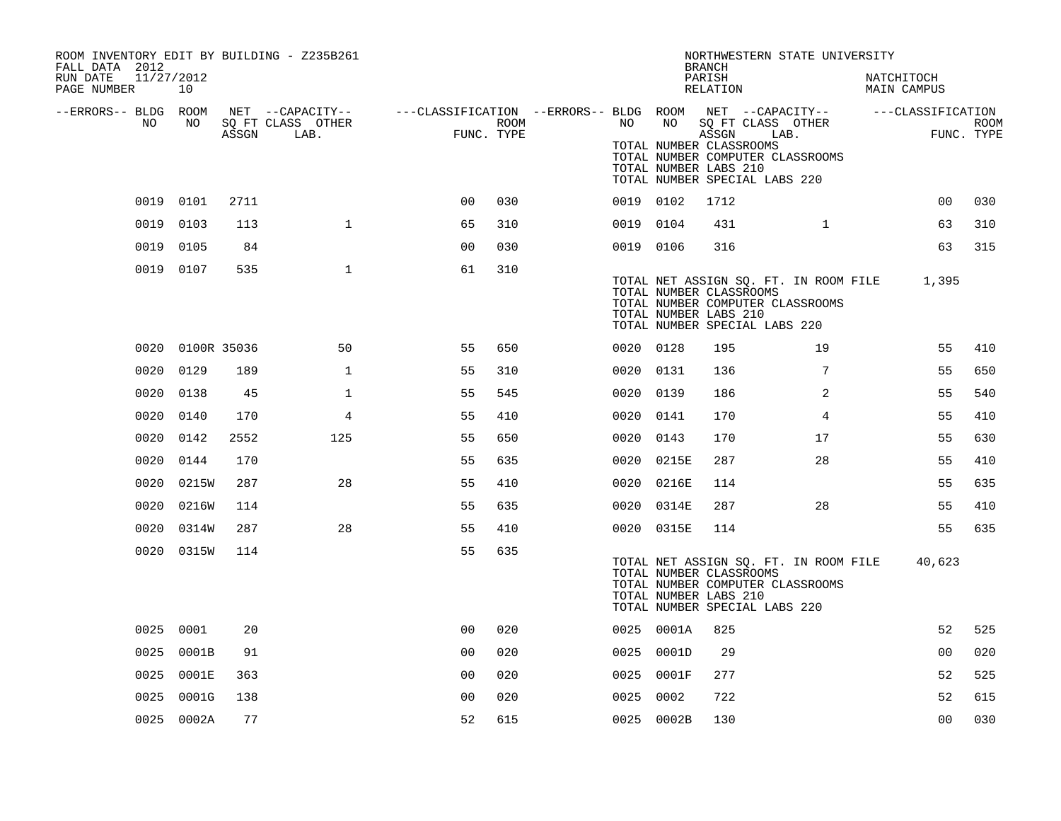| ROOM INVENTORY EDIT BY BUILDING - Z235B261<br>FALL DATA 2012 |                  |      |                   |                                                                             |      |           |            | <b>BRANCH</b>                                             | NORTHWESTERN STATE UNIVERSITY                                                                              |                           |             |
|--------------------------------------------------------------|------------------|------|-------------------|-----------------------------------------------------------------------------|------|-----------|------------|-----------------------------------------------------------|------------------------------------------------------------------------------------------------------------|---------------------------|-------------|
| RUN DATE<br>11/27/2012<br>PAGE NUMBER                        | 10               |      |                   |                                                                             |      |           |            | PARISH<br>RELATION                                        |                                                                                                            | NATCHITOCH<br>MAIN CAMPUS |             |
| --ERRORS-- BLDG ROOM<br>NO                                   | NO               |      | SQ FT CLASS OTHER | NET --CAPACITY--    ---CLASSIFICATION --ERRORS-- BLDG ROOM NET --CAPACITY-- | ROOM | NO        | NO         |                                                           | SQ FT CLASS OTHER                                                                                          | ---CLASSIFICATION         | <b>ROOM</b> |
|                                                              |                  |      | ASSGN LAB.        | FUNC. TYPE                                                                  |      |           |            | ASSGN<br>TOTAL NUMBER CLASSROOMS<br>TOTAL NUMBER LABS 210 | LAB.<br>TOTAL NUMBER COMPUTER CLASSROOMS<br>TOTAL NUMBER SPECIAL LABS 220                                  |                           | FUNC. TYPE  |
|                                                              | 0019 0101        | 2711 |                   | 0 <sup>0</sup>                                                              | 030  | 0019 0102 |            | 1712                                                      |                                                                                                            | 00                        | 030         |
| 0019                                                         | 0103             | 113  | $\mathbf{1}$      | 65                                                                          | 310  | 0019 0104 |            | 431                                                       | $\mathbf{1}$                                                                                               | 63                        | 310         |
| 0019                                                         | 0105             | 84   |                   | 0 <sub>0</sub>                                                              | 030  | 0019 0106 |            | 316                                                       |                                                                                                            | 63                        | 315         |
|                                                              | 0019 0107        | 535  | $\mathbf{1}$      | 61                                                                          | 310  |           |            | TOTAL NUMBER CLASSROOMS<br>TOTAL NUMBER LABS 210          | TOTAL NET ASSIGN SQ. FT. IN ROOM FILE<br>TOTAL NUMBER COMPUTER CLASSROOMS<br>TOTAL NUMBER SPECIAL LABS 220 | 1,395                     |             |
|                                                              | 0020 0100R 35036 |      | 50                | 55                                                                          | 650  | 0020 0128 |            | 195                                                       | 19                                                                                                         | 55                        | 410         |
| 0020                                                         | 0129             | 189  | $\mathbf 1$       | 55                                                                          | 310  | 0020 0131 |            | 136                                                       | 7                                                                                                          | 55                        | 650         |
| 0020                                                         | 0138             | 45   | $\mathbf{1}$      | 55                                                                          | 545  | 0020 0139 |            | 186                                                       | 2                                                                                                          | 55                        | 540         |
| 0020                                                         | 0140             | 170  | 4                 | 55                                                                          | 410  | 0020 0141 |            | 170                                                       | 4                                                                                                          | 55                        | 410         |
|                                                              | 0020 0142        | 2552 | 125               | 55                                                                          | 650  | 0020 0143 |            | 170                                                       | 17                                                                                                         | 55                        | 630         |
|                                                              | 0020 0144        | 170  |                   | 55                                                                          | 635  |           | 0020 0215E | 287                                                       | 28                                                                                                         | 55                        | 410         |
| 0020                                                         | 0215W            | 287  | 28                | 55                                                                          | 410  |           | 0020 0216E | 114                                                       |                                                                                                            | 55                        | 635         |
| 0020                                                         | 0216W            | 114  |                   | 55                                                                          | 635  | 0020      | 0314E      | 287                                                       | 28                                                                                                         | 55                        | 410         |
| 0020                                                         | 0314W            | 287  | 28                | 55                                                                          | 410  |           | 0020 0315E | 114                                                       |                                                                                                            | 55                        | 635         |
|                                                              | 0020 0315W       | 114  |                   | 55                                                                          | 635  |           |            | TOTAL NUMBER CLASSROOMS<br>TOTAL NUMBER LABS 210          | TOTAL NET ASSIGN SQ. FT. IN ROOM FILE<br>TOTAL NUMBER COMPUTER CLASSROOMS<br>TOTAL NUMBER SPECIAL LABS 220 | 40,623                    |             |
|                                                              | 0025 0001        | 20   |                   | 0 <sub>0</sub>                                                              | 020  |           | 0025 0001A | 825                                                       |                                                                                                            | 52                        | 525         |
|                                                              | 0025 0001B       | 91   |                   | 0 <sub>0</sub>                                                              | 020  |           | 0025 0001D | 29                                                        |                                                                                                            | 0 <sub>0</sub>            | 020         |
|                                                              | 0025 0001E       | 363  |                   | 0 <sub>0</sub>                                                              | 020  |           | 0025 0001F | 277                                                       |                                                                                                            | 52                        | 525         |
| 0025                                                         | 0001G            | 138  |                   | 0 <sub>0</sub>                                                              | 020  | 0025 0002 |            | 722                                                       |                                                                                                            | 52                        | 615         |
|                                                              | 0025 0002A       | 77   |                   | 52                                                                          | 615  |           | 0025 0002B | 130                                                       |                                                                                                            | 0 <sub>0</sub>            | 030         |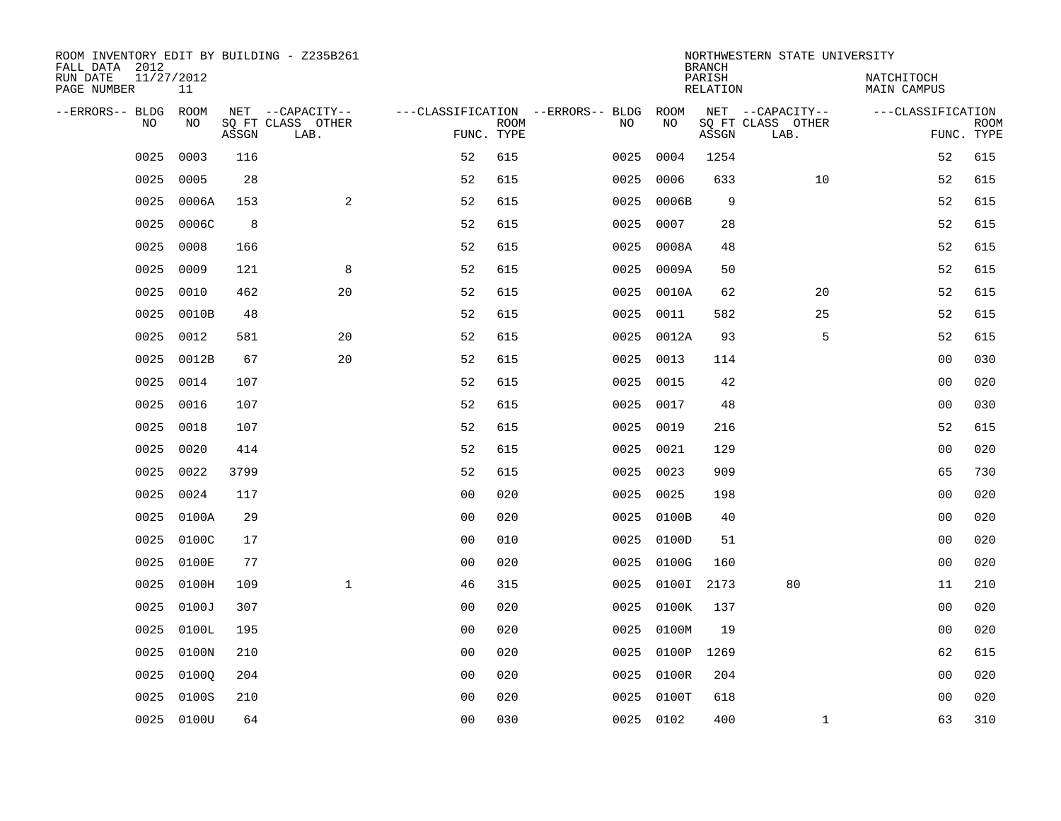| ROOM INVENTORY EDIT BY BUILDING - Z235B261<br>FALL DATA 2012 |            |       |                           |                |             |                                        |            | <b>BRANCH</b>      | NORTHWESTERN STATE UNIVERSITY |                           |                           |
|--------------------------------------------------------------|------------|-------|---------------------------|----------------|-------------|----------------------------------------|------------|--------------------|-------------------------------|---------------------------|---------------------------|
| RUN DATE<br>11/27/2012<br>PAGE NUMBER                        | 11         |       |                           |                |             |                                        |            | PARISH<br>RELATION |                               | NATCHITOCH<br>MAIN CAMPUS |                           |
| --ERRORS-- BLDG ROOM                                         |            |       | NET --CAPACITY--          |                |             | ---CLASSIFICATION --ERRORS-- BLDG ROOM |            |                    | NET --CAPACITY--              | ---CLASSIFICATION         |                           |
| NO.                                                          | NO.        | ASSGN | SQ FT CLASS OTHER<br>LAB. | FUNC. TYPE     | <b>ROOM</b> | NO.                                    | NO         | ASSGN              | SQ FT CLASS OTHER<br>LAB.     |                           | <b>ROOM</b><br>FUNC. TYPE |
| 0025                                                         | 0003       | 116   |                           | 52             | 615         | 0025                                   | 0004       | 1254               |                               | 52                        | 615                       |
| 0025                                                         | 0005       | 28    |                           | 52             | 615         | 0025                                   | 0006       | 633                | 10                            | 52                        | 615                       |
| 0025                                                         | 0006A      | 153   | 2                         | 52             | 615         | 0025                                   | 0006B      | 9                  |                               | 52                        | 615                       |
| 0025                                                         | 0006C      | 8     |                           | 52             | 615         | 0025                                   | 0007       | 28                 |                               | 52                        | 615                       |
| 0025                                                         | 0008       | 166   |                           | 52             | 615         | 0025                                   | 0008A      | 48                 |                               | 52                        | 615                       |
| 0025                                                         | 0009       | 121   | 8                         | 52             | 615         | 0025                                   | 0009A      | 50                 |                               | 52                        | 615                       |
| 0025                                                         | 0010       | 462   | 20                        | 52             | 615         | 0025                                   | 0010A      | 62                 | 20                            | 52                        | 615                       |
| 0025                                                         | 0010B      | 48    |                           | 52             | 615         | 0025                                   | 0011       | 582                | 25                            | 52                        | 615                       |
| 0025                                                         | 0012       | 581   | 20                        | 52             | 615         | 0025                                   | 0012A      | 93                 | 5                             | 52                        | 615                       |
| 0025                                                         | 0012B      | 67    | 20                        | 52             | 615         | 0025                                   | 0013       | 114                |                               | 0 <sub>0</sub>            | 030                       |
| 0025                                                         | 0014       | 107   |                           | 52             | 615         | 0025                                   | 0015       | 42                 |                               | 0 <sub>0</sub>            | 020                       |
| 0025                                                         | 0016       | 107   |                           | 52             | 615         | 0025                                   | 0017       | 48                 |                               | 00                        | 030                       |
| 0025                                                         | 0018       | 107   |                           | 52             | 615         | 0025                                   | 0019       | 216                |                               | 52                        | 615                       |
| 0025                                                         | 0020       | 414   |                           | 52             | 615         | 0025                                   | 0021       | 129                |                               | 00                        | 020                       |
| 0025                                                         | 0022       | 3799  |                           | 52             | 615         | 0025                                   | 0023       | 909                |                               | 65                        | 730                       |
| 0025                                                         | 0024       | 117   |                           | 0 <sub>0</sub> | 020         | 0025                                   | 0025       | 198                |                               | 0 <sub>0</sub>            | 020                       |
| 0025                                                         | 0100A      | 29    |                           | 0 <sub>0</sub> | 020         | 0025                                   | 0100B      | 40                 |                               | 00                        | 020                       |
| 0025                                                         | 0100C      | 17    |                           | 0 <sub>0</sub> | 010         | 0025                                   | 0100D      | 51                 |                               | 00                        | 020                       |
| 0025                                                         | 0100E      | 77    |                           | 0 <sub>0</sub> | 020         |                                        | 0025 0100G | 160                |                               | 00                        | 020                       |
| 0025                                                         | 0100H      | 109   | $\mathbf{1}$              | 46             | 315         |                                        | 0025 0100I | 2173               | 80                            | 11                        | 210                       |
| 0025                                                         | 0100J      | 307   |                           | 0 <sub>0</sub> | 020         |                                        | 0025 0100K | 137                |                               | 0 <sub>0</sub>            | 020                       |
| 0025                                                         | 0100L      | 195   |                           | 0 <sub>0</sub> | 020         | 0025                                   | 0100M      | 19                 |                               | 00                        | 020                       |
| 0025                                                         | 0100N      | 210   |                           | 0 <sub>0</sub> | 020         |                                        | 0025 0100P | 1269               |                               | 62                        | 615                       |
| 0025                                                         | 01000      | 204   |                           | 00             | 020         | 0025                                   | 0100R      | 204                |                               | 0 <sub>0</sub>            | 020                       |
| 0025                                                         | 0100S      | 210   |                           | 0 <sub>0</sub> | 020         | 0025                                   | $0100$ T   | 618                |                               | 0 <sub>0</sub>            | 020                       |
|                                                              | 0025 0100U | 64    |                           | 0 <sub>0</sub> | 030         |                                        | 0025 0102  | 400                | $\mathbf{1}$                  | 63                        | 310                       |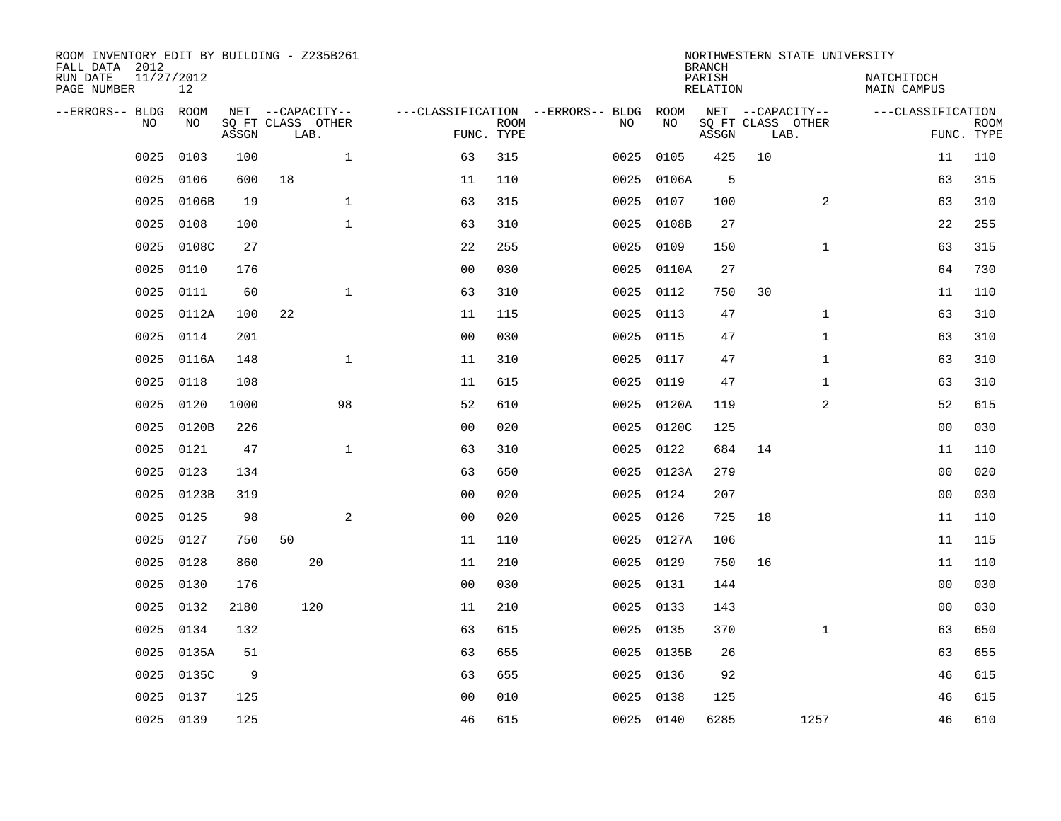| ROOM INVENTORY EDIT BY BUILDING - Z235B261<br>FALL DATA 2012<br>RUN DATE | 11/27/2012 |       |                           |                |                           |                                   |            | <b>BRANCH</b><br>PARISH | NORTHWESTERN STATE UNIVERSITY | NATCHITOCH        |                           |
|--------------------------------------------------------------------------|------------|-------|---------------------------|----------------|---------------------------|-----------------------------------|------------|-------------------------|-------------------------------|-------------------|---------------------------|
| PAGE NUMBER                                                              | 12         |       |                           |                |                           |                                   |            | <b>RELATION</b>         |                               | MAIN CAMPUS       |                           |
| --ERRORS-- BLDG                                                          | ROOM       |       | NET --CAPACITY--          |                |                           | ---CLASSIFICATION --ERRORS-- BLDG | ROOM       |                         | NET --CAPACITY--              | ---CLASSIFICATION |                           |
| NO                                                                       | NO         | ASSGN | SQ FT CLASS OTHER<br>LAB. |                | <b>ROOM</b><br>FUNC. TYPE | NO                                | NO         | ASSGN                   | SQ FT CLASS OTHER<br>LAB.     |                   | <b>ROOM</b><br>FUNC. TYPE |
| 0025                                                                     | 0103       | 100   | $\mathbf{1}$              | 63             | 315                       | 0025                              | 0105       | 425                     | 10                            | 11                | 110                       |
| 0025                                                                     | 0106       | 600   | 18                        | 11             | 110                       | 0025                              | 0106A      | 5                       |                               | 63                | 315                       |
| 0025                                                                     | 0106B      | 19    | $\mathbf 1$               | 63             | 315                       | 0025                              | 0107       | 100                     | 2                             | 63                | 310                       |
| 0025                                                                     | 0108       | 100   | $\mathbf{1}$              | 63             | 310                       | 0025                              | 0108B      | 27                      |                               | 22                | 255                       |
| 0025                                                                     | 0108C      | 27    |                           | 22             | 255                       | 0025                              | 0109       | 150                     | $\mathbf{1}$                  | 63                | 315                       |
| 0025                                                                     | 0110       | 176   |                           | 0 <sub>0</sub> | 030                       |                                   | 0025 0110A | 27                      |                               | 64                | 730                       |
| 0025                                                                     | 0111       | 60    | $\mathbf{1}$              | 63             | 310                       | 0025                              | 0112       | 750                     | 30                            | 11                | 110                       |
| 0025                                                                     | 0112A      | 100   | 22                        | 11             | 115                       | 0025                              | 0113       | 47                      | $\mathbf{1}$                  | 63                | 310                       |
| 0025                                                                     | 0114       | 201   |                           | 0 <sub>0</sub> | 030                       | 0025                              | 0115       | 47                      | $\mathbf{1}$                  | 63                | 310                       |
| 0025                                                                     | 0116A      | 148   | $\mathbf 1$               | 11             | 310                       | 0025                              | 0117       | 47                      | $\mathbf{1}$                  | 63                | 310                       |
| 0025                                                                     | 0118       | 108   |                           | 11             | 615                       | 0025                              | 0119       | 47                      | $\mathbf{1}$                  | 63                | 310                       |
| 0025                                                                     | 0120       | 1000  | 98                        | 52             | 610                       |                                   | 0025 0120A | 119                     | 2                             | 52                | 615                       |
| 0025                                                                     | 0120B      | 226   |                           | 0 <sub>0</sub> | 020                       | 0025                              | 0120C      | 125                     |                               | 00                | 030                       |
| 0025                                                                     | 0121       | 47    | $\mathbf 1$               | 63             | 310                       | 0025                              | 0122       | 684                     | 14                            | 11                | 110                       |
| 0025                                                                     | 0123       | 134   |                           | 63             | 650                       | 0025                              | 0123A      | 279                     |                               | 00                | 020                       |
| 0025                                                                     | 0123B      | 319   |                           | 0 <sub>0</sub> | 020                       | 0025                              | 0124       | 207                     |                               | 0 <sub>0</sub>    | 030                       |
| 0025                                                                     | 0125       | 98    | 2                         | 0 <sub>0</sub> | 020                       | 0025                              | 0126       | 725                     | 18                            | 11                | 110                       |
| 0025                                                                     | 0127       | 750   | 50                        | 11             | 110                       |                                   | 0025 0127A | 106                     |                               | 11                | 115                       |
| 0025                                                                     | 0128       | 860   | 20                        | 11             | 210                       |                                   | 0025 0129  | 750                     | 16                            | 11                | 110                       |
| 0025                                                                     | 0130       | 176   |                           | 0 <sub>0</sub> | 030                       |                                   | 0025 0131  | 144                     |                               | 00                | 030                       |
| 0025                                                                     | 0132       | 2180  | 120                       | 11             | 210                       |                                   | 0025 0133  | 143                     |                               | 00                | 030                       |
| 0025                                                                     | 0134       | 132   |                           | 63             | 615                       | 0025                              | 0135       | 370                     | $\mathbf{1}$                  | 63                | 650                       |
| 0025                                                                     | 0135A      | 51    |                           | 63             | 655                       |                                   | 0025 0135B | 26                      |                               | 63                | 655                       |
| 0025                                                                     | 0135C      | 9     |                           | 63             | 655                       |                                   | 0025 0136  | 92                      |                               | 46                | 615                       |
| 0025                                                                     | 0137       | 125   |                           | 0 <sub>0</sub> | 010                       | 0025                              | 0138       | 125                     |                               | 46                | 615                       |
|                                                                          | 0025 0139  | 125   |                           | 46             | 615                       |                                   | 0025 0140  | 6285                    | 1257                          | 46                | 610                       |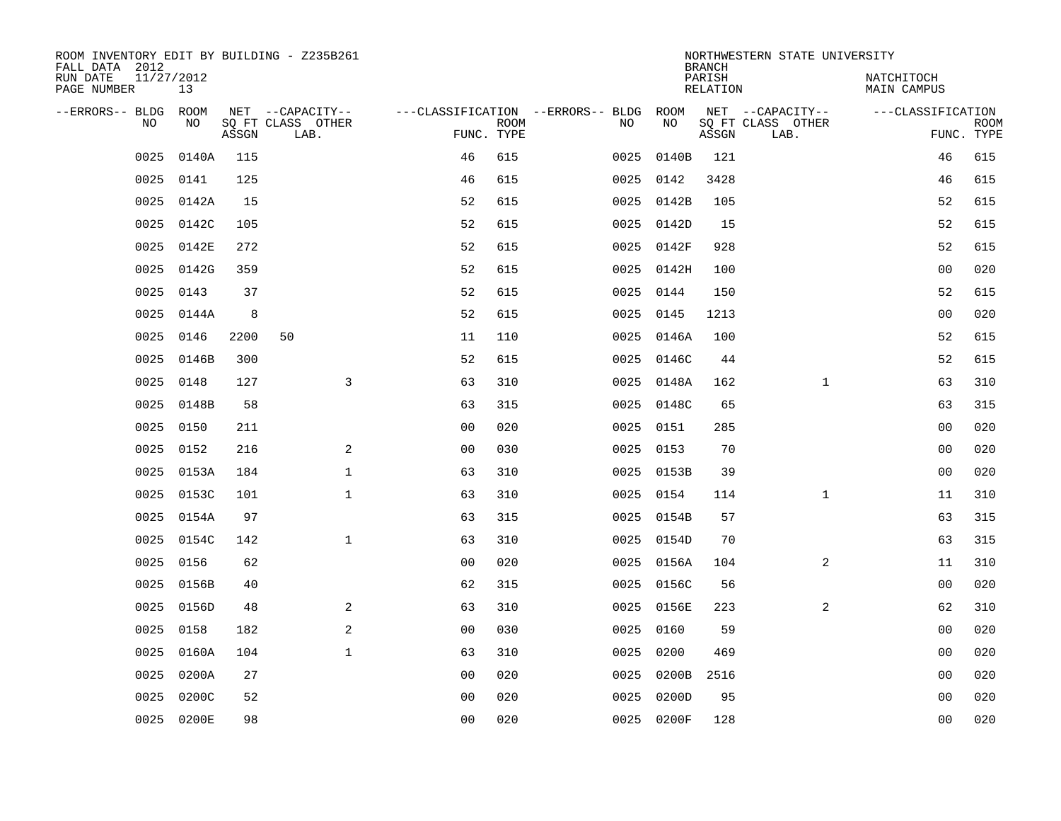| ROOM INVENTORY EDIT BY BUILDING - Z235B261<br>FALL DATA 2012 |                  |       |                           |                |             |                                        |            | <b>BRANCH</b>             | NORTHWESTERN STATE UNIVERSITY |                           |             |
|--------------------------------------------------------------|------------------|-------|---------------------------|----------------|-------------|----------------------------------------|------------|---------------------------|-------------------------------|---------------------------|-------------|
| RUN DATE<br>PAGE NUMBER                                      | 11/27/2012<br>13 |       |                           |                |             |                                        |            | PARISH<br><b>RELATION</b> |                               | NATCHITOCH<br>MAIN CAMPUS |             |
| --ERRORS-- BLDG                                              | ROOM             |       | NET --CAPACITY--          |                |             | ---CLASSIFICATION --ERRORS-- BLDG ROOM |            |                           | NET --CAPACITY--              | ---CLASSIFICATION         |             |
| NO                                                           | NO               | ASSGN | SQ FT CLASS OTHER<br>LAB. | FUNC. TYPE     | <b>ROOM</b> | NO                                     | NO         | ASSGN                     | SQ FT CLASS OTHER<br>LAB.     | FUNC. TYPE                | <b>ROOM</b> |
| 0025                                                         | 0140A            | 115   |                           | 46             | 615         | 0025                                   | 0140B      | 121                       |                               | 46                        | 615         |
| 0025                                                         | 0141             | 125   |                           | 46             | 615         |                                        | 0025 0142  | 3428                      |                               | 46                        | 615         |
| 0025                                                         | 0142A            | 15    |                           | 52             | 615         | 0025                                   | 0142B      | 105                       |                               | 52                        | 615         |
| 0025                                                         | 0142C            | 105   |                           | 52             | 615         |                                        | 0025 0142D | 15                        |                               | 52                        | 615         |
| 0025                                                         | 0142E            | 272   |                           | 52             | 615         |                                        | 0025 0142F | 928                       |                               | 52                        | 615         |
| 0025                                                         | 0142G            | 359   |                           | 52             | 615         |                                        | 0025 0142H | 100                       |                               | 0 <sub>0</sub>            | 020         |
| 0025                                                         | 0143             | 37    |                           | 52             | 615         |                                        | 0025 0144  | 150                       |                               | 52                        | 615         |
| 0025                                                         | 0144A            | 8     |                           | 52             | 615         |                                        | 0025 0145  | 1213                      |                               | 0 <sub>0</sub>            | 020         |
| 0025                                                         | 0146             | 2200  | 50                        | 11             | 110         | 0025                                   | 0146A      | 100                       |                               | 52                        | 615         |
| 0025                                                         | 0146B            | 300   |                           | 52             | 615         |                                        | 0025 0146C | 44                        |                               | 52                        | 615         |
| 0025                                                         | 0148             | 127   | 3                         | 63             | 310         |                                        | 0025 0148A | 162                       | $\mathbf{1}$                  | 63                        | 310         |
| 0025                                                         | 0148B            | 58    |                           | 63             | 315         |                                        | 0025 0148C | 65                        |                               | 63                        | 315         |
| 0025                                                         | 0150             | 211   |                           | 0 <sub>0</sub> | 020         | 0025                                   | 0151       | 285                       |                               | 0 <sub>0</sub>            | 020         |
| 0025                                                         | 0152             | 216   | 2                         | 0 <sub>0</sub> | 030         |                                        | 0025 0153  | 70                        |                               | 0 <sub>0</sub>            | 020         |
| 0025                                                         | 0153A            | 184   | $\mathbf 1$               | 63             | 310         |                                        | 0025 0153B | 39                        |                               | 0 <sub>0</sub>            | 020         |
| 0025                                                         | 0153C            | 101   | $\mathbf 1$               | 63             | 310         |                                        | 0025 0154  | 114                       | $\mathbf{1}$                  | 11                        | 310         |
| 0025                                                         | 0154A            | 97    |                           | 63             | 315         |                                        | 0025 0154B | 57                        |                               | 63                        | 315         |
| 0025                                                         | 0154C            | 142   | $\mathbf 1$               | 63             | 310         |                                        | 0025 0154D | 70                        |                               | 63                        | 315         |
| 0025                                                         | 0156             | 62    |                           | 0 <sub>0</sub> | 020         |                                        | 0025 0156A | 104                       | 2                             | 11                        | 310         |
| 0025                                                         | 0156B            | 40    |                           | 62             | 315         |                                        | 0025 0156C | 56                        |                               | 0 <sub>0</sub>            | 020         |
| 0025                                                         | 0156D            | 48    | 2                         | 63             | 310         |                                        | 0025 0156E | 223                       | 2                             | 62                        | 310         |
| 0025                                                         | 0158             | 182   | 2                         | 0 <sub>0</sub> | 030         | 0025                                   | 0160       | 59                        |                               | 0 <sub>0</sub>            | 020         |
| 0025                                                         | 0160A            | 104   | $\mathbf{1}$              | 63             | 310         | 0025                                   | 0200       | 469                       |                               | 0 <sub>0</sub>            | 020         |
| 0025                                                         | 0200A            | 27    |                           | 00             | 020         | 0025                                   | 0200B      | 2516                      |                               | 0 <sub>0</sub>            | 020         |
| 0025                                                         | 0200C            | 52    |                           | 0 <sub>0</sub> | 020         | 0025                                   | 0200D      | 95                        |                               | 0 <sub>0</sub>            | 020         |
|                                                              | 0025 0200E       | 98    |                           | 00             | 020         |                                        | 0025 0200F | 128                       |                               | 0 <sub>0</sub>            | 020         |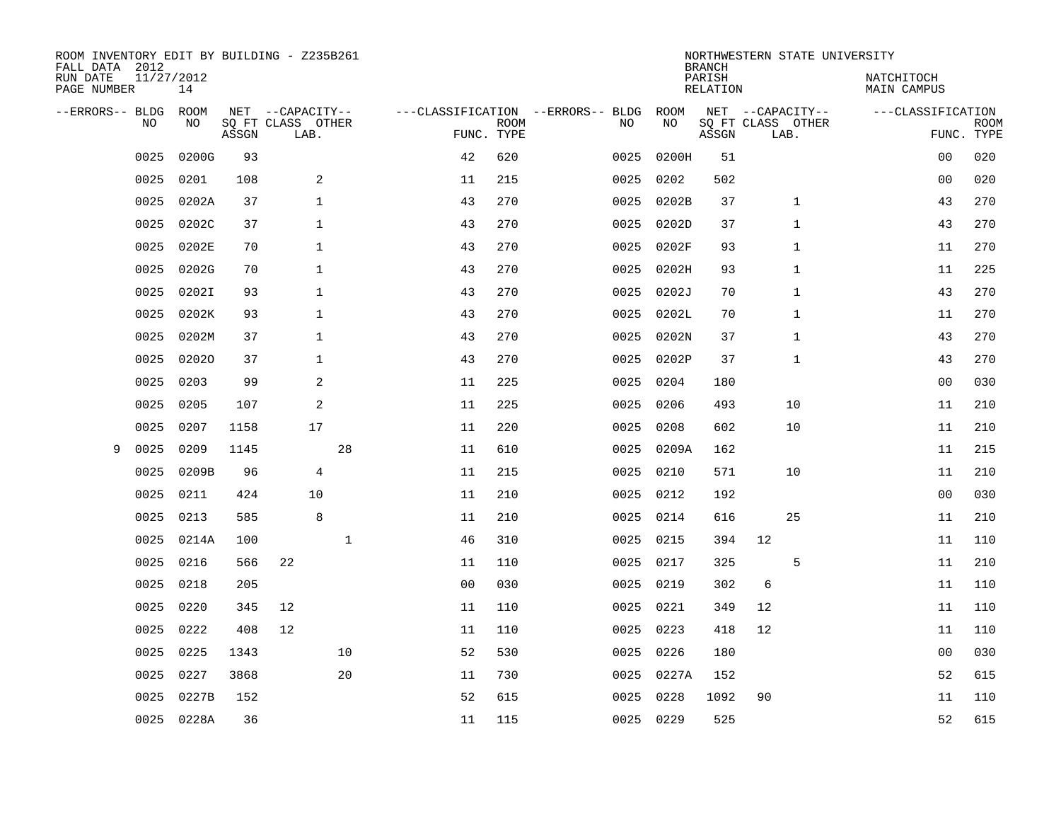| ROOM INVENTORY EDIT BY BUILDING - Z235B261<br>FALL DATA 2012 |                  |       |                           |    |                |                           |                                   |            | <b>BRANCH</b>             | NORTHWESTERN STATE UNIVERSITY |                                  |                           |
|--------------------------------------------------------------|------------------|-------|---------------------------|----|----------------|---------------------------|-----------------------------------|------------|---------------------------|-------------------------------|----------------------------------|---------------------------|
| RUN DATE<br>PAGE NUMBER                                      | 11/27/2012<br>14 |       |                           |    |                |                           |                                   |            | PARISH<br><b>RELATION</b> |                               | NATCHITOCH<br><b>MAIN CAMPUS</b> |                           |
| --ERRORS-- BLDG                                              | ROOM             |       | NET --CAPACITY--          |    |                |                           | ---CLASSIFICATION --ERRORS-- BLDG | ROOM       |                           | NET --CAPACITY--              | ---CLASSIFICATION                |                           |
| NO                                                           | NO               | ASSGN | SQ FT CLASS OTHER<br>LAB. |    |                | <b>ROOM</b><br>FUNC. TYPE | NO                                | NO         | ASSGN                     | SQ FT CLASS OTHER<br>LAB.     |                                  | <b>ROOM</b><br>FUNC. TYPE |
| 0025                                                         | 0200G            | 93    |                           |    | 42             | 620                       | 0025                              | 0200H      | 51                        |                               | 0 <sub>0</sub>                   | 020                       |
| 0025                                                         | 0201             | 108   | 2                         |    | 11             | 215                       | 0025                              | 0202       | 502                       |                               | 00                               | 020                       |
| 0025                                                         | 0202A            | 37    | $\mathbf{1}$              |    | 43             | 270                       | 0025                              | 0202B      | 37                        | $\mathbf 1$                   | 43                               | 270                       |
| 0025                                                         | 0202C            | 37    | $\mathbf 1$               |    | 43             | 270                       | 0025                              | 0202D      | 37                        | 1                             | 43                               | 270                       |
| 0025                                                         | 0202E            | 70    | $\mathbf{1}$              |    | 43             | 270                       | 0025                              | 0202F      | 93                        | 1                             | 11                               | 270                       |
| 0025                                                         | 0202G            | 70    | $\mathbf 1$               |    | 43             | 270                       | 0025                              | 0202H      | 93                        | 1                             | 11                               | 225                       |
| 0025                                                         | 0202I            | 93    | $\mathbf{1}$              |    | 43             | 270                       | 0025                              | 0202J      | 70                        | $\mathbf{1}$                  | 43                               | 270                       |
| 0025                                                         | 0202K            | 93    | $\mathbf{1}$              |    | 43             | 270                       | 0025                              | 0202L      | 70                        | $\mathbf{1}$                  | 11                               | 270                       |
| 0025                                                         | 0202M            | 37    | $\mathbf{1}$              |    | 43             | 270                       | 0025                              | 0202N      | 37                        | $\mathbf{1}$                  | 43                               | 270                       |
| 0025                                                         | 02020            | 37    | $\mathbf{1}$              |    | 43             | 270                       | 0025                              | 0202P      | 37                        | 1                             | 43                               | 270                       |
| 0025                                                         | 0203             | 99    | 2                         |    | 11             | 225                       | 0025                              | 0204       | 180                       |                               | 0 <sub>0</sub>                   | 030                       |
| 0025                                                         | 0205             | 107   | 2                         |    | 11             | 225                       | 0025                              | 0206       | 493                       | 10                            | 11                               | 210                       |
| 0025                                                         | 0207             | 1158  | 17                        |    | 11             | 220                       | 0025                              | 0208       | 602                       | 10                            | 11                               | 210                       |
| 9<br>0025                                                    | 0209             | 1145  |                           | 28 | 11             | 610                       | 0025                              | 0209A      | 162                       |                               | 11                               | 215                       |
| 0025                                                         | 0209B            | 96    | $\overline{4}$            |    | 11             | 215                       | 0025                              | 0210       | 571                       | 10                            | 11                               | 210                       |
| 0025                                                         | 0211             | 424   | 10                        |    | 11             | 210                       | 0025                              | 0212       | 192                       |                               | 00                               | 030                       |
| 0025                                                         | 0213             | 585   | 8                         |    | 11             | 210                       | 0025                              | 0214       | 616                       | 25                            | 11                               | 210                       |
| 0025                                                         | 0214A            | 100   |                           | 1  | 46             | 310                       | 0025                              | 0215       | 394                       | 12                            | 11                               | 110                       |
| 0025                                                         | 0216             | 566   | 22                        |    | 11             | 110                       |                                   | 0025 0217  | 325                       | 5                             | 11                               | 210                       |
| 0025                                                         | 0218             | 205   |                           |    | 0 <sub>0</sub> | 030                       | 0025                              | 0219       | 302                       | 6                             | 11                               | 110                       |
| 0025                                                         | 0220             | 345   | 12                        |    | 11             | 110                       |                                   | 0025 0221  | 349                       | 12                            | 11                               | 110                       |
| 0025                                                         | 0222             | 408   | 12                        |    | 11             | 110                       | 0025                              | 0223       | 418                       | 12                            | 11                               | 110                       |
| 0025                                                         | 0225             | 1343  |                           | 10 | 52             | 530                       |                                   | 0025 0226  | 180                       |                               | 0 <sub>0</sub>                   | 030                       |
| 0025                                                         | 0227             | 3868  |                           | 20 | 11             | 730                       |                                   | 0025 0227A | 152                       |                               | 52                               | 615                       |
| 0025                                                         | 0227B            | 152   |                           |    | 52             | 615                       | 0025                              | 0228       | 1092                      | 90                            | 11                               | 110                       |
|                                                              | 0025 0228A       | 36    |                           |    | 11             | 115                       |                                   | 0025 0229  | 525                       |                               | 52                               | 615                       |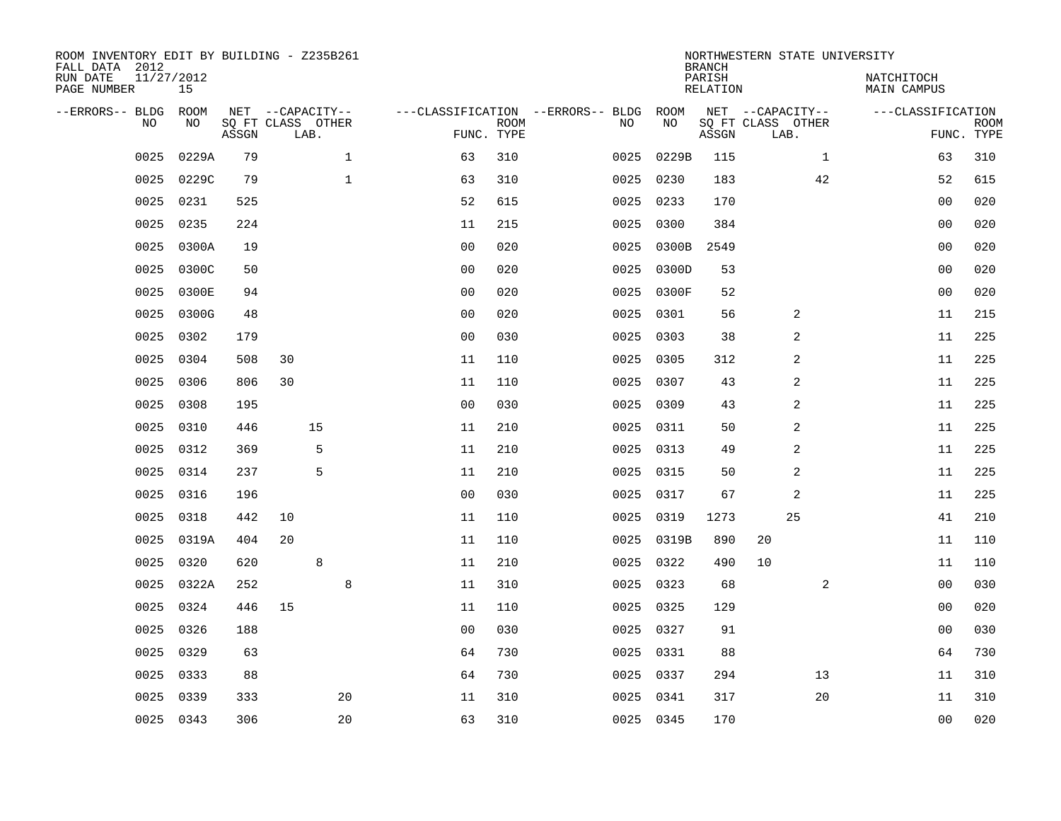| ROOM INVENTORY EDIT BY BUILDING - Z235B261<br>FALL DATA 2012<br>RUN DATE<br>PAGE NUMBER | 11/27/2012<br>15 |       |                                               |              |                                   |                           |      |            | <b>BRANCH</b><br>PARISH<br>RELATION | NORTHWESTERN STATE UNIVERSITY                 |              | NATCHITOCH<br>MAIN CAMPUS |                           |
|-----------------------------------------------------------------------------------------|------------------|-------|-----------------------------------------------|--------------|-----------------------------------|---------------------------|------|------------|-------------------------------------|-----------------------------------------------|--------------|---------------------------|---------------------------|
| --ERRORS-- BLDG<br><b>NO</b>                                                            | ROOM<br>NO.      | ASSGN | NET --CAPACITY--<br>SO FT CLASS OTHER<br>LAB. |              | ---CLASSIFICATION --ERRORS-- BLDG | <b>ROOM</b><br>FUNC. TYPE | NO   | ROOM<br>NO | ASSGN                               | NET --CAPACITY--<br>SQ FT CLASS OTHER<br>LAB. |              | ---CLASSIFICATION         | <b>ROOM</b><br>FUNC. TYPE |
| 0025                                                                                    | 0229A            | 79    |                                               | $\mathbf{1}$ | 63                                | 310                       | 0025 | 0229B      | 115                                 |                                               | $\mathbf{1}$ | 63                        | 310                       |
| 0025                                                                                    | 0229C            | 79    |                                               | $\mathbf{1}$ | 63                                | 310                       | 0025 | 0230       | 183                                 |                                               | 42           | 52                        | 615                       |
| 0025                                                                                    | 0231             | 525   |                                               |              | 52                                | 615                       | 0025 | 0233       | 170                                 |                                               |              | 0 <sub>0</sub>            | 020                       |
| 0025                                                                                    | 0235             | 224   |                                               |              | 11                                | 215                       | 0025 | 0300       | 384                                 |                                               |              | 0 <sub>0</sub>            | 020                       |
| 0025                                                                                    | 0300A            | 19    |                                               |              | 0 <sub>0</sub>                    | 020                       | 0025 | 0300B      | 2549                                |                                               |              | 0 <sub>0</sub>            | 020                       |
| 0025                                                                                    | 0300C            | 50    |                                               |              | 0 <sub>0</sub>                    | 020                       | 0025 | 0300D      | 53                                  |                                               |              | 0 <sub>0</sub>            | 020                       |
| 0025                                                                                    | 0300E            | 94    |                                               |              | 0 <sub>0</sub>                    | 020                       | 0025 | 0300F      | 52                                  |                                               |              | 0 <sub>0</sub>            | 020                       |
| 0025                                                                                    | 0300G            | 48    |                                               |              | 0 <sub>0</sub>                    | 020                       | 0025 | 0301       | 56                                  | 2                                             |              | 11                        | 215                       |
| 0025                                                                                    | 0302             | 179   |                                               |              | 0 <sub>0</sub>                    | 030                       | 0025 | 0303       | 38                                  | 2                                             |              | 11                        | 225                       |
| 0025                                                                                    | 0304             | 508   | 30                                            |              | 11                                | 110                       | 0025 | 0305       | 312                                 | 2                                             |              | 11                        | 225                       |
| 0025                                                                                    | 0306             | 806   | 30                                            |              | 11                                | 110                       | 0025 | 0307       | 43                                  | 2                                             |              | 11                        | 225                       |
| 0025                                                                                    | 0308             | 195   |                                               |              | 0 <sub>0</sub>                    | 030                       |      | 0025 0309  | 43                                  | 2                                             |              | 11                        | 225                       |
| 0025                                                                                    | 0310             | 446   | 15                                            |              | 11                                | 210                       | 0025 | 0311       | 50                                  | 2                                             |              | 11                        | 225                       |
| 0025                                                                                    | 0312             | 369   |                                               | 5            | 11                                | 210                       | 0025 | 0313       | 49                                  | 2                                             |              | 11                        | 225                       |
| 0025                                                                                    | 0314             | 237   |                                               | 5            | 11                                | 210                       | 0025 | 0315       | 50                                  | 2                                             |              | 11                        | 225                       |
| 0025                                                                                    | 0316             | 196   |                                               |              | 0 <sub>0</sub>                    | 030                       | 0025 | 0317       | 67                                  | 2                                             |              | 11                        | 225                       |
| 0025                                                                                    | 0318             | 442   | 10                                            |              | 11                                | 110                       | 0025 | 0319       | 1273                                | 25                                            |              | 41                        | 210                       |
| 0025                                                                                    | 0319A            | 404   | 20                                            |              | 11                                | 110                       | 0025 | 0319B      | 890                                 | 20                                            |              | 11                        | 110                       |
| 0025                                                                                    | 0320             | 620   |                                               | 8            | 11                                | 210                       |      | 0025 0322  | 490                                 | 10                                            |              | 11                        | 110                       |
| 0025                                                                                    | 0322A            | 252   |                                               | 8            | 11                                | 310                       |      | 0025 0323  | 68                                  |                                               | 2            | 0 <sub>0</sub>            | 030                       |
| 0025                                                                                    | 0324             | 446   | 15                                            |              | 11                                | 110                       |      | 0025 0325  | 129                                 |                                               |              | 0 <sub>0</sub>            | 020                       |
| 0025                                                                                    | 0326             | 188   |                                               |              | 0 <sub>0</sub>                    | 030                       | 0025 | 0327       | 91                                  |                                               |              | 0 <sub>0</sub>            | 030                       |
| 0025                                                                                    | 0329             | 63    |                                               |              | 64                                | 730                       |      | 0025 0331  | 88                                  |                                               |              | 64                        | 730                       |
| 0025                                                                                    | 0333             | 88    |                                               |              | 64                                | 730                       |      | 0025 0337  | 294                                 |                                               | 13           | 11                        | 310                       |
| 0025                                                                                    | 0339             | 333   |                                               | 20           | 11                                | 310                       |      | 0025 0341  | 317                                 |                                               | 20           | 11                        | 310                       |
|                                                                                         | 0025 0343        | 306   |                                               | 20           | 63                                | 310                       |      | 0025 0345  | 170                                 |                                               |              | 0 <sub>0</sub>            | 020                       |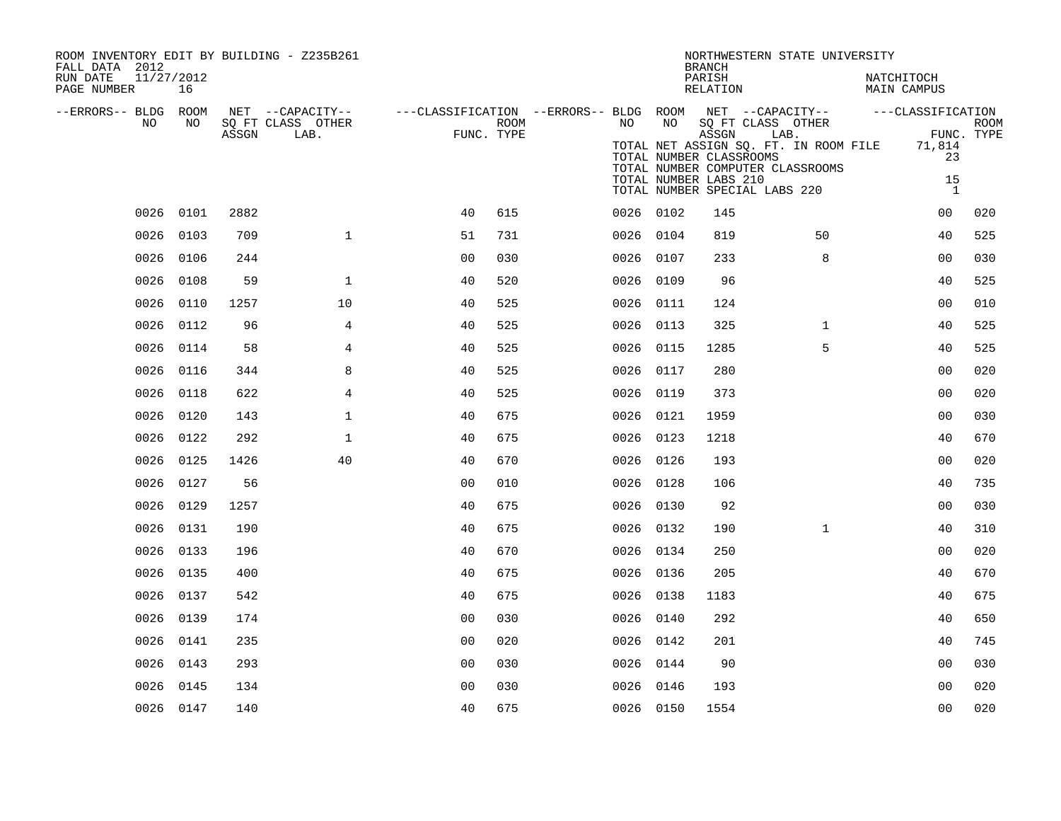| ROOM INVENTORY EDIT BY BUILDING - Z235B261<br>FALL DATA 2012<br>RUN DATE<br>11/27/2012<br>PAGE NUMBER | 16        |       |                   |                                                                                                |            |           |                         | <b>BRANCH</b><br>PARISH<br>RELATION | NORTHWESTERN STATE UNIVERSITY                                                            | NATCHITOCH<br>MAIN CAMPUS |             |
|-------------------------------------------------------------------------------------------------------|-----------|-------|-------------------|------------------------------------------------------------------------------------------------|------------|-----------|-------------------------|-------------------------------------|------------------------------------------------------------------------------------------|---------------------------|-------------|
| --ERRORS-- BLDG ROOM                                                                                  |           |       |                   | NET --CAPACITY-- - ---CLASSIFICATION --ERRORS-- BLDG ROOM NET --CAPACITY-- - ---CLASSIFICATION |            |           |                         |                                     |                                                                                          |                           |             |
| NO                                                                                                    | NO        |       | SQ FT CLASS OTHER |                                                                                                | ROOM       | NO        | NO <sub>1</sub>         |                                     | SQ FT CLASS OTHER                                                                        |                           | <b>ROOM</b> |
|                                                                                                       |           | ASSGN | LAB.              |                                                                                                | FUNC. TYPE |           | TOTAL NUMBER CLASSROOMS | ASSGN                               | LAB.<br>TOTAL NET ASSIGN SQ. FT. IN ROOM FILE 71,814<br>TOTAL NUMBER COMPUTER CLASSROOMS | 23                        | FUNC. TYPE  |
|                                                                                                       |           |       |                   |                                                                                                |            |           | TOTAL NUMBER LABS 210   |                                     | TOTAL NUMBER SPECIAL LABS 220                                                            | 15<br>$\overline{1}$      |             |
|                                                                                                       | 0026 0101 | 2882  |                   | 40                                                                                             | 615        | 0026 0102 |                         | 145                                 |                                                                                          | 0 <sub>0</sub>            | 020         |
| 0026 0103                                                                                             |           | 709   | $\mathbf{1}$      | 51                                                                                             | 731        | 0026 0104 |                         | 819                                 | 50                                                                                       | 40                        | 525         |
| 0026 0106                                                                                             |           | 244   |                   | 0 <sub>0</sub>                                                                                 | 030        | 0026 0107 |                         | 233                                 | 8                                                                                        | 0 <sub>0</sub>            | 030         |
| 0026 0108                                                                                             |           | 59    | $\mathbf 1$       | 40                                                                                             | 520        | 0026 0109 |                         | 96                                  |                                                                                          | 40                        | 525         |
| 0026 0110                                                                                             |           | 1257  | 10                | 40                                                                                             | 525        | 0026 0111 |                         | 124                                 |                                                                                          | 0 <sub>0</sub>            | 010         |
| 0026 0112                                                                                             |           | 96    | 4                 | 40                                                                                             | 525        | 0026 0113 |                         | 325                                 | $\mathbf{1}$                                                                             | 40                        | 525         |
| 0026                                                                                                  | 0114      | 58    | 4                 | 40                                                                                             | 525        | 0026 0115 |                         | 1285                                | 5                                                                                        | 40                        | 525         |
| 0026 0116                                                                                             |           | 344   | 8                 | 40                                                                                             | 525        | 0026 0117 |                         | 280                                 |                                                                                          | 00                        | 020         |
| 0026 0118                                                                                             |           | 622   | $\overline{4}$    | 40                                                                                             | 525        | 0026 0119 |                         | 373                                 |                                                                                          | 0 <sub>0</sub>            | 020         |
| 0026 0120                                                                                             |           | 143   | $\mathbf 1$       | 40                                                                                             | 675        | 0026 0121 |                         | 1959                                |                                                                                          | 0 <sub>0</sub>            | 030         |
| 0026 0122                                                                                             |           | 292   | $\mathbf{1}$      | 40                                                                                             | 675        | 0026 0123 |                         | 1218                                |                                                                                          | 40                        | 670         |
| 0026 0125                                                                                             |           | 1426  | 40                | 40                                                                                             | 670        | 0026 0126 |                         | 193                                 |                                                                                          | 0 <sub>0</sub>            | 020         |
|                                                                                                       | 0026 0127 | 56    |                   | 0 <sub>0</sub>                                                                                 | 010        | 0026 0128 |                         | 106                                 |                                                                                          | 40                        | 735         |
| 0026 0129                                                                                             |           | 1257  |                   | 40                                                                                             | 675        | 0026 0130 |                         | 92                                  |                                                                                          | 0 <sub>0</sub>            | 030         |
|                                                                                                       | 0026 0131 | 190   |                   | 40                                                                                             | 675        | 0026 0132 |                         | 190                                 | $\mathbf{1}$                                                                             | 40                        | 310         |
| 0026 0133                                                                                             |           | 196   |                   | 40                                                                                             | 670        | 0026 0134 |                         | 250                                 |                                                                                          | 0 <sub>0</sub>            | 020         |
| 0026 0135                                                                                             |           | 400   |                   | 40                                                                                             | 675        | 0026 0136 |                         | 205                                 |                                                                                          | 40                        | 670         |
| 0026 0137                                                                                             |           | 542   |                   | 40                                                                                             | 675        | 0026 0138 |                         | 1183                                |                                                                                          | 40                        | 675         |
| 0026                                                                                                  | 0139      | 174   |                   | 0 <sub>0</sub>                                                                                 | 030        | 0026 0140 |                         | 292                                 |                                                                                          | 40                        | 650         |
|                                                                                                       | 0026 0141 | 235   |                   | 0 <sub>0</sub>                                                                                 | 020        | 0026 0142 |                         | 201                                 |                                                                                          | 40                        | 745         |
| 0026                                                                                                  | 0143      | 293   |                   | 0 <sub>0</sub>                                                                                 | 030        | 0026 0144 |                         | 90                                  |                                                                                          | 0 <sub>0</sub>            | 030         |
| 0026 0145                                                                                             |           | 134   |                   | 0 <sub>0</sub>                                                                                 | 030        | 0026 0146 |                         | 193                                 |                                                                                          | 0 <sub>0</sub>            | 020         |
| 0026 0147                                                                                             |           | 140   |                   | 40                                                                                             | 675        | 0026 0150 |                         | 1554                                |                                                                                          | 0 <sub>0</sub>            | 020         |
|                                                                                                       |           |       |                   |                                                                                                |            |           |                         |                                     |                                                                                          |                           |             |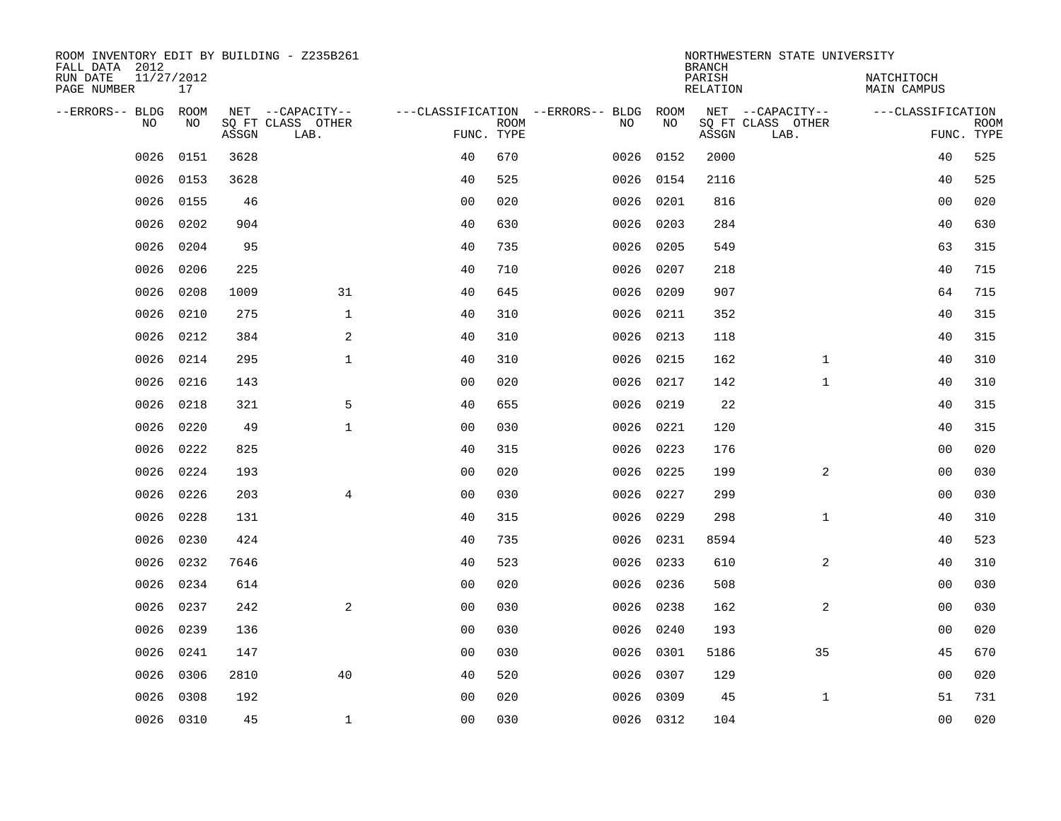| ROOM INVENTORY EDIT BY BUILDING - Z235B261<br>FALL DATA 2012 |                  |       |                           |                |             |                                        |           | <b>BRANCH</b>             | NORTHWESTERN STATE UNIVERSITY |                                  |                           |
|--------------------------------------------------------------|------------------|-------|---------------------------|----------------|-------------|----------------------------------------|-----------|---------------------------|-------------------------------|----------------------------------|---------------------------|
| RUN DATE<br>PAGE NUMBER                                      | 11/27/2012<br>17 |       |                           |                |             |                                        |           | PARISH<br><b>RELATION</b> |                               | NATCHITOCH<br><b>MAIN CAMPUS</b> |                           |
| --ERRORS-- BLDG ROOM<br>NO                                   | NO               |       | NET --CAPACITY--          |                | <b>ROOM</b> | ---CLASSIFICATION --ERRORS-- BLDG ROOM | NO        |                           | NET --CAPACITY--              | ---CLASSIFICATION                |                           |
|                                                              |                  | ASSGN | SQ FT CLASS OTHER<br>LAB. | FUNC. TYPE     |             | NO                                     |           | ASSGN                     | SQ FT CLASS OTHER<br>LAB.     |                                  | <b>ROOM</b><br>FUNC. TYPE |
| 0026                                                         | 0151             | 3628  |                           | 40             | 670         | 0026                                   | 0152      | 2000                      |                               | 40                               | 525                       |
| 0026                                                         | 0153             | 3628  |                           | 40             | 525         |                                        | 0026 0154 | 2116                      |                               | 40                               | 525                       |
| 0026                                                         | 0155             | 46    |                           | 0 <sub>0</sub> | 020         | 0026                                   | 0201      | 816                       |                               | 00                               | 020                       |
| 0026                                                         | 0202             | 904   |                           | 40             | 630         | 0026                                   | 0203      | 284                       |                               | 40                               | 630                       |
| 0026                                                         | 0204             | 95    |                           | 40             | 735         | 0026                                   | 0205      | 549                       |                               | 63                               | 315                       |
| 0026                                                         | 0206             | 225   |                           | 40             | 710         | 0026                                   | 0207      | 218                       |                               | 40                               | 715                       |
| 0026                                                         | 0208             | 1009  | 31                        | 40             | 645         | 0026                                   | 0209      | 907                       |                               | 64                               | 715                       |
| 0026                                                         | 0210             | 275   | $\mathbf{1}$              | 40             | 310         |                                        | 0026 0211 | 352                       |                               | 40                               | 315                       |
| 0026                                                         | 0212             | 384   | 2                         | 40             | 310         | 0026                                   | 0213      | 118                       |                               | 40                               | 315                       |
| 0026                                                         | 0214             | 295   | $\mathbf{1}$              | 40             | 310         | 0026                                   | 0215      | 162                       | $\mathbf{1}$                  | 40                               | 310                       |
| 0026                                                         | 0216             | 143   |                           | 0 <sub>0</sub> | 020         | 0026                                   | 0217      | 142                       | $\mathbf{1}$                  | 40                               | 310                       |
| 0026                                                         | 0218             | 321   | 5                         | 40             | 655         | 0026                                   | 0219      | 22                        |                               | 40                               | 315                       |
| 0026                                                         | 0220             | 49    | $\mathbf{1}$              | 0 <sub>0</sub> | 030         | 0026                                   | 0221      | 120                       |                               | 40                               | 315                       |
| 0026                                                         | 0222             | 825   |                           | 40             | 315         | 0026                                   | 0223      | 176                       |                               | 00                               | 020                       |
| 0026                                                         | 0224             | 193   |                           | 0 <sub>0</sub> | 020         | 0026                                   | 0225      | 199                       | 2                             | 0 <sub>0</sub>                   | 030                       |
| 0026                                                         | 0226             | 203   | $\overline{4}$            | 0 <sub>0</sub> | 030         | 0026                                   | 0227      | 299                       |                               | 0 <sub>0</sub>                   | 030                       |
| 0026                                                         | 0228             | 131   |                           | 40             | 315         | 0026                                   | 0229      | 298                       | $\mathbf{1}$                  | 40                               | 310                       |
| 0026                                                         | 0230             | 424   |                           | 40             | 735         | 0026                                   | 0231      | 8594                      |                               | 40                               | 523                       |
| 0026                                                         | 0232             | 7646  |                           | 40             | 523         |                                        | 0026 0233 | 610                       | 2                             | 40                               | 310                       |
| 0026                                                         | 0234             | 614   |                           | 0 <sub>0</sub> | 020         | 0026                                   | 0236      | 508                       |                               | 0 <sub>0</sub>                   | 030                       |
| 0026                                                         | 0237             | 242   | 2                         | 0 <sub>0</sub> | 030         |                                        | 0026 0238 | 162                       | 2                             | 00                               | 030                       |
| 0026                                                         | 0239             | 136   |                           | 0 <sub>0</sub> | 030         | 0026                                   | 0240      | 193                       |                               | 00                               | 020                       |
| 0026                                                         | 0241             | 147   |                           | 0 <sub>0</sub> | 030         |                                        | 0026 0301 | 5186                      | 35                            | 45                               | 670                       |
| 0026                                                         | 0306             | 2810  | 40                        | 40             | 520         | 0026                                   | 0307      | 129                       |                               | 0 <sub>0</sub>                   | 020                       |
| 0026                                                         | 0308             | 192   |                           | 0 <sub>0</sub> | 020         | 0026                                   | 0309      | 45                        | $\mathbf{1}$                  | 51                               | 731                       |
|                                                              | 0026 0310        | 45    | $\mathbf{1}$              | 0 <sub>0</sub> | 030         |                                        | 0026 0312 | 104                       |                               | 0 <sub>0</sub>                   | 020                       |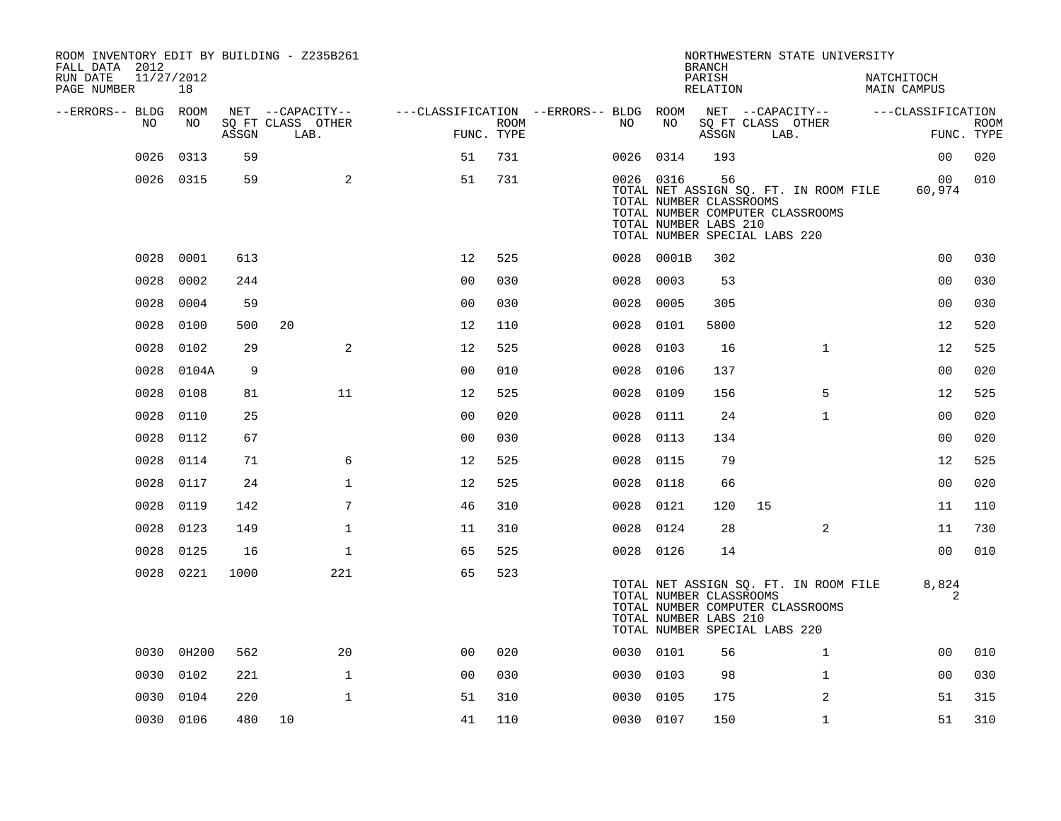| ROOM INVENTORY EDIT BY BUILDING - Z235B261<br>FALL DATA 2012 |                  |       |                           |                                        |                    |           |                                                                                                | <b>BRANCH</b>      |    | NORTHWESTERN STATE UNIVERSITY                                             |                           |                           |
|--------------------------------------------------------------|------------------|-------|---------------------------|----------------------------------------|--------------------|-----------|------------------------------------------------------------------------------------------------|--------------------|----|---------------------------------------------------------------------------|---------------------------|---------------------------|
| RUN DATE<br>PAGE NUMBER                                      | 11/27/2012<br>18 |       |                           |                                        |                    |           |                                                                                                | PARISH<br>RELATION |    |                                                                           | NATCHITOCH<br>MAIN CAMPUS |                           |
| --ERRORS-- BLDG ROOM                                         |                  |       | NET --CAPACITY--          | ---CLASSIFICATION --ERRORS-- BLDG ROOM |                    |           |                                                                                                |                    |    | NET --CAPACITY--                                                          | ---CLASSIFICATION         |                           |
| NO                                                           | NO               | ASSGN | SQ FT CLASS OTHER<br>LAB. |                                        | ROOM<br>FUNC. TYPE | NO        | NO                                                                                             | ASSGN              |    | SQ FT CLASS OTHER<br>LAB.                                                 |                           | <b>ROOM</b><br>FUNC. TYPE |
| 0026                                                         | 0313             | 59    |                           | 51                                     | 731                | 0026 0314 |                                                                                                | 193                |    |                                                                           | 0 <sub>0</sub>            | 020                       |
|                                                              | 0026 0315        | 59    | 2                         | 51                                     | 731                |           | 0026 0316<br>TOTAL NUMBER CLASSROOMS<br>TOTAL NUMBER LABS 210<br>TOTAL NUMBER SPECIAL LABS 220 | 56                 |    | TOTAL NET ASSIGN SQ. FT. IN ROOM FILE<br>TOTAL NUMBER COMPUTER CLASSROOMS | 00 <sub>o</sub><br>60,974 | 010                       |
|                                                              | 0028 0001        | 613   |                           | 12                                     | 525                |           | 0028 0001B                                                                                     | 302                |    |                                                                           | 0 <sub>0</sub>            | 030                       |
| 0028                                                         | 0002             | 244   |                           | 0 <sub>0</sub>                         | 030                | 0028      | 0003                                                                                           | 53                 |    |                                                                           | 0 <sub>0</sub>            | 030                       |
| 0028                                                         | 0004             | 59    |                           | 0 <sub>0</sub>                         | 030                | 0028      | 0005                                                                                           | 305                |    |                                                                           | 00                        | 030                       |
| 0028                                                         | 0100             | 500   | 20                        | 12                                     | 110                | 0028      | 0101                                                                                           | 5800               |    |                                                                           | 12                        | 520                       |
| 0028                                                         | 0102             | 29    | 2                         | 12                                     | 525                | 0028      | 0103                                                                                           | 16                 |    | $\mathbf{1}$                                                              | 12                        | 525                       |
| 0028                                                         | 0104A            | 9     |                           | 0 <sub>0</sub>                         | 010                | 0028      | 0106                                                                                           | 137                |    |                                                                           | 0 <sub>0</sub>            | 020                       |
| 0028                                                         | 0108             | 81    | 11                        | 12                                     | 525                | 0028      | 0109                                                                                           | 156                |    | 5                                                                         | 12                        | 525                       |
| 0028                                                         | 0110             | 25    |                           | 0 <sub>0</sub>                         | 020                | 0028 0111 |                                                                                                | 24                 |    | $\mathbf{1}$                                                              | 0 <sub>0</sub>            | 020                       |
| 0028                                                         | 0112             | 67    |                           | 0 <sub>0</sub>                         | 030                | 0028      | 0113                                                                                           | 134                |    |                                                                           | 0 <sub>0</sub>            | 020                       |
| 0028                                                         | 0114             | 71    | 6                         | 12                                     | 525                | 0028 0115 |                                                                                                | 79                 |    |                                                                           | 12                        | 525                       |
| 0028                                                         | 0117             | 24    | $\mathbf{1}$              | 12                                     | 525                | 0028      | 0118                                                                                           | 66                 |    |                                                                           | 0 <sub>0</sub>            | 020                       |
| 0028                                                         | 0119             | 142   | 7                         | 46                                     | 310                | 0028 0121 |                                                                                                | 120                | 15 |                                                                           | 11                        | 110                       |
| 0028                                                         | 0123             | 149   | $\mathbf{1}$              | 11                                     | 310                | 0028 0124 |                                                                                                | 28                 |    | 2                                                                         | 11                        | 730                       |
| 0028                                                         | 0125             | 16    | $\mathbf{1}$              | 65                                     | 525                | 0028 0126 |                                                                                                | 14                 |    |                                                                           | 0 <sub>0</sub>            | 010                       |
| 0028                                                         | 0221             | 1000  | 221                       | 65                                     | 523                |           | TOTAL NUMBER CLASSROOMS<br>TOTAL NUMBER LABS 210<br>TOTAL NUMBER SPECIAL LABS 220              |                    |    | TOTAL NET ASSIGN SQ. FT. IN ROOM FILE<br>TOTAL NUMBER COMPUTER CLASSROOMS | 8,824<br>2                |                           |
|                                                              | 0030 0H200       | 562   | 20                        | 0 <sub>0</sub>                         | 020                | 0030 0101 |                                                                                                | 56                 |    | $\mathbf{1}$                                                              | 00                        | 010                       |
| 0030                                                         | 0102             | 221   | $\mathbf{1}$              | 0 <sub>0</sub>                         | 030                | 0030 0103 |                                                                                                | 98                 |    | $\mathbf{1}$                                                              | 0 <sub>0</sub>            | 030                       |
| 0030                                                         | 0104             | 220   | $\mathbf{1}$              | 51                                     | 310                | 0030 0105 |                                                                                                | 175                |    | 2                                                                         | 51                        | 315                       |
|                                                              | 0030 0106        | 480   | 10                        | 41                                     | 110                | 0030 0107 |                                                                                                | 150                |    | $\mathbf{1}$                                                              | 51                        | 310                       |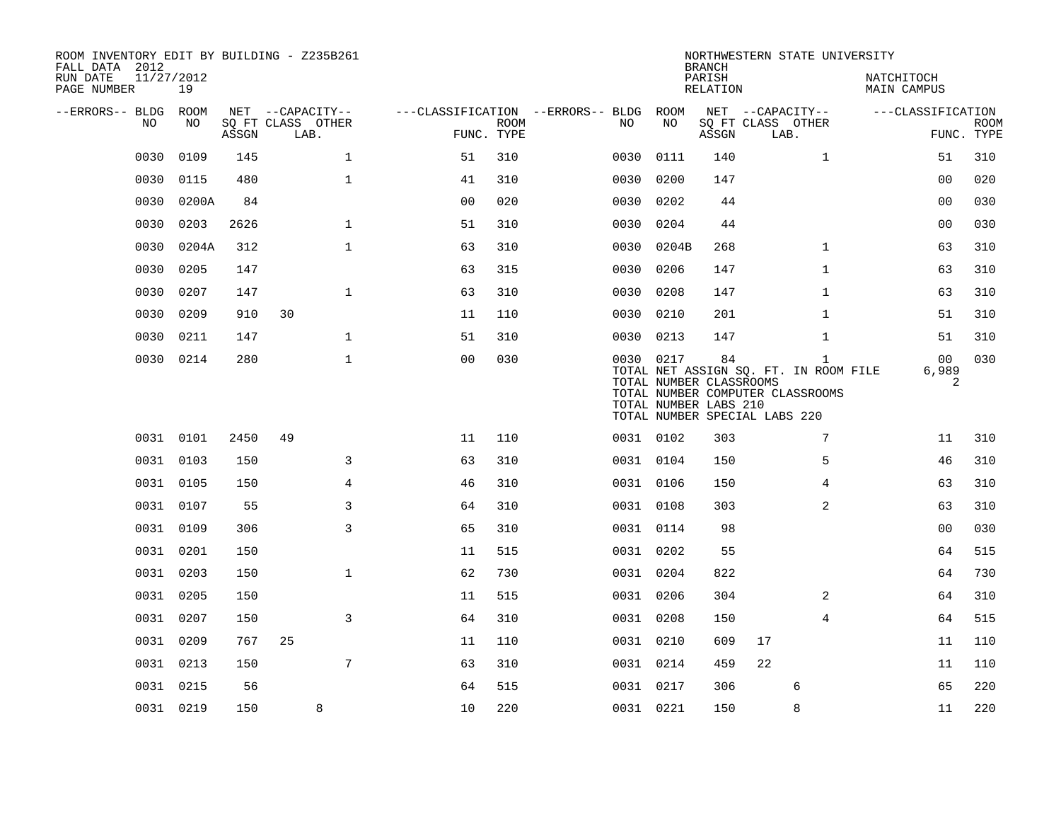| ROOM INVENTORY EDIT BY BUILDING - Z235B261<br>FALL DATA 2012<br>RUN DATE<br>PAGE NUMBER | 11/27/2012<br>19 |       |      |                   |                |                           |                                   |                                                               | <b>BRANCH</b><br>PARISH<br>RELATION | NORTHWESTERN STATE UNIVERSITY                                                                                              | NATCHITOCH<br>MAIN CAMPUS |                           |
|-----------------------------------------------------------------------------------------|------------------|-------|------|-------------------|----------------|---------------------------|-----------------------------------|---------------------------------------------------------------|-------------------------------------|----------------------------------------------------------------------------------------------------------------------------|---------------------------|---------------------------|
| --ERRORS-- BLDG ROOM                                                                    |                  |       |      | NET --CAPACITY--  |                |                           | ---CLASSIFICATION --ERRORS-- BLDG | ROOM                                                          |                                     | NET --CAPACITY--                                                                                                           | ---CLASSIFICATION         |                           |
| NO                                                                                      | NO.              | ASSGN | LAB. | SO FT CLASS OTHER |                | <b>ROOM</b><br>FUNC. TYPE | NO                                | NO                                                            | ASSGN                               | SO FT CLASS OTHER<br>LAB.                                                                                                  |                           | <b>ROOM</b><br>FUNC. TYPE |
| 0030                                                                                    | 0109             | 145   |      | $\mathbf{1}$      | 51             | 310                       | 0030                              | 0111                                                          | 140                                 | $\mathbf{1}$                                                                                                               | 51                        | 310                       |
| 0030                                                                                    | 0115             | 480   |      | $\mathbf{1}$      | 41             | 310                       | 0030                              | 0200                                                          | 147                                 |                                                                                                                            | 0 <sub>0</sub>            | 020                       |
| 0030                                                                                    | 0200A            | 84    |      |                   | 0 <sub>0</sub> | 020                       | 0030                              | 0202                                                          | 44                                  |                                                                                                                            | 0 <sub>0</sub>            | 030                       |
| 0030                                                                                    | 0203             | 2626  |      | $\mathbf{1}$      | 51             | 310                       | 0030                              | 0204                                                          | 44                                  |                                                                                                                            | 0 <sub>0</sub>            | 030                       |
| 0030                                                                                    | 0204A            | 312   |      | $\mathbf{1}$      | 63             | 310                       | 0030                              | 0204B                                                         | 268                                 | $\mathbf{1}$                                                                                                               | 63                        | 310                       |
| 0030                                                                                    | 0205             | 147   |      |                   | 63             | 315                       | 0030                              | 0206                                                          | 147                                 | $\mathbf{1}$                                                                                                               | 63                        | 310                       |
| 0030                                                                                    | 0207             | 147   |      | $\mathbf{1}$      | 63             | 310                       | 0030                              | 0208                                                          | 147                                 | $\mathbf{1}$                                                                                                               | 63                        | 310                       |
| 0030                                                                                    | 0209             | 910   | 30   |                   | 11             | 110                       | 0030                              | 0210                                                          | 201                                 | $\mathbf{1}$                                                                                                               | 51                        | 310                       |
| 0030                                                                                    | 0211             | 147   |      | $\mathbf 1$       | 51             | 310                       |                                   | 0030 0213                                                     | 147                                 | $\mathbf{1}$                                                                                                               | 51                        | 310                       |
|                                                                                         | 0030 0214        | 280   |      | $\mathbf 1$       | 0 <sub>0</sub> | 030                       |                                   | 0030 0217<br>TOTAL NUMBER CLASSROOMS<br>TOTAL NUMBER LABS 210 | 84                                  | $\mathbf{1}$<br>TOTAL NET ASSIGN SQ. FT. IN ROOM FILE<br>TOTAL NUMBER COMPUTER CLASSROOMS<br>TOTAL NUMBER SPECIAL LABS 220 | 00<br>6,989<br>2          | 030                       |
|                                                                                         | 0031 0101        | 2450  | 49   |                   | 11             | 110                       |                                   | 0031 0102                                                     | 303                                 | 7                                                                                                                          | 11                        | 310                       |
|                                                                                         | 0031 0103        | 150   |      | 3                 | 63             | 310                       |                                   | 0031 0104                                                     | 150                                 | 5                                                                                                                          | 46                        | 310                       |
|                                                                                         | 0031 0105        | 150   |      | 4                 | 46             | 310                       |                                   | 0031 0106                                                     | 150                                 | 4                                                                                                                          | 63                        | 310                       |
|                                                                                         | 0031 0107        | 55    |      | 3                 | 64             | 310                       |                                   | 0031 0108                                                     | 303                                 | 2                                                                                                                          | 63                        | 310                       |
|                                                                                         | 0031 0109        | 306   |      | 3                 | 65             | 310                       |                                   | 0031 0114                                                     | 98                                  |                                                                                                                            | 0 <sub>0</sub>            | 030                       |
|                                                                                         | 0031 0201        | 150   |      |                   | 11             | 515                       |                                   | 0031 0202                                                     | 55                                  |                                                                                                                            | 64                        | 515                       |
|                                                                                         | 0031 0203        | 150   |      | $\mathbf{1}$      | 62             | 730                       |                                   | 0031 0204                                                     | 822                                 |                                                                                                                            | 64                        | 730                       |
|                                                                                         | 0031 0205        | 150   |      |                   | 11             | 515                       |                                   | 0031 0206                                                     | 304                                 | 2                                                                                                                          | 64                        | 310                       |
|                                                                                         | 0031 0207        | 150   |      | 3                 | 64             | 310                       |                                   | 0031 0208                                                     | 150                                 | 4                                                                                                                          | 64                        | 515                       |
|                                                                                         | 0031 0209        | 767   | 25   |                   | 11             | 110                       |                                   | 0031 0210                                                     | 609                                 | 17                                                                                                                         | 11                        | 110                       |
|                                                                                         | 0031 0213        | 150   |      | 7                 | 63             | 310                       |                                   | 0031 0214                                                     | 459                                 | 22                                                                                                                         | 11                        | 110                       |
|                                                                                         | 0031 0215        | 56    |      |                   | 64             | 515                       |                                   | 0031 0217                                                     | 306                                 | 6                                                                                                                          | 65                        | 220                       |
|                                                                                         | 0031 0219        | 150   |      | 8                 | 10             | 220                       |                                   | 0031 0221                                                     | 150                                 | 8                                                                                                                          | 11                        | 220                       |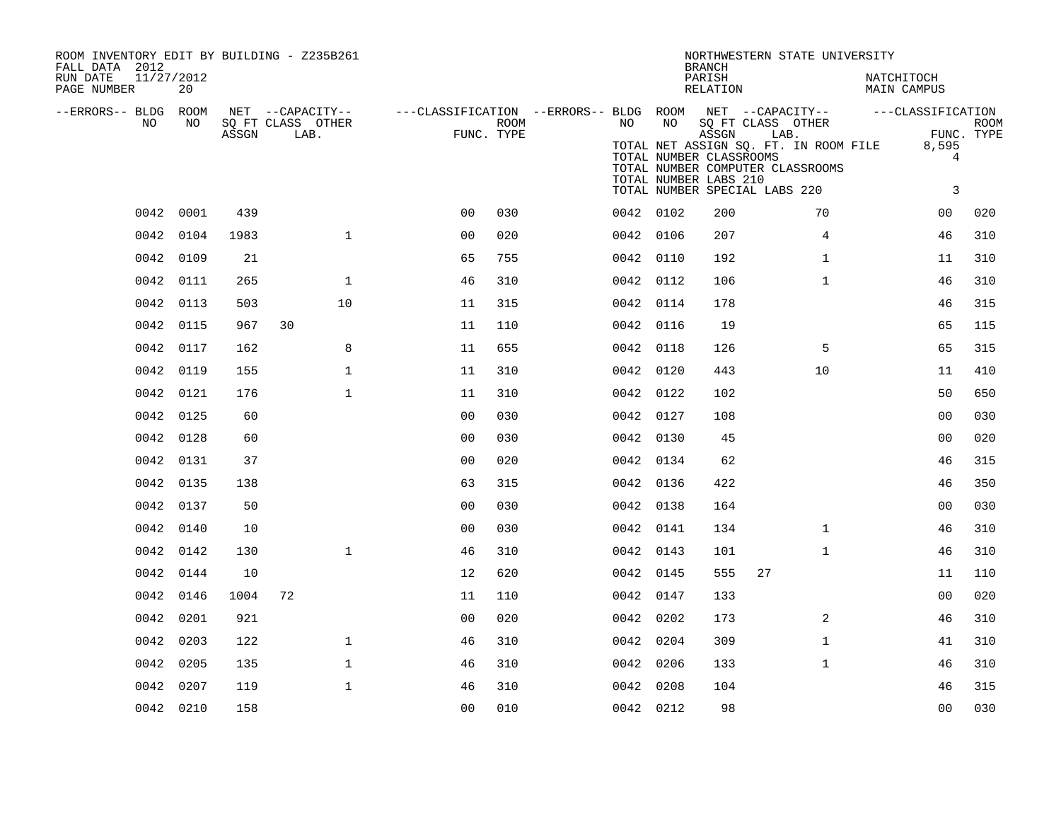| ROOM INVENTORY EDIT BY BUILDING - Z235B261<br>FALL DATA 2012 |           |       |                           |              |                                                                              |      |           |                                                                                   | <b>BRANCH</b>      |      | NORTHWESTERN STATE UNIVERSITY                         |                                       |                                                         |             |
|--------------------------------------------------------------|-----------|-------|---------------------------|--------------|------------------------------------------------------------------------------|------|-----------|-----------------------------------------------------------------------------------|--------------------|------|-------------------------------------------------------|---------------------------------------|---------------------------------------------------------|-------------|
| RUN DATE<br>11/27/2012<br>PAGE NUMBER                        | 20        |       |                           |              |                                                                              |      |           |                                                                                   | PARISH<br>RELATION |      |                                                       | NATCHITOCH<br>MAIN CAMPUS             |                                                         |             |
| --ERRORS-- BLDG ROOM<br>NO                                   | NO        |       | NET --CAPACITY--          |              | ---CLASSIFICATION --ERRORS-- BLDG ROOM NET --CAPACITY--    ---CLASSIFICATION |      | NO        | NO                                                                                |                    |      |                                                       |                                       |                                                         |             |
|                                                              |           | ASSGN | SO FT CLASS OTHER<br>LAB. |              | FUNC. TYPE                                                                   | ROOM |           | TOTAL NUMBER CLASSROOMS<br>TOTAL NUMBER LABS 210<br>TOTAL NUMBER SPECIAL LABS 220 | ASSGN              | LAB. | SQ FT CLASS OTHER<br>TOTAL NUMBER COMPUTER CLASSROOMS | TOTAL NET ASSIGN SQ. FT. IN ROOM FILE | FUNC. TYPE<br>8,595<br>$\overline{4}$<br>$\overline{3}$ | <b>ROOM</b> |
|                                                              | 0042 0001 | 439   |                           |              | 0 <sup>0</sup>                                                               | 030  | 0042 0102 |                                                                                   | 200                |      | 70                                                    |                                       | 00                                                      | 020         |
|                                                              | 0042 0104 | 1983  |                           | $\mathbf{1}$ | 0 <sub>0</sub>                                                               | 020  | 0042 0106 |                                                                                   | 207                |      | $\overline{4}$                                        |                                       | 46                                                      | 310         |
|                                                              | 0042 0109 | 21    |                           |              | 65                                                                           | 755  | 0042 0110 |                                                                                   | 192                |      | $\mathbf{1}$                                          |                                       | 11                                                      | 310         |
|                                                              | 0042 0111 | 265   |                           | $\mathbf{1}$ | 46                                                                           | 310  | 0042 0112 |                                                                                   | 106                |      | $\mathbf{1}$                                          |                                       | 46                                                      | 310         |
|                                                              | 0042 0113 | 503   |                           | 10           | 11                                                                           | 315  | 0042 0114 |                                                                                   | 178                |      |                                                       |                                       | 46                                                      | 315         |
|                                                              | 0042 0115 | 967   | 30                        |              | 11                                                                           | 110  | 0042 0116 |                                                                                   | 19                 |      |                                                       |                                       | 65                                                      | 115         |
|                                                              | 0042 0117 | 162   |                           | 8            | 11                                                                           | 655  | 0042 0118 |                                                                                   | 126                |      | 5                                                     |                                       | 65                                                      | 315         |
|                                                              | 0042 0119 | 155   |                           | $\mathbf{1}$ | 11                                                                           | 310  | 0042 0120 |                                                                                   | 443                |      | 10                                                    |                                       | 11                                                      | 410         |
|                                                              | 0042 0121 | 176   |                           | $\mathbf{1}$ | 11                                                                           | 310  | 0042 0122 |                                                                                   | 102                |      |                                                       |                                       | 50                                                      | 650         |
|                                                              | 0042 0125 | 60    |                           |              | 0 <sub>0</sub>                                                               | 030  | 0042 0127 |                                                                                   | 108                |      |                                                       |                                       | 0 <sub>0</sub>                                          | 030         |
|                                                              | 0042 0128 | 60    |                           |              | 0 <sub>0</sub>                                                               | 030  | 0042 0130 |                                                                                   | 45                 |      |                                                       |                                       | 0 <sub>0</sub>                                          | 020         |
|                                                              | 0042 0131 | 37    |                           |              | 0 <sub>0</sub>                                                               | 020  | 0042 0134 |                                                                                   | 62                 |      |                                                       |                                       | 46                                                      | 315         |
|                                                              | 0042 0135 | 138   |                           |              | 63                                                                           | 315  | 0042 0136 |                                                                                   | 422                |      |                                                       |                                       | 46                                                      | 350         |
|                                                              | 0042 0137 | 50    |                           |              | 0 <sub>0</sub>                                                               | 030  | 0042 0138 |                                                                                   | 164                |      |                                                       |                                       | 0 <sub>0</sub>                                          | 030         |
|                                                              | 0042 0140 | 10    |                           |              | 0 <sub>0</sub>                                                               | 030  | 0042 0141 |                                                                                   | 134                |      | $\mathbf{1}$                                          |                                       | 46                                                      | 310         |
|                                                              | 0042 0142 | 130   |                           | $\mathbf{1}$ | 46                                                                           | 310  | 0042 0143 |                                                                                   | 101                |      | $\mathbf{1}$                                          |                                       | 46                                                      | 310         |
|                                                              | 0042 0144 | 10    |                           |              | 12                                                                           | 620  | 0042 0145 |                                                                                   | 555                | 27   |                                                       |                                       | 11                                                      | 110         |
|                                                              | 0042 0146 | 1004  | 72                        |              | 11                                                                           | 110  | 0042 0147 |                                                                                   | 133                |      |                                                       |                                       | 0 <sub>0</sub>                                          | 020         |
|                                                              | 0042 0201 | 921   |                           |              | 0 <sub>0</sub>                                                               | 020  | 0042 0202 |                                                                                   | 173                |      | $\overline{2}$                                        |                                       | 46                                                      | 310         |
|                                                              | 0042 0203 | 122   |                           | $\mathbf{1}$ | 46                                                                           | 310  | 0042 0204 |                                                                                   | 309                |      | $\mathbf{1}$                                          |                                       | 41                                                      | 310         |
|                                                              | 0042 0205 | 135   |                           | $\mathbf{1}$ | 46                                                                           | 310  | 0042 0206 |                                                                                   | 133                |      | $\mathbf{1}$                                          |                                       | 46                                                      | 310         |
|                                                              | 0042 0207 | 119   |                           | $\mathbf{1}$ | 46                                                                           | 310  | 0042 0208 |                                                                                   | 104                |      |                                                       |                                       | 46                                                      | 315         |
|                                                              | 0042 0210 | 158   |                           |              | 00                                                                           | 010  | 0042 0212 |                                                                                   | 98                 |      |                                                       |                                       | 0 <sub>0</sub>                                          | 030         |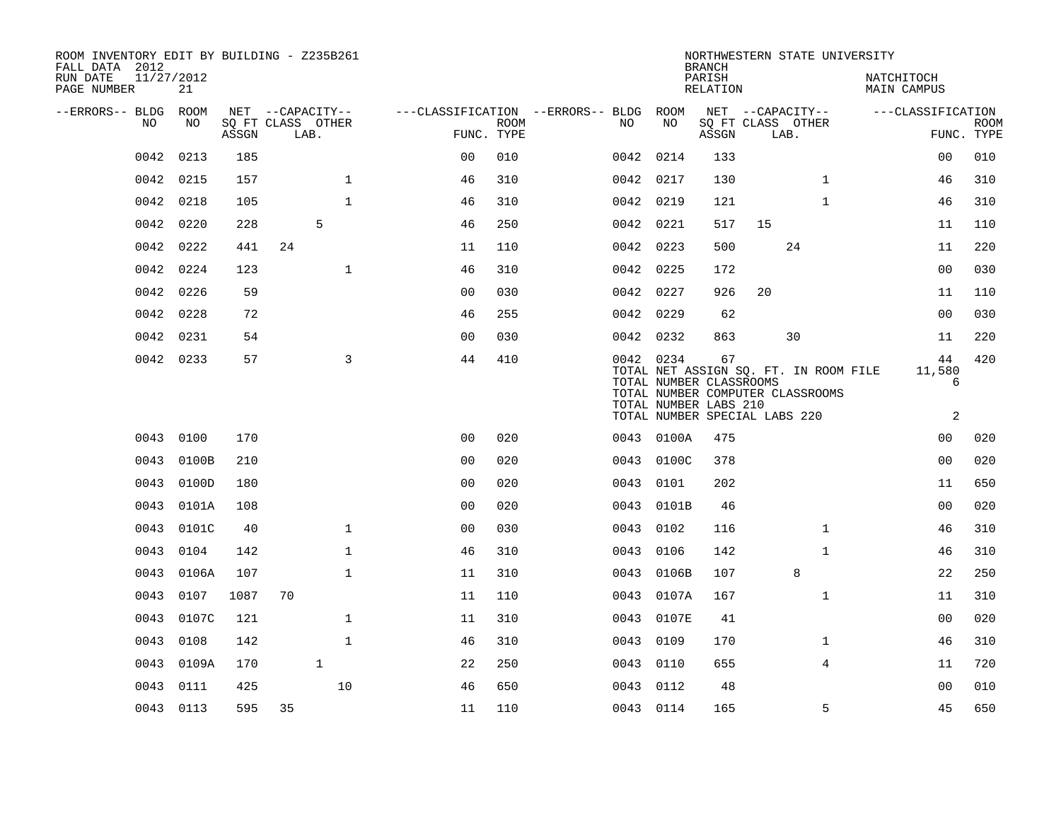| ROOM INVENTORY EDIT BY BUILDING - Z235B261<br>FALL DATA 2012 |                  |       |                           |              |                                        |             |           |                                                  | <b>BRANCH</b>      |                                                                   |              | NORTHWESTERN STATE UNIVERSITY         |                           |                           |
|--------------------------------------------------------------|------------------|-------|---------------------------|--------------|----------------------------------------|-------------|-----------|--------------------------------------------------|--------------------|-------------------------------------------------------------------|--------------|---------------------------------------|---------------------------|---------------------------|
| RUN DATE<br>PAGE NUMBER                                      | 11/27/2012<br>21 |       |                           |              |                                        |             |           |                                                  | PARISH<br>RELATION |                                                                   |              |                                       | NATCHITOCH<br>MAIN CAMPUS |                           |
| --ERRORS-- BLDG ROOM                                         |                  |       | NET --CAPACITY--          |              | ---CLASSIFICATION --ERRORS-- BLDG ROOM |             |           |                                                  |                    | NET --CAPACITY--                                                  |              |                                       | ---CLASSIFICATION         |                           |
| NO                                                           | NO               | ASSGN | SQ FT CLASS OTHER<br>LAB. |              | FUNC. TYPE                             | <b>ROOM</b> | NO        | NO                                               | ASSGN              | SQ FT CLASS OTHER<br>LAB.                                         |              |                                       |                           | <b>ROOM</b><br>FUNC. TYPE |
| 0042                                                         | 0213             | 185   |                           |              | 0 <sub>0</sub>                         | 010         | 0042      | 0214                                             | 133                |                                                                   |              |                                       | 00                        | 010                       |
| 0042                                                         | 0215             | 157   |                           | $\mathbf{1}$ | 46                                     | 310         | 0042 0217 |                                                  | 130                |                                                                   | $\mathbf{1}$ |                                       | 46                        | 310                       |
| 0042                                                         | 0218             | 105   |                           | $\mathbf{1}$ | 46                                     | 310         | 0042 0219 |                                                  | 121                |                                                                   | $\mathbf{1}$ |                                       | 46                        | 310                       |
| 0042                                                         | 0220             | 228   | 5                         |              | 46                                     | 250         | 0042 0221 |                                                  | 517                | 15                                                                |              |                                       | 11                        | 110                       |
| 0042                                                         | 0222             | 441   | 24                        |              | 11                                     | 110         | 0042 0223 |                                                  | 500                |                                                                   | 24           |                                       | 11                        | 220                       |
| 0042                                                         | 0224             | 123   |                           | $\mathbf{1}$ | 46                                     | 310         | 0042 0225 |                                                  | 172                |                                                                   |              |                                       | 0 <sub>0</sub>            | 030                       |
| 0042                                                         | 0226             | 59    |                           |              | 0 <sub>0</sub>                         | 030         | 0042 0227 |                                                  | 926                | 20                                                                |              |                                       | 11                        | 110                       |
| 0042                                                         | 0228             | 72    |                           |              | 46                                     | 255         | 0042 0229 |                                                  | 62                 |                                                                   |              |                                       | 0 <sub>0</sub>            | 030                       |
| 0042                                                         | 0231             | 54    |                           |              | 0 <sub>0</sub>                         | 030         | 0042 0232 |                                                  | 863                |                                                                   | 30           |                                       | 11                        | 220                       |
|                                                              | 0042 0233        | 57    |                           | 3            | 44                                     | 410         | 0042 0234 | TOTAL NUMBER CLASSROOMS<br>TOTAL NUMBER LABS 210 | 67                 | TOTAL NUMBER COMPUTER CLASSROOMS<br>TOTAL NUMBER SPECIAL LABS 220 |              | TOTAL NET ASSIGN SO. FT. IN ROOM FILE | 44<br>11,580<br>6<br>2    | 420                       |
|                                                              | 0043 0100        | 170   |                           |              | 0 <sub>0</sub>                         | 020         |           | 0043 0100A                                       | 475                |                                                                   |              |                                       | 0 <sub>0</sub>            | 020                       |
| 0043                                                         | 0100B            | 210   |                           |              | 0 <sub>0</sub>                         | 020         |           | 0043 0100C                                       | 378                |                                                                   |              |                                       | 00                        | 020                       |
| 0043                                                         | 0100D            | 180   |                           |              | 0 <sub>0</sub>                         | 020         | 0043 0101 |                                                  | 202                |                                                                   |              |                                       | 11                        | 650                       |
| 0043                                                         | 0101A            | 108   |                           |              | 0 <sub>0</sub>                         | 020         |           | 0043 0101B                                       | 46                 |                                                                   |              |                                       | 0 <sub>0</sub>            | 020                       |
| 0043                                                         | 0101C            | 40    |                           | $\mathbf{1}$ | 00                                     | 030         | 0043      | 0102                                             | 116                |                                                                   | $\mathbf{1}$ |                                       | 46                        | 310                       |
| 0043                                                         | 0104             | 142   |                           | $\mathbf{1}$ | 46                                     | 310         | 0043 0106 |                                                  | 142                |                                                                   | $\mathbf{1}$ |                                       | 46                        | 310                       |
| 0043                                                         | 0106A            | 107   |                           | $\mathbf{1}$ | 11                                     | 310         | 0043      | 0106B                                            | 107                |                                                                   | 8            |                                       | 22                        | 250                       |
| 0043                                                         | 0107             | 1087  | 70                        |              | 11                                     | 110         | 0043      | 0107A                                            | 167                |                                                                   | $\mathbf{1}$ |                                       | 11                        | 310                       |
| 0043                                                         | 0107C            | 121   |                           | $\mathbf{1}$ | 11                                     | 310         | 0043      | 0107E                                            | 41                 |                                                                   |              |                                       | 0 <sub>0</sub>            | 020                       |
| 0043                                                         | 0108             | 142   |                           | $\mathbf{1}$ | 46                                     | 310         | 0043      | 0109                                             | 170                |                                                                   | $\mathbf{1}$ |                                       | 46                        | 310                       |
| 0043                                                         | 0109A            | 170   | $\mathbf{1}$              |              | 22                                     | 250         | 0043      | 0110                                             | 655                |                                                                   | 4            |                                       | 11                        | 720                       |
| 0043                                                         | 0111             | 425   |                           | 10           | 46                                     | 650         | 0043      | 0112                                             | 48                 |                                                                   |              |                                       | 0 <sub>0</sub>            | 010                       |
|                                                              | 0043 0113        | 595   | 35                        |              | 11                                     | 110         | 0043 0114 |                                                  | 165                |                                                                   | 5            |                                       | 45                        | 650                       |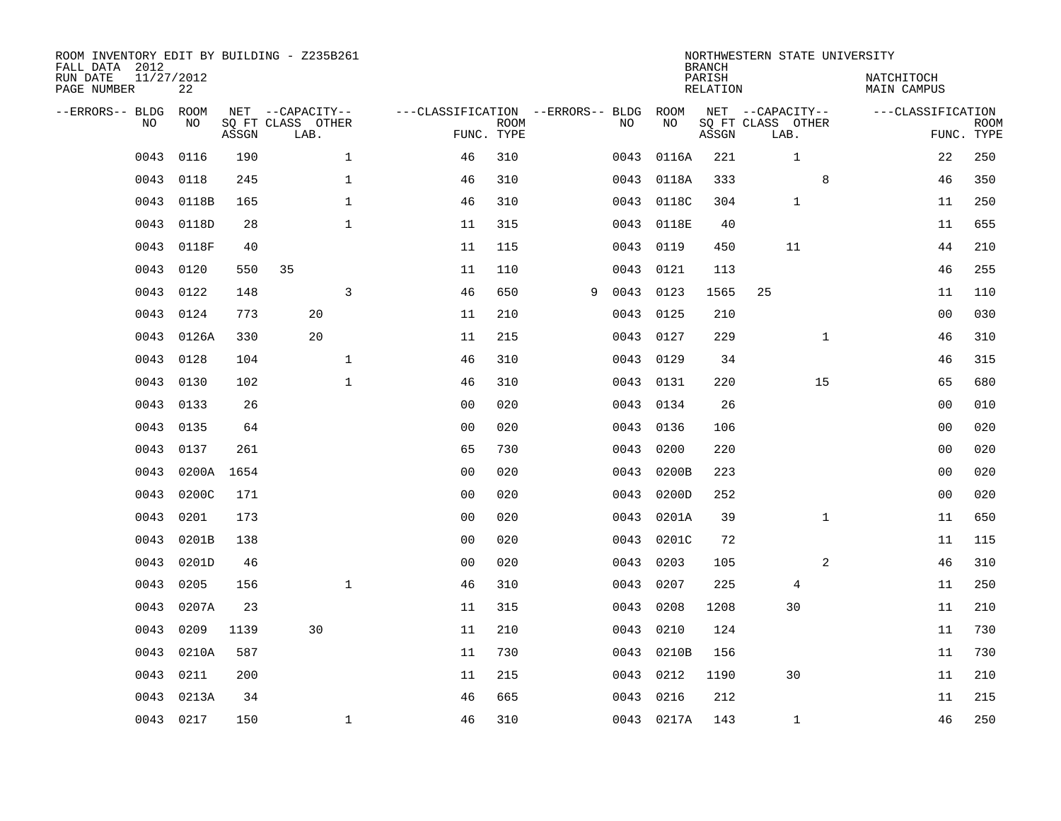| ROOM INVENTORY EDIT BY BUILDING - Z235B261<br>FALL DATA 2012 |                  |       |                           |                                   |                           |   |      |            | <b>BRANCH</b>             | NORTHWESTERN STATE UNIVERSITY |                                  |                           |
|--------------------------------------------------------------|------------------|-------|---------------------------|-----------------------------------|---------------------------|---|------|------------|---------------------------|-------------------------------|----------------------------------|---------------------------|
| RUN DATE<br>PAGE NUMBER                                      | 11/27/2012<br>22 |       |                           |                                   |                           |   |      |            | PARISH<br><b>RELATION</b> |                               | NATCHITOCH<br><b>MAIN CAMPUS</b> |                           |
| --ERRORS-- BLDG                                              | ROOM             |       | NET --CAPACITY--          | ---CLASSIFICATION --ERRORS-- BLDG |                           |   |      | ROOM       |                           | NET --CAPACITY--              | ---CLASSIFICATION                |                           |
| NO                                                           | NO               | ASSGN | SQ FT CLASS OTHER<br>LAB. |                                   | <b>ROOM</b><br>FUNC. TYPE |   | NO   | NO         | ASSGN                     | SQ FT CLASS OTHER<br>LAB.     |                                  | <b>ROOM</b><br>FUNC. TYPE |
| 0043                                                         | 0116             | 190   | $\mathbf 1$               | 46                                | 310                       |   | 0043 | 0116A      | 221                       | $\mathbf{1}$                  | 22                               | 250                       |
| 0043                                                         | 0118             | 245   | 1                         | 46                                | 310                       |   | 0043 | 0118A      | 333                       | 8                             | 46                               | 350                       |
| 0043                                                         | 0118B            | 165   | $\mathbf 1$               | 46                                | 310                       |   | 0043 | 0118C      | 304                       | $\mathbf 1$                   | 11                               | 250                       |
| 0043                                                         | 0118D            | 28    | $\mathbf 1$               | 11                                | 315                       |   | 0043 | 0118E      | 40                        |                               | 11                               | 655                       |
| 0043                                                         | 0118F            | 40    |                           | 11                                | 115                       |   | 0043 | 0119       | 450                       | 11                            | 44                               | 210                       |
| 0043                                                         | 0120             | 550   | 35                        | 11                                | 110                       |   | 0043 | 0121       | 113                       |                               | 46                               | 255                       |
| 0043                                                         | 0122             | 148   | $\overline{3}$            | 46                                | 650                       | 9 | 0043 | 0123       | 1565                      | 25                            | 11                               | 110                       |
| 0043                                                         | 0124             | 773   | 20                        | 11                                | 210                       |   | 0043 | 0125       | 210                       |                               | 0 <sub>0</sub>                   | 030                       |
| 0043                                                         | 0126A            | 330   | 20                        | 11                                | 215                       |   | 0043 | 0127       | 229                       | $\mathbf{1}$                  | 46                               | 310                       |
| 0043                                                         | 0128             | 104   | $\mathbf{1}$              | 46                                | 310                       |   |      | 0043 0129  | 34                        |                               | 46                               | 315                       |
| 0043                                                         | 0130             | 102   | $\mathbf{1}$              | 46                                | 310                       |   | 0043 | 0131       | 220                       | 15                            | 65                               | 680                       |
| 0043                                                         | 0133             | 26    |                           | 0 <sub>0</sub>                    | 020                       |   |      | 0043 0134  | 26                        |                               | 00                               | 010                       |
| 0043                                                         | 0135             | 64    |                           | 0 <sub>0</sub>                    | 020                       |   | 0043 | 0136       | 106                       |                               | 0 <sub>0</sub>                   | 020                       |
| 0043                                                         | 0137             | 261   |                           | 65                                | 730                       |   | 0043 | 0200       | 220                       |                               | 00                               | 020                       |
| 0043                                                         | 0200A            | 1654  |                           | 0 <sub>0</sub>                    | 020                       |   | 0043 | 0200B      | 223                       |                               | 0 <sub>0</sub>                   | 020                       |
| 0043                                                         | 0200C            | 171   |                           | 00                                | 020                       |   | 0043 | 0200D      | 252                       |                               | 00                               | 020                       |
| 0043                                                         | 0201             | 173   |                           | 0 <sub>0</sub>                    | 020                       |   | 0043 | 0201A      | 39                        | $\mathbf{1}$                  | 11                               | 650                       |
| 0043                                                         | 0201B            | 138   |                           | 0 <sub>0</sub>                    | 020                       |   | 0043 | 0201C      | 72                        |                               | 11                               | 115                       |
| 0043                                                         | 0201D            | 46    |                           | 0 <sub>0</sub>                    | 020                       |   | 0043 | 0203       | 105                       | 2                             | 46                               | 310                       |
| 0043                                                         | 0205             | 156   | $\mathbf{1}$              | 46                                | 310                       |   | 0043 | 0207       | 225                       | 4                             | 11                               | 250                       |
| 0043                                                         | 0207A            | 23    |                           | 11                                | 315                       |   | 0043 | 0208       | 1208                      | 30                            | 11                               | 210                       |
| 0043                                                         | 0209             | 1139  | 30                        | 11                                | 210                       |   | 0043 | 0210       | 124                       |                               | 11                               | 730                       |
| 0043                                                         | 0210A            | 587   |                           | 11                                | 730                       |   |      | 0043 0210B | 156                       |                               | 11                               | 730                       |
| 0043                                                         | 0211             | 200   |                           | 11                                | 215                       |   | 0043 | 0212       | 1190                      | 30                            | 11                               | 210                       |
| 0043                                                         | 0213A            | 34    |                           | 46                                | 665                       |   | 0043 | 0216       | 212                       |                               | 11                               | 215                       |
|                                                              | 0043 0217        | 150   | $\mathbf 1$               | 46                                | 310                       |   |      | 0043 0217A | 143                       | $\mathbf 1$                   | 46                               | 250                       |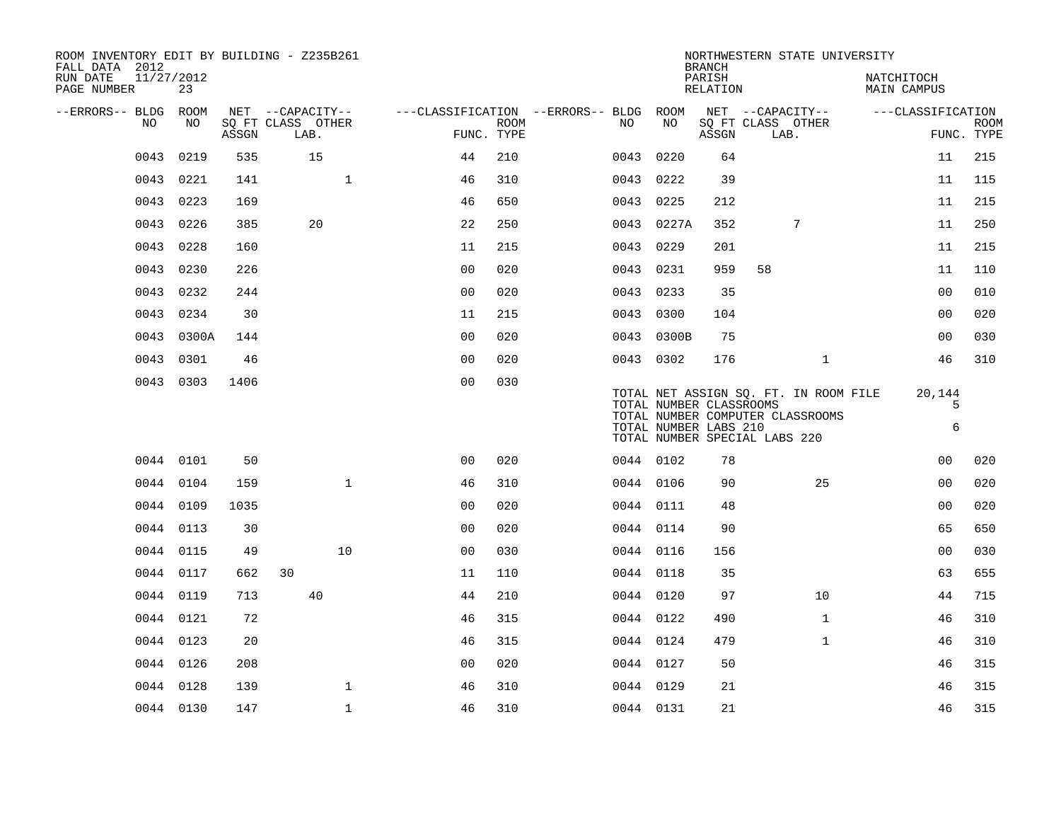| ROOM INVENTORY EDIT BY BUILDING - Z235B261<br>FALL DATA 2012 |                  |       |                                               |                                                      |             |           |            | <b>BRANCH</b>                                    | NORTHWESTERN STATE UNIVERSITY                                                                              |                           |                           |
|--------------------------------------------------------------|------------------|-------|-----------------------------------------------|------------------------------------------------------|-------------|-----------|------------|--------------------------------------------------|------------------------------------------------------------------------------------------------------------|---------------------------|---------------------------|
| RUN DATE<br>PAGE NUMBER                                      | 11/27/2012<br>23 |       |                                               |                                                      |             |           |            | PARISH<br>RELATION                               |                                                                                                            | NATCHITOCH<br>MAIN CAMPUS |                           |
| --ERRORS-- BLDG ROOM<br>NO.                                  | NO.              | ASSGN | NET --CAPACITY--<br>SQ FT CLASS OTHER<br>LAB. | ---CLASSIFICATION --ERRORS-- BLDG ROOM<br>FUNC. TYPE | <b>ROOM</b> | NO        | NO         | ASSGN                                            | NET --CAPACITY--<br>SQ FT CLASS OTHER<br>LAB.                                                              | ---CLASSIFICATION         | <b>ROOM</b><br>FUNC. TYPE |
| 0043                                                         | 0219             | 535   | 15                                            | 44                                                   | 210         | 0043 0220 |            | 64                                               |                                                                                                            | 11                        | 215                       |
| 0043                                                         | 0221             | 141   |                                               | $\mathbf{1}$<br>46                                   | 310         | 0043 0222 |            | 39                                               |                                                                                                            | 11                        | 115                       |
| 0043                                                         | 0223             | 169   |                                               | 46                                                   | 650         | 0043 0225 |            | 212                                              |                                                                                                            | 11                        | 215                       |
| 0043                                                         | 0226             | 385   | 20                                            | 22                                                   | 250         |           | 0043 0227A | 352                                              | 7                                                                                                          | 11                        | 250                       |
| 0043                                                         | 0228             | 160   |                                               | 11                                                   | 215         | 0043 0229 |            | 201                                              |                                                                                                            | 11                        | 215                       |
| 0043                                                         | 0230             | 226   |                                               | 0 <sub>0</sub>                                       | 020         | 0043 0231 |            | 959                                              | 58                                                                                                         | 11                        | 110                       |
|                                                              | 0043 0232        | 244   |                                               | 0 <sub>0</sub>                                       | 020         | 0043 0233 |            | 35                                               |                                                                                                            | 0 <sub>0</sub>            | 010                       |
| 0043                                                         | 0234             | 30    |                                               | 11                                                   | 215         | 0043 0300 |            | 104                                              |                                                                                                            | 00                        | 020                       |
|                                                              | 0043 0300A       | 144   |                                               | 0 <sub>0</sub>                                       | 020         |           | 0043 0300B | 75                                               |                                                                                                            | 00                        | 030                       |
|                                                              | 0043 0301        | 46    |                                               | 0 <sub>0</sub>                                       | 020         | 0043 0302 |            | 176                                              | $\mathbf{1}$                                                                                               | 46                        | 310                       |
|                                                              | 0043 0303        | 1406  |                                               | 0 <sub>0</sub>                                       | 030         |           |            | TOTAL NUMBER CLASSROOMS<br>TOTAL NUMBER LABS 210 | TOTAL NET ASSIGN SQ. FT. IN ROOM FILE<br>TOTAL NUMBER COMPUTER CLASSROOMS<br>TOTAL NUMBER SPECIAL LABS 220 | 20,144<br>5<br>6          |                           |
|                                                              | 0044 0101        | 50    |                                               | 0 <sub>0</sub>                                       | 020         | 0044 0102 |            | 78                                               |                                                                                                            | 0 <sub>0</sub>            | 020                       |
|                                                              | 0044 0104        | 159   |                                               | $\mathbf{1}$<br>46                                   | 310         | 0044 0106 |            | 90                                               | 25                                                                                                         | 0 <sub>0</sub>            | 020                       |
|                                                              | 0044 0109        | 1035  |                                               | 0 <sub>0</sub>                                       | 020         | 0044 0111 |            | 48                                               |                                                                                                            | 0 <sub>0</sub>            | 020                       |
| 0044                                                         | 0113             | 30    |                                               | 0 <sub>0</sub>                                       | 020         | 0044 0114 |            | 90                                               |                                                                                                            | 65                        | 650                       |
|                                                              | 0044 0115        | 49    | 10                                            | 00                                                   | 030         | 0044 0116 |            | 156                                              |                                                                                                            | 0 <sub>0</sub>            | 030                       |
|                                                              | 0044 0117        | 662   | 30                                            | 11                                                   | 110         | 0044 0118 |            | 35                                               |                                                                                                            | 63                        | 655                       |
|                                                              | 0044 0119        | 713   | 40                                            | 44                                                   | 210         | 0044 0120 |            | 97                                               | 10                                                                                                         | 44                        | 715                       |
|                                                              | 0044 0121        | 72    |                                               | 46                                                   | 315         | 0044 0122 |            | 490                                              | $\mathbf{1}$                                                                                               | 46                        | 310                       |
|                                                              | 0044 0123        | 20    |                                               | 46                                                   | 315         | 0044 0124 |            | 479                                              | $\mathbf{1}$                                                                                               | 46                        | 310                       |
|                                                              | 0044 0126        | 208   |                                               | 00                                                   | 020         | 0044 0127 |            | 50                                               |                                                                                                            | 46                        | 315                       |
|                                                              | 0044 0128        | 139   |                                               | $\mathbf{1}$<br>46                                   | 310         | 0044 0129 |            | 21                                               |                                                                                                            | 46                        | 315                       |
|                                                              | 0044 0130        | 147   |                                               | $\mathbf{1}$<br>46                                   | 310         | 0044 0131 |            | 21                                               |                                                                                                            | 46                        | 315                       |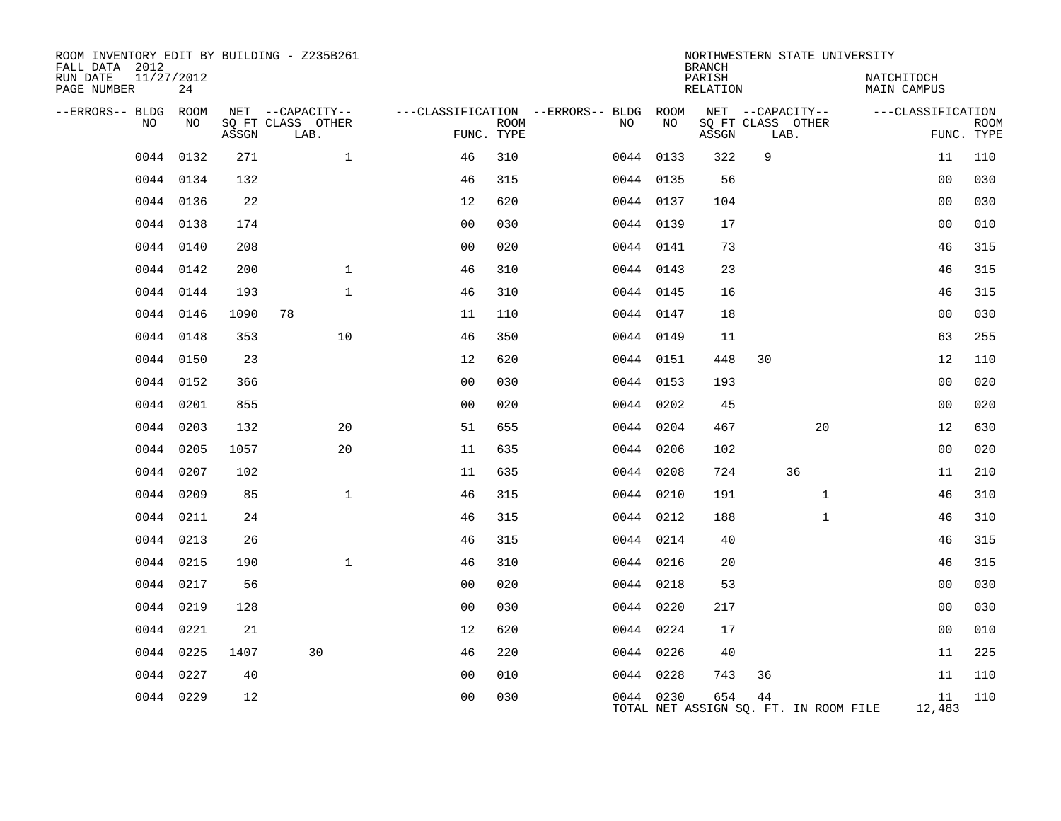| ROOM INVENTORY EDIT BY BUILDING - Z235B261<br>FALL DATA 2012<br>RUN DATE<br>11/27/2012<br>PAGE NUMBER | 24        |       |                           |                |             |                                        |           | <b>BRANCH</b><br>PARISH<br>RELATION          |      |                   | NORTHWESTERN STATE UNIVERSITY<br>NATCHITOCH<br><b>MAIN CAMPUS</b> |                   |             |
|-------------------------------------------------------------------------------------------------------|-----------|-------|---------------------------|----------------|-------------|----------------------------------------|-----------|----------------------------------------------|------|-------------------|-------------------------------------------------------------------|-------------------|-------------|
| --ERRORS-- BLDG ROOM                                                                                  |           |       | NET --CAPACITY--          |                |             | ---CLASSIFICATION --ERRORS-- BLDG ROOM |           |                                              |      | NET --CAPACITY--  |                                                                   | ---CLASSIFICATION |             |
| NO                                                                                                    | NO        | ASSGN | SQ FT CLASS OTHER<br>LAB. | FUNC. TYPE     | <b>ROOM</b> | NO.                                    | NO        | ASSGN                                        | LAB. | SQ FT CLASS OTHER |                                                                   | FUNC. TYPE        | <b>ROOM</b> |
| 0044                                                                                                  | 0132      | 271   | $\mathbf{1}$              | 46             | 310         |                                        | 0044 0133 | 322                                          | 9    |                   |                                                                   | 11                | 110         |
|                                                                                                       | 0044 0134 | 132   |                           | 46             | 315         |                                        | 0044 0135 | 56                                           |      |                   |                                                                   | 0 <sub>0</sub>    | 030         |
|                                                                                                       | 0044 0136 | 22    |                           | 12             | 620         |                                        | 0044 0137 | 104                                          |      |                   |                                                                   | 0 <sub>0</sub>    | 030         |
|                                                                                                       | 0044 0138 | 174   |                           | 0 <sub>0</sub> | 030         |                                        | 0044 0139 | 17                                           |      |                   |                                                                   | 0 <sub>0</sub>    | 010         |
|                                                                                                       | 0044 0140 | 208   |                           | 0 <sub>0</sub> | 020         |                                        | 0044 0141 | 73                                           |      |                   |                                                                   | 46                | 315         |
|                                                                                                       | 0044 0142 | 200   | $\mathbf{1}$              | 46             | 310         |                                        | 0044 0143 | 23                                           |      |                   |                                                                   | 46                | 315         |
|                                                                                                       | 0044 0144 | 193   | $\mathbf{1}$              | 46             | 310         |                                        | 0044 0145 | 16                                           |      |                   |                                                                   | 46                | 315         |
| 0044                                                                                                  | 0146      | 1090  | 78                        | 11             | 110         |                                        | 0044 0147 | 18                                           |      |                   |                                                                   | 0 <sub>0</sub>    | 030         |
|                                                                                                       | 0044 0148 | 353   | 10                        | 46             | 350         |                                        | 0044 0149 | 11                                           |      |                   |                                                                   | 63                | 255         |
|                                                                                                       | 0044 0150 | 23    |                           | 12             | 620         |                                        | 0044 0151 | 448                                          | 30   |                   |                                                                   | 12                | 110         |
|                                                                                                       | 0044 0152 | 366   |                           | 0 <sub>0</sub> | 030         |                                        | 0044 0153 | 193                                          |      |                   |                                                                   | 0 <sub>0</sub>    | 020         |
| 0044                                                                                                  | 0201      | 855   |                           | 0 <sub>0</sub> | 020         |                                        | 0044 0202 | 45                                           |      |                   |                                                                   | 0 <sub>0</sub>    | 020         |
| 0044                                                                                                  | 0203      | 132   | 20                        | 51             | 655         |                                        | 0044 0204 | 467                                          |      | 20                |                                                                   | 12                | 630         |
| 0044                                                                                                  | 0205      | 1057  | 20                        | 11             | 635         |                                        | 0044 0206 | 102                                          |      |                   |                                                                   | 0 <sub>0</sub>    | 020         |
| 0044                                                                                                  | 0207      | 102   |                           | 11             | 635         |                                        | 0044 0208 | 724                                          |      | 36                |                                                                   | 11                | 210         |
|                                                                                                       | 0044 0209 | 85    | $\mathbf{1}$              | 46             | 315         |                                        | 0044 0210 | 191                                          |      | $\mathbf{1}$      |                                                                   | 46                | 310         |
|                                                                                                       | 0044 0211 | 24    |                           | 46             | 315         |                                        | 0044 0212 | 188                                          |      | $\mathbf{1}$      |                                                                   | 46                | 310         |
|                                                                                                       | 0044 0213 | 26    |                           | 46             | 315         |                                        | 0044 0214 | 40                                           |      |                   |                                                                   | 46                | 315         |
| 0044                                                                                                  | 0215      | 190   | $\mathbf{1}$              | 46             | 310         |                                        | 0044 0216 | 20                                           |      |                   |                                                                   | 46                | 315         |
|                                                                                                       | 0044 0217 | 56    |                           | 0 <sub>0</sub> | 020         |                                        | 0044 0218 | 53                                           |      |                   |                                                                   | 0 <sub>0</sub>    | 030         |
| 0044                                                                                                  | 0219      | 128   |                           | 0 <sub>0</sub> | 030         |                                        | 0044 0220 | 217                                          |      |                   |                                                                   | 0 <sub>0</sub>    | 030         |
| 0044                                                                                                  | 0221      | 21    |                           | 12             | 620         |                                        | 0044 0224 | 17                                           |      |                   |                                                                   | 0 <sub>0</sub>    | 010         |
| 0044                                                                                                  | 0225      | 1407  | 30                        | 46             | 220         |                                        | 0044 0226 | 40                                           |      |                   |                                                                   | 11                | 225         |
| 0044                                                                                                  | 0227      | 40    |                           | 0 <sub>0</sub> | 010         |                                        | 0044 0228 | 743                                          | 36   |                   |                                                                   | 11                | 110         |
|                                                                                                       | 0044 0229 | 12    |                           | 0 <sub>0</sub> | 030         |                                        | 0044 0230 | 654<br>TOTAL NET ASSIGN SO. FT. IN ROOM FILE | 44   |                   |                                                                   | 11<br>12,483      | 110         |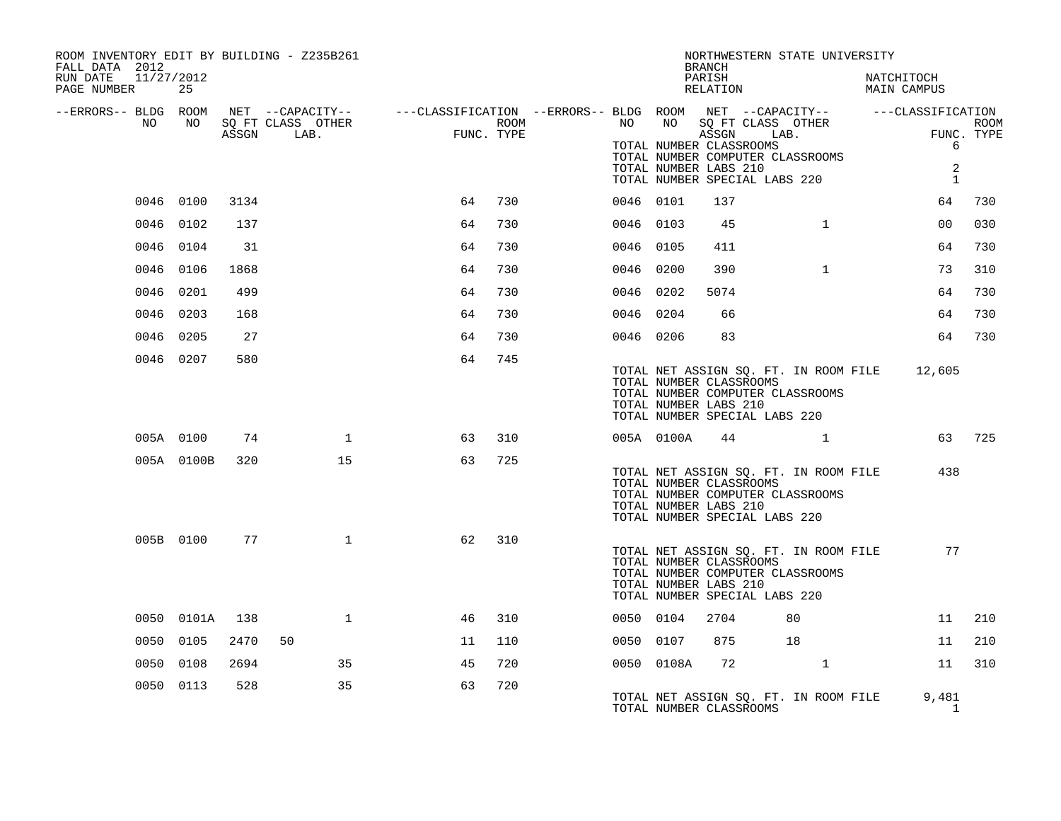| ROOM INVENTORY EDIT BY BUILDING - Z235B261<br>FALL DATA 2012 |            |      |                                 |                              |      | NORTHWESTERN STATE UNIVERSITY<br><b>BRANCH</b>                                                                                                                                                                                              |
|--------------------------------------------------------------|------------|------|---------------------------------|------------------------------|------|---------------------------------------------------------------------------------------------------------------------------------------------------------------------------------------------------------------------------------------------|
| RUN DATE<br>11/27/2012<br>PAGE NUMBER                        | 25         |      |                                 |                              |      | PARISH<br>NATCHITOCH<br>RELATION<br>MAIN CAMPUS                                                                                                                                                                                             |
| --ERRORS-- BLDG ROOM                                         |            |      |                                 |                              |      | NET --CAPACITY-- - ---CLASSIFICATION --ERRORS-- BLDG ROOM NET --CAPACITY-- - ---CLASSIFICATION                                                                                                                                              |
| NO                                                           | NO         |      | SQ FT CLASS OTHER<br>ASSGN LAB. | $\overline{a}$<br>FUNC. TYPE | ROOM | NO <sub>1</sub><br>NO 11<br>SQ FT CLASS OTHER<br><b>ROOM</b><br>ASSGN LAB.<br>FUNC. TYPE<br>TOTAL NUMBER CLASSROOMS<br>6<br>TOTAL NUMBER COMPUTER CLASSROOMS<br>2<br>TOTAL NUMBER LABS 210<br>TOTAL NUMBER SPECIAL LABS 220<br>$\mathbf{1}$ |
|                                                              | 0046 0100  | 3134 |                                 | 64                           | 730  | 730<br>0046 0101<br>137<br>64                                                                                                                                                                                                               |
|                                                              | 0046 0102  | 137  |                                 | 64                           | 730  | 45<br>$\mathbf{1}$<br>0 <sub>0</sub><br>030<br>0046 0103                                                                                                                                                                                    |
|                                                              | 0046 0104  | 31   |                                 | 64                           | 730  | 730<br>0046 0105<br>411<br>64                                                                                                                                                                                                               |
|                                                              | 0046 0106  | 1868 |                                 | 64                           | 730  | $\mathbf{1}$<br>73<br>310<br>0046 0200<br>390                                                                                                                                                                                               |
|                                                              | 0046 0201  | 499  |                                 | 64                           | 730  | 0046 0202<br>5074<br>64<br>730                                                                                                                                                                                                              |
|                                                              | 0046 0203  | 168  |                                 | 64                           | 730  | 64<br>730<br>0046 0204<br>66                                                                                                                                                                                                                |
|                                                              | 0046 0205  | 27   |                                 | 64                           | 730  | 64<br>730<br>0046 0206<br>83                                                                                                                                                                                                                |
|                                                              | 0046 0207  | 580  |                                 | 64                           | 745  | TOTAL NET ASSIGN SO. FT. IN ROOM FILE 12,605<br>TOTAL NUMBER CLASSROOMS<br>TOTAL NUMBER COMPUTER CLASSROOMS<br>TOTAL NUMBER LABS 210<br>TOTAL NUMBER SPECIAL LABS 220                                                                       |
|                                                              | 005A 0100  | 74   | 1                               | 63                           | 310  | 63 725<br>005A 0100A<br>44                                                                                                                                                                                                                  |
|                                                              | 005A 0100B | 320  | 15                              | 63                           | 725  | TOTAL NET ASSIGN SQ. FT. IN ROOM FILE<br>438<br>TOTAL NUMBER CLASSROOMS<br>TOTAL NUMBER COMPUTER CLASSROOMS<br>TOTAL NUMBER LABS 210<br>TOTAL NUMBER SPECIAL LABS 220                                                                       |
|                                                              | 005B 0100  | 77   | $\mathbf{1}$                    | 62                           | 310  | 77<br>TOTAL NET ASSIGN SQ. FT. IN ROOM FILE<br>TOTAL NUMBER CLASSROOMS<br>TOTAL NUMBER COMPUTER CLASSROOMS<br>TOTAL NUMBER LABS 210<br>TOTAL NUMBER SPECIAL LABS 220                                                                        |
|                                                              | 0050 0101A | 138  | $\mathbf{1}$                    | 46                           | 310  | 0050 0104<br>2704<br>80<br>11<br>210                                                                                                                                                                                                        |
|                                                              | 0050 0105  | 2470 | 50                              | 11                           | 110  | 210<br>0050 0107<br>875<br>18<br>11                                                                                                                                                                                                         |
|                                                              | 0050 0108  | 2694 | 35                              | 45                           | 720  | $\mathbf{1}$<br>0050 0108A<br>72<br>11<br>310                                                                                                                                                                                               |
|                                                              | 0050 0113  | 528  | 35                              | 63                           | 720  | TOTAL NET ASSIGN SQ. FT. IN ROOM FILE<br>9,481<br>TOTAL NUMBER CLASSROOMS<br>$\mathbf{1}$                                                                                                                                                   |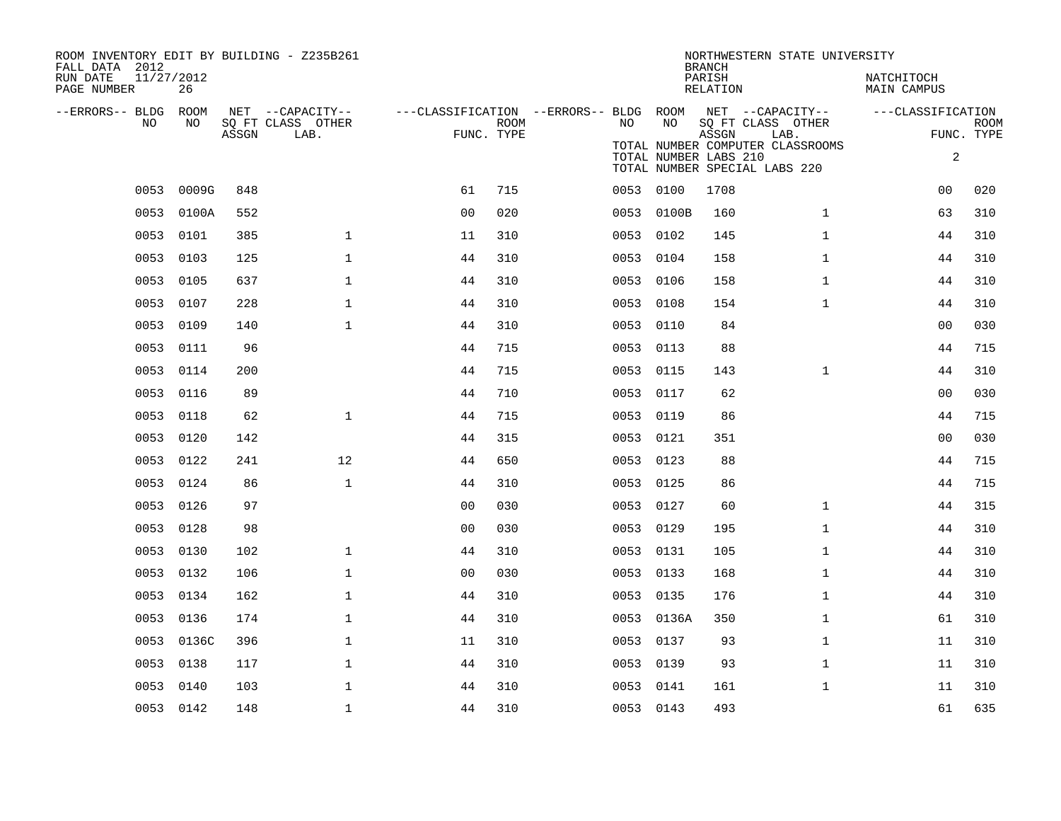| ROOM INVENTORY EDIT BY BUILDING - Z235B261<br>FALL DATA 2012<br>RUN DATE<br>11/27/2012<br>PAGE NUMBER | 26         |       |                                               |                                                      |      |           |                       | <b>BRANCH</b><br>PARISH<br>RELATION | NORTHWESTERN STATE UNIVERSITY                                     | NATCHITOCH<br>MAIN CAMPUS |                           |
|-------------------------------------------------------------------------------------------------------|------------|-------|-----------------------------------------------|------------------------------------------------------|------|-----------|-----------------------|-------------------------------------|-------------------------------------------------------------------|---------------------------|---------------------------|
| --ERRORS-- BLDG ROOM<br>NO.                                                                           | NO.        | ASSGN | NET --CAPACITY--<br>SQ FT CLASS OTHER<br>LAB. | ---CLASSIFICATION --ERRORS-- BLDG ROOM<br>FUNC. TYPE | ROOM | NO.       | NO                    | ASSGN                               | NET --CAPACITY--<br>SQ FT CLASS OTHER<br>LAB.                     | ---CLASSIFICATION         | <b>ROOM</b><br>FUNC. TYPE |
|                                                                                                       |            |       |                                               |                                                      |      |           | TOTAL NUMBER LABS 210 |                                     | TOTAL NUMBER COMPUTER CLASSROOMS<br>TOTAL NUMBER SPECIAL LABS 220 | 2                         |                           |
| 0053                                                                                                  | 0009G      | 848   |                                               | 61                                                   | 715  | 0053 0100 |                       | 1708                                |                                                                   | 00                        | 020                       |
| 0053                                                                                                  | 0100A      | 552   |                                               | 0 <sub>0</sub>                                       | 020  |           | 0053 0100B            | 160                                 | $\mathbf{1}$                                                      | 63                        | 310                       |
| 0053                                                                                                  | 0101       | 385   | $\mathbf 1$                                   | 11                                                   | 310  | 0053      | 0102                  | 145                                 | $\mathbf{1}$                                                      | 44                        | 310                       |
| 0053                                                                                                  | 0103       | 125   | $\mathbf 1$                                   | 44                                                   | 310  | 0053 0104 |                       | 158                                 | $\mathbf{1}$                                                      | 44                        | 310                       |
| 0053                                                                                                  | 0105       | 637   | $\mathbf 1$                                   | 44                                                   | 310  | 0053      | 0106                  | 158                                 | $\mathbf{1}$                                                      | 44                        | 310                       |
| 0053                                                                                                  | 0107       | 228   | $\mathbf{1}$                                  | 44                                                   | 310  | 0053 0108 |                       | 154                                 | $\mathbf{1}$                                                      | 44                        | 310                       |
|                                                                                                       | 0053 0109  | 140   | $\mathbf 1$                                   | 44                                                   | 310  | 0053 0110 |                       | 84                                  |                                                                   | 00                        | 030                       |
|                                                                                                       | 0053 0111  | 96    |                                               | 44                                                   | 715  | 0053 0113 |                       | 88                                  |                                                                   | 44                        | 715                       |
|                                                                                                       | 0053 0114  | 200   |                                               | 44                                                   | 715  | 0053      | 0115                  | 143                                 | $\mathbf{1}$                                                      | 44                        | 310                       |
|                                                                                                       | 0053 0116  | 89    |                                               | 44                                                   | 710  | 0053 0117 |                       | 62                                  |                                                                   | 0 <sub>0</sub>            | 030                       |
|                                                                                                       | 0053 0118  | 62    | $\mathbf{1}$                                  | 44                                                   | 715  | 0053 0119 |                       | 86                                  |                                                                   | 44                        | 715                       |
| 0053                                                                                                  | 0120       | 142   |                                               | 44                                                   | 315  | 0053      | 0121                  | 351                                 |                                                                   | 0 <sub>0</sub>            | 030                       |
| 0053                                                                                                  | 0122       | 241   | 12                                            | 44                                                   | 650  | 0053      | 0123                  | 88                                  |                                                                   | 44                        | 715                       |
| 0053                                                                                                  | 0124       | 86    | $\mathbf{1}$                                  | 44                                                   | 310  | 0053      | 0125                  | 86                                  |                                                                   | 44                        | 715                       |
|                                                                                                       | 0053 0126  | 97    |                                               | 0 <sub>0</sub>                                       | 030  | 0053      | 0127                  | 60                                  | $\mathbf{1}$                                                      | 44                        | 315                       |
| 0053                                                                                                  | 0128       | 98    |                                               | 0 <sub>0</sub>                                       | 030  | 0053      | 0129                  | 195                                 | $\mathbf{1}$                                                      | 44                        | 310                       |
|                                                                                                       | 0053 0130  | 102   | $\mathbf 1$                                   | 44                                                   | 310  | 0053 0131 |                       | 105                                 | $\mathbf{1}$                                                      | 44                        | 310                       |
|                                                                                                       | 0053 0132  | 106   | $\mathbf{1}$                                  | 0 <sub>0</sub>                                       | 030  | 0053 0133 |                       | 168                                 | $\mathbf{1}$                                                      | 44                        | 310                       |
|                                                                                                       | 0053 0134  | 162   | $\mathbf 1$                                   | 44                                                   | 310  | 0053 0135 |                       | 176                                 | $\mathbf{1}$                                                      | 44                        | 310                       |
| 0053                                                                                                  | 0136       | 174   | $\mathbf{1}$                                  | 44                                                   | 310  | 0053      | 0136A                 | 350                                 | $\mathbf{1}$                                                      | 61                        | 310                       |
|                                                                                                       | 0053 0136C | 396   | $\mathbf 1$                                   | 11                                                   | 310  | 0053 0137 |                       | 93                                  | $\mathbf{1}$                                                      | 11                        | 310                       |
| 0053                                                                                                  | 0138       | 117   | $\mathbf{1}$                                  | 44                                                   | 310  | 0053      | 0139                  | 93                                  | $\mathbf{1}$                                                      | 11                        | 310                       |
| 0053                                                                                                  | 0140       | 103   | $\mathbf{1}$                                  | 44                                                   | 310  | 0053 0141 |                       | 161                                 | $\mathbf{1}$                                                      | 11                        | 310                       |
|                                                                                                       | 0053 0142  | 148   | $\mathbf 1$                                   | 44                                                   | 310  | 0053 0143 |                       | 493                                 |                                                                   | 61                        | 635                       |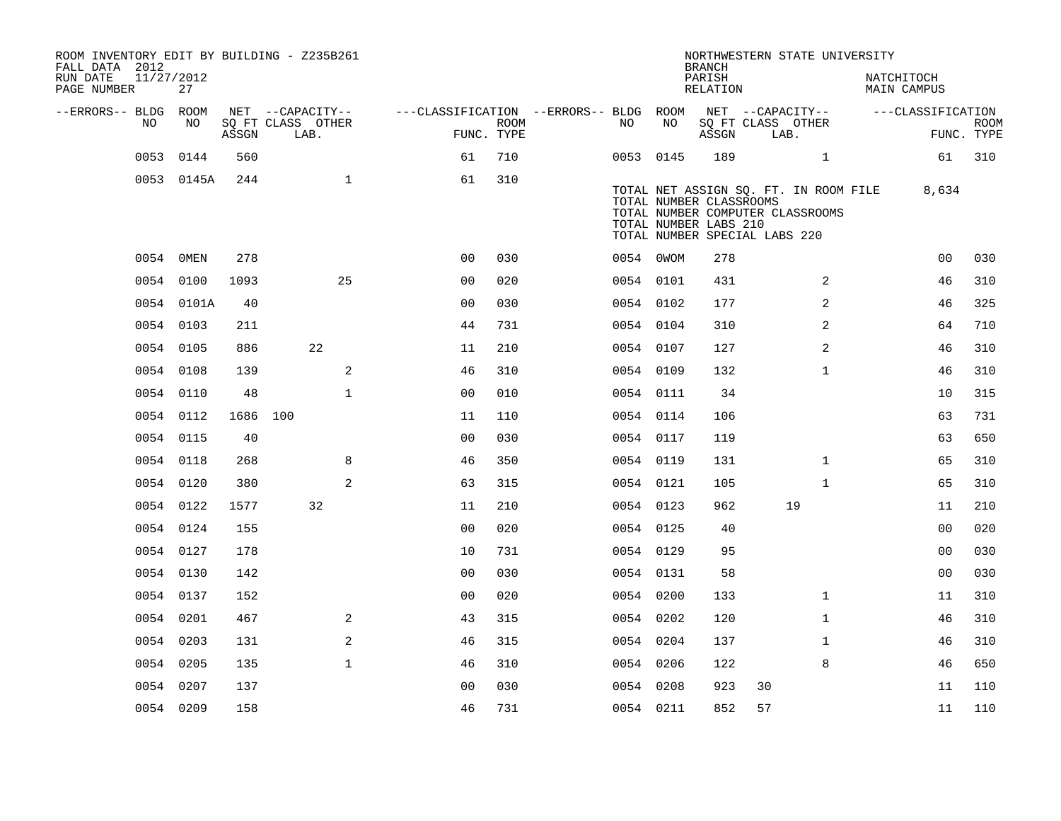| ROOM INVENTORY EDIT BY BUILDING - Z235B261<br>FALL DATA 2012<br>RUN DATE | 11/27/2012 |       |                           |                                        |                           |           |                                                  | <b>BRANCH</b><br>PARISH |                               | NORTHWESTERN STATE UNIVERSITY                                             |                                  |                   |                           |
|--------------------------------------------------------------------------|------------|-------|---------------------------|----------------------------------------|---------------------------|-----------|--------------------------------------------------|-------------------------|-------------------------------|---------------------------------------------------------------------------|----------------------------------|-------------------|---------------------------|
| PAGE NUMBER                                                              | 27         |       |                           |                                        |                           |           |                                                  | RELATION                |                               |                                                                           | NATCHITOCH<br><b>MAIN CAMPUS</b> |                   |                           |
| --ERRORS-- BLDG ROOM                                                     | NO         |       | NET --CAPACITY--          | ---CLASSIFICATION --ERRORS-- BLDG ROOM |                           |           |                                                  |                         |                               | NET --CAPACITY--                                                          |                                  | ---CLASSIFICATION |                           |
| NO                                                                       |            | ASSGN | SQ FT CLASS OTHER<br>LAB. |                                        | <b>ROOM</b><br>FUNC. TYPE | NO        | NO                                               | ASSGN                   | SQ FT CLASS OTHER<br>LAB.     |                                                                           |                                  |                   | <b>ROOM</b><br>FUNC. TYPE |
| 0053                                                                     | 0144       | 560   |                           | 61                                     | 710                       | 0053 0145 |                                                  | 189                     |                               | $\mathbf{1}$                                                              |                                  | 61                | 310                       |
|                                                                          | 0053 0145A | 244   | $\mathbf{1}$              | 61                                     | 310                       |           | TOTAL NUMBER CLASSROOMS<br>TOTAL NUMBER LABS 210 |                         | TOTAL NUMBER SPECIAL LABS 220 | TOTAL NET ASSIGN SQ. FT. IN ROOM FILE<br>TOTAL NUMBER COMPUTER CLASSROOMS |                                  | 8,634             |                           |
|                                                                          | 0054 0MEN  | 278   |                           | 0 <sub>0</sub>                         | 030                       | 0054 0WOM |                                                  | 278                     |                               |                                                                           |                                  | 0 <sub>0</sub>    | 030                       |
|                                                                          | 0054 0100  | 1093  | 25                        | 0 <sub>0</sub>                         | 020                       | 0054 0101 |                                                  | 431                     |                               | 2                                                                         |                                  | 46                | 310                       |
|                                                                          | 0054 0101A | 40    |                           | 0 <sup>0</sup>                         | 030                       | 0054 0102 |                                                  | 177                     |                               | 2                                                                         |                                  | 46                | 325                       |
|                                                                          | 0054 0103  | 211   |                           | 44                                     | 731                       | 0054 0104 |                                                  | 310                     |                               | 2                                                                         |                                  | 64                | 710                       |
|                                                                          | 0054 0105  | 886   | 22                        | 11                                     | 210                       | 0054 0107 |                                                  | 127                     |                               | $\overline{2}$                                                            |                                  | 46                | 310                       |
|                                                                          | 0054 0108  | 139   | 2                         | 46                                     | 310                       | 0054 0109 |                                                  | 132                     |                               | $\mathbf{1}$                                                              |                                  | 46                | 310                       |
|                                                                          | 0054 0110  | 48    | $\mathbf{1}$              | 0 <sub>0</sub>                         | 010                       | 0054 0111 |                                                  | 34                      |                               |                                                                           |                                  | 10                | 315                       |
|                                                                          | 0054 0112  |       | 1686 100                  | 11                                     | 110                       | 0054 0114 |                                                  | 106                     |                               |                                                                           |                                  | 63                | 731                       |
|                                                                          | 0054 0115  | 40    |                           | 0 <sub>0</sub>                         | 030                       | 0054 0117 |                                                  | 119                     |                               |                                                                           |                                  | 63                | 650                       |
|                                                                          | 0054 0118  | 268   | 8                         | 46                                     | 350                       | 0054 0119 |                                                  | 131                     |                               | $\mathbf{1}$                                                              |                                  | 65                | 310                       |
|                                                                          | 0054 0120  | 380   | 2                         | 63                                     | 315                       | 0054 0121 |                                                  | 105                     |                               | $\mathbf{1}$                                                              |                                  | 65                | 310                       |
|                                                                          | 0054 0122  | 1577  | 32                        | 11                                     | 210                       | 0054 0123 |                                                  | 962                     |                               | 19                                                                        |                                  | 11                | 210                       |
|                                                                          | 0054 0124  | 155   |                           | 0 <sub>0</sub>                         | 020                       | 0054 0125 |                                                  | 40                      |                               |                                                                           |                                  | 0 <sub>0</sub>    | 020                       |
|                                                                          | 0054 0127  | 178   |                           | 10                                     | 731                       | 0054 0129 |                                                  | 95                      |                               |                                                                           |                                  | 0 <sub>0</sub>    | 030                       |
|                                                                          | 0054 0130  | 142   |                           | 0 <sub>0</sub>                         | 030                       | 0054 0131 |                                                  | 58                      |                               |                                                                           |                                  | 0 <sub>0</sub>    | 030                       |
|                                                                          | 0054 0137  | 152   |                           | 0 <sub>0</sub>                         | 020                       | 0054 0200 |                                                  | 133                     |                               | $\mathbf{1}$                                                              |                                  | 11                | 310                       |
|                                                                          | 0054 0201  | 467   | 2                         | 43                                     | 315                       | 0054 0202 |                                                  | 120                     |                               | $\mathbf{1}$                                                              |                                  | 46                | 310                       |
|                                                                          | 0054 0203  | 131   | 2                         | 46                                     | 315                       | 0054 0204 |                                                  | 137                     |                               | $\mathbf{1}$                                                              |                                  | 46                | 310                       |
|                                                                          | 0054 0205  | 135   | $\mathbf{1}$              | 46                                     | 310                       | 0054 0206 |                                                  | 122                     |                               | 8                                                                         |                                  | 46                | 650                       |
|                                                                          | 0054 0207  | 137   |                           | 0 <sub>0</sub>                         | 030                       | 0054 0208 |                                                  | 923                     | 30                            |                                                                           |                                  | 11                | 110                       |
|                                                                          | 0054 0209  | 158   |                           | 46                                     | 731                       | 0054 0211 |                                                  | 852                     | 57                            |                                                                           |                                  | 11                | 110                       |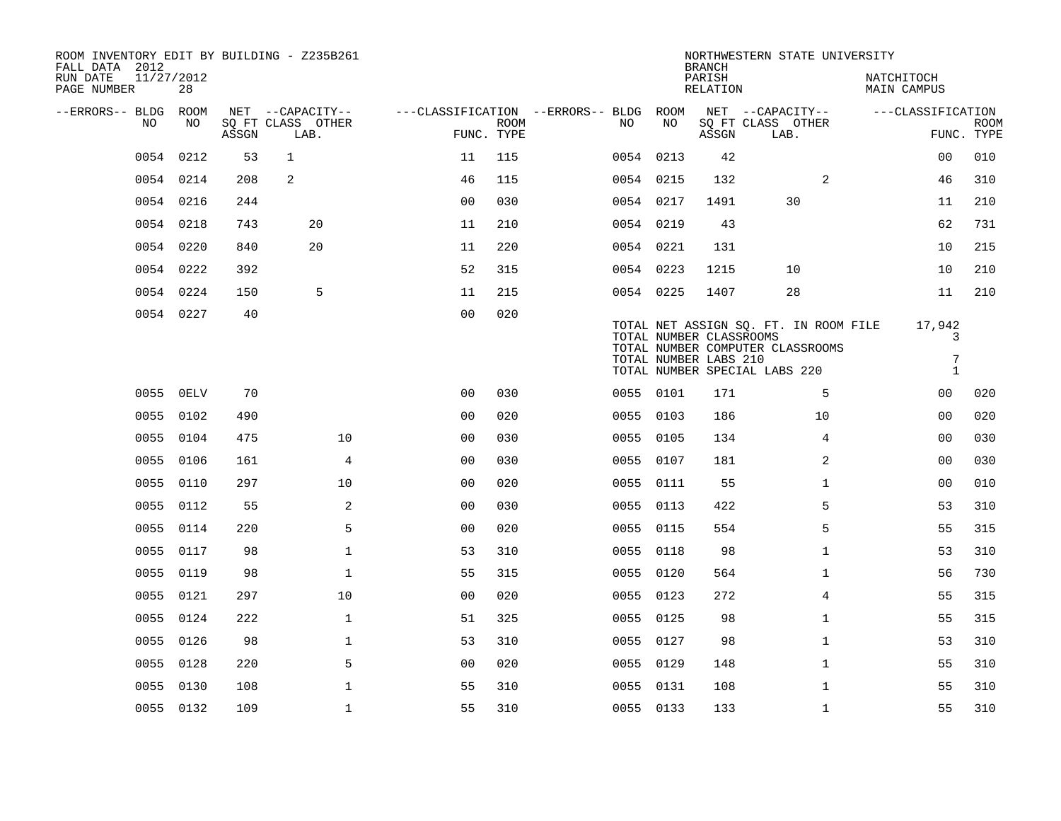| ROOM INVENTORY EDIT BY BUILDING - Z235B261<br>FALL DATA 2012<br>RUN DATE<br>PAGE NUMBER | 11/27/2012<br>28 |       |                                               |                                                      |             |     |           | <b>BRANCH</b><br>PARISH<br><b>RELATION</b>       | NORTHWESTERN STATE UNIVERSITY                                                                              | NATCHITOCH<br><b>MAIN CAMPUS</b> |                           |
|-----------------------------------------------------------------------------------------|------------------|-------|-----------------------------------------------|------------------------------------------------------|-------------|-----|-----------|--------------------------------------------------|------------------------------------------------------------------------------------------------------------|----------------------------------|---------------------------|
| --ERRORS-- BLDG<br>NO                                                                   | ROOM<br>NO       | ASSGN | NET --CAPACITY--<br>SQ FT CLASS OTHER<br>LAB. | ---CLASSIFICATION --ERRORS-- BLDG ROOM<br>FUNC. TYPE | <b>ROOM</b> | NO. | NO        | ASSGN                                            | NET --CAPACITY--<br>SQ FT CLASS OTHER<br>LAB.                                                              | ---CLASSIFICATION                | <b>ROOM</b><br>FUNC. TYPE |
| 0054                                                                                    | 0212             | 53    | $\mathbf{1}$                                  | 11                                                   | 115         |     | 0054 0213 | 42                                               |                                                                                                            | 00                               | 010                       |
|                                                                                         | 0054 0214        | 208   | $\overline{a}$                                | 46                                                   | 115         |     | 0054 0215 | 132                                              | 2                                                                                                          | 46                               | 310                       |
|                                                                                         | 0054 0216        | 244   |                                               | 0 <sub>0</sub>                                       | 030         |     | 0054 0217 | 1491                                             | 30                                                                                                         | 11                               | 210                       |
| 0054                                                                                    | 0218             | 743   | 20                                            | 11                                                   | 210         |     | 0054 0219 | 43                                               |                                                                                                            | 62                               | 731                       |
| 0054                                                                                    | 0220             | 840   | 20                                            | 11                                                   | 220         |     | 0054 0221 | 131                                              |                                                                                                            | 10                               | 215                       |
|                                                                                         | 0054 0222        | 392   |                                               | 52                                                   | 315         |     | 0054 0223 | 1215                                             | 10                                                                                                         | 10                               | 210                       |
|                                                                                         | 0054 0224        | 150   | 5                                             | 11                                                   | 215         |     | 0054 0225 | 1407                                             | 28                                                                                                         | 11                               | 210                       |
|                                                                                         | 0054 0227        | 40    |                                               | 0 <sub>0</sub>                                       | 020         |     |           | TOTAL NUMBER CLASSROOMS<br>TOTAL NUMBER LABS 210 | TOTAL NET ASSIGN SO. FT. IN ROOM FILE<br>TOTAL NUMBER COMPUTER CLASSROOMS<br>TOTAL NUMBER SPECIAL LABS 220 | 17,942<br>3<br>7<br>$\mathbf{1}$ |                           |
| 0055                                                                                    | 0ELV             | 70    |                                               | 0 <sub>0</sub>                                       | 030         |     | 0055 0101 | 171                                              | 5                                                                                                          | 0 <sub>0</sub>                   | 020                       |
|                                                                                         | 0055 0102        | 490   |                                               | 0 <sub>0</sub>                                       | 020         |     | 0055 0103 | 186                                              | 10                                                                                                         | 0 <sub>0</sub>                   | 020                       |
| 0055                                                                                    | 0104             | 475   | 10                                            | 0 <sub>0</sub>                                       | 030         |     | 0055 0105 | 134                                              | 4                                                                                                          | 0 <sub>0</sub>                   | 030                       |
| 0055                                                                                    | 0106             | 161   | 4                                             | 0 <sub>0</sub>                                       | 030         |     | 0055 0107 | 181                                              | 2                                                                                                          | 0 <sub>0</sub>                   | 030                       |
| 0055                                                                                    | 0110             | 297   | 10                                            | 00                                                   | 020         |     | 0055 0111 | 55                                               | $\mathbf{1}$                                                                                               | 0 <sub>0</sub>                   | 010                       |
| 0055                                                                                    | 0112             | 55    | 2                                             | 0 <sub>0</sub>                                       | 030         |     | 0055 0113 | 422                                              | 5                                                                                                          | 53                               | 310                       |
| 0055                                                                                    | 0114             | 220   | 5                                             | 0 <sub>0</sub>                                       | 020         |     | 0055 0115 | 554                                              | 5                                                                                                          | 55                               | 315                       |
| 0055                                                                                    | 0117             | 98    | $\mathbf 1$                                   | 53                                                   | 310         |     | 0055 0118 | 98                                               | $\mathbf{1}$                                                                                               | 53                               | 310                       |
| 0055                                                                                    | 0119             | 98    | $\mathbf 1$                                   | 55                                                   | 315         |     | 0055 0120 | 564                                              | $\mathbf{1}$                                                                                               | 56                               | 730                       |
| 0055                                                                                    | 0121             | 297   | 10                                            | 00                                                   | 020         |     | 0055 0123 | 272                                              | 4                                                                                                          | 55                               | 315                       |
| 0055                                                                                    | 0124             | 222   | $\mathbf{1}$                                  | 51                                                   | 325         |     | 0055 0125 | 98                                               | $\mathbf{1}$                                                                                               | 55                               | 315                       |
| 0055                                                                                    | 0126             | 98    | $\mathbf 1$                                   | 53                                                   | 310         |     | 0055 0127 | 98                                               | $\mathbf{1}$                                                                                               | 53                               | 310                       |
| 0055                                                                                    | 0128             | 220   | 5                                             | 0 <sub>0</sub>                                       | 020         |     | 0055 0129 | 148                                              | $\mathbf{1}$                                                                                               | 55                               | 310                       |
| 0055                                                                                    | 0130             | 108   | $\mathbf 1$                                   | 55                                                   | 310         |     | 0055 0131 | 108                                              | $\mathbf{1}$                                                                                               | 55                               | 310                       |
|                                                                                         | 0055 0132        | 109   | $\mathbf{1}$                                  | 55                                                   | 310         |     | 0055 0133 | 133                                              | $\mathbf{1}$                                                                                               | 55                               | 310                       |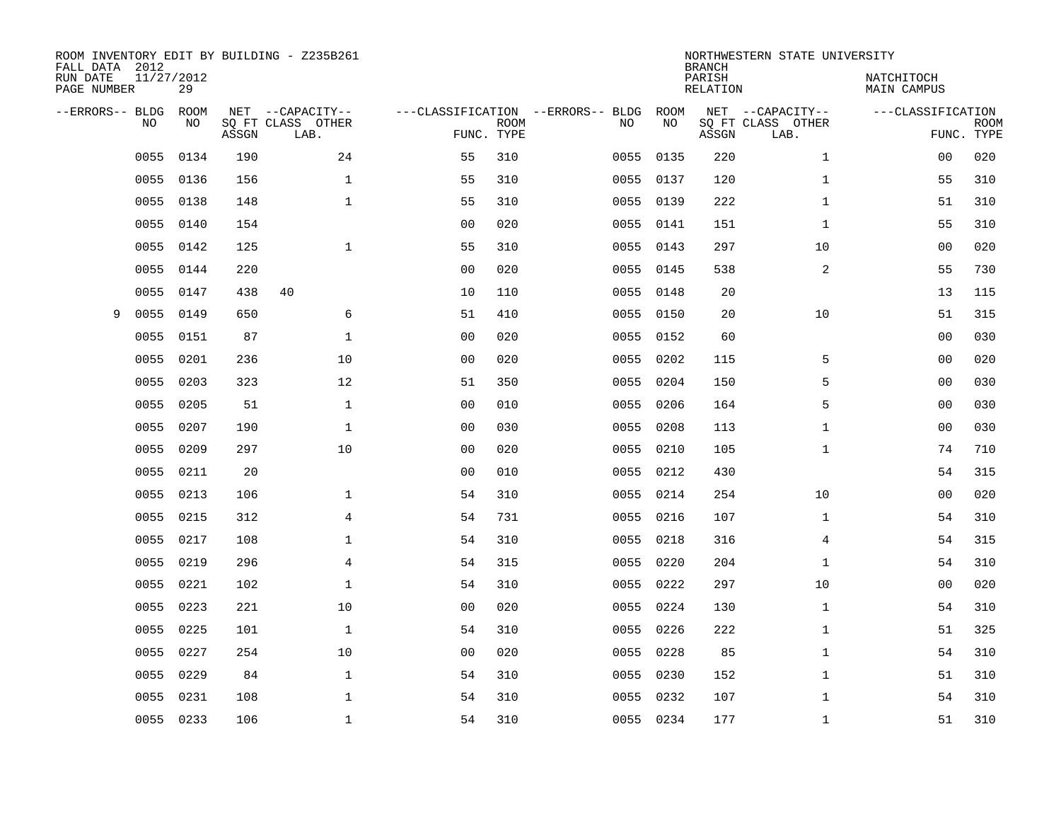| ROOM INVENTORY EDIT BY BUILDING - Z235B261<br>FALL DATA 2012 |                  |       |                           |                |             |                                   |           | <b>BRANCH</b>             | NORTHWESTERN STATE UNIVERSITY |                           |                           |
|--------------------------------------------------------------|------------------|-------|---------------------------|----------------|-------------|-----------------------------------|-----------|---------------------------|-------------------------------|---------------------------|---------------------------|
| RUN DATE<br>PAGE NUMBER                                      | 11/27/2012<br>29 |       |                           |                |             |                                   |           | PARISH<br><b>RELATION</b> |                               | NATCHITOCH<br>MAIN CAMPUS |                           |
| --ERRORS-- BLDG                                              | ROOM             |       | NET --CAPACITY--          |                |             | ---CLASSIFICATION --ERRORS-- BLDG | ROOM      |                           | NET --CAPACITY--              | ---CLASSIFICATION         |                           |
| NO                                                           | NO               | ASSGN | SQ FT CLASS OTHER<br>LAB. | FUNC. TYPE     | <b>ROOM</b> | NO                                | NO        | ASSGN                     | SQ FT CLASS OTHER<br>LAB.     |                           | <b>ROOM</b><br>FUNC. TYPE |
| 0055                                                         | 0134             | 190   | 24                        | 55             | 310         | 0055                              | 0135      | 220                       | $\mathbf{1}$                  | 0 <sub>0</sub>            | 020                       |
| 0055                                                         | 0136             | 156   | $\mathbf 1$               | 55             | 310         |                                   | 0055 0137 | 120                       | $\mathbf{1}$                  | 55                        | 310                       |
| 0055                                                         | 0138             | 148   | $\mathbf{1}$              | 55             | 310         | 0055                              | 0139      | 222                       | $\mathbf{1}$                  | 51                        | 310                       |
| 0055                                                         | 0140             | 154   |                           | 0 <sub>0</sub> | 020         |                                   | 0055 0141 | 151                       | $\mathbf{1}$                  | 55                        | 310                       |
| 0055                                                         | 0142             | 125   | $\mathbf{1}$              | 55             | 310         | 0055                              | 0143      | 297                       | 10                            | 00                        | 020                       |
| 0055                                                         | 0144             | 220   |                           | 0 <sub>0</sub> | 020         |                                   | 0055 0145 | 538                       | 2                             | 55                        | 730                       |
| 0055                                                         | 0147             | 438   | 40                        | 10             | 110         |                                   | 0055 0148 | 20                        |                               | 13                        | 115                       |
| 0055<br>9                                                    | 0149             | 650   | 6                         | 51             | 410         |                                   | 0055 0150 | 20                        | 10                            | 51                        | 315                       |
| 0055                                                         | 0151             | 87    | $\mathbf{1}$              | 0 <sub>0</sub> | 020         | 0055                              | 0152      | 60                        |                               | 0 <sub>0</sub>            | 030                       |
| 0055                                                         | 0201             | 236   | 10                        | 0 <sub>0</sub> | 020         | 0055                              | 0202      | 115                       | 5                             | 0 <sub>0</sub>            | 020                       |
| 0055                                                         | 0203             | 323   | 12                        | 51             | 350         | 0055                              | 0204      | 150                       | 5                             | 0 <sub>0</sub>            | 030                       |
| 0055                                                         | 0205             | 51    | $\mathbf{1}$              | 0 <sub>0</sub> | 010         | 0055                              | 0206      | 164                       | 5                             | 0 <sub>0</sub>            | 030                       |
| 0055                                                         | 0207             | 190   | $\mathbf{1}$              | 0 <sub>0</sub> | 030         | 0055                              | 0208      | 113                       | $\mathbf{1}$                  | 0 <sub>0</sub>            | 030                       |
| 0055                                                         | 0209             | 297   | 10                        | 00             | 020         | 0055                              | 0210      | 105                       | $\mathbf{1}$                  | 74                        | 710                       |
| 0055                                                         | 0211             | 20    |                           | 0 <sub>0</sub> | 010         | 0055                              | 0212      | 430                       |                               | 54                        | 315                       |
| 0055                                                         | 0213             | 106   | $\mathbf 1$               | 54             | 310         | 0055                              | 0214      | 254                       | 10                            | 00                        | 020                       |
| 0055                                                         | 0215             | 312   | 4                         | 54             | 731         | 0055                              | 0216      | 107                       | $\mathbf{1}$                  | 54                        | 310                       |
| 0055                                                         | 0217             | 108   | $\mathbf 1$               | 54             | 310         | 0055                              | 0218      | 316                       | 4                             | 54                        | 315                       |
| 0055                                                         | 0219             | 296   | $\overline{4}$            | 54             | 315         |                                   | 0055 0220 | 204                       | $\mathbf{1}$                  | 54                        | 310                       |
| 0055                                                         | 0221             | 102   | $\mathbf 1$               | 54             | 310         | 0055                              | 0222      | 297                       | 10                            | 00                        | 020                       |
| 0055                                                         | 0223             | 221   | 10                        | 0 <sub>0</sub> | 020         |                                   | 0055 0224 | 130                       | $\mathbf{1}$                  | 54                        | 310                       |
| 0055                                                         | 0225             | 101   | $\mathbf{1}$              | 54             | 310         | 0055                              | 0226      | 222                       | $\mathbf{1}$                  | 51                        | 325                       |
| 0055                                                         | 0227             | 254   | 10                        | 0 <sub>0</sub> | 020         |                                   | 0055 0228 | 85                        | $\mathbf{1}$                  | 54                        | 310                       |
| 0055                                                         | 0229             | 84    | $\mathbf 1$               | 54             | 310         |                                   | 0055 0230 | 152                       | $\mathbf{1}$                  | 51                        | 310                       |
| 0055                                                         | 0231             | 108   | $\mathbf 1$               | 54             | 310         |                                   | 0055 0232 | 107                       | $\mathbf{1}$                  | 54                        | 310                       |
|                                                              | 0055 0233        | 106   | $\mathbf 1$               | 54             | 310         |                                   | 0055 0234 | 177                       | $\mathbf{1}$                  | 51                        | 310                       |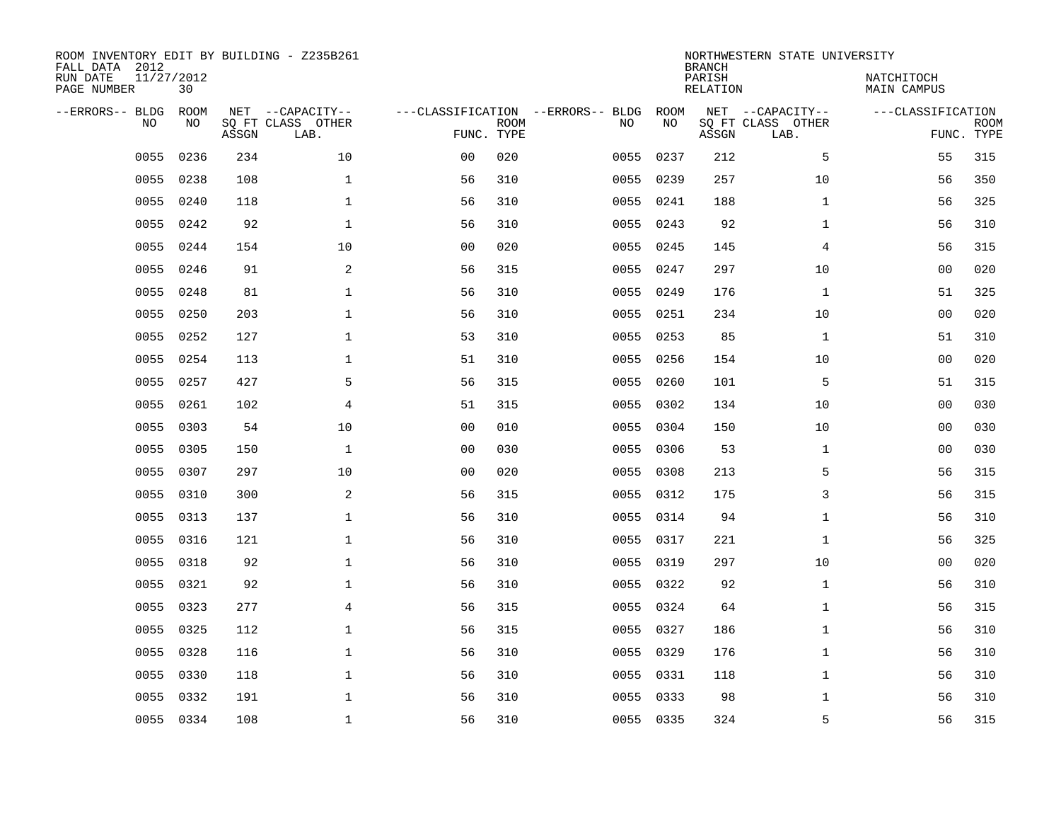| FALL DATA 2012<br>RUN DATE<br>PAGE NUMBER | 11/27/2012<br>30 |       | ROOM INVENTORY EDIT BY BUILDING - Z235B261    |                                                 |             |      |            | <b>BRANCH</b><br>PARISH<br>RELATION | NORTHWESTERN STATE UNIVERSITY                 | NATCHITOCH<br>MAIN CAMPUS |                           |
|-------------------------------------------|------------------|-------|-----------------------------------------------|-------------------------------------------------|-------------|------|------------|-------------------------------------|-----------------------------------------------|---------------------------|---------------------------|
| --ERRORS-- BLDG<br><b>NO</b>              | ROOM<br>NO.      | ASSGN | NET --CAPACITY--<br>SO FT CLASS OTHER<br>LAB. | ---CLASSIFICATION --ERRORS-- BLDG<br>FUNC. TYPE | <b>ROOM</b> | NO   | ROOM<br>NO | ASSGN                               | NET --CAPACITY--<br>SQ FT CLASS OTHER<br>LAB. | ---CLASSIFICATION         | <b>ROOM</b><br>FUNC. TYPE |
| 0055                                      | 0236             | 234   | 10                                            | 0 <sub>0</sub>                                  | 020         | 0055 | 0237       | 212                                 | 5                                             | 55                        | 315                       |
| 0055                                      | 0238             | 108   | $\mathbf 1$                                   | 56                                              | 310         | 0055 | 0239       | 257                                 | 10                                            | 56                        | 350                       |
| 0055                                      | 0240             | 118   | $\mathbf{1}$                                  | 56                                              | 310         | 0055 | 0241       | 188                                 | $\mathbf{1}$                                  | 56                        | 325                       |
| 0055                                      | 0242             | 92    | $\mathbf{1}$                                  | 56                                              | 310         |      | 0055 0243  | 92                                  | $\mathbf{1}$                                  | 56                        | 310                       |
| 0055                                      | 0244             | 154   | 10                                            | 0 <sub>0</sub>                                  | 020         | 0055 | 0245       | 145                                 | $\overline{4}$                                | 56                        | 315                       |
| 0055                                      | 0246             | 91    | 2                                             | 56                                              | 315         |      | 0055 0247  | 297                                 | 10                                            | 0 <sub>0</sub>            | 020                       |
| 0055                                      | 0248             | 81    | $\mathbf{1}$                                  | 56                                              | 310         | 0055 | 0249       | 176                                 | $\mathbf{1}$                                  | 51                        | 325                       |
| 0055                                      | 0250             | 203   | $\mathbf 1$                                   | 56                                              | 310         |      | 0055 0251  | 234                                 | 10                                            | 0 <sub>0</sub>            | 020                       |
| 0055                                      | 0252             | 127   | $\mathbf{1}$                                  | 53                                              | 310         | 0055 | 0253       | 85                                  | $\mathbf{1}$                                  | 51                        | 310                       |
| 0055                                      | 0254             | 113   | $\mathbf 1$                                   | 51                                              | 310         | 0055 | 0256       | 154                                 | 10                                            | 0 <sub>0</sub>            | 020                       |
| 0055                                      | 0257             | 427   | 5                                             | 56                                              | 315         | 0055 | 0260       | 101                                 | 5                                             | 51                        | 315                       |
| 0055                                      | 0261             | 102   | 4                                             | 51                                              | 315         |      | 0055 0302  | 134                                 | 10                                            | 00                        | 030                       |
| 0055                                      | 0303             | 54    | 10                                            | 0 <sub>0</sub>                                  | 010         | 0055 | 0304       | 150                                 | 10                                            | 00                        | 030                       |
| 0055                                      | 0305             | 150   | $\mathbf 1$                                   | 0 <sub>0</sub>                                  | 030         | 0055 | 0306       | 53                                  | $\mathbf{1}$                                  | 00                        | 030                       |
| 0055                                      | 0307             | 297   | 10                                            | 0 <sub>0</sub>                                  | 020         | 0055 | 0308       | 213                                 | 5                                             | 56                        | 315                       |
| 0055                                      | 0310             | 300   | 2                                             | 56                                              | 315         | 0055 | 0312       | 175                                 | 3                                             | 56                        | 315                       |
| 0055                                      | 0313             | 137   | $\mathbf{1}$                                  | 56                                              | 310         | 0055 | 0314       | 94                                  | $\mathbf{1}$                                  | 56                        | 310                       |
| 0055                                      | 0316             | 121   | $\mathbf{1}$                                  | 56                                              | 310         | 0055 | 0317       | 221                                 | $\mathbf{1}$                                  | 56                        | 325                       |
| 0055                                      | 0318             | 92    | $\mathbf{1}$                                  | 56                                              | 310         |      | 0055 0319  | 297                                 | 10                                            | 0 <sub>0</sub>            | 020                       |
| 0055                                      | 0321             | 92    | $\mathbf{1}$                                  | 56                                              | 310         |      | 0055 0322  | 92                                  | $\mathbf{1}$                                  | 56                        | 310                       |
| 0055                                      | 0323             | 277   | $\overline{4}$                                | 56                                              | 315         |      | 0055 0324  | 64                                  | $\mathbf{1}$                                  | 56                        | 315                       |
| 0055                                      | 0325             | 112   | $\mathbf{1}$                                  | 56                                              | 315         | 0055 | 0327       | 186                                 | $\mathbf{1}$                                  | 56                        | 310                       |
| 0055                                      | 0328             | 116   | $\mathbf{1}$                                  | 56                                              | 310         |      | 0055 0329  | 176                                 | $\mathbf{1}$                                  | 56                        | 310                       |
| 0055                                      | 0330             | 118   | $\mathbf{1}$                                  | 56                                              | 310         |      | 0055 0331  | 118                                 | $\mathbf{1}$                                  | 56                        | 310                       |
| 0055                                      | 0332             | 191   | 1                                             | 56                                              | 310         |      | 0055 0333  | 98                                  | $\mathbf{1}$                                  | 56                        | 310                       |
|                                           | 0055 0334        | 108   | $\mathbf 1$                                   | 56                                              | 310         |      | 0055 0335  | 324                                 | 5                                             | 56                        | 315                       |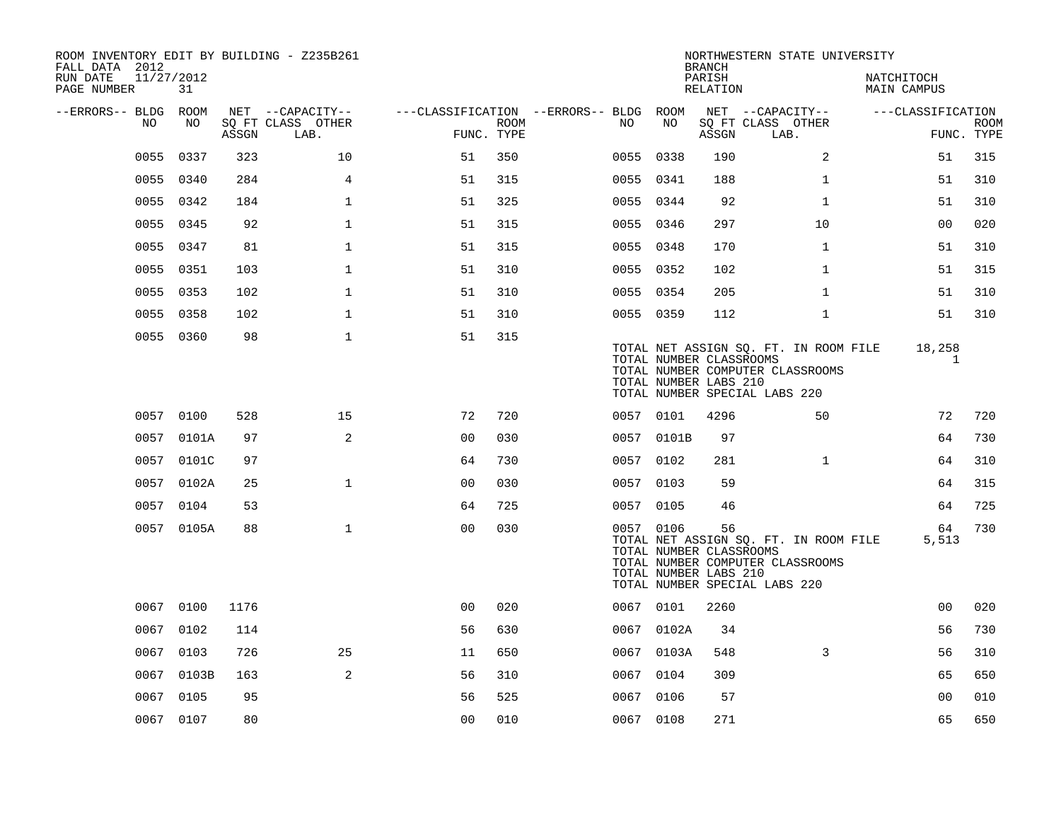| ROOM INVENTORY EDIT BY BUILDING - Z235B261<br>FALL DATA 2012 |            |       |                           |                                        |      |           |            | <b>BRANCH</b>                                          | NORTHWESTERN STATE UNIVERSITY                                                                              |                           |                           |
|--------------------------------------------------------------|------------|-------|---------------------------|----------------------------------------|------|-----------|------------|--------------------------------------------------------|------------------------------------------------------------------------------------------------------------|---------------------------|---------------------------|
| 11/27/2012<br>RUN DATE<br>PAGE NUMBER                        | 31         |       |                           |                                        |      |           |            | PARISH<br>RELATION                                     |                                                                                                            | NATCHITOCH<br>MAIN CAMPUS |                           |
| --ERRORS-- BLDG ROOM                                         |            |       | NET --CAPACITY--          | ---CLASSIFICATION --ERRORS-- BLDG ROOM |      |           |            |                                                        | NET --CAPACITY--                                                                                           | ---CLASSIFICATION         |                           |
| NO.                                                          | NO         | ASSGN | SQ FT CLASS OTHER<br>LAB. | FUNC. TYPE                             | ROOM | NO.       | NO         | ASSGN                                                  | SQ FT CLASS OTHER<br>LAB.                                                                                  |                           | <b>ROOM</b><br>FUNC. TYPE |
| 0055                                                         | 0337       | 323   | 10                        | 51                                     | 350  | 0055 0338 |            | 190                                                    | 2                                                                                                          | 51                        | 315                       |
|                                                              | 0055 0340  | 284   | 4                         | 51                                     | 315  | 0055 0341 |            | 188                                                    | $\mathbf{1}$                                                                                               | 51                        | 310                       |
| 0055                                                         | 0342       | 184   | $\mathbf{1}$              | 51                                     | 325  | 0055 0344 |            | 92                                                     | $\mathbf{1}$                                                                                               | 51                        | 310                       |
| 0055                                                         | 0345       | 92    | $\mathbf{1}$              | 51                                     | 315  | 0055 0346 |            | 297                                                    | 10                                                                                                         | 0 <sub>0</sub>            | 020                       |
| 0055                                                         | 0347       | 81    | $\mathbf 1$               | 51                                     | 315  | 0055 0348 |            | 170                                                    | $\mathbf{1}$                                                                                               | 51                        | 310                       |
|                                                              | 0055 0351  | 103   | $\mathbf{1}$              | 51                                     | 310  | 0055 0352 |            | 102                                                    | $\mathbf{1}$                                                                                               | 51                        | 315                       |
| 0055                                                         | 0353       | 102   | $\mathbf{1}$              | 51                                     | 310  | 0055 0354 |            | 205                                                    | $\mathbf{1}$                                                                                               | 51                        | 310                       |
|                                                              | 0055 0358  | 102   | $\mathbf{1}$              | 51                                     | 310  | 0055 0359 |            | 112                                                    | $\mathbf{1}$                                                                                               | 51                        | 310                       |
|                                                              | 0055 0360  | 98    | $\mathbf{1}$              | 51                                     | 315  |           |            | TOTAL NUMBER CLASSROOMS<br>TOTAL NUMBER LABS 210       | TOTAL NET ASSIGN SQ. FT. IN ROOM FILE<br>TOTAL NUMBER COMPUTER CLASSROOMS<br>TOTAL NUMBER SPECIAL LABS 220 | 18,258<br>1               |                           |
|                                                              | 0057 0100  | 528   | 15                        | 72                                     | 720  | 0057 0101 |            | 4296                                                   | 50                                                                                                         | 72                        | 720                       |
|                                                              | 0057 0101A | 97    | 2                         | 0 <sub>0</sub>                         | 030  |           | 0057 0101B | 97                                                     |                                                                                                            | 64                        | 730                       |
|                                                              | 0057 0101C | 97    |                           | 64                                     | 730  | 0057 0102 |            | 281                                                    | $\mathbf{1}$                                                                                               | 64                        | 310                       |
|                                                              | 0057 0102A | 25    | $\mathbf{1}$              | 0 <sub>0</sub>                         | 030  | 0057 0103 |            | 59                                                     |                                                                                                            | 64                        | 315                       |
|                                                              | 0057 0104  | 53    |                           | 64                                     | 725  | 0057 0105 |            | 46                                                     |                                                                                                            | 64                        | 725                       |
|                                                              | 0057 0105A | 88    | $\mathbf{1}$              | 0 <sub>0</sub>                         | 030  | 0057 0106 |            | 56<br>TOTAL NUMBER CLASSROOMS<br>TOTAL NUMBER LABS 210 | TOTAL NET ASSIGN SQ. FT. IN ROOM FILE<br>TOTAL NUMBER COMPUTER CLASSROOMS<br>TOTAL NUMBER SPECIAL LABS 220 | 64<br>5,513               | 730                       |
|                                                              | 0067 0100  | 1176  |                           | 0 <sub>0</sub>                         | 020  | 0067 0101 |            | 2260                                                   |                                                                                                            | 00                        | 020                       |
| 0067                                                         | 0102       | 114   |                           | 56                                     | 630  |           | 0067 0102A | 34                                                     |                                                                                                            | 56                        | 730                       |
|                                                              | 0067 0103  | 726   | 25                        | 11                                     | 650  |           | 0067 0103A | 548                                                    | 3                                                                                                          | 56                        | 310                       |
|                                                              | 0067 0103B | 163   | 2                         | 56                                     | 310  | 0067      | 0104       | 309                                                    |                                                                                                            | 65                        | 650                       |
|                                                              | 0067 0105  | 95    |                           | 56                                     | 525  | 0067 0106 |            | 57                                                     |                                                                                                            | 00                        | 010                       |
|                                                              | 0067 0107  | 80    |                           | 0 <sub>0</sub>                         | 010  | 0067 0108 |            | 271                                                    |                                                                                                            | 65                        | 650                       |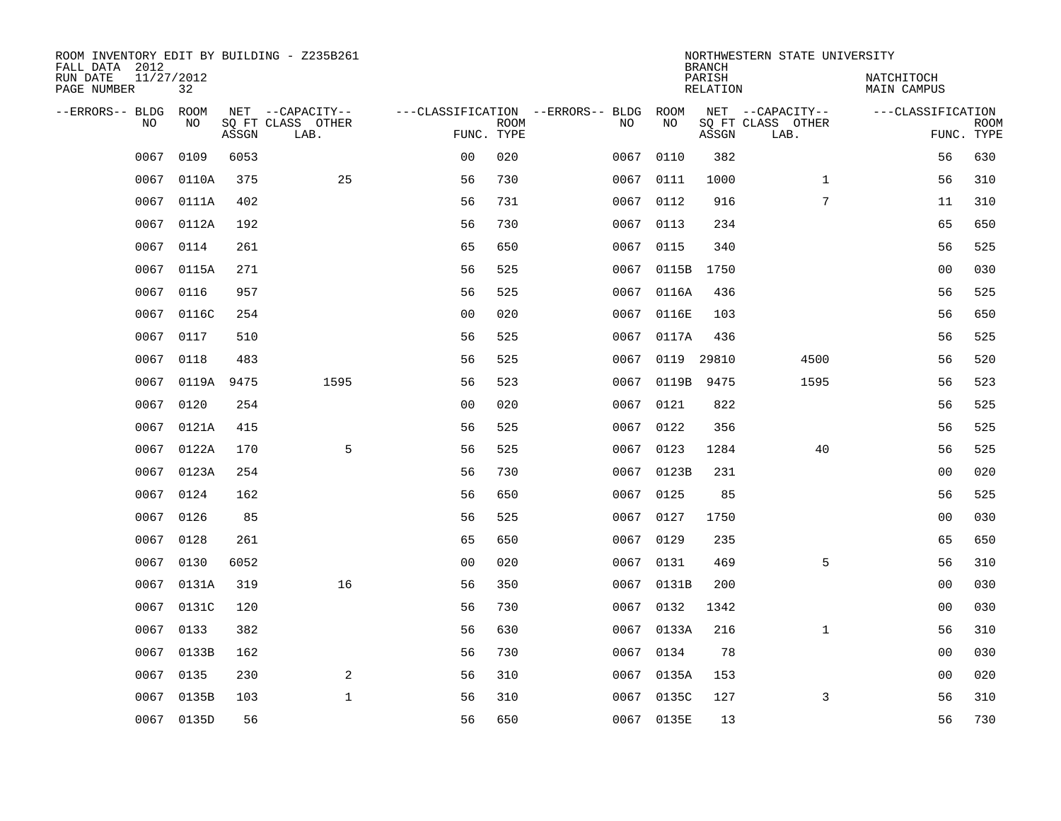| ROOM INVENTORY EDIT BY BUILDING - Z235B261<br>FALL DATA 2012 |                  |       |                                       |                                        |             |      |                 | <b>BRANCH</b>             | NORTHWESTERN STATE UNIVERSITY         |                                  |             |
|--------------------------------------------------------------|------------------|-------|---------------------------------------|----------------------------------------|-------------|------|-----------------|---------------------------|---------------------------------------|----------------------------------|-------------|
| RUN DATE<br>PAGE NUMBER                                      | 11/27/2012<br>32 |       |                                       |                                        |             |      |                 | PARISH<br><b>RELATION</b> |                                       | NATCHITOCH<br><b>MAIN CAMPUS</b> |             |
| --ERRORS-- BLDG<br>NO                                        | ROOM<br>NO       |       | NET --CAPACITY--<br>SQ FT CLASS OTHER | ---CLASSIFICATION --ERRORS-- BLDG ROOM | <b>ROOM</b> | NO   | NO              |                           | NET --CAPACITY--<br>SQ FT CLASS OTHER | ---CLASSIFICATION                | <b>ROOM</b> |
|                                                              |                  | ASSGN | LAB.                                  | FUNC. TYPE                             |             |      |                 | ASSGN                     | LAB.                                  |                                  | FUNC. TYPE  |
| 0067                                                         | 0109             | 6053  |                                       | 0 <sub>0</sub>                         | 020         | 0067 | 0110            | 382                       |                                       | 56                               | 630         |
| 0067                                                         | 0110A            | 375   | 25                                    | 56                                     | 730         |      | 0067 0111       | 1000                      | $\mathbf{1}$                          | 56                               | 310         |
| 0067                                                         | 0111A            | 402   |                                       | 56                                     | 731         | 0067 | 0112            | 916                       | 7                                     | 11                               | 310         |
| 0067                                                         | 0112A            | 192   |                                       | 56                                     | 730         |      | 0067 0113       | 234                       |                                       | 65                               | 650         |
| 0067                                                         | 0114             | 261   |                                       | 65                                     | 650         | 0067 | 0115            | 340                       |                                       | 56                               | 525         |
| 0067                                                         | 0115A            | 271   |                                       | 56                                     | 525         |      | 0067 0115B      | 1750                      |                                       | 0 <sub>0</sub>                   | 030         |
| 0067                                                         | 0116             | 957   |                                       | 56                                     | 525         | 0067 | 0116A           | 436                       |                                       | 56                               | 525         |
| 0067                                                         | 0116C            | 254   |                                       | 0 <sub>0</sub>                         | 020         |      | 0067 0116E      | 103                       |                                       | 56                               | 650         |
| 0067                                                         | 0117             | 510   |                                       | 56                                     | 525         | 0067 | 0117A           | 436                       |                                       | 56                               | 525         |
|                                                              | 0067 0118        | 483   |                                       | 56                                     | 525         |      | 0067 0119 29810 |                           | 4500                                  | 56                               | 520         |
|                                                              | 0067 0119A       | 9475  | 1595                                  | 56                                     | 523         |      | 0067 0119B      | 9475                      | 1595                                  | 56                               | 523         |
|                                                              | 0067 0120        | 254   |                                       | 0 <sub>0</sub>                         | 020         |      | 0067 0121       | 822                       |                                       | 56                               | 525         |
| 0067                                                         | 0121A            | 415   |                                       | 56                                     | 525         | 0067 | 0122            | 356                       |                                       | 56                               | 525         |
| 0067                                                         | 0122A            | 170   | 5                                     | 56                                     | 525         |      | 0067 0123       | 1284                      | 40                                    | 56                               | 525         |
| 0067                                                         | 0123A            | 254   |                                       | 56                                     | 730         |      | 0067 0123B      | 231                       |                                       | 00                               | 020         |
| 0067                                                         | 0124             | 162   |                                       | 56                                     | 650         | 0067 | 0125            | 85                        |                                       | 56                               | 525         |
| 0067                                                         | 0126             | 85    |                                       | 56                                     | 525         | 0067 | 0127            | 1750                      |                                       | 0 <sub>0</sub>                   | 030         |
| 0067                                                         | 0128             | 261   |                                       | 65                                     | 650         | 0067 | 0129            | 235                       |                                       | 65                               | 650         |
| 0067                                                         | 0130             | 6052  |                                       | 0 <sub>0</sub>                         | 020         |      | 0067 0131       | 469                       | 5                                     | 56                               | 310         |
| 0067                                                         | 0131A            | 319   | 16                                    | 56                                     | 350         |      | 0067 0131B      | 200                       |                                       | 0 <sub>0</sub>                   | 030         |
| 0067                                                         | 0131C            | 120   |                                       | 56                                     | 730         |      | 0067 0132       | 1342                      |                                       | 00                               | 030         |
| 0067                                                         | 0133             | 382   |                                       | 56                                     | 630         |      | 0067 0133A      | 216                       | $\mathbf{1}$                          | 56                               | 310         |
| 0067                                                         | 0133B            | 162   |                                       | 56                                     | 730         |      | 0067 0134       | 78                        |                                       | 00                               | 030         |
| 0067                                                         | 0135             | 230   | 2                                     | 56                                     | 310         |      | 0067 0135A      | 153                       |                                       | 0 <sub>0</sub>                   | 020         |
| 0067                                                         | 0135B            | 103   | $\mathbf{1}$                          | 56                                     | 310         |      | 0067 0135C      | 127                       | 3                                     | 56                               | 310         |
|                                                              | 0067 0135D       | 56    |                                       | 56                                     | 650         |      | 0067 0135E      | 13                        |                                       | 56                               | 730         |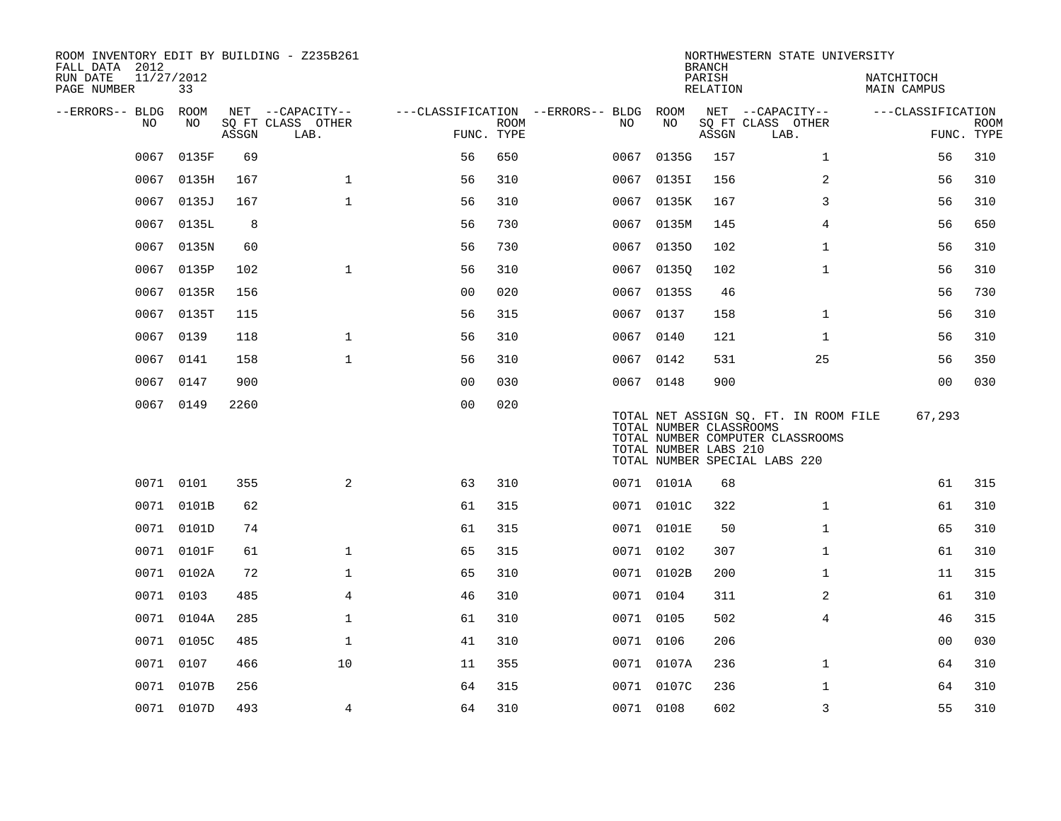| ROOM INVENTORY EDIT BY BUILDING - Z235B261<br>FALL DATA 2012<br>RUN DATE<br>PAGE NUMBER | 11/27/2012<br>33 |       |                                               |                                                      |             |           |                                                  | <b>BRANCH</b><br>PARISH<br><b>RELATION</b> | NORTHWESTERN STATE UNIVERSITY                                                                              | NATCHITOCH<br><b>MAIN CAMPUS</b> |                           |
|-----------------------------------------------------------------------------------------|------------------|-------|-----------------------------------------------|------------------------------------------------------|-------------|-----------|--------------------------------------------------|--------------------------------------------|------------------------------------------------------------------------------------------------------------|----------------------------------|---------------------------|
| --ERRORS-- BLDG<br>NO.                                                                  | ROOM<br>NO.      | ASSGN | NET --CAPACITY--<br>SQ FT CLASS OTHER<br>LAB. | ---CLASSIFICATION --ERRORS-- BLDG ROOM<br>FUNC. TYPE | <b>ROOM</b> | NO.       | NO                                               | ASSGN                                      | NET --CAPACITY--<br>SQ FT CLASS OTHER<br>LAB.                                                              | ---CLASSIFICATION                | <b>ROOM</b><br>FUNC. TYPE |
| 0067                                                                                    | 0135F            | 69    |                                               | 56                                                   | 650         | 0067      | 0135G                                            | 157                                        | $\mathbf{1}$                                                                                               | 56                               | 310                       |
| 0067                                                                                    | 0135H            | 167   | $\mathbf{1}$                                  | 56                                                   | 310         | 0067      | 0135I                                            | 156                                        | 2                                                                                                          | 56                               | 310                       |
| 0067                                                                                    | 0135J            | 167   | $\mathbf{1}$                                  | 56                                                   | 310         |           | 0067 0135K                                       | 167                                        | 3                                                                                                          | 56                               | 310                       |
| 0067                                                                                    | 0135L            | 8     |                                               | 56                                                   | 730         | 0067      | 0135M                                            | 145                                        | 4                                                                                                          | 56                               | 650                       |
| 0067                                                                                    | 0135N            | 60    |                                               | 56                                                   | 730         |           | 0067 01350                                       | 102                                        | $\mathbf{1}$                                                                                               | 56                               | 310                       |
| 0067                                                                                    | 0135P            | 102   | $\mathbf{1}$                                  | 56                                                   | 310         | 0067      | 01350                                            | 102                                        | $\mathbf{1}$                                                                                               | 56                               | 310                       |
| 0067                                                                                    | 0135R            | 156   |                                               | 0 <sub>0</sub>                                       | 020         |           | 0067 0135S                                       | 46                                         |                                                                                                            | 56                               | 730                       |
| 0067                                                                                    | 0135T            | 115   |                                               | 56                                                   | 315         | 0067      | 0137                                             | 158                                        | $\mathbf{1}$                                                                                               | 56                               | 310                       |
| 0067                                                                                    | 0139             | 118   | $\mathbf 1$                                   | 56                                                   | 310         | 0067 0140 |                                                  | 121                                        | $\mathbf{1}$                                                                                               | 56                               | 310                       |
| 0067                                                                                    | 0141             | 158   | $\mathbf 1$                                   | 56                                                   | 310         | 0067 0142 |                                                  | 531                                        | 25                                                                                                         | 56                               | 350                       |
| 0067                                                                                    | 0147             | 900   |                                               | 0 <sub>0</sub>                                       | 030         | 0067 0148 |                                                  | 900                                        |                                                                                                            | 0 <sub>0</sub>                   | 030                       |
| 0067                                                                                    | 0149             | 2260  |                                               | 0 <sub>0</sub>                                       | 020         |           | TOTAL NUMBER CLASSROOMS<br>TOTAL NUMBER LABS 210 |                                            | TOTAL NET ASSIGN SQ. FT. IN ROOM FILE<br>TOTAL NUMBER COMPUTER CLASSROOMS<br>TOTAL NUMBER SPECIAL LABS 220 | 67,293                           |                           |
|                                                                                         | 0071 0101        | 355   | $\overline{2}$                                | 63                                                   | 310         |           | 0071 0101A                                       | 68                                         |                                                                                                            | 61                               | 315                       |
|                                                                                         | 0071 0101B       | 62    |                                               | 61                                                   | 315         |           | 0071 0101C                                       | 322                                        | $\mathbf{1}$                                                                                               | 61                               | 310                       |
|                                                                                         | 0071 0101D       | 74    |                                               | 61                                                   | 315         |           | 0071 0101E                                       | 50                                         | $\mathbf{1}$                                                                                               | 65                               | 310                       |
|                                                                                         | 0071 0101F       | 61    | $\mathbf{1}$                                  | 65                                                   | 315         | 0071 0102 |                                                  | 307                                        | $\mathbf{1}$                                                                                               | 61                               | 310                       |
|                                                                                         | 0071 0102A       | 72    | $\mathbf{1}$                                  | 65                                                   | 310         |           | 0071 0102B                                       | 200                                        | $\mathbf{1}$                                                                                               | 11                               | 315                       |
|                                                                                         | 0071 0103        | 485   | 4                                             | 46                                                   | 310         | 0071 0104 |                                                  | 311                                        | 2                                                                                                          | 61                               | 310                       |
|                                                                                         | 0071 0104A       | 285   | $\mathbf 1$                                   | 61                                                   | 310         | 0071 0105 |                                                  | 502                                        | $\overline{4}$                                                                                             | 46                               | 315                       |
|                                                                                         | 0071 0105C       | 485   | $\mathbf{1}$                                  | 41                                                   | 310         | 0071 0106 |                                                  | 206                                        |                                                                                                            | 0 <sub>0</sub>                   | 030                       |
|                                                                                         | 0071 0107        | 466   | 10                                            | 11                                                   | 355         |           | 0071 0107A                                       | 236                                        | $\mathbf{1}$                                                                                               | 64                               | 310                       |
|                                                                                         | 0071 0107B       | 256   |                                               | 64                                                   | 315         |           | 0071 0107C                                       | 236                                        | $\mathbf{1}$                                                                                               | 64                               | 310                       |
|                                                                                         | 0071 0107D       | 493   | $\overline{4}$                                | 64                                                   | 310         | 0071 0108 |                                                  | 602                                        | 3                                                                                                          | 55                               | 310                       |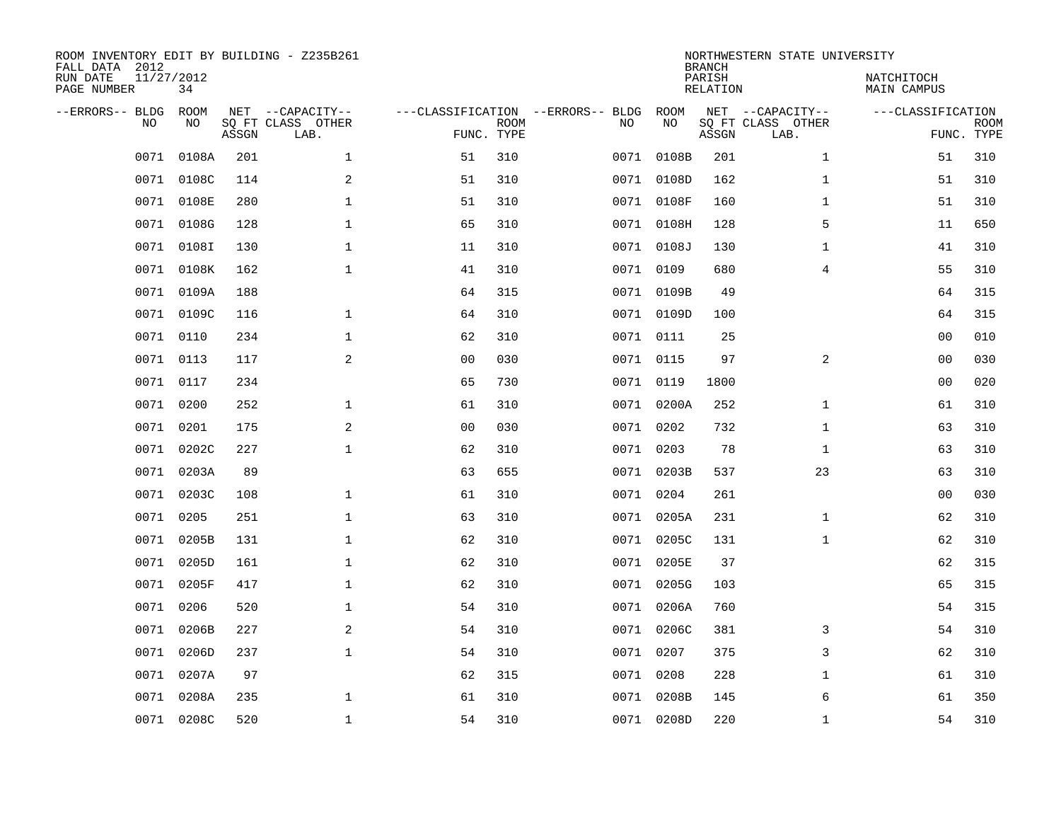| ROOM INVENTORY EDIT BY BUILDING - Z235B261<br>FALL DATA 2012<br>RUN DATE<br>PAGE NUMBER | 11/27/2012<br>34 |       |                                               |                |             |                                              |            | <b>BRANCH</b><br>PARISH<br>RELATION | NORTHWESTERN STATE UNIVERSITY                 | NATCHITOCH<br>MAIN CAMPUS |                           |
|-----------------------------------------------------------------------------------------|------------------|-------|-----------------------------------------------|----------------|-------------|----------------------------------------------|------------|-------------------------------------|-----------------------------------------------|---------------------------|---------------------------|
| --ERRORS-- BLDG<br><b>NO</b>                                                            | ROOM<br>NO.      | ASSGN | NET --CAPACITY--<br>SQ FT CLASS OTHER<br>LAB. | FUNC. TYPE     | <b>ROOM</b> | ---CLASSIFICATION --ERRORS-- BLDG ROOM<br>NO | NO         | ASSGN                               | NET --CAPACITY--<br>SQ FT CLASS OTHER<br>LAB. | ---CLASSIFICATION         | <b>ROOM</b><br>FUNC. TYPE |
| 0071                                                                                    | 0108A            | 201   | $\mathbf{1}$                                  | 51             | 310         |                                              | 0071 0108B | 201                                 | $\mathbf{1}$                                  | 51                        | 310                       |
|                                                                                         | 0071 0108C       | 114   | 2                                             | 51             | 310         |                                              | 0071 0108D | 162                                 | $\mathbf{1}$                                  | 51                        | 310                       |
| 0071                                                                                    | 0108E            | 280   | $\mathbf 1$                                   | 51             | 310         |                                              | 0071 0108F | 160                                 | $\mathbf{1}$                                  | 51                        | 310                       |
|                                                                                         | 0071 0108G       | 128   | 1                                             | 65             | 310         |                                              | 0071 0108H | 128                                 | 5                                             | 11                        | 650                       |
| 0071                                                                                    | 0108I            | 130   | $\mathbf 1$                                   | 11             | 310         |                                              | 0071 0108J | 130                                 | $\mathbf{1}$                                  | 41                        | 310                       |
|                                                                                         | 0071 0108K       | 162   | $\mathbf{1}$                                  | 41             | 310         |                                              | 0071 0109  | 680                                 | 4                                             | 55                        | 310                       |
| 0071                                                                                    | 0109A            | 188   |                                               | 64             | 315         |                                              | 0071 0109B | 49                                  |                                               | 64                        | 315                       |
|                                                                                         | 0071 0109C       | 116   | $\mathbf 1$                                   | 64             | 310         |                                              | 0071 0109D | 100                                 |                                               | 64                        | 315                       |
| 0071                                                                                    | 0110             | 234   | $\mathbf 1$                                   | 62             | 310         |                                              | 0071 0111  | 25                                  |                                               | 00                        | 010                       |
|                                                                                         | 0071 0113        | 117   | 2                                             | 0 <sub>0</sub> | 030         |                                              | 0071 0115  | 97                                  | 2                                             | 00                        | 030                       |
| 0071                                                                                    | 0117             | 234   |                                               | 65             | 730         |                                              | 0071 0119  | 1800                                |                                               | 00                        | 020                       |
|                                                                                         | 0071 0200        | 252   | $\mathbf 1$                                   | 61             | 310         |                                              | 0071 0200A | 252                                 | $\mathbf{1}$                                  | 61                        | 310                       |
| 0071                                                                                    | 0201             | 175   | 2                                             | 0 <sub>0</sub> | 030         |                                              | 0071 0202  | 732                                 | $\mathbf{1}$                                  | 63                        | 310                       |
| 0071                                                                                    | 0202C            | 227   | $\mathbf 1$                                   | 62             | 310         |                                              | 0071 0203  | 78                                  | $\mathbf{1}$                                  | 63                        | 310                       |
| 0071                                                                                    | 0203A            | 89    |                                               | 63             | 655         |                                              | 0071 0203B | 537                                 | 23                                            | 63                        | 310                       |
| 0071                                                                                    | 0203C            | 108   | $\mathbf 1$                                   | 61             | 310         |                                              | 0071 0204  | 261                                 |                                               | 0 <sub>0</sub>            | 030                       |
| 0071                                                                                    | 0205             | 251   | $\mathbf{1}$                                  | 63             | 310         |                                              | 0071 0205A | 231                                 | $\mathbf{1}$                                  | 62                        | 310                       |
| 0071                                                                                    | 0205B            | 131   | $\mathbf{1}$                                  | 62             | 310         |                                              | 0071 0205C | 131                                 | $\mathbf{1}$                                  | 62                        | 310                       |
|                                                                                         | 0071 0205D       | 161   | $\mathbf{1}$                                  | 62             | 310         |                                              | 0071 0205E | 37                                  |                                               | 62                        | 315                       |
| 0071                                                                                    | 0205F            | 417   | $\mathbf{1}$                                  | 62             | 310         |                                              | 0071 0205G | 103                                 |                                               | 65                        | 315                       |
| 0071                                                                                    | 0206             | 520   | $\mathbf{1}$                                  | 54             | 310         |                                              | 0071 0206A | 760                                 |                                               | 54                        | 315                       |
| 0071                                                                                    | 0206B            | 227   | 2                                             | 54             | 310         |                                              | 0071 0206C | 381                                 | 3                                             | 54                        | 310                       |
| 0071                                                                                    | 0206D            | 237   | $\mathbf 1$                                   | 54             | 310         |                                              | 0071 0207  | 375                                 | 3                                             | 62                        | 310                       |
| 0071                                                                                    | 0207A            | 97    |                                               | 62             | 315         |                                              | 0071 0208  | 228                                 | $\mathbf{1}$                                  | 61                        | 310                       |
| 0071                                                                                    | 0208A            | 235   | 1                                             | 61             | 310         |                                              | 0071 0208B | 145                                 | 6                                             | 61                        | 350                       |
|                                                                                         | 0071 0208C       | 520   | 1                                             | 54             | 310         |                                              | 0071 0208D | 220                                 | $\mathbf{1}$                                  | 54                        | 310                       |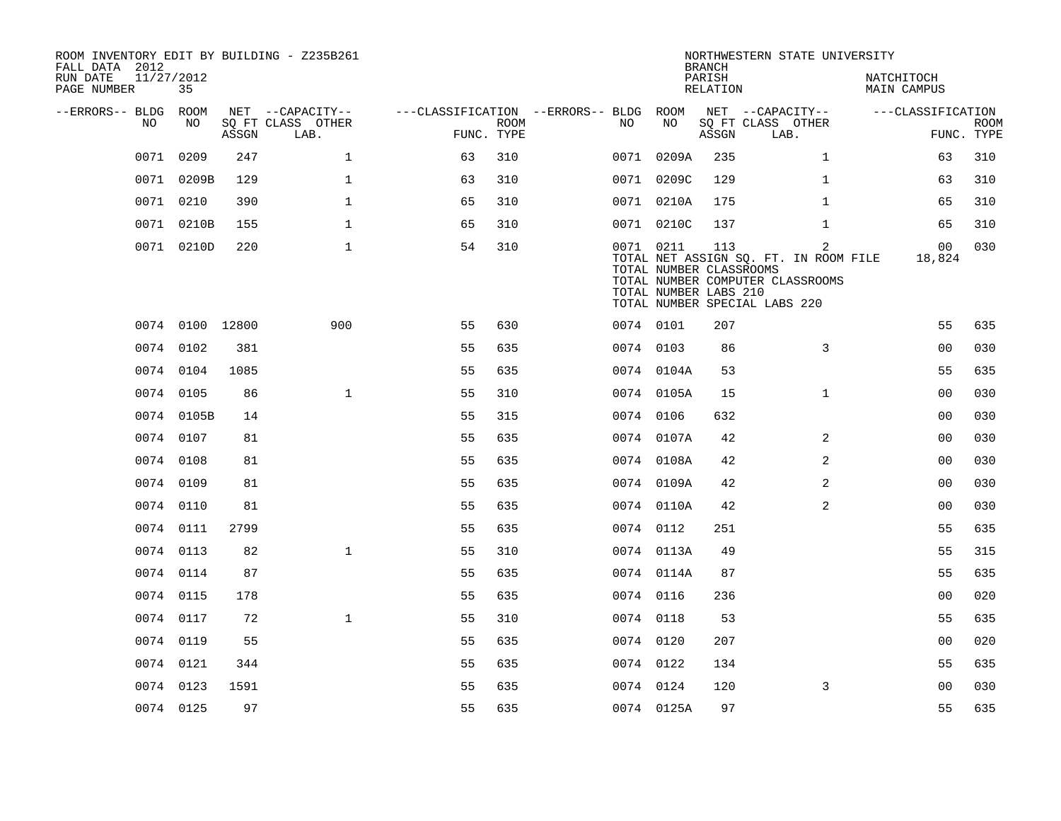| ROOM INVENTORY EDIT BY BUILDING - Z235B261<br>FALL DATA 2012<br>11/27/2012<br>RUN DATE<br>PAGE NUMBER | 35              |       |                                       |                                        |             |           |                                                               | <b>BRANCH</b><br>PARISH<br>RELATION | NORTHWESTERN STATE UNIVERSITY                                                                                   | NATCHITOCH<br>MAIN CAMPUS |             |
|-------------------------------------------------------------------------------------------------------|-----------------|-------|---------------------------------------|----------------------------------------|-------------|-----------|---------------------------------------------------------------|-------------------------------------|-----------------------------------------------------------------------------------------------------------------|---------------------------|-------------|
|                                                                                                       |                 |       |                                       |                                        |             |           |                                                               |                                     |                                                                                                                 |                           |             |
| --ERRORS-- BLDG ROOM<br>NO                                                                            | NO              |       | NET --CAPACITY--<br>SQ FT CLASS OTHER | ---CLASSIFICATION --ERRORS-- BLDG ROOM | <b>ROOM</b> | NO        | NO                                                            |                                     | NET --CAPACITY--<br>SQ FT CLASS OTHER                                                                           | ---CLASSIFICATION         | <b>ROOM</b> |
|                                                                                                       |                 | ASSGN | LAB.                                  | FUNC. TYPE                             |             |           |                                                               | ASSGN                               | LAB.                                                                                                            |                           | FUNC. TYPE  |
|                                                                                                       | 0071 0209       | 247   | $\mathbf{1}$                          | 63                                     | 310         |           | 0071 0209A                                                    | 235                                 | $\mathbf{1}$                                                                                                    | 63                        | 310         |
|                                                                                                       | 0071 0209B      | 129   | $\mathbf{1}$                          | 63                                     | 310         |           | 0071 0209C                                                    | 129                                 | $\mathbf{1}$                                                                                                    | 63                        | 310         |
|                                                                                                       | 0071 0210       | 390   | $\mathbf{1}$                          | 65                                     | 310         |           | 0071 0210A                                                    | 175                                 | $\mathbf{1}$                                                                                                    | 65                        | 310         |
|                                                                                                       | 0071 0210B      | 155   | $\mathbf{1}$                          | 65                                     | 310         |           | 0071 0210C                                                    | 137                                 | $\mathbf{1}$                                                                                                    | 65                        | 310         |
|                                                                                                       | 0071 0210D      | 220   | $\mathbf{1}$                          | 54                                     | 310         |           | 0071 0211<br>TOTAL NUMBER CLASSROOMS<br>TOTAL NUMBER LABS 210 | 113                                 | 2<br>TOTAL NET ASSIGN SQ. FT. IN ROOM FILE<br>TOTAL NUMBER COMPUTER CLASSROOMS<br>TOTAL NUMBER SPECIAL LABS 220 | 00<br>18,824              | 030         |
|                                                                                                       | 0074 0100 12800 |       | 900                                   | 55                                     | 630         | 0074 0101 |                                                               | 207                                 |                                                                                                                 | 55                        | 635         |
|                                                                                                       | 0074 0102       | 381   |                                       | 55                                     | 635         | 0074 0103 |                                                               | 86                                  | 3                                                                                                               | 0 <sub>0</sub>            | 030         |
|                                                                                                       | 0074 0104       | 1085  |                                       | 55                                     | 635         |           | 0074 0104A                                                    | 53                                  |                                                                                                                 | 55                        | 635         |
|                                                                                                       | 0074 0105       | 86    | $\mathbf{1}$                          | 55                                     | 310         |           | 0074 0105A                                                    | 15                                  | $\mathbf{1}$                                                                                                    | 0 <sub>0</sub>            | 030         |
|                                                                                                       | 0074 0105B      | 14    |                                       | 55                                     | 315         |           | 0074 0106                                                     | 632                                 |                                                                                                                 | 0 <sub>0</sub>            | 030         |
|                                                                                                       | 0074 0107       | 81    |                                       | 55                                     | 635         |           | 0074 0107A                                                    | 42                                  | 2                                                                                                               | 0 <sub>0</sub>            | 030         |
|                                                                                                       | 0074 0108       | 81    |                                       | 55                                     | 635         |           | 0074 0108A                                                    | 42                                  | $\overline{a}$                                                                                                  | 0 <sub>0</sub>            | 030         |
|                                                                                                       | 0074 0109       | 81    |                                       | 55                                     | 635         |           | 0074 0109A                                                    | 42                                  | $\overline{a}$                                                                                                  | 0 <sub>0</sub>            | 030         |
|                                                                                                       | 0074 0110       | 81    |                                       | 55                                     | 635         |           | 0074 0110A                                                    | 42                                  | 2                                                                                                               | 0 <sub>0</sub>            | 030         |
|                                                                                                       | 0074 0111       | 2799  |                                       | 55                                     | 635         |           | 0074 0112                                                     | 251                                 |                                                                                                                 | 55                        | 635         |
|                                                                                                       | 0074 0113       | 82    | $\mathbf{1}$                          | 55                                     | 310         |           | 0074 0113A                                                    | 49                                  |                                                                                                                 | 55                        | 315         |
|                                                                                                       | 0074 0114       | 87    |                                       | 55                                     | 635         |           | 0074 0114A                                                    | 87                                  |                                                                                                                 | 55                        | 635         |
|                                                                                                       | 0074 0115       | 178   |                                       | 55                                     | 635         | 0074 0116 |                                                               | 236                                 |                                                                                                                 | 0 <sub>0</sub>            | 020         |
|                                                                                                       | 0074 0117       | 72    | $\mathbf{1}$                          | 55                                     | 310         | 0074 0118 |                                                               | 53                                  |                                                                                                                 | 55                        | 635         |
|                                                                                                       | 0074 0119       | 55    |                                       | 55                                     | 635         | 0074 0120 |                                                               | 207                                 |                                                                                                                 | 0 <sub>0</sub>            | 020         |
|                                                                                                       | 0074 0121       | 344   |                                       | 55                                     | 635         |           | 0074 0122                                                     | 134                                 |                                                                                                                 | 55                        | 635         |
|                                                                                                       | 0074 0123       | 1591  |                                       | 55                                     | 635         | 0074 0124 |                                                               | 120                                 | 3                                                                                                               | 00                        | 030         |
|                                                                                                       | 0074 0125       | 97    |                                       | 55                                     | 635         |           | 0074 0125A                                                    | 97                                  |                                                                                                                 | 55                        | 635         |
|                                                                                                       |                 |       |                                       |                                        |             |           |                                                               |                                     |                                                                                                                 |                           |             |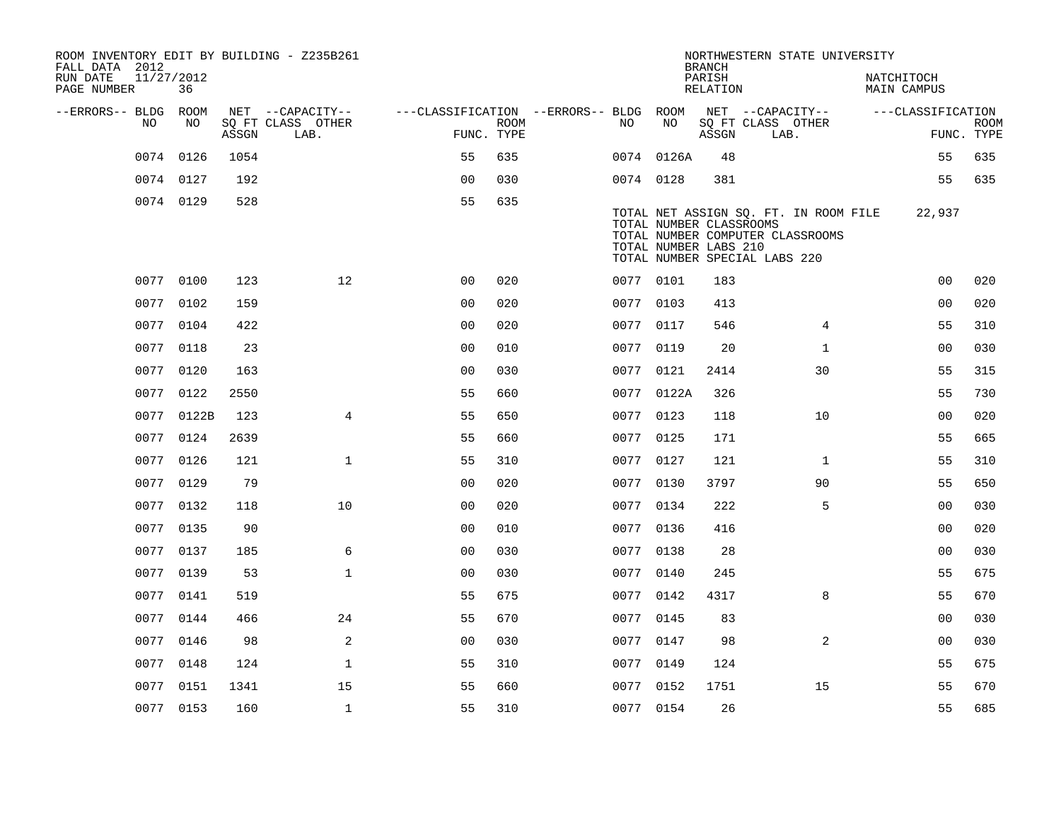| ROOM INVENTORY EDIT BY BUILDING - Z235B261<br>FALL DATA 2012 |                  |       |                           |                                        |             |           |            | <b>BRANCH</b>                                    | NORTHWESTERN STATE UNIVERSITY                                                                              |                                  |                |                           |
|--------------------------------------------------------------|------------------|-------|---------------------------|----------------------------------------|-------------|-----------|------------|--------------------------------------------------|------------------------------------------------------------------------------------------------------------|----------------------------------|----------------|---------------------------|
| RUN DATE<br>PAGE NUMBER                                      | 11/27/2012<br>36 |       |                           |                                        |             |           |            | PARISH<br>RELATION                               |                                                                                                            | NATCHITOCH<br><b>MAIN CAMPUS</b> |                |                           |
| --ERRORS-- BLDG ROOM                                         |                  |       | NET --CAPACITY--          | ---CLASSIFICATION --ERRORS-- BLDG ROOM |             |           |            |                                                  | NET --CAPACITY--                                                                                           | ---CLASSIFICATION                |                |                           |
| NO.                                                          | NO.              | ASSGN | SQ FT CLASS OTHER<br>LAB. | FUNC. TYPE                             | <b>ROOM</b> | NO        | NO         | ASSGN                                            | SQ FT CLASS OTHER<br>LAB.                                                                                  |                                  |                | <b>ROOM</b><br>FUNC. TYPE |
|                                                              | 0074 0126        | 1054  |                           | 55                                     | 635         |           | 0074 0126A | 48                                               |                                                                                                            |                                  | 55             | 635                       |
|                                                              | 0074 0127        | 192   |                           | 0 <sub>0</sub>                         | 030         |           | 0074 0128  | 381                                              |                                                                                                            |                                  | 55             | 635                       |
|                                                              | 0074 0129        | 528   |                           | 55                                     | 635         |           |            | TOTAL NUMBER CLASSROOMS<br>TOTAL NUMBER LABS 210 | TOTAL NET ASSIGN SQ. FT. IN ROOM FILE<br>TOTAL NUMBER COMPUTER CLASSROOMS<br>TOTAL NUMBER SPECIAL LABS 220 | 22,937                           |                |                           |
|                                                              | 0077 0100        | 123   | 12                        | 00                                     | 020         |           | 0077 0101  | 183                                              |                                                                                                            |                                  | 0 <sub>0</sub> | 020                       |
|                                                              | 0077 0102        | 159   |                           | 0 <sub>0</sub>                         | 020         |           | 0077 0103  | 413                                              |                                                                                                            |                                  | 00             | 020                       |
|                                                              | 0077 0104        | 422   |                           | 0 <sub>0</sub>                         | 020         |           | 0077 0117  | 546                                              | 4                                                                                                          |                                  | 55             | 310                       |
|                                                              | 0077 0118        | 23    |                           | 0 <sub>0</sub>                         | 010         |           | 0077 0119  | 20                                               | $\mathbf{1}$                                                                                               |                                  | 00             | 030                       |
|                                                              | 0077 0120        | 163   |                           | 0 <sub>0</sub>                         | 030         |           | 0077 0121  | 2414                                             | 30                                                                                                         |                                  | 55             | 315                       |
|                                                              | 0077 0122        | 2550  |                           | 55                                     | 660         |           | 0077 0122A | 326                                              |                                                                                                            |                                  | 55             | 730                       |
|                                                              | 0077 0122B       | 123   | $\overline{4}$            | 55                                     | 650         |           | 0077 0123  | 118                                              | 10                                                                                                         |                                  | 0 <sub>0</sub> | 020                       |
| 0077                                                         | 0124             | 2639  |                           | 55                                     | 660         | 0077      | 0125       | 171                                              |                                                                                                            |                                  | 55             | 665                       |
|                                                              | 0077 0126        | 121   | $\mathbf{1}$              | 55                                     | 310         |           | 0077 0127  | 121                                              | $\mathbf{1}$                                                                                               |                                  | 55             | 310                       |
|                                                              | 0077 0129        | 79    |                           | 0 <sub>0</sub>                         | 020         |           | 0077 0130  | 3797                                             | 90                                                                                                         |                                  | 55             | 650                       |
|                                                              | 0077 0132        | 118   | 10                        | 0 <sub>0</sub>                         | 020         |           | 0077 0134  | 222                                              | 5                                                                                                          |                                  | 0 <sub>0</sub> | 030                       |
|                                                              | 0077 0135        | 90    |                           | 00                                     | 010         |           | 0077 0136  | 416                                              |                                                                                                            |                                  | 0 <sub>0</sub> | 020                       |
|                                                              | 0077 0137        | 185   | 6                         | 0 <sub>0</sub>                         | 030         |           | 0077 0138  | 28                                               |                                                                                                            |                                  | 00             | 030                       |
|                                                              | 0077 0139        | 53    | $\mathbf{1}$              | 0 <sub>0</sub>                         | 030         |           | 0077 0140  | 245                                              |                                                                                                            |                                  | 55             | 675                       |
|                                                              | 0077 0141        | 519   |                           | 55                                     | 675         |           | 0077 0142  | 4317                                             | 8                                                                                                          |                                  | 55             | 670                       |
|                                                              | 0077 0144        | 466   | 24                        | 55                                     | 670         |           | 0077 0145  | 83                                               |                                                                                                            |                                  | 0 <sub>0</sub> | 030                       |
|                                                              | 0077 0146        | 98    | 2                         | 0 <sub>0</sub>                         | 030         |           | 0077 0147  | 98                                               | 2                                                                                                          |                                  | 0 <sub>0</sub> | 030                       |
|                                                              | 0077 0148        | 124   | $\mathbf{1}$              | 55                                     | 310         | 0077 0149 |            | 124                                              |                                                                                                            |                                  | 55             | 675                       |
|                                                              | 0077 0151        | 1341  | 15                        | 55                                     | 660         |           | 0077 0152  | 1751                                             | 15                                                                                                         |                                  | 55             | 670                       |
|                                                              | 0077 0153        | 160   | $\mathbf{1}$              | 55                                     | 310         |           | 0077 0154  | 26                                               |                                                                                                            |                                  | 55             | 685                       |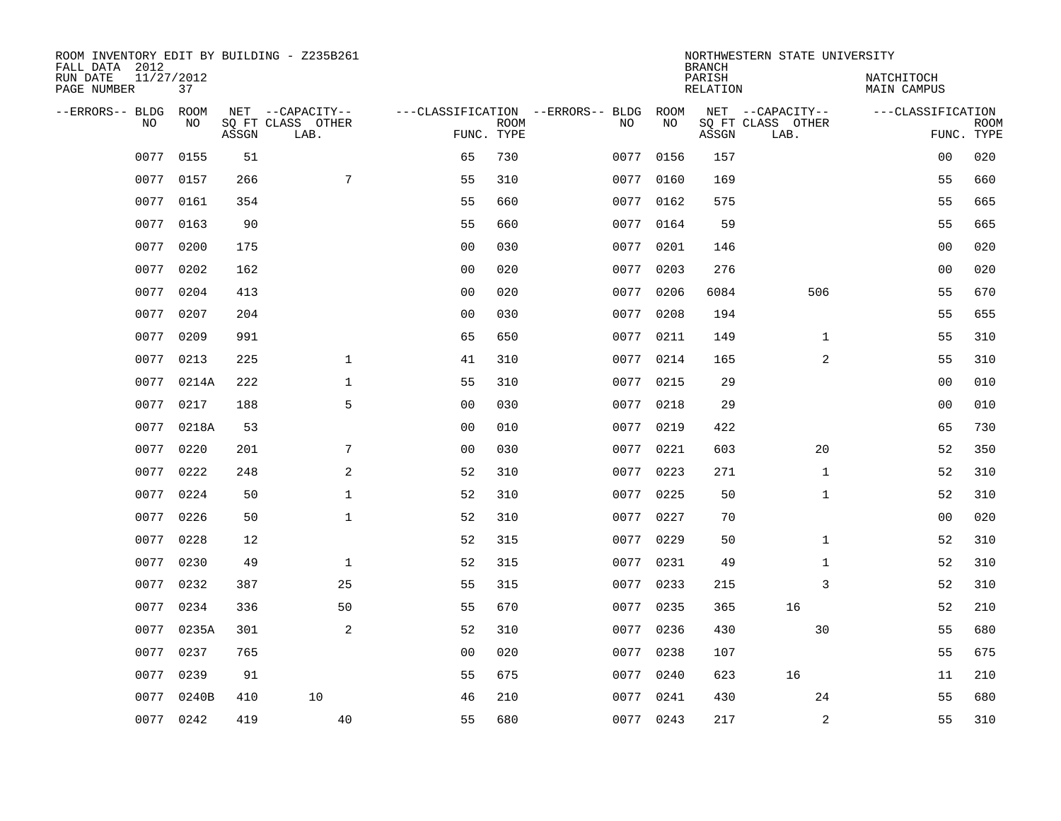| ROOM INVENTORY EDIT BY BUILDING - Z235B261<br>FALL DATA 2012 |                  |       |                           |                |             |                                         |            | <b>BRANCH</b>             | NORTHWESTERN STATE UNIVERSITY |                                  |             |
|--------------------------------------------------------------|------------------|-------|---------------------------|----------------|-------------|-----------------------------------------|------------|---------------------------|-------------------------------|----------------------------------|-------------|
| RUN DATE<br>PAGE NUMBER                                      | 11/27/2012<br>37 |       |                           |                |             |                                         |            | PARISH<br><b>RELATION</b> |                               | NATCHITOCH<br><b>MAIN CAMPUS</b> |             |
| --ERRORS-- BLDG<br>NO                                        | ROOM<br>NO       |       | NET --CAPACITY--          |                | <b>ROOM</b> | ---CLASSIFICATION --ERRORS-- BLDG<br>NO | ROOM<br>NO |                           | NET --CAPACITY--              | ---CLASSIFICATION                |             |
|                                                              |                  | ASSGN | SQ FT CLASS OTHER<br>LAB. | FUNC. TYPE     |             |                                         |            | ASSGN                     | SQ FT CLASS OTHER<br>LAB.     | FUNC. TYPE                       | <b>ROOM</b> |
| 0077                                                         | 0155             | 51    |                           | 65             | 730         | 0077                                    | 0156       | 157                       |                               | 0 <sub>0</sub>                   | 020         |
| 0077                                                         | 0157             | 266   | $\overline{7}$            | 55             | 310         |                                         | 0077 0160  | 169                       |                               | 55                               | 660         |
| 0077                                                         | 0161             | 354   |                           | 55             | 660         | 0077                                    | 0162       | 575                       |                               | 55                               | 665         |
| 0077                                                         | 0163             | 90    |                           | 55             | 660         |                                         | 0077 0164  | 59                        |                               | 55                               | 665         |
| 0077                                                         | 0200             | 175   |                           | 0 <sub>0</sub> | 030         | 0077                                    | 0201       | 146                       |                               | 0 <sub>0</sub>                   | 020         |
| 0077                                                         | 0202             | 162   |                           | 0 <sub>0</sub> | 020         |                                         | 0077 0203  | 276                       |                               | 0 <sub>0</sub>                   | 020         |
| 0077                                                         | 0204             | 413   |                           | 0 <sub>0</sub> | 020         | 0077                                    | 0206       | 6084                      | 506                           | 55                               | 670         |
| 0077                                                         | 0207             | 204   |                           | 0 <sub>0</sub> | 030         |                                         | 0077 0208  | 194                       |                               | 55                               | 655         |
| 0077                                                         | 0209             | 991   |                           | 65             | 650         | 0077                                    | 0211       | 149                       | $\mathbf{1}$                  | 55                               | 310         |
|                                                              | 0077 0213        | 225   | $\mathbf 1$               | 41             | 310         |                                         | 0077 0214  | 165                       | 2                             | 55                               | 310         |
| 0077                                                         | 0214A            | 222   | $\mathbf{1}$              | 55             | 310         | 0077                                    | 0215       | 29                        |                               | 0 <sub>0</sub>                   | 010         |
|                                                              | 0077 0217        | 188   | 5                         | 0 <sub>0</sub> | 030         |                                         | 0077 0218  | 29                        |                               | 0 <sub>0</sub>                   | 010         |
| 0077                                                         | 0218A            | 53    |                           | 0 <sub>0</sub> | 010         | 0077                                    | 0219       | 422                       |                               | 65                               | 730         |
| 0077                                                         | 0220             | 201   | 7                         | 0 <sub>0</sub> | 030         |                                         | 0077 0221  | 603                       | 20                            | 52                               | 350         |
| 0077                                                         | 0222             | 248   | 2                         | 52             | 310         | 0077                                    | 0223       | 271                       | $\mathbf{1}$                  | 52                               | 310         |
|                                                              | 0077 0224        | 50    | $\mathbf{1}$              | 52             | 310         |                                         | 0077 0225  | 50                        | $\mathbf{1}$                  | 52                               | 310         |
| 0077                                                         | 0226             | 50    | $\mathbf{1}$              | 52             | 310         | 0077                                    | 0227       | 70                        |                               | 0 <sub>0</sub>                   | 020         |
| 0077                                                         | 0228             | 12    |                           | 52             | 315         |                                         | 0077 0229  | 50                        | $\mathbf{1}$                  | 52                               | 310         |
| 0077                                                         | 0230             | 49    | $\mathbf{1}$              | 52             | 315         |                                         | 0077 0231  | 49                        | $\mathbf{1}$                  | 52                               | 310         |
| 0077                                                         | 0232             | 387   | 25                        | 55             | 315         | 0077                                    | 0233       | 215                       | 3                             | 52                               | 310         |
| 0077                                                         | 0234             | 336   | 50                        | 55             | 670         |                                         | 0077 0235  | 365                       | 16                            | 52                               | 210         |
| 0077                                                         | 0235A            | 301   | 2                         | 52             | 310         | 0077                                    | 0236       | 430                       | 30                            | 55                               | 680         |
| 0077                                                         | 0237             | 765   |                           | 0 <sub>0</sub> | 020         |                                         | 0077 0238  | 107                       |                               | 55                               | 675         |
| 0077                                                         | 0239             | 91    |                           | 55             | 675         |                                         | 0077 0240  | 623                       | 16                            | 11                               | 210         |
| 0077                                                         | 0240B            | 410   | 10                        | 46             | 210         |                                         | 0077 0241  | 430                       | 24                            | 55                               | 680         |
|                                                              | 0077 0242        | 419   | 40                        | 55             | 680         |                                         | 0077 0243  | 217                       | 2                             | 55                               | 310         |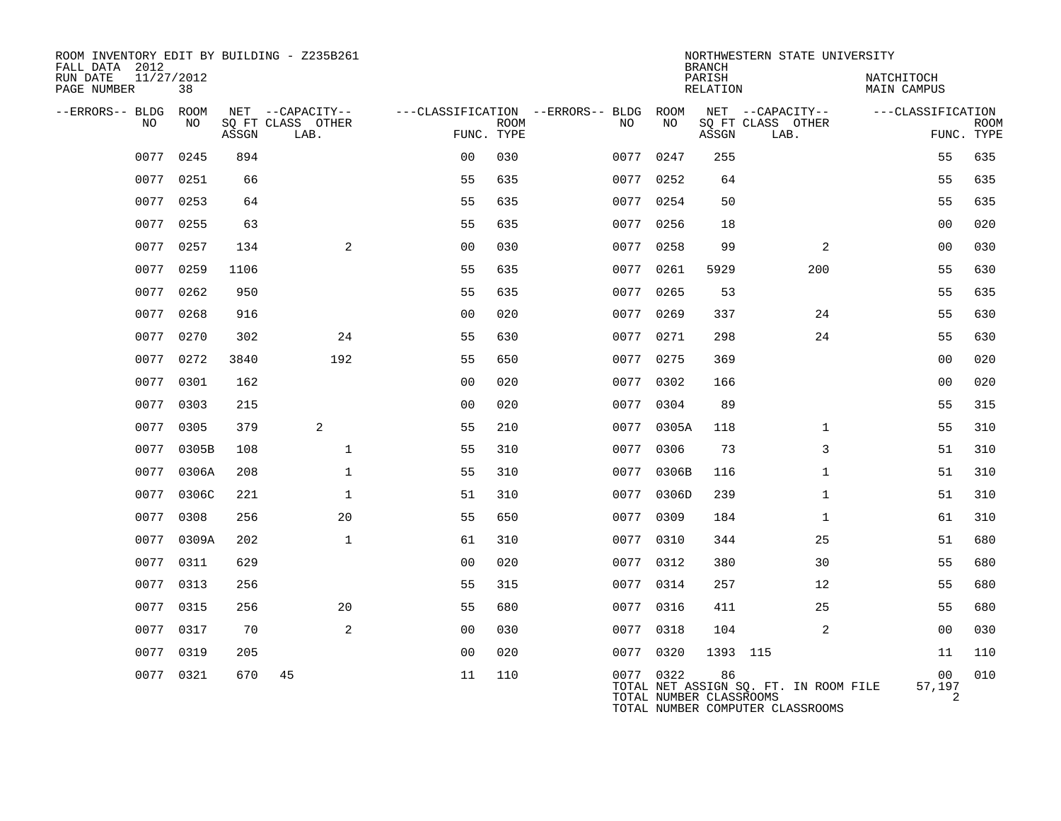| ROOM INVENTORY EDIT BY BUILDING - Z235B261<br>FALL DATA 2012 |                  |       |                           |                |             |                                        |                                      | <b>BRANCH</b>      | NORTHWESTERN STATE UNIVERSITY                                             |                           |                           |
|--------------------------------------------------------------|------------------|-------|---------------------------|----------------|-------------|----------------------------------------|--------------------------------------|--------------------|---------------------------------------------------------------------------|---------------------------|---------------------------|
| RUN DATE<br>PAGE NUMBER                                      | 11/27/2012<br>38 |       |                           |                |             |                                        |                                      | PARISH<br>RELATION |                                                                           | NATCHITOCH<br>MAIN CAMPUS |                           |
| --ERRORS-- BLDG ROOM                                         |                  |       | NET --CAPACITY--          |                |             | ---CLASSIFICATION --ERRORS-- BLDG ROOM |                                      |                    | NET --CAPACITY--                                                          | ---CLASSIFICATION         |                           |
| NO                                                           | NO               | ASSGN | SQ FT CLASS OTHER<br>LAB. | FUNC. TYPE     | <b>ROOM</b> | NO.                                    | NO                                   | ASSGN              | SQ FT CLASS OTHER<br>LAB.                                                 |                           | <b>ROOM</b><br>FUNC. TYPE |
| 0077                                                         | 0245             | 894   |                           | 0 <sup>0</sup> | 030         |                                        | 0077 0247                            | 255                |                                                                           | 55                        | 635                       |
|                                                              | 0077 0251        | 66    |                           | 55             | 635         | 0077                                   | 0252                                 | 64                 |                                                                           | 55                        | 635                       |
|                                                              | 0077 0253        | 64    |                           | 55             | 635         |                                        | 0077 0254                            | 50                 |                                                                           | 55                        | 635                       |
| 0077                                                         | 0255             | 63    |                           | 55             | 635         | 0077                                   | 0256                                 | 18                 |                                                                           | 0 <sub>0</sub>            | 020                       |
|                                                              | 0077 0257        | 134   | 2                         | 0 <sub>0</sub> | 030         |                                        | 0077 0258                            | 99                 | 2                                                                         | 0 <sub>0</sub>            | 030                       |
| 0077                                                         | 0259             | 1106  |                           | 55             | 635         | 0077                                   | 0261                                 | 5929               | 200                                                                       | 55                        | 630                       |
|                                                              | 0077 0262        | 950   |                           | 55             | 635         |                                        | 0077 0265                            | 53                 |                                                                           | 55                        | 635                       |
| 0077                                                         | 0268             | 916   |                           | 00             | 020         | 0077                                   | 0269                                 | 337                | 24                                                                        | 55                        | 630                       |
| 0077                                                         | 0270             | 302   | 24                        | 55             | 630         |                                        | 0077 0271                            | 298                | 24                                                                        | 55                        | 630                       |
| 0077                                                         | 0272             | 3840  | 192                       | 55             | 650         |                                        | 0077 0275                            | 369                |                                                                           | 0 <sub>0</sub>            | 020                       |
| 0077                                                         | 0301             | 162   |                           | 0 <sub>0</sub> | 020         |                                        | 0077 0302                            | 166                |                                                                           | 0 <sub>0</sub>            | 020                       |
| 0077                                                         | 0303             | 215   |                           | 0 <sub>0</sub> | 020         |                                        | 0077 0304                            | 89                 |                                                                           | 55                        | 315                       |
| 0077                                                         | 0305             | 379   | 2                         | 55             | 210         |                                        | 0077 0305A                           | 118                | $\mathbf{1}$                                                              | 55                        | 310                       |
| 0077                                                         | 0305B            | 108   | $\mathbf{1}$              | 55             | 310         | 0077                                   | 0306                                 | 73                 | 3                                                                         | 51                        | 310                       |
| 0077                                                         | 0306A            | 208   | $\mathbf{1}$              | 55             | 310         | 0077                                   | 0306B                                | 116                | $\mathbf{1}$                                                              | 51                        | 310                       |
|                                                              | 0077 0306C       | 221   | $\mathbf{1}$              | 51             | 310         |                                        | 0077 0306D                           | 239                | $\mathbf{1}$                                                              | 51                        | 310                       |
| 0077                                                         | 0308             | 256   | 20                        | 55             | 650         | 0077                                   | 0309                                 | 184                | $\mathbf{1}$                                                              | 61                        | 310                       |
|                                                              | 0077 0309A       | 202   | $\mathbf{1}$              | 61             | 310         |                                        | 0077 0310                            | 344                | 25                                                                        | 51                        | 680                       |
| 0077                                                         | 0311             | 629   |                           | 0 <sub>0</sub> | 020         | 0077                                   | 0312                                 | 380                | 30                                                                        | 55                        | 680                       |
|                                                              | 0077 0313        | 256   |                           | 55             | 315         |                                        | 0077 0314                            | 257                | 12                                                                        | 55                        | 680                       |
| 0077                                                         | 0315             | 256   | 20                        | 55             | 680         |                                        | 0077 0316                            | 411                | 25                                                                        | 55                        | 680                       |
| 0077                                                         | 0317             | 70    | 2                         | 0 <sub>0</sub> | 030         |                                        | 0077 0318                            | 104                | 2                                                                         | 0 <sub>0</sub>            | 030                       |
| 0077                                                         | 0319             | 205   |                           | 0 <sub>0</sub> | 020         | 0077                                   | 0320                                 | 1393 115           |                                                                           | 11                        | 110                       |
|                                                              | 0077 0321        | 670   | 45                        | 11             | 110         |                                        | 0077 0322<br>TOTAL NUMBER CLASSROOMS | 86                 | TOTAL NET ASSIGN SQ. FT. IN ROOM FILE<br>TOTAL NUMBER COMPUTER CLASSROOMS | 00<br>57,197<br>2         | 010                       |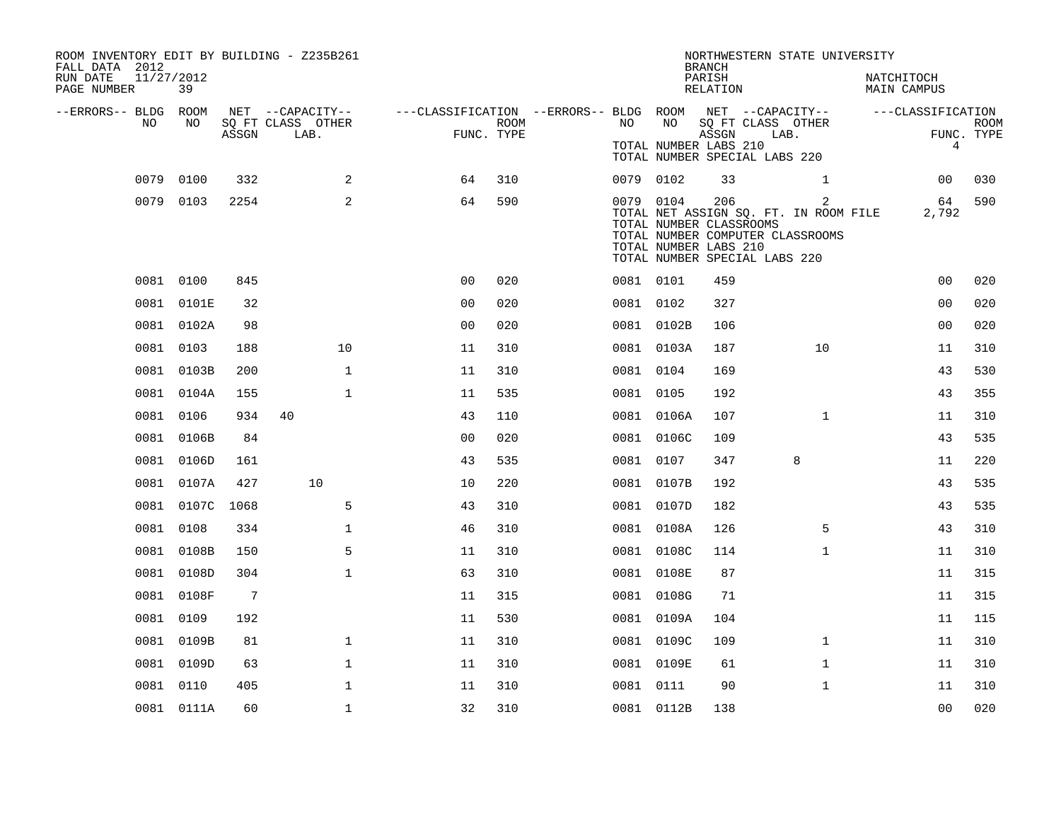| ROOM INVENTORY EDIT BY BUILDING - Z235B261<br>FALL DATA 2012<br>RUN DATE<br>PAGE NUMBER | 11/27/2012<br>39 |       |                           |                                                         |                           |           |            | <b>BRANCH</b><br>PARISH<br>RELATION                                                      | NORTHWESTERN STATE UNIVERSITY                                                  | NATCHITOCH<br><b>MAIN CAMPUS</b> |                |                           |
|-----------------------------------------------------------------------------------------|------------------|-------|---------------------------|---------------------------------------------------------|---------------------------|-----------|------------|------------------------------------------------------------------------------------------|--------------------------------------------------------------------------------|----------------------------------|----------------|---------------------------|
| --ERRORS-- BLDG ROOM                                                                    |                  |       | NET --CAPACITY--          | ---CLASSIFICATION --ERRORS-- BLDG ROOM NET --CAPACITY-- |                           |           |            |                                                                                          |                                                                                | ---CLASSIFICATION                |                |                           |
| NO.                                                                                     | NO.              | ASSGN | SQ FT CLASS OTHER<br>LAB. |                                                         | <b>ROOM</b><br>FUNC. TYPE | NO        | NO         | SQ FT CLASS OTHER<br>ASSGN<br>TOTAL NUMBER LABS 210<br>TOTAL NUMBER SPECIAL LABS 220     | LAB.                                                                           |                                  | $\overline{4}$ | <b>ROOM</b><br>FUNC. TYPE |
| 0079                                                                                    | 0100             | 332   | 2                         | 64                                                      | 310                       | 0079 0102 |            | 33                                                                                       | $\mathbf{1}$                                                                   |                                  | 00             | 030                       |
|                                                                                         | 0079 0103        | 2254  | 2                         | 64                                                      | 590                       | 0079 0104 |            | 206<br>TOTAL NUMBER CLASSROOMS<br>TOTAL NUMBER LABS 210<br>TOTAL NUMBER SPECIAL LABS 220 | 2<br>TOTAL NET ASSIGN SQ. FT. IN ROOM FILE<br>TOTAL NUMBER COMPUTER CLASSROOMS |                                  | 64<br>2,792    | 590                       |
|                                                                                         | 0081 0100        | 845   |                           | 0 <sub>0</sub>                                          | 020                       | 0081 0101 |            | 459                                                                                      |                                                                                |                                  | 0 <sub>0</sub> | 020                       |
|                                                                                         | 0081 0101E       | 32    |                           | 00                                                      | 020                       | 0081 0102 |            | 327                                                                                      |                                                                                |                                  | 00             | 020                       |
|                                                                                         | 0081 0102A       | 98    |                           | 0 <sub>0</sub>                                          | 020                       |           | 0081 0102B | 106                                                                                      |                                                                                |                                  | 00             | 020                       |
|                                                                                         | 0081 0103        | 188   | 10                        | 11                                                      | 310                       |           | 0081 0103A | 187                                                                                      | 10                                                                             |                                  | 11             | 310                       |
|                                                                                         | 0081 0103B       | 200   | $\mathbf{1}$              | 11                                                      | 310                       | 0081 0104 |            | 169                                                                                      |                                                                                |                                  | 43             | 530                       |
|                                                                                         | 0081 0104A       | 155   | $\mathbf 1$               | 11                                                      | 535                       | 0081 0105 |            | 192                                                                                      |                                                                                |                                  | 43             | 355                       |
|                                                                                         | 0081 0106        | 934   | 40                        | 43                                                      | 110                       |           | 0081 0106A | 107                                                                                      | $\mathbf{1}$                                                                   |                                  | 11             | 310                       |
|                                                                                         | 0081 0106B       | 84    |                           | 00                                                      | 020                       |           | 0081 0106C | 109                                                                                      |                                                                                |                                  | 43             | 535                       |
|                                                                                         | 0081 0106D       | 161   |                           | 43                                                      | 535                       | 0081 0107 |            | 347                                                                                      | 8                                                                              |                                  | 11             | 220                       |
|                                                                                         | 0081 0107A       | 427   | 10                        | 10                                                      | 220                       |           | 0081 0107B | 192                                                                                      |                                                                                |                                  | 43             | 535                       |
|                                                                                         | 0081 0107C 1068  |       | 5                         | 43                                                      | 310                       |           | 0081 0107D | 182                                                                                      |                                                                                |                                  | 43             | 535                       |
|                                                                                         | 0081 0108        | 334   | $\mathbf{1}$              | 46                                                      | 310                       |           | 0081 0108A | 126                                                                                      | 5                                                                              |                                  | 43             | 310                       |
|                                                                                         | 0081 0108B       | 150   | 5                         | 11                                                      | 310                       |           | 0081 0108C | 114                                                                                      | $\mathbf{1}$                                                                   |                                  | 11             | 310                       |
|                                                                                         | 0081 0108D       | 304   | $\mathbf{1}$              | 63                                                      | 310                       |           | 0081 0108E | 87                                                                                       |                                                                                |                                  | 11             | 315                       |
|                                                                                         | 0081 0108F       | 7     |                           | 11                                                      | 315                       |           | 0081 0108G | 71                                                                                       |                                                                                |                                  | 11             | 315                       |
| 0081                                                                                    | 0109             | 192   |                           | 11                                                      | 530                       |           | 0081 0109A | 104                                                                                      |                                                                                |                                  | 11             | 115                       |
|                                                                                         | 0081 0109B       | 81    | $\mathbf{1}$              | 11                                                      | 310                       |           | 0081 0109C | 109                                                                                      | $\mathbf{1}$                                                                   |                                  | 11             | 310                       |
|                                                                                         | 0081 0109D       | 63    | $\mathbf 1$               | 11                                                      | 310                       |           | 0081 0109E | 61                                                                                       | $\mathbf{1}$                                                                   |                                  | 11             | 310                       |
|                                                                                         | 0081 0110        | 405   | $\mathbf 1$               | 11                                                      | 310                       | 0081 0111 |            | 90                                                                                       | $\mathbf{1}$                                                                   |                                  | 11             | 310                       |
|                                                                                         | 0081 0111A       | 60    | $\mathbf{1}$              | 32                                                      | 310                       |           | 0081 0112B | 138                                                                                      |                                                                                |                                  | 0 <sub>0</sub> | 020                       |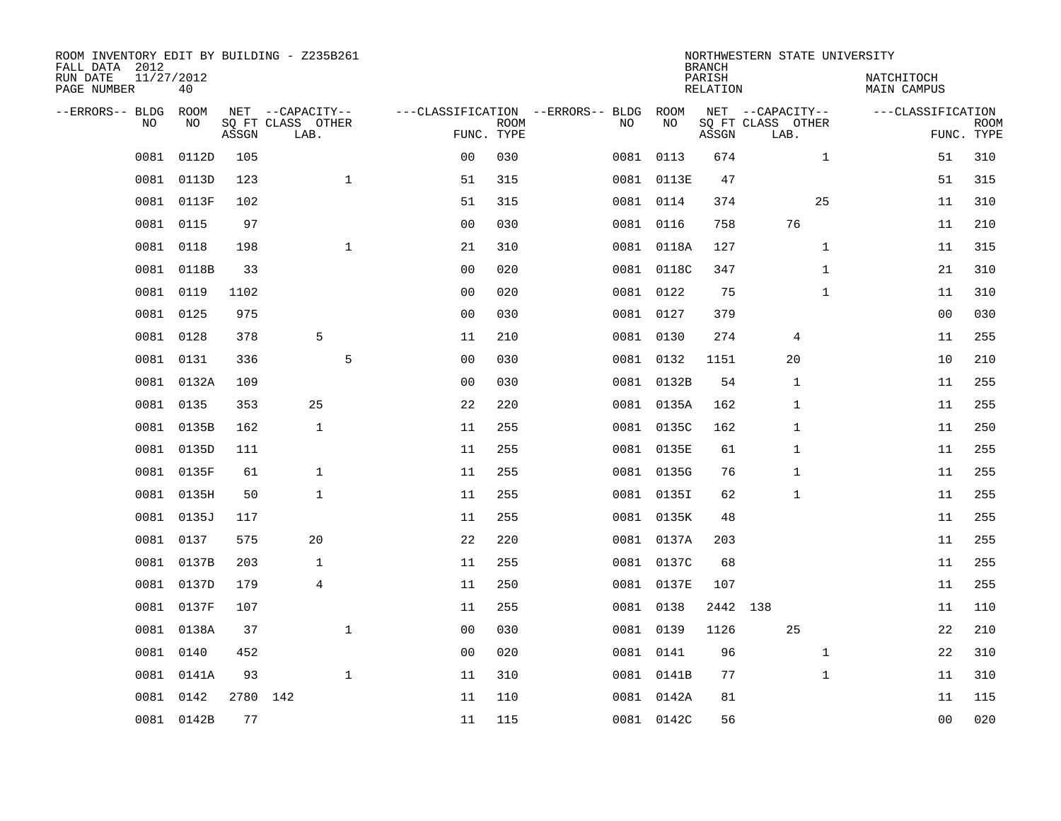| ROOM INVENTORY EDIT BY BUILDING - Z235B261<br>FALL DATA 2012 |                  |          |                           |              |                |             |                                   |           |            | <b>BRANCH</b>             | NORTHWESTERN STATE UNIVERSITY |              |                           |                           |
|--------------------------------------------------------------|------------------|----------|---------------------------|--------------|----------------|-------------|-----------------------------------|-----------|------------|---------------------------|-------------------------------|--------------|---------------------------|---------------------------|
| RUN DATE<br>PAGE NUMBER                                      | 11/27/2012<br>40 |          |                           |              |                |             |                                   |           |            | PARISH<br><b>RELATION</b> |                               |              | NATCHITOCH<br>MAIN CAMPUS |                           |
| --ERRORS-- BLDG                                              | ROOM             |          | NET --CAPACITY--          |              |                |             | ---CLASSIFICATION --ERRORS-- BLDG |           | ROOM       |                           | NET --CAPACITY--              |              | ---CLASSIFICATION         |                           |
| NO.                                                          | NO               | ASSGN    | SQ FT CLASS OTHER<br>LAB. |              | FUNC. TYPE     | <b>ROOM</b> |                                   | NO        | NO         | ASSGN                     | SQ FT CLASS OTHER<br>LAB.     |              |                           | <b>ROOM</b><br>FUNC. TYPE |
| 0081                                                         | 0112D            | 105      |                           |              | 0 <sub>0</sub> | 030         |                                   | 0081      | 0113       | 674                       |                               | $\mathbf{1}$ | 51                        | 310                       |
| 0081                                                         | 0113D            | 123      |                           | $\mathbf{1}$ | 51             | 315         |                                   |           | 0081 0113E | 47                        |                               |              | 51                        | 315                       |
| 0081                                                         | 0113F            | 102      |                           |              | 51             | 315         |                                   | 0081 0114 |            | 374                       |                               | 25           | 11                        | 310                       |
|                                                              | 0081 0115        | 97       |                           |              | 0 <sub>0</sub> | 030         |                                   |           | 0081 0116  | 758                       | 76                            |              | 11                        | 210                       |
| 0081                                                         | 0118             | 198      |                           | $\mathbf{1}$ | 21             | 310         |                                   |           | 0081 0118A | 127                       |                               | $\mathbf{1}$ | 11                        | 315                       |
| 0081                                                         | 0118B            | 33       |                           |              | 0 <sub>0</sub> | 020         |                                   |           | 0081 0118C | 347                       |                               | $\mathbf{1}$ | 21                        | 310                       |
| 0081                                                         | 0119             | 1102     |                           |              | 0 <sub>0</sub> | 020         |                                   | 0081 0122 |            | 75                        |                               | $\mathbf{1}$ | 11                        | 310                       |
|                                                              | 0081 0125        | 975      |                           |              | 0 <sub>0</sub> | 030         |                                   |           | 0081 0127  | 379                       |                               |              | 0 <sub>0</sub>            | 030                       |
| 0081                                                         | 0128             | 378      | 5                         |              | 11             | 210         |                                   |           | 0081 0130  | 274                       | 4                             |              | 11                        | 255                       |
| 0081                                                         | 0131             | 336      |                           | 5            | 0 <sub>0</sub> | 030         |                                   |           | 0081 0132  | 1151                      | 20                            |              | 10                        | 210                       |
| 0081                                                         | 0132A            | 109      |                           |              | 0 <sub>0</sub> | 030         |                                   |           | 0081 0132B | 54                        | 1                             |              | 11                        | 255                       |
|                                                              | 0081 0135        | 353      | 25                        |              | 22             | 220         |                                   |           | 0081 0135A | 162                       | 1                             |              | 11                        | 255                       |
| 0081                                                         | 0135B            | 162      | $\mathbf{1}$              |              | 11             | 255         |                                   |           | 0081 0135C | 162                       | 1                             |              | 11                        | 250                       |
| 0081                                                         | 0135D            | 111      |                           |              | 11             | 255         |                                   |           | 0081 0135E | 61                        | 1                             |              | 11                        | 255                       |
| 0081                                                         | 0135F            | 61       | $\mathbf{1}$              |              | 11             | 255         |                                   |           | 0081 0135G | 76                        | $\mathbf{1}$                  |              | 11                        | 255                       |
| 0081                                                         | 0135H            | 50       | $\mathbf{1}$              |              | 11             | 255         |                                   |           | 0081 0135I | 62                        | $\mathbf{1}$                  |              | 11                        | 255                       |
| 0081                                                         | 0135J            | 117      |                           |              | 11             | 255         |                                   |           | 0081 0135K | 48                        |                               |              | 11                        | 255                       |
| 0081                                                         | 0137             | 575      | 20                        |              | 22             | 220         |                                   |           | 0081 0137A | 203                       |                               |              | 11                        | 255                       |
| 0081                                                         | 0137B            | 203      | 1                         |              | 11             | 255         |                                   |           | 0081 0137C | 68                        |                               |              | 11                        | 255                       |
| 0081                                                         | 0137D            | 179      | 4                         |              | 11             | 250         |                                   |           | 0081 0137E | 107                       |                               |              | 11                        | 255                       |
| 0081                                                         | 0137F            | 107      |                           |              | 11             | 255         |                                   |           | 0081 0138  | 2442 138                  |                               |              | 11                        | 110                       |
| 0081                                                         | 0138A            | 37       |                           | $\mathbf 1$  | 0 <sub>0</sub> | 030         |                                   |           | 0081 0139  | 1126                      | 25                            |              | 22                        | 210                       |
| 0081                                                         | 0140             | 452      |                           |              | 0 <sub>0</sub> | 020         |                                   | 0081 0141 |            | 96                        |                               | $\mathbf{1}$ | 22                        | 310                       |
| 0081                                                         | 0141A            | 93       |                           | $\mathbf{1}$ | 11             | 310         |                                   |           | 0081 0141B | 77                        |                               | $\mathbf{1}$ | 11                        | 310                       |
| 0081                                                         | 0142             | 2780 142 |                           |              | 11             | 110         |                                   |           | 0081 0142A | 81                        |                               |              | 11                        | 115                       |
|                                                              | 0081 0142B       | 77       |                           |              | 11             | 115         |                                   |           | 0081 0142C | 56                        |                               |              | 0 <sub>0</sub>            | 020                       |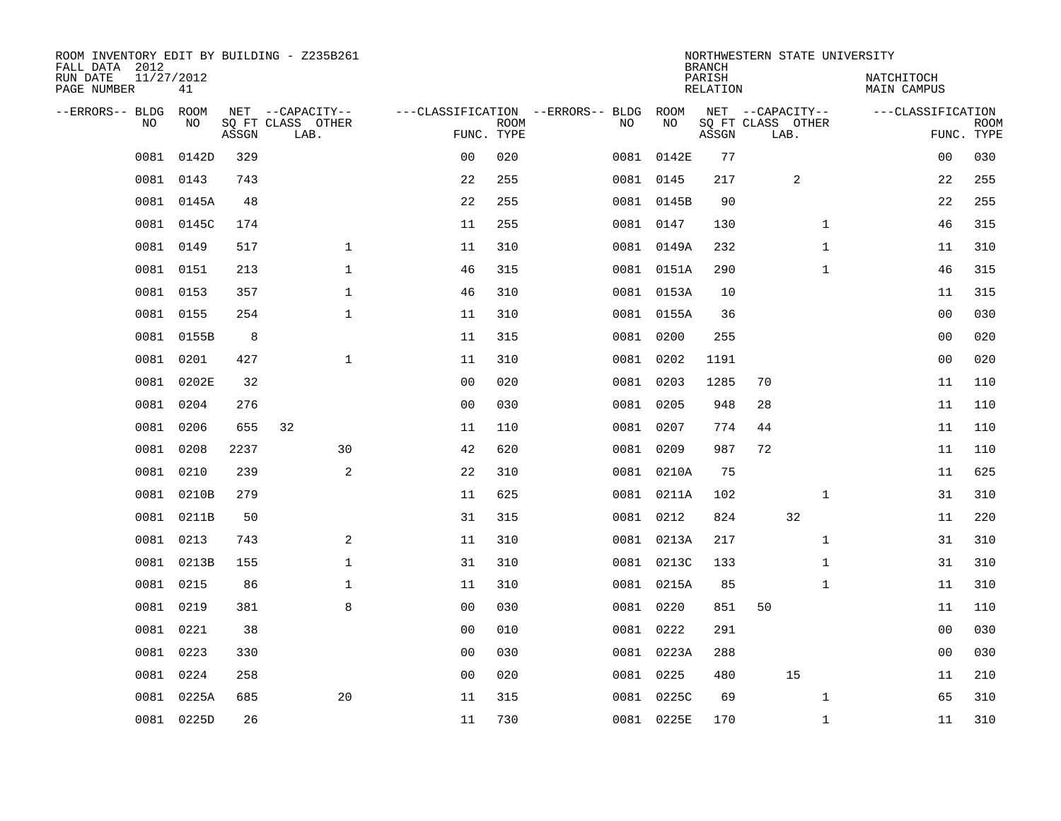| ROOM INVENTORY EDIT BY BUILDING - Z235B261<br>FALL DATA 2012 |                  |       |                           |                |             |                                   |            | <b>BRANCH</b>             | NORTHWESTERN STATE UNIVERSITY |              |                                  |                           |
|--------------------------------------------------------------|------------------|-------|---------------------------|----------------|-------------|-----------------------------------|------------|---------------------------|-------------------------------|--------------|----------------------------------|---------------------------|
| RUN DATE<br>PAGE NUMBER                                      | 11/27/2012<br>41 |       |                           |                |             |                                   |            | PARISH<br><b>RELATION</b> |                               |              | NATCHITOCH<br><b>MAIN CAMPUS</b> |                           |
| --ERRORS-- BLDG                                              | ROOM             |       | NET --CAPACITY--          |                |             | ---CLASSIFICATION --ERRORS-- BLDG | ROOM       |                           | NET --CAPACITY--              |              | ---CLASSIFICATION                |                           |
| NO                                                           | NO               | ASSGN | SQ FT CLASS OTHER<br>LAB. | FUNC. TYPE     | <b>ROOM</b> | NO                                | NO         | ASSGN                     | SQ FT CLASS OTHER<br>LAB.     |              |                                  | <b>ROOM</b><br>FUNC. TYPE |
| 0081                                                         | 0142D            | 329   |                           | 0 <sub>0</sub> | 020         |                                   | 0081 0142E | 77                        |                               |              | 0 <sub>0</sub>                   | 030                       |
| 0081                                                         | 0143             | 743   |                           | 22             | 255         |                                   | 0081 0145  | 217                       |                               | 2            | 22                               | 255                       |
|                                                              | 0081 0145A       | 48    |                           | 22             | 255         |                                   | 0081 0145B | 90                        |                               |              | 22                               | 255                       |
| 0081                                                         | 0145C            | 174   |                           | 11             | 255         |                                   | 0081 0147  | 130                       |                               | $\mathbf{1}$ | 46                               | 315                       |
| 0081                                                         | 0149             | 517   | $\mathbf{1}$              | 11             | 310         |                                   | 0081 0149A | 232                       |                               | $\mathbf{1}$ | 11                               | 310                       |
| 0081                                                         | 0151             | 213   | $\mathbf 1$               | 46             | 315         |                                   | 0081 0151A | 290                       |                               | $\mathbf{1}$ | 46                               | 315                       |
| 0081                                                         | 0153             | 357   | $\mathbf{1}$              | 46             | 310         |                                   | 0081 0153A | 10                        |                               |              | 11                               | 315                       |
|                                                              | 0081 0155        | 254   | $\mathbf{1}$              | 11             | 310         |                                   | 0081 0155A | 36                        |                               |              | 0 <sub>0</sub>                   | 030                       |
| 0081                                                         | 0155B            | 8     |                           | 11             | 315         |                                   | 0081 0200  | 255                       |                               |              | 0 <sub>0</sub>                   | 020                       |
| 0081                                                         | 0201             | 427   | $\mathbf{1}$              | 11             | 310         |                                   | 0081 0202  | 1191                      |                               |              | 00                               | 020                       |
| 0081                                                         | 0202E            | 32    |                           | 0 <sub>0</sub> | 020         |                                   | 0081 0203  | 1285                      | 70                            |              | 11                               | 110                       |
|                                                              | 0081 0204        | 276   |                           | 0 <sub>0</sub> | 030         |                                   | 0081 0205  | 948                       | 28                            |              | 11                               | 110                       |
| 0081                                                         | 0206             | 655   | 32                        | 11             | 110         | 0081                              | 0207       | 774                       | 44                            |              | 11                               | 110                       |
| 0081                                                         | 0208             | 2237  | 30                        | 42             | 620         |                                   | 0081 0209  | 987                       | 72                            |              | 11                               | 110                       |
| 0081                                                         | 0210             | 239   | 2                         | 22             | 310         |                                   | 0081 0210A | 75                        |                               |              | 11                               | 625                       |
| 0081                                                         | 0210B            | 279   |                           | 11             | 625         |                                   | 0081 0211A | 102                       |                               | 1            | 31                               | 310                       |
| 0081                                                         | 0211B            | 50    |                           | 31             | 315         |                                   | 0081 0212  | 824                       | 32                            |              | 11                               | 220                       |
| 0081                                                         | 0213             | 743   | 2                         | 11             | 310         |                                   | 0081 0213A | 217                       |                               | $\mathbf{1}$ | 31                               | 310                       |
|                                                              | 0081 0213B       | 155   | $\mathbf 1$               | 31             | 310         |                                   | 0081 0213C | 133                       |                               | $\mathbf{1}$ | 31                               | 310                       |
| 0081                                                         | 0215             | 86    | $\mathbf 1$               | 11             | 310         |                                   | 0081 0215A | 85                        |                               | $\mathbf{1}$ | 11                               | 310                       |
|                                                              | 0081 0219        | 381   | 8                         | 0 <sub>0</sub> | 030         |                                   | 0081 0220  | 851                       | 50                            |              | 11                               | 110                       |
| 0081                                                         | 0221             | 38    |                           | 0 <sub>0</sub> | 010         |                                   | 0081 0222  | 291                       |                               |              | 0 <sub>0</sub>                   | 030                       |
|                                                              | 0081 0223        | 330   |                           | 0 <sub>0</sub> | 030         |                                   | 0081 0223A | 288                       |                               |              | 0 <sub>0</sub>                   | 030                       |
| 0081                                                         | 0224             | 258   |                           | 0 <sub>0</sub> | 020         |                                   | 0081 0225  | 480                       | 15                            |              | 11                               | 210                       |
| 0081                                                         | 0225A            | 685   | 20                        | 11             | 315         |                                   | 0081 0225C | 69                        |                               | $\mathbf{1}$ | 65                               | 310                       |
|                                                              | 0081 0225D       | 26    |                           | 11             | 730         |                                   | 0081 0225E | 170                       |                               | $\mathbf{1}$ | 11                               | 310                       |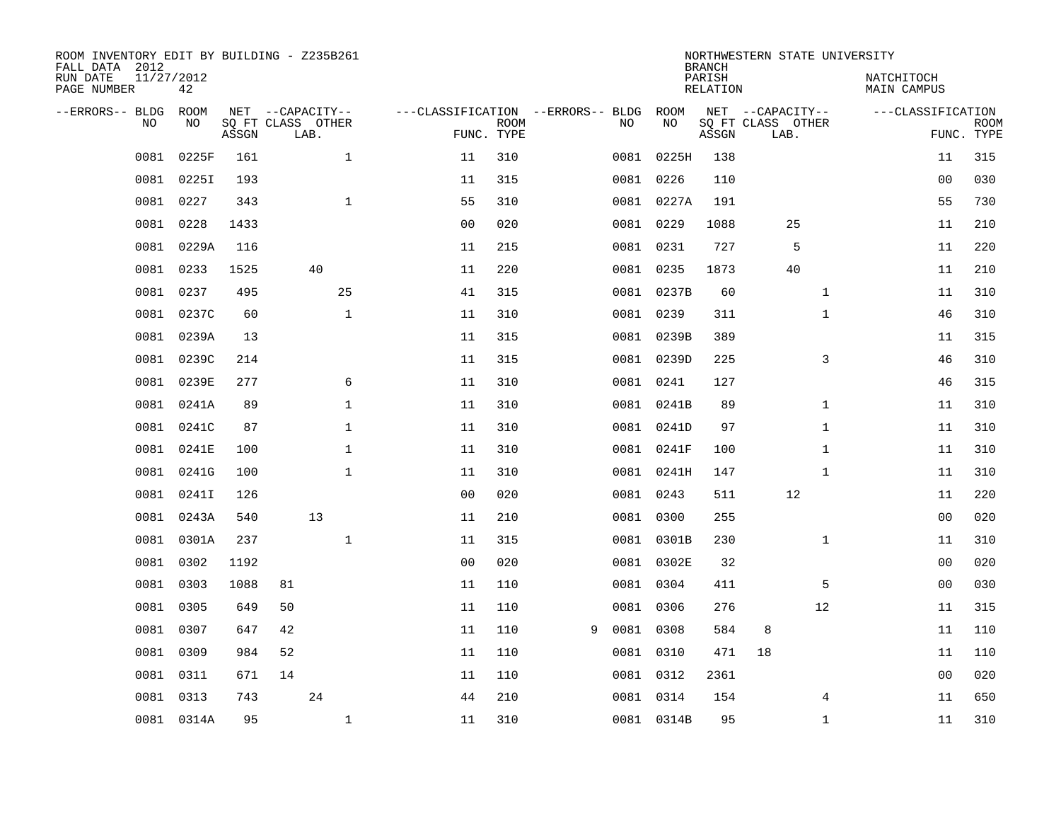| ROOM INVENTORY EDIT BY BUILDING - Z235B261<br>FALL DATA 2012 |                  |       |                           |              |                                   |                           |   |           |            | <b>BRANCH</b>             | NORTHWESTERN STATE UNIVERSITY |                           |                |                           |
|--------------------------------------------------------------|------------------|-------|---------------------------|--------------|-----------------------------------|---------------------------|---|-----------|------------|---------------------------|-------------------------------|---------------------------|----------------|---------------------------|
| RUN DATE<br>PAGE NUMBER                                      | 11/27/2012<br>42 |       |                           |              |                                   |                           |   |           |            | PARISH<br><b>RELATION</b> |                               | NATCHITOCH<br>MAIN CAMPUS |                |                           |
| --ERRORS-- BLDG                                              | ROOM             |       | NET --CAPACITY--          |              | ---CLASSIFICATION --ERRORS-- BLDG |                           |   |           | ROOM       |                           | NET --CAPACITY--              | ---CLASSIFICATION         |                |                           |
| NO.                                                          | NO               | ASSGN | SQ FT CLASS OTHER<br>LAB. |              |                                   | <b>ROOM</b><br>FUNC. TYPE |   | NO        | NO         | ASSGN                     | SQ FT CLASS OTHER<br>LAB.     |                           |                | <b>ROOM</b><br>FUNC. TYPE |
| 0081                                                         | 0225F            | 161   |                           | $\mathbf{1}$ | 11                                | 310                       |   | 0081      | 0225H      | 138                       |                               |                           | 11             | 315                       |
| 0081                                                         | 0225I            | 193   |                           |              | 11                                | 315                       |   |           | 0081 0226  | 110                       |                               |                           | 00             | 030                       |
| 0081                                                         | 0227             | 343   |                           | $\mathbf{1}$ | 55                                | 310                       |   |           | 0081 0227A | 191                       |                               |                           | 55             | 730                       |
| 0081                                                         | 0228             | 1433  |                           |              | 0 <sub>0</sub>                    | 020                       |   |           | 0081 0229  | 1088                      | 25                            |                           | 11             | 210                       |
| 0081                                                         | 0229A            | 116   |                           |              | 11                                | 215                       |   |           | 0081 0231  | 727                       | 5                             |                           | 11             | 220                       |
|                                                              | 0081 0233        | 1525  |                           | 40           | 11                                | 220                       |   |           | 0081 0235  | 1873                      | 40                            |                           | 11             | 210                       |
| 0081                                                         | 0237             | 495   |                           | 25           | 41                                | 315                       |   |           | 0081 0237B | 60                        | $\mathbf{1}$                  |                           | 11             | 310                       |
|                                                              | 0081 0237C       | 60    |                           | $\mathbf{1}$ | 11                                | 310                       |   |           | 0081 0239  | 311                       | $\mathbf{1}$                  |                           | 46             | 310                       |
| 0081                                                         | 0239A            | 13    |                           |              | 11                                | 315                       |   |           | 0081 0239B | 389                       |                               |                           | 11             | 315                       |
| 0081                                                         | 0239C            | 214   |                           |              | 11                                | 315                       |   |           | 0081 0239D | 225                       | 3                             |                           | 46             | 310                       |
| 0081                                                         | 0239E            | 277   |                           | 6            | 11                                | 310                       |   |           | 0081 0241  | 127                       |                               |                           | 46             | 315                       |
| 0081                                                         | 0241A            | 89    |                           | $\mathbf 1$  | 11                                | 310                       |   |           | 0081 0241B | 89                        | $\mathbf{1}$                  |                           | 11             | 310                       |
| 0081                                                         | 0241C            | 87    |                           | $\mathbf 1$  | 11                                | 310                       |   |           | 0081 0241D | 97                        | $\mathbf{1}$                  |                           | 11             | 310                       |
| 0081                                                         | 0241E            | 100   |                           | $\mathbf 1$  | 11                                | 310                       |   |           | 0081 0241F | 100                       | $\mathbf{1}$                  |                           | 11             | 310                       |
| 0081                                                         | 0241G            | 100   |                           | $\mathbf{1}$ | 11                                | 310                       |   |           | 0081 0241H | 147                       | $\mathbf{1}$                  |                           | 11             | 310                       |
| 0081                                                         | 0241I            | 126   |                           |              | 0 <sub>0</sub>                    | 020                       |   |           | 0081 0243  | 511                       | 12                            |                           | 11             | 220                       |
| 0081                                                         | 0243A            | 540   |                           | 13           | 11                                | 210                       |   |           | 0081 0300  | 255                       |                               |                           | 0 <sub>0</sub> | 020                       |
| 0081                                                         | 0301A            | 237   |                           | $\mathbf{1}$ | 11                                | 315                       |   |           | 0081 0301B | 230                       | $\mathbf{1}$                  |                           | 11             | 310                       |
| 0081                                                         | 0302             | 1192  |                           |              | 0 <sub>0</sub>                    | 020                       |   |           | 0081 0302E | 32                        |                               |                           | 00             | 020                       |
| 0081                                                         | 0303             | 1088  | 81                        |              | 11                                | 110                       |   |           | 0081 0304  | 411                       | 5                             |                           | 00             | 030                       |
| 0081                                                         | 0305             | 649   | 50                        |              | 11                                | 110                       |   |           | 0081 0306  | 276                       | 12                            |                           | 11             | 315                       |
| 0081                                                         | 0307             | 647   | 42                        |              | 11                                | 110                       | 9 | 0081 0308 |            | 584                       | 8                             |                           | 11             | 110                       |
| 0081                                                         | 0309             | 984   | 52                        |              | 11                                | 110                       |   |           | 0081 0310  | 471                       | 18                            |                           | 11             | 110                       |
| 0081                                                         | 0311             | 671   | 14                        |              | 11                                | 110                       |   | 0081 0312 |            | 2361                      |                               |                           | 0 <sub>0</sub> | 020                       |
| 0081                                                         | 0313             | 743   |                           | 24           | 44                                | 210                       |   |           | 0081 0314  | 154                       | 4                             |                           | 11             | 650                       |
|                                                              | 0081 0314A       | 95    |                           | $\mathbf{1}$ | 11                                | 310                       |   |           | 0081 0314B | 95                        | $\mathbf{1}$                  |                           | 11             | 310                       |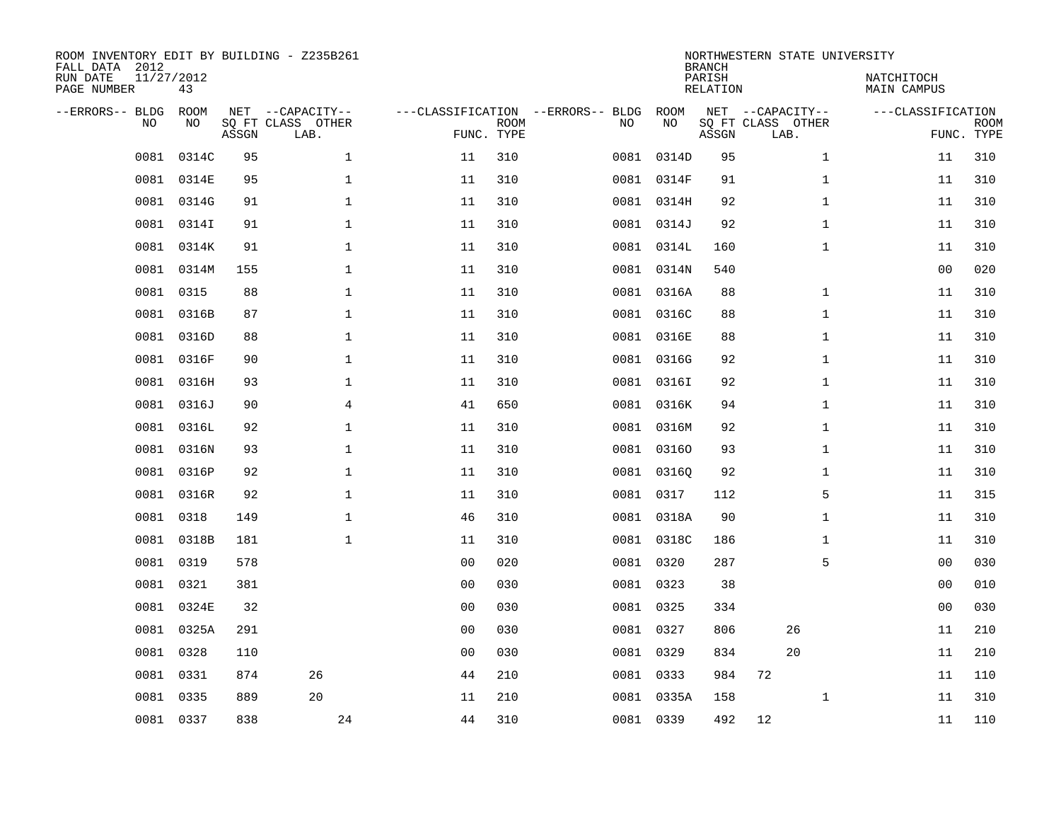| ROOM INVENTORY EDIT BY BUILDING - Z235B261<br>FALL DATA 2012<br>RUN DATE<br>PAGE NUMBER | 11/27/2012<br>43 |       |                                               |                |                           |                                         |            |       | <b>BRANCH</b><br>PARISH<br>RELATION | NORTHWESTERN STATE UNIVERSITY                 | NATCHITOCH<br>MAIN CAMPUS |                   |                           |
|-----------------------------------------------------------------------------------------|------------------|-------|-----------------------------------------------|----------------|---------------------------|-----------------------------------------|------------|-------|-------------------------------------|-----------------------------------------------|---------------------------|-------------------|---------------------------|
| --ERRORS-- BLDG<br>NO.                                                                  | ROOM<br>NO       | ASSGN | NET --CAPACITY--<br>SQ FT CLASS OTHER<br>LAB. |                | <b>ROOM</b><br>FUNC. TYPE | ---CLASSIFICATION --ERRORS-- BLDG<br>NO | ROOM<br>NO |       | ASSGN                               | NET --CAPACITY--<br>SQ FT CLASS OTHER<br>LAB. |                           | ---CLASSIFICATION | <b>ROOM</b><br>FUNC. TYPE |
| 0081                                                                                    | 0314C            | 95    | $\mathbf 1$                                   | 11             | 310                       | 0081                                    |            | 0314D | 95                                  |                                               | $\mathbf{1}$              | 11                | 310                       |
| 0081                                                                                    | 0314E            | 95    | $\mathbf 1$                                   | 11             | 310                       |                                         | 0081 0314F |       | 91                                  |                                               | $\mathbf{1}$              | 11                | 310                       |
| 0081                                                                                    | 0314G            | 91    | $\mathbf 1$                                   | 11             | 310                       |                                         | 0081 0314H |       | 92                                  |                                               | $\mathbf{1}$              | 11                | 310                       |
| 0081                                                                                    | 0314I            | 91    | $\mathbf 1$                                   | 11             | 310                       |                                         | 0081 0314J |       | 92                                  |                                               | $\mathbf{1}$              | 11                | 310                       |
| 0081                                                                                    | 0314K            | 91    | $\mathbf 1$                                   | 11             | 310                       |                                         | 0081 0314L |       | 160                                 |                                               | $\mathbf{1}$              | 11                | 310                       |
| 0081                                                                                    | 0314M            | 155   | $\mathbf{1}$                                  | 11             | 310                       |                                         | 0081 0314N |       | 540                                 |                                               |                           | 0 <sub>0</sub>    | 020                       |
| 0081                                                                                    | 0315             | 88    | $\mathbf{1}$                                  | 11             | 310                       |                                         | 0081 0316A |       | 88                                  |                                               | $\mathbf{1}$              | 11                | 310                       |
| 0081                                                                                    | 0316B            | 87    | $\mathbf 1$                                   | 11             | 310                       |                                         | 0081 0316C |       | 88                                  |                                               | $\mathbf{1}$              | 11                | 310                       |
| 0081                                                                                    | 0316D            | 88    | $\mathbf{1}$                                  | 11             | 310                       |                                         | 0081 0316E |       | 88                                  |                                               | $\mathbf{1}$              | 11                | 310                       |
|                                                                                         | 0081 0316F       | 90    | $\mathbf{1}$                                  | 11             | 310                       |                                         | 0081 0316G |       | 92                                  |                                               | $\mathbf{1}$              | 11                | 310                       |
| 0081                                                                                    | 0316H            | 93    | $\mathbf{1}$                                  | 11             | 310                       |                                         | 0081 0316I |       | 92                                  |                                               | $\mathbf{1}$              | 11                | 310                       |
|                                                                                         | 0081 0316J       | 90    | $\overline{4}$                                | 41             | 650                       |                                         | 0081 0316K |       | 94                                  |                                               | $\mathbf{1}$              | 11                | 310                       |
| 0081                                                                                    | 0316L            | 92    | $\mathbf 1$                                   | 11             | 310                       |                                         | 0081 0316M |       | 92                                  |                                               | $\mathbf{1}$              | 11                | 310                       |
| 0081                                                                                    | 0316N            | 93    | $\mathbf 1$                                   | 11             | 310                       |                                         | 0081 03160 |       | 93                                  |                                               | $\mathbf{1}$              | 11                | 310                       |
| 0081                                                                                    | 0316P            | 92    | $\mathbf{1}$                                  | 11             | 310                       |                                         | 0081 03160 |       | 92                                  |                                               | $\mathbf{1}$              | 11                | 310                       |
|                                                                                         | 0081 0316R       | 92    | $\mathbf{1}$                                  | 11             | 310                       |                                         | 0081 0317  |       | 112                                 |                                               | 5                         | 11                | 315                       |
| 0081                                                                                    | 0318             | 149   | $\mathbf{1}$                                  | 46             | 310                       |                                         | 0081 0318A |       | 90                                  |                                               | $\mathbf{1}$              | 11                | 310                       |
| 0081                                                                                    | 0318B            | 181   | $\mathbf{1}$                                  | 11             | 310                       |                                         | 0081 0318C |       | 186                                 |                                               | $\mathbf{1}$              | 11                | 310                       |
| 0081                                                                                    | 0319             | 578   |                                               | 0 <sub>0</sub> | 020                       |                                         | 0081 0320  |       | 287                                 |                                               | 5                         | 0 <sub>0</sub>    | 030                       |
|                                                                                         | 0081 0321        | 381   |                                               | 0 <sub>0</sub> | 030                       |                                         | 0081 0323  |       | 38                                  |                                               |                           | 00                | 010                       |
| 0081                                                                                    | 0324E            | 32    |                                               | 0 <sub>0</sub> | 030                       |                                         | 0081 0325  |       | 334                                 |                                               |                           | 00                | 030                       |
|                                                                                         | 0081 0325A       | 291   |                                               | 0 <sub>0</sub> | 030                       |                                         | 0081 0327  |       | 806                                 | 26                                            |                           | 11                | 210                       |
| 0081                                                                                    | 0328             | 110   |                                               | 0 <sub>0</sub> | 030                       |                                         | 0081 0329  |       | 834                                 | 20                                            |                           | 11                | 210                       |
| 0081                                                                                    | 0331             | 874   | 26                                            | 44             | 210                       |                                         | 0081 0333  |       | 984                                 | 72                                            |                           | 11                | 110                       |
| 0081                                                                                    | 0335             | 889   | 20                                            | 11             | 210                       |                                         | 0081 0335A |       | 158                                 |                                               | $\mathbf{1}$              | 11                | 310                       |
|                                                                                         | 0081 0337        | 838   | 24                                            | 44             | 310                       |                                         | 0081 0339  |       | 492                                 | 12                                            |                           | 11                | 110                       |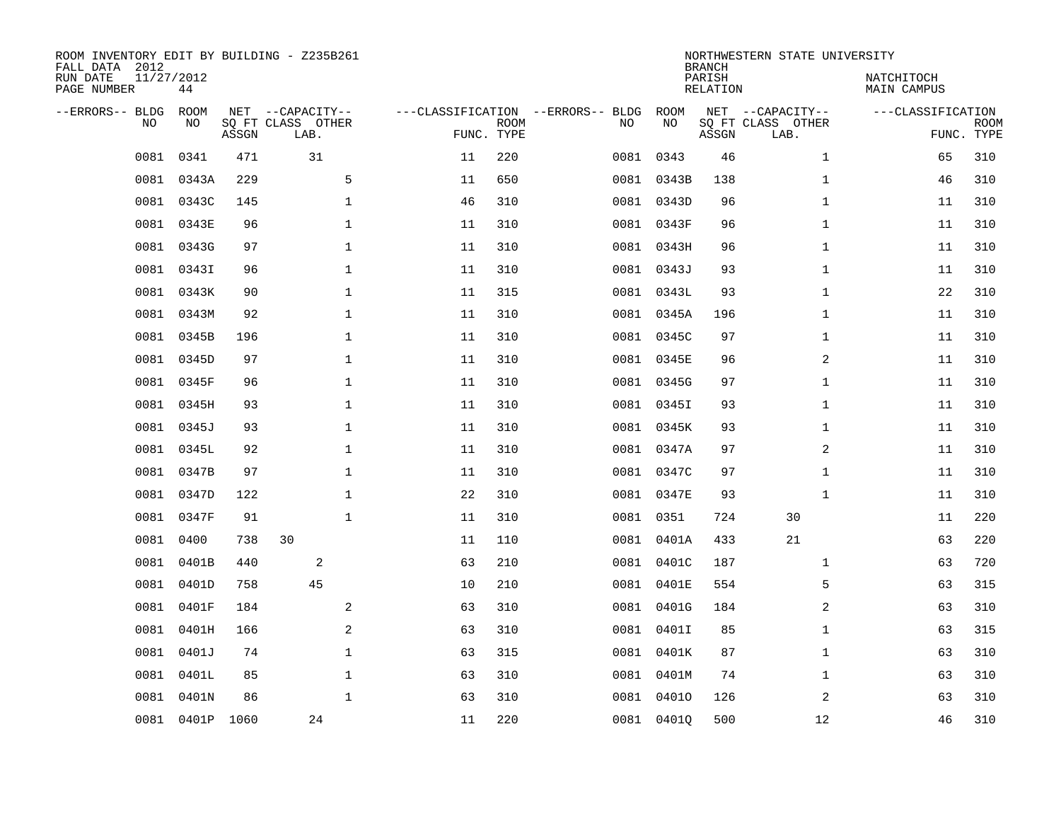| ROOM INVENTORY EDIT BY BUILDING - Z235B261<br>FALL DATA 2012<br>RUN DATE<br>PAGE NUMBER | 11/27/2012<br>44  |       |       |                                               |              |                                   |                           |      |            | <b>BRANCH</b><br>PARISH<br>RELATION | NORTHWESTERN STATE UNIVERSITY                 | NATCHITOCH<br>MAIN CAMPUS |                           |
|-----------------------------------------------------------------------------------------|-------------------|-------|-------|-----------------------------------------------|--------------|-----------------------------------|---------------------------|------|------------|-------------------------------------|-----------------------------------------------|---------------------------|---------------------------|
| --ERRORS-- BLDG                                                                         | ROOM<br>NO<br>NO. |       | ASSGN | NET --CAPACITY--<br>SO FT CLASS OTHER<br>LAB. |              | ---CLASSIFICATION --ERRORS-- BLDG | <b>ROOM</b><br>FUNC. TYPE | NO   | ROOM<br>NO | ASSGN                               | NET --CAPACITY--<br>SQ FT CLASS OTHER<br>LAB. | ---CLASSIFICATION         | <b>ROOM</b><br>FUNC. TYPE |
|                                                                                         | 0081<br>0341      |       | 471   | 31                                            |              | 11                                | 220                       | 0081 | 0343       | 46                                  | $\mathbf{1}$                                  | 65                        | 310                       |
|                                                                                         | 0081              | 0343A | 229   |                                               | 5            | 11                                | 650                       |      | 0081 0343B | 138                                 | $\mathbf{1}$                                  | 46                        | 310                       |
|                                                                                         | 0081              | 0343C | 145   |                                               | $\mathbf 1$  | 46                                | 310                       |      | 0081 0343D | 96                                  | $\mathbf{1}$                                  | 11                        | 310                       |
|                                                                                         | 0081<br>0343E     |       | 96    |                                               | $\mathbf 1$  | 11                                | 310                       |      | 0081 0343F | 96                                  | $\mathbf{1}$                                  | 11                        | 310                       |
|                                                                                         | 0081<br>0343G     |       | 97    |                                               | $\mathbf{1}$ | 11                                | 310                       |      | 0081 0343H | 96                                  | $\mathbf{1}$                                  | 11                        | 310                       |
|                                                                                         | 0081<br>0343I     |       | 96    |                                               | $\mathbf{1}$ | 11                                | 310                       |      | 0081 0343J | 93                                  | $\mathbf{1}$                                  | 11                        | 310                       |
|                                                                                         | 0081<br>0343K     |       | 90    |                                               | $\mathbf{1}$ | 11                                | 315                       |      | 0081 0343L | 93                                  | $\mathbf{1}$                                  | 22                        | 310                       |
|                                                                                         | 0081<br>0343M     |       | 92    |                                               | $\mathbf 1$  | 11                                | 310                       |      | 0081 0345A | 196                                 | $\mathbf{1}$                                  | 11                        | 310                       |
|                                                                                         | 0081              | 0345B | 196   |                                               | $\mathbf 1$  | 11                                | 310                       |      | 0081 0345C | 97                                  | $\mathbf{1}$                                  | 11                        | 310                       |
|                                                                                         | 0081<br>0345D     |       | 97    |                                               | $\mathbf 1$  | 11                                | 310                       |      | 0081 0345E | 96                                  | 2                                             | 11                        | 310                       |
|                                                                                         | 0081<br>0345F     |       | 96    |                                               | $\mathbf 1$  | 11                                | 310                       |      | 0081 0345G | 97                                  | $\mathbf{1}$                                  | 11                        | 310                       |
|                                                                                         | 0081 0345H        |       | 93    |                                               | $\mathbf 1$  | 11                                | 310                       |      | 0081 0345I | 93                                  | $\mathbf{1}$                                  | 11                        | 310                       |
|                                                                                         | 0081<br>0345J     |       | 93    |                                               | $\mathbf 1$  | 11                                | 310                       |      | 0081 0345K | 93                                  | $\mathbf{1}$                                  | 11                        | 310                       |
|                                                                                         | 0081<br>0345L     |       | 92    |                                               | $\mathbf 1$  | 11                                | 310                       |      | 0081 0347A | 97                                  | 2                                             | 11                        | 310                       |
|                                                                                         | 0081              | 0347B | 97    |                                               | $\mathbf 1$  | 11                                | 310                       |      | 0081 0347C | 97                                  | $\mathbf{1}$                                  | 11                        | 310                       |
|                                                                                         | 0081<br>0347D     |       | 122   |                                               | $\mathbf 1$  | 22                                | 310                       |      | 0081 0347E | 93                                  | $\mathbf{1}$                                  | 11                        | 310                       |
|                                                                                         | 0081              | 0347F | 91    |                                               | $\mathbf{1}$ | 11                                | 310                       | 0081 | 0351       | 724                                 | 30                                            | 11                        | 220                       |
|                                                                                         | 0400<br>0081      |       | 738   | 30                                            |              | 11                                | 110                       | 0081 | 0401A      | 433                                 | 21                                            | 63                        | 220                       |
|                                                                                         | 0081<br>0401B     |       | 440   | 2                                             |              | 63                                | 210                       |      | 0081 0401C | 187                                 | $\mathbf{1}$                                  | 63                        | 720                       |
|                                                                                         | 0401D<br>0081     |       | 758   | 45                                            |              | 10                                | 210                       |      | 0081 0401E | 554                                 | 5                                             | 63                        | 315                       |
|                                                                                         | 0081<br>0401F     |       | 184   |                                               | 2            | 63                                | 310                       |      | 0081 0401G | 184                                 | 2                                             | 63                        | 310                       |
|                                                                                         | 0081              | 0401H | 166   |                                               | 2            | 63                                | 310                       |      | 0081 0401I | 85                                  | $\mathbf{1}$                                  | 63                        | 315                       |
|                                                                                         | 0081<br>0401J     |       | 74    |                                               | $\mathbf 1$  | 63                                | 315                       |      | 0081 0401K | 87                                  | $\mathbf{1}$                                  | 63                        | 310                       |
|                                                                                         | 0081              | 0401L | 85    |                                               | $\mathbf{1}$ | 63                                | 310                       |      | 0081 0401M | 74                                  | $\mathbf{1}$                                  | 63                        | 310                       |
|                                                                                         | 0081<br>0401N     |       | 86    |                                               | $\mathbf 1$  | 63                                | 310                       |      | 0081 04010 | 126                                 | 2                                             | 63                        | 310                       |
|                                                                                         | 0081 0401P 1060   |       |       | 24                                            |              | 11                                | 220                       |      | 0081 0401Q | 500                                 | 12                                            | 46                        | 310                       |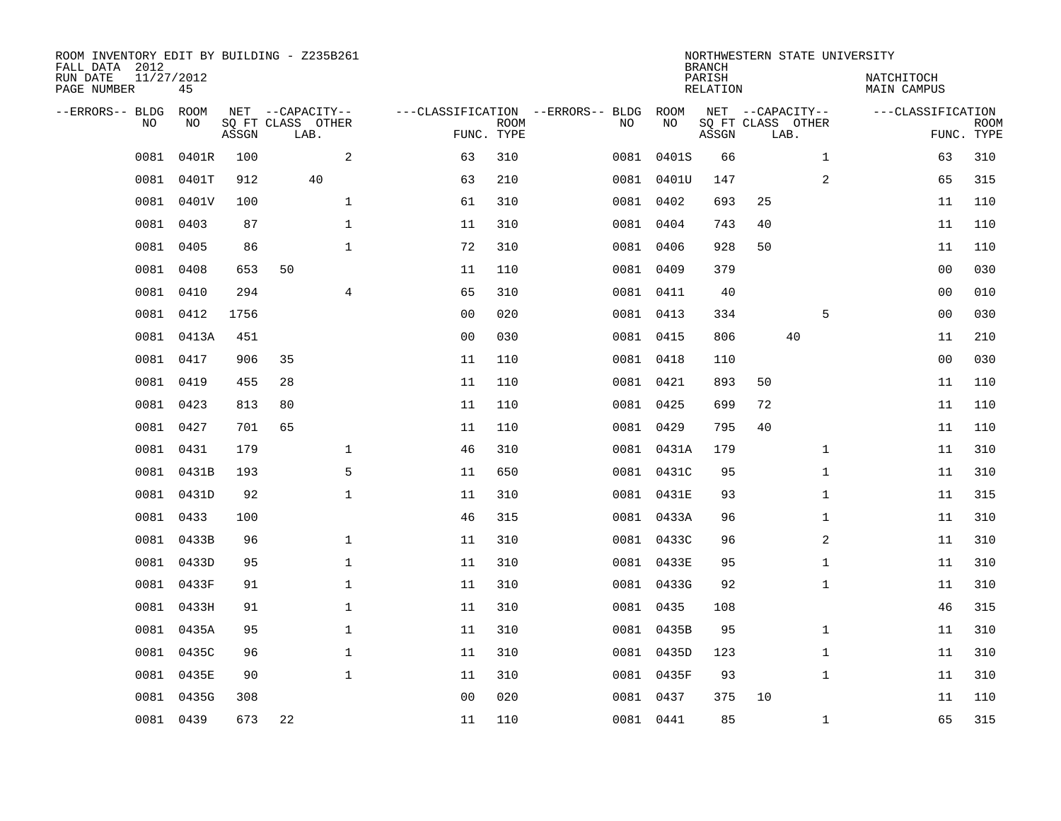| ROOM INVENTORY EDIT BY BUILDING - Z235B261<br>FALL DATA 2012<br>RUN DATE | 11/27/2012 |       |                                       |                |                           |                                   |            | <b>BRANCH</b><br>PARISH | NORTHWESTERN STATE UNIVERSITY         | NATCHITOCH   |                   |                           |
|--------------------------------------------------------------------------|------------|-------|---------------------------------------|----------------|---------------------------|-----------------------------------|------------|-------------------------|---------------------------------------|--------------|-------------------|---------------------------|
| PAGE NUMBER                                                              | 45         |       |                                       |                |                           |                                   |            | <b>RELATION</b>         |                                       | MAIN CAMPUS  |                   |                           |
| --ERRORS-- BLDG<br>NO.                                                   | ROOM<br>NO |       | NET --CAPACITY--<br>SQ FT CLASS OTHER |                |                           | ---CLASSIFICATION --ERRORS-- BLDG | ROOM<br>NO |                         | NET --CAPACITY--<br>SQ FT CLASS OTHER |              | ---CLASSIFICATION |                           |
|                                                                          |            | ASSGN | LAB.                                  |                | <b>ROOM</b><br>FUNC. TYPE | NO                                |            | ASSGN                   | LAB.                                  |              |                   | <b>ROOM</b><br>FUNC. TYPE |
| 0081                                                                     | 0401R      | 100   | 2                                     | 63             | 310                       | 0081                              | 0401S      | 66                      |                                       | $\mathbf{1}$ | 63                | 310                       |
| 0081                                                                     | 0401T      | 912   | 40                                    | 63             | 210                       |                                   | 0081 0401U | 147                     |                                       | 2            | 65                | 315                       |
| 0081                                                                     | 0401V      | 100   | $\mathbf{1}$                          | 61             | 310                       |                                   | 0081 0402  | 693                     | 25                                    |              | 11                | 110                       |
| 0081                                                                     | 0403       | 87    | $\mathbf{1}$                          | 11             | 310                       |                                   | 0081 0404  | 743                     | 40                                    |              | 11                | 110                       |
| 0081                                                                     | 0405       | 86    | $\mathbf{1}$                          | 72             | 310                       |                                   | 0081 0406  | 928                     | 50                                    |              | 11                | 110                       |
| 0081                                                                     | 0408       | 653   | 50                                    | 11             | 110                       |                                   | 0081 0409  | 379                     |                                       |              | 00                | 030                       |
| 0081                                                                     | 0410       | 294   | $\overline{4}$                        | 65             | 310                       |                                   | 0081 0411  | 40                      |                                       |              | 00                | 010                       |
|                                                                          | 0081 0412  | 1756  |                                       | 0 <sub>0</sub> | 020                       |                                   | 0081 0413  | 334                     |                                       | 5            | 0 <sub>0</sub>    | 030                       |
| 0081                                                                     | 0413A      | 451   |                                       | 0 <sub>0</sub> | 030                       |                                   | 0081 0415  | 806                     | 40                                    |              | 11                | 210                       |
|                                                                          | 0081 0417  | 906   | 35                                    | 11             | 110                       |                                   | 0081 0418  | 110                     |                                       |              | 00                | 030                       |
| 0081                                                                     | 0419       | 455   | 28                                    | 11             | 110                       |                                   | 0081 0421  | 893                     | 50                                    |              | 11                | 110                       |
|                                                                          | 0081 0423  | 813   | 80                                    | 11             | 110                       |                                   | 0081 0425  | 699                     | 72                                    |              | 11                | 110                       |
| 0081                                                                     | 0427       | 701   | 65                                    | 11             | 110                       |                                   | 0081 0429  | 795                     | 40                                    |              | 11                | 110                       |
| 0081                                                                     | 0431       | 179   | 1                                     | 46             | 310                       |                                   | 0081 0431A | 179                     |                                       | $\mathbf{1}$ | 11                | 310                       |
| 0081                                                                     | 0431B      | 193   | 5                                     | 11             | 650                       |                                   | 0081 0431C | 95                      |                                       | $\mathbf{1}$ | 11                | 310                       |
| 0081                                                                     | 0431D      | 92    | $\mathbf 1$                           | 11             | 310                       |                                   | 0081 0431E | 93                      |                                       | $\mathbf{1}$ | 11                | 315                       |
| 0081                                                                     | 0433       | 100   |                                       | 46             | 315                       |                                   | 0081 0433A | 96                      |                                       | $\mathbf{1}$ | 11                | 310                       |
| 0081                                                                     | 0433B      | 96    | $\mathbf 1$                           | 11             | 310                       |                                   | 0081 0433C | 96                      |                                       | 2            | 11                | 310                       |
|                                                                          | 0081 0433D | 95    | $\mathbf{1}$                          | 11             | 310                       |                                   | 0081 0433E | 95                      |                                       | $\mathbf{1}$ | 11                | 310                       |
| 0081                                                                     | 0433F      | 91    | $\mathbf 1$                           | 11             | 310                       |                                   | 0081 0433G | 92                      |                                       | $\mathbf{1}$ | 11                | 310                       |
|                                                                          | 0081 0433H | 91    | $\mathbf{1}$                          | 11             | 310                       |                                   | 0081 0435  | 108                     |                                       |              | 46                | 315                       |
| 0081                                                                     | 0435A      | 95    | $\mathbf{1}$                          | 11             | 310                       |                                   | 0081 0435B | 95                      |                                       | $\mathbf{1}$ | 11                | 310                       |
| 0081                                                                     | 0435C      | 96    | $\mathbf{1}$                          | 11             | 310                       |                                   | 0081 0435D | 123                     |                                       | $\mathbf{1}$ | 11                | 310                       |
| 0081                                                                     | 0435E      | 90    | $\mathbf{1}$                          | 11             | 310                       |                                   | 0081 0435F | 93                      |                                       | $\mathbf{1}$ | 11                | 310                       |
| 0081                                                                     | 0435G      | 308   |                                       | 0 <sub>0</sub> | 020                       |                                   | 0081 0437  | 375                     | 10                                    |              | 11                | 110                       |
|                                                                          | 0081 0439  | 673   | 22                                    | 11             | 110                       |                                   | 0081 0441  | 85                      |                                       | $\mathbf{1}$ | 65                | 315                       |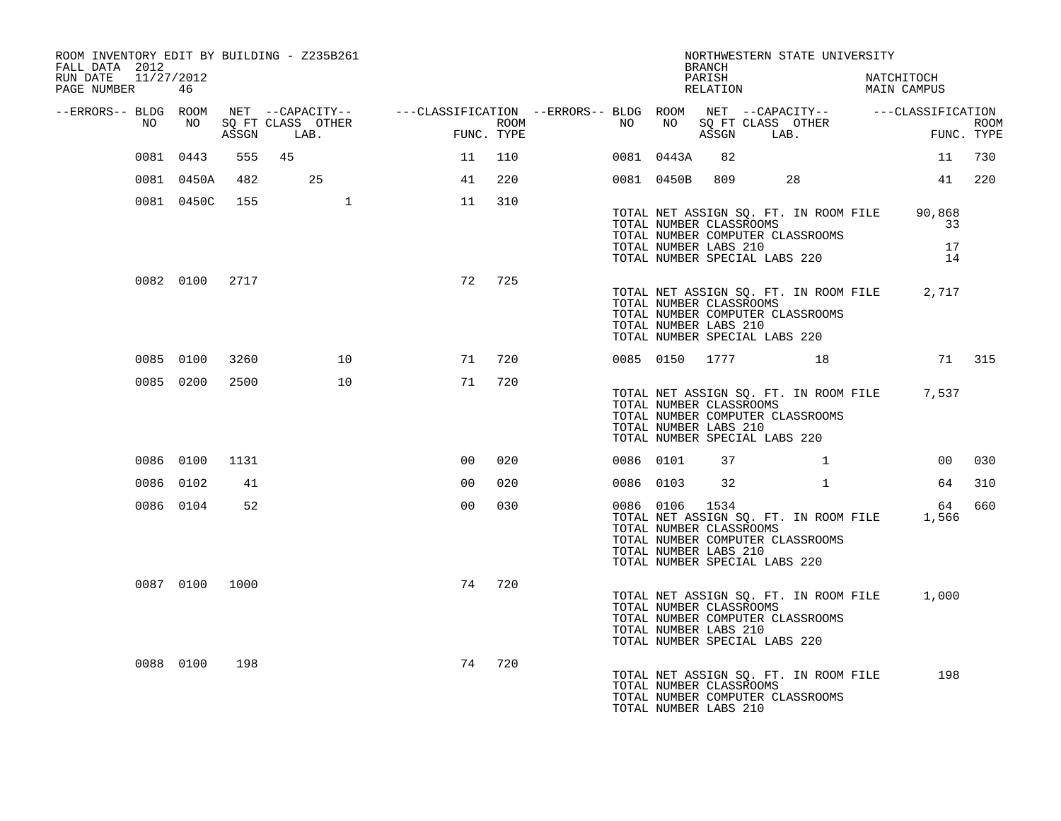| FALL DATA 2012                     |                |       | ROOM INVENTORY EDIT BY BUILDING - Z235B261 |                                                                                                |            |                  |           |                | <b>BRANCH</b>                                                                     |           | NORTHWESTERN STATE UNIVERSITY                                             |             |                                             |            |
|------------------------------------|----------------|-------|--------------------------------------------|------------------------------------------------------------------------------------------------|------------|------------------|-----------|----------------|-----------------------------------------------------------------------------------|-----------|---------------------------------------------------------------------------|-------------|---------------------------------------------|------------|
| RUN DATE 11/27/2012<br>PAGE NUMBER | 46             |       |                                            |                                                                                                |            |                  |           |                | PARISH<br>RELATION                                                                |           |                                                                           |             | NATCHITOCH<br>MAIN CAMPUS                   |            |
| --ERRORS-- BLDG ROOM<br>NO         | NO             |       | SQ FT CLASS OTHER                          | NET --CAPACITY-- -----CLASSIFICATION --ERRORS-- BLDG ROOM NET --CAPACITY-- -----CLASSIFICATION |            | ROOM <b>ROOM</b> | NO        |                |                                                                                   |           | NO SQ FT CLASS OTHER                                                      |             |                                             | ROOM       |
|                                    |                | ASSGN | LAB.                                       | FIM                                                                                            | FUNC. TYPE |                  |           |                |                                                                                   |           | ASSGN LAB.                                                                |             | FUN                                         | FUNC. TYPE |
|                                    | 0081 0443      | 555   | 45                                         | 11                                                                                             | 110        |                  |           | 0081 0443A     | 82                                                                                |           |                                                                           |             |                                             | 11 730     |
|                                    | 0081 0450A     | 482   | 25                                         | 41                                                                                             | 220        |                  |           | 0081 0450B     |                                                                                   | 809 — 100 | 28                                                                        |             |                                             | 41 220     |
|                                    | 0081 0450C     | 155   | $\mathbf{1}$                               | 11                                                                                             | 310        |                  |           |                | TOTAL NUMBER CLASSROOMS                                                           |           | TOTAL NET ASSIGN SQ. FT. IN ROOM FILE<br>TOTAL NUMBER COMPUTER CLASSROOMS |             | 90,868<br>33                                |            |
|                                    |                |       |                                            |                                                                                                |            |                  |           |                | TOTAL NUMBER LABS 210<br>TOTAL NUMBER SPECIAL LABS 220                            |           |                                                                           |             | 17<br>14                                    |            |
|                                    | 0082 0100 2717 |       |                                            | 72                                                                                             | 725        |                  |           |                | TOTAL NUMBER CLASSROOMS<br>TOTAL NUMBER LABS 210<br>TOTAL NUMBER SPECIAL LABS 220 |           | TOTAL NUMBER COMPUTER CLASSROOMS                                          |             | TOTAL NET ASSIGN SQ. FT. IN ROOM FILE 2,717 |            |
|                                    | 0085 0100      | 3260  | 10                                         |                                                                                                | 71 720     |                  |           |                |                                                                                   |           | 0085 0150 1777 18                                                         |             | 71 315                                      |            |
|                                    | 0085 0200      | 2500  | 10                                         | 71                                                                                             | 720        |                  |           |                | TOTAL NUMBER CLASSROOMS<br>TOTAL NUMBER LABS 210<br>TOTAL NUMBER SPECIAL LABS 220 |           | TOTAL NUMBER COMPUTER CLASSROOMS                                          |             | TOTAL NET ASSIGN SQ. FT. IN ROOM FILE 7,537 |            |
|                                    | 0086 0100      | 1131  |                                            | 0 <sup>0</sup>                                                                                 | 020        |                  | 0086 0101 |                | 37                                                                                |           |                                                                           | $\mathbf 1$ | 00 <sub>o</sub>                             | 030        |
|                                    | 0086 0102      | 41    |                                            | 0 <sub>0</sub>                                                                                 | 020        |                  | 0086 0103 |                | 32                                                                                |           | $\mathbf{1}$                                                              |             | 64                                          | 310        |
|                                    | 0086 0104      | 52    |                                            | 0 <sub>0</sub>                                                                                 | 030        |                  |           | 0086 0106 1534 | TOTAL NUMBER CLASSROOMS<br>TOTAL NUMBER LABS 210<br>TOTAL NUMBER SPECIAL LABS 220 |           | TOTAL NET ASSIGN SQ. FT. IN ROOM FILE<br>TOTAL NUMBER COMPUTER CLASSROOMS |             | 64<br>1,566                                 | 660        |
|                                    | 0087 0100 1000 |       |                                            | 74                                                                                             | 720        |                  |           |                | TOTAL NUMBER CLASSROOMS<br>TOTAL NUMBER LABS 210<br>TOTAL NUMBER SPECIAL LABS 220 |           | TOTAL NET ASSIGN SQ. FT. IN ROOM FILE<br>TOTAL NUMBER COMPUTER CLASSROOMS |             | 1,000                                       |            |
|                                    | 0088 0100      | 198   |                                            | 74                                                                                             | 720        |                  |           |                | TOTAL NUMBER CLASSROOMS<br>TOTAL NUMBER LABS 210                                  |           | TOTAL NET ASSIGN SQ. FT. IN ROOM FILE<br>TOTAL NUMBER COMPUTER CLASSROOMS |             | 198                                         |            |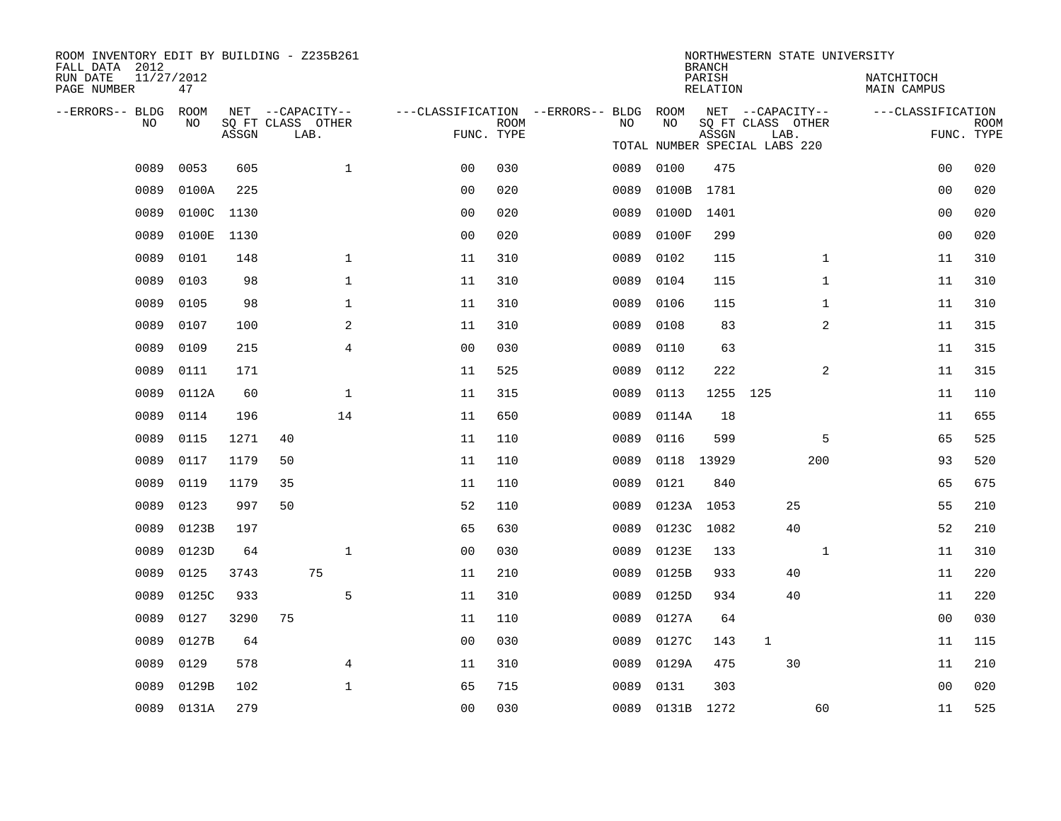| ROOM INVENTORY EDIT BY BUILDING - Z235B261<br>FALL DATA 2012 |                  |       |                           |                |                                        |             |      |                 | <b>BRANCH</b>      | NORTHWESTERN STATE UNIVERSITY |              |                                  |                           |  |
|--------------------------------------------------------------|------------------|-------|---------------------------|----------------|----------------------------------------|-------------|------|-----------------|--------------------|-------------------------------|--------------|----------------------------------|---------------------------|--|
| RUN DATE<br>PAGE NUMBER                                      | 11/27/2012<br>47 |       |                           |                |                                        |             |      |                 | PARISH<br>RELATION |                               |              | NATCHITOCH<br><b>MAIN CAMPUS</b> |                           |  |
| --ERRORS-- BLDG ROOM                                         |                  |       | NET --CAPACITY--          |                | ---CLASSIFICATION --ERRORS-- BLDG ROOM |             |      |                 |                    | NET --CAPACITY--              |              | ---CLASSIFICATION                |                           |  |
| NO                                                           | NO               | ASSGN | SQ FT CLASS OTHER<br>LAB. |                | FUNC. TYPE                             | <b>ROOM</b> | NO   | NO              | ASSGN              | SQ FT CLASS OTHER<br>LAB.     |              |                                  | <b>ROOM</b><br>FUNC. TYPE |  |
|                                                              |                  |       |                           |                |                                        |             |      |                 |                    | TOTAL NUMBER SPECIAL LABS 220 |              |                                  |                           |  |
| 0089                                                         | 0053             | 605   |                           | $\mathbf{1}$   | 0 <sub>0</sub>                         | 030         | 0089 | 0100            | 475                |                               |              | 0 <sub>0</sub>                   | 020                       |  |
| 0089                                                         | 0100A            | 225   |                           |                | 0 <sub>0</sub>                         | 020         | 0089 | 0100B           | 1781               |                               |              | 0 <sub>0</sub>                   | 020                       |  |
| 0089                                                         | 0100C 1130       |       |                           |                | 0 <sub>0</sub>                         | 020         | 0089 | 0100D           | 1401               |                               |              | 0 <sub>0</sub>                   | 020                       |  |
| 0089                                                         | 0100E            | 1130  |                           |                | 0 <sub>0</sub>                         | 020         | 0089 | 0100F           | 299                |                               |              | 00                               | 020                       |  |
| 0089                                                         | 0101             | 148   |                           | $\mathbf{1}$   | 11                                     | 310         | 0089 | 0102            | 115                |                               | $\mathbf{1}$ | 11                               | 310                       |  |
| 0089                                                         | 0103             | 98    |                           | $\mathbf 1$    | 11                                     | 310         | 0089 | 0104            | 115                |                               | $\mathbf{1}$ | 11                               | 310                       |  |
| 0089                                                         | 0105             | 98    |                           | $\mathbf{1}$   | 11                                     | 310         | 0089 | 0106            | 115                |                               | $\mathbf{1}$ | 11                               | 310                       |  |
| 0089                                                         | 0107             | 100   |                           | 2              | 11                                     | 310         | 0089 | 0108            | 83                 |                               | 2            | 11                               | 315                       |  |
| 0089                                                         | 0109             | 215   |                           | $\overline{4}$ | 0 <sub>0</sub>                         | 030         | 0089 | 0110            | 63                 |                               |              | 11                               | 315                       |  |
| 0089                                                         | 0111             | 171   |                           |                | 11                                     | 525         | 0089 | 0112            | 222                |                               | 2            | 11                               | 315                       |  |
| 0089                                                         | 0112A            | 60    |                           | $\mathbf{1}$   | 11                                     | 315         | 0089 | 0113            | 1255 125           |                               |              | 11                               | 110                       |  |
| 0089                                                         | 0114             | 196   |                           | 14             | 11                                     | 650         | 0089 | 0114A           | 18                 |                               |              | 11                               | 655                       |  |
| 0089                                                         | 0115             | 1271  | 40                        |                | 11                                     | 110         | 0089 | 0116            | 599                |                               | 5            | 65                               | 525                       |  |
| 0089                                                         | 0117             | 1179  | 50                        |                | 11                                     | 110         | 0089 | 0118 13929      |                    |                               | 200          | 93                               | 520                       |  |
| 0089                                                         | 0119             | 1179  | 35                        |                | 11                                     | 110         | 0089 | 0121            | 840                |                               |              | 65                               | 675                       |  |
| 0089                                                         | 0123             | 997   | 50                        |                | 52                                     | 110         | 0089 | 0123A 1053      |                    | 25                            |              | 55                               | 210                       |  |
| 0089                                                         | 0123B            | 197   |                           |                | 65                                     | 630         | 0089 | 0123C           | 1082               | 40                            |              | 52                               | 210                       |  |
| 0089                                                         | 0123D            | 64    |                           | $\mathbf{1}$   | 0 <sub>0</sub>                         | 030         | 0089 | 0123E           | 133                |                               | $\mathbf{1}$ | 11                               | 310                       |  |
| 0089                                                         | 0125             | 3743  | 75                        |                | 11                                     | 210         | 0089 | 0125B           | 933                | 40                            |              | 11                               | 220                       |  |
| 0089                                                         | 0125C            | 933   |                           | 5              | 11                                     | 310         | 0089 | 0125D           | 934                | 40                            |              | 11                               | 220                       |  |
| 0089                                                         | 0127             | 3290  | 75                        |                | 11                                     | 110         | 0089 | 0127A           | 64                 |                               |              | 0 <sub>0</sub>                   | 030                       |  |
| 0089                                                         | 0127B            | 64    |                           |                | 0 <sub>0</sub>                         | 030         | 0089 | 0127C           | 143                | $\mathbf{1}$                  |              | 11                               | 115                       |  |
| 0089                                                         | 0129             | 578   |                           | 4              | 11                                     | 310         | 0089 | 0129A           | 475                | 30                            |              | 11                               | 210                       |  |
| 0089                                                         | 0129B            | 102   |                           | $\mathbf{1}$   | 65                                     | 715         | 0089 | 0131            | 303                |                               |              | 0 <sub>0</sub>                   | 020                       |  |
|                                                              | 0089 0131A       | 279   |                           |                | 0 <sub>0</sub>                         | 030         |      | 0089 0131B 1272 |                    |                               | 60           | 11                               | 525                       |  |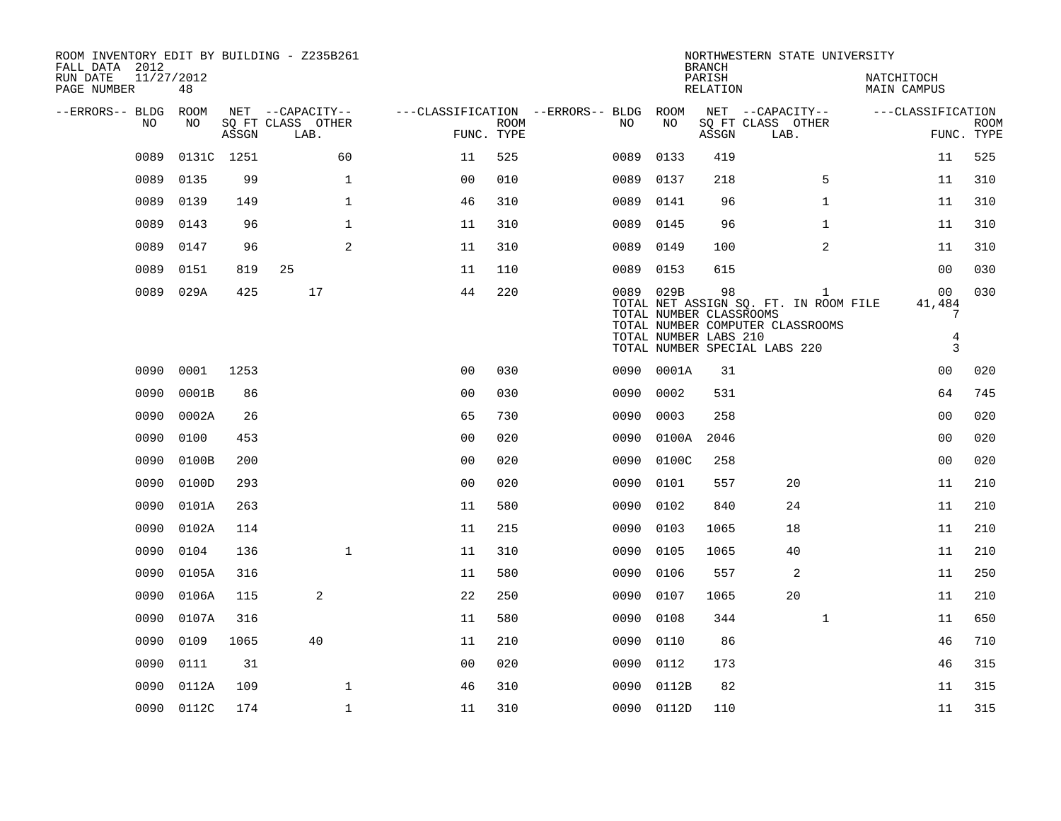| ROOM INVENTORY EDIT BY BUILDING - Z235B261<br>FALL DATA 2012 |                  |            |                           |                                        |             |      |                                                               | <b>BRANCH</b>      | NORTHWESTERN STATE UNIVERSITY                                                                                              |                                  |                           |
|--------------------------------------------------------------|------------------|------------|---------------------------|----------------------------------------|-------------|------|---------------------------------------------------------------|--------------------|----------------------------------------------------------------------------------------------------------------------------|----------------------------------|---------------------------|
| RUN DATE<br>PAGE NUMBER                                      | 11/27/2012<br>48 |            |                           |                                        |             |      |                                                               | PARISH<br>RELATION |                                                                                                                            | NATCHITOCH<br><b>MAIN CAMPUS</b> |                           |
| --ERRORS-- BLDG ROOM                                         |                  |            | NET --CAPACITY--          | ---CLASSIFICATION --ERRORS-- BLDG ROOM |             |      |                                                               |                    | NET --CAPACITY--                                                                                                           | ---CLASSIFICATION                |                           |
| NO                                                           | NO               | ASSGN      | SQ FT CLASS OTHER<br>LAB. | FUNC. TYPE                             | <b>ROOM</b> | NO   | NO                                                            | ASSGN              | SQ FT CLASS OTHER<br>LAB.                                                                                                  |                                  | <b>ROOM</b><br>FUNC. TYPE |
| 0089                                                         |                  | 0131C 1251 | 60                        | 11                                     | 525         | 0089 | 0133                                                          | 419                |                                                                                                                            | 11                               | 525                       |
| 0089                                                         | 0135             | 99         | $\mathbf{1}$              | 0 <sub>0</sub>                         | 010         | 0089 | 0137                                                          | 218                | 5                                                                                                                          | 11                               | 310                       |
| 0089                                                         | 0139             | 149        | $\mathbf{1}$              | 46                                     | 310         | 0089 | 0141                                                          | 96                 | $\mathbf{1}$                                                                                                               | 11                               | 310                       |
| 0089                                                         | 0143             | 96         | $\mathbf{1}$              | 11                                     | 310         | 0089 | 0145                                                          | 96                 | $\mathbf{1}$                                                                                                               | 11                               | 310                       |
| 0089                                                         | 0147             | 96         | 2                         | 11                                     | 310         |      | 0089 0149                                                     | 100                | $\overline{a}$                                                                                                             | 11                               | 310                       |
| 0089                                                         | 0151             | 819        | 25                        | 11                                     | 110         |      | 0089 0153                                                     | 615                |                                                                                                                            | 00                               | 030                       |
|                                                              | 0089 029A        | 425        | 17                        | 44                                     | 220         |      | 0089 029B<br>TOTAL NUMBER CLASSROOMS<br>TOTAL NUMBER LABS 210 | 98                 | $\mathbf{1}$<br>TOTAL NET ASSIGN SQ. FT. IN ROOM FILE<br>TOTAL NUMBER COMPUTER CLASSROOMS<br>TOTAL NUMBER SPECIAL LABS 220 | 00<br>41,484<br>7<br>4<br>3      | 030                       |
| 0090                                                         | 0001             | 1253       |                           | 0 <sub>0</sub>                         | 030         |      | 0090 0001A                                                    | 31                 |                                                                                                                            | 0 <sub>0</sub>                   | 020                       |
| 0090                                                         | 0001B            | 86         |                           | 0 <sub>0</sub>                         | 030         | 0090 | 0002                                                          | 531                |                                                                                                                            | 64                               | 745                       |
| 0090                                                         | 0002A            | 26         |                           | 65                                     | 730         | 0090 | 0003                                                          | 258                |                                                                                                                            | 0 <sub>0</sub>                   | 020                       |
| 0090                                                         | 0100             | 453        |                           | 0 <sub>0</sub>                         | 020         | 0090 | 0100A                                                         | 2046               |                                                                                                                            | 0 <sub>0</sub>                   | 020                       |
| 0090                                                         | 0100B            | 200        |                           | 0 <sub>0</sub>                         | 020         | 0090 | 0100C                                                         | 258                |                                                                                                                            | 0 <sub>0</sub>                   | 020                       |
| 0090                                                         | 0100D            | 293        |                           | 00                                     | 020         | 0090 | 0101                                                          | 557                | 20                                                                                                                         | 11                               | 210                       |
| 0090                                                         | 0101A            | 263        |                           | 11                                     | 580         | 0090 | 0102                                                          | 840                | 24                                                                                                                         | 11                               | 210                       |
| 0090                                                         | 0102A            | 114        |                           | 11                                     | 215         | 0090 | 0103                                                          | 1065               | 18                                                                                                                         | 11                               | 210                       |
| 0090                                                         | 0104             | 136        | $\mathbf{1}$              | 11                                     | 310         | 0090 | 0105                                                          | 1065               | 40                                                                                                                         | 11                               | 210                       |
| 0090                                                         | 0105A            | 316        |                           | 11                                     | 580         | 0090 | 0106                                                          | 557                | 2                                                                                                                          | 11                               | 250                       |
| 0090                                                         | 0106A            | 115        | 2                         | 22                                     | 250         | 0090 | 0107                                                          | 1065               | 20                                                                                                                         | 11                               | 210                       |
| 0090                                                         | 0107A            | 316        |                           | 11                                     | 580         | 0090 | 0108                                                          | 344                | $\mathbf{1}$                                                                                                               | 11                               | 650                       |
| 0090                                                         | 0109             | 1065       | 40                        | 11                                     | 210         | 0090 | 0110                                                          | 86                 |                                                                                                                            | 46                               | 710                       |
| 0090                                                         | 0111             | 31         |                           | 0 <sub>0</sub>                         | 020         | 0090 | 0112                                                          | 173                |                                                                                                                            | 46                               | 315                       |
| 0090                                                         | 0112A            | 109        | $\mathbf 1$               | 46                                     | 310         | 0090 | 0112B                                                         | 82                 |                                                                                                                            | 11                               | 315                       |
|                                                              | 0090 0112C       | 174        | $\mathbf{1}$              | 11                                     | 310         |      | 0090 0112D                                                    | 110                |                                                                                                                            | 11                               | 315                       |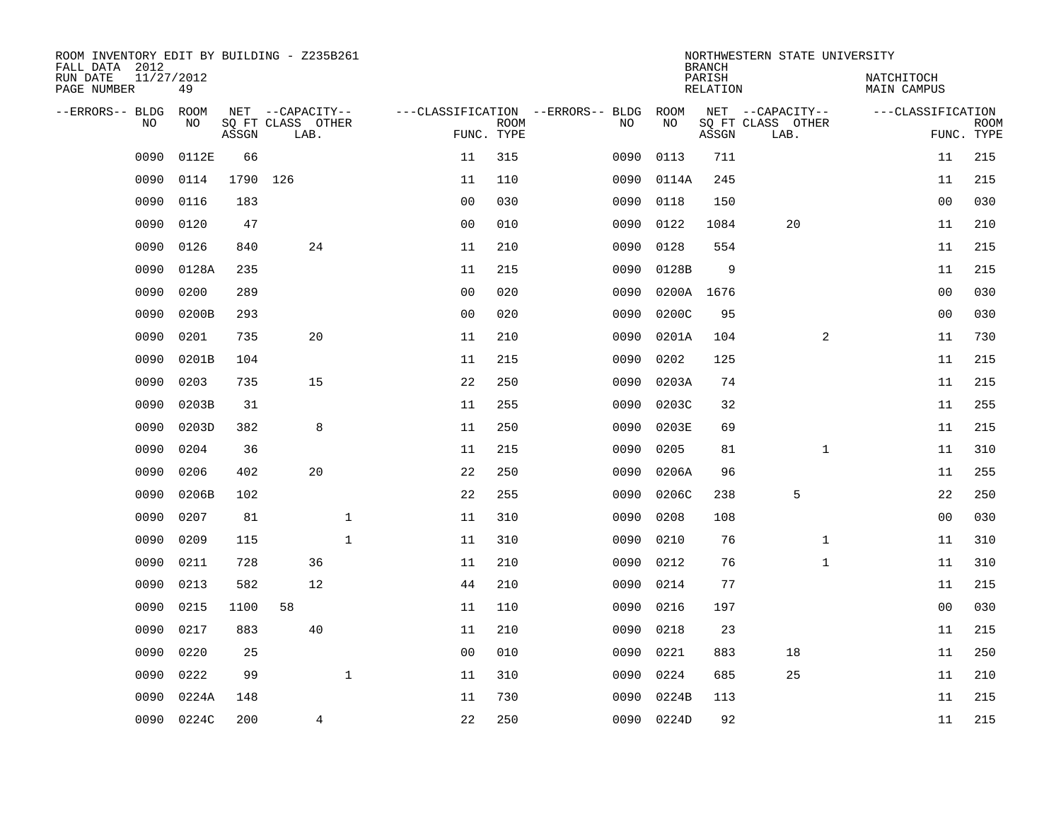| ROOM INVENTORY EDIT BY BUILDING - Z235B261<br>FALL DATA 2012 |                  |       |                           |              |                |             |                                   |            | <b>BRANCH</b>      | NORTHWESTERN STATE UNIVERSITY |                           |                |                           |
|--------------------------------------------------------------|------------------|-------|---------------------------|--------------|----------------|-------------|-----------------------------------|------------|--------------------|-------------------------------|---------------------------|----------------|---------------------------|
| RUN DATE<br>PAGE NUMBER                                      | 11/27/2012<br>49 |       |                           |              |                |             |                                   |            | PARISH<br>RELATION |                               | NATCHITOCH<br>MAIN CAMPUS |                |                           |
| --ERRORS-- BLDG                                              | <b>ROOM</b>      |       | NET --CAPACITY--          |              |                |             | ---CLASSIFICATION --ERRORS-- BLDG | ROOM       |                    | NET --CAPACITY--              | ---CLASSIFICATION         |                |                           |
| N <sub>O</sub>                                               | NO.              | ASSGN | SO FT CLASS OTHER<br>LAB. |              | FUNC. TYPE     | <b>ROOM</b> | NO.                               | NO         | ASSGN              | SQ FT CLASS OTHER<br>LAB.     |                           |                | <b>ROOM</b><br>FUNC. TYPE |
| 0090                                                         | 0112E            | 66    |                           |              | 11             | 315         | 0090                              | 0113       | 711                |                               |                           | 11             | 215                       |
| 0090                                                         | 0114             | 1790  | 126                       |              | 11             | 110         | 0090                              | 0114A      | 245                |                               |                           | 11             | 215                       |
| 0090                                                         | 0116             | 183   |                           |              | 0 <sub>0</sub> | 030         | 0090                              | 0118       | 150                |                               |                           | 00             | 030                       |
| 0090                                                         | 0120             | 47    |                           |              | 0 <sub>0</sub> | 010         | 0090                              | 0122       | 1084               | 20                            |                           | 11             | 210                       |
| 0090                                                         | 0126             | 840   | 24                        |              | 11             | 210         | 0090                              | 0128       | 554                |                               |                           | 11             | 215                       |
| 0090                                                         | 0128A            | 235   |                           |              | 11             | 215         | 0090                              | 0128B      | 9                  |                               |                           | 11             | 215                       |
| 0090                                                         | 0200             | 289   |                           |              | 0 <sub>0</sub> | 020         | 0090                              |            | 0200A 1676         |                               |                           | 00             | 030                       |
| 0090                                                         | 0200B            | 293   |                           |              | 0 <sub>0</sub> | 020         | 0090                              | 0200C      | 95                 |                               |                           | 0 <sub>0</sub> | 030                       |
| 0090                                                         | 0201             | 735   | 20                        |              | 11             | 210         | 0090                              | 0201A      | 104                | 2                             |                           | 11             | 730                       |
| 0090                                                         | 0201B            | 104   |                           |              | 11             | 215         | 0090                              | 0202       | 125                |                               |                           | 11             | 215                       |
| 0090                                                         | 0203             | 735   | 15                        |              | 22             | 250         | 0090                              | 0203A      | 74                 |                               |                           | 11             | 215                       |
| 0090                                                         | 0203B            | 31    |                           |              | 11             | 255         | 0090                              | 0203C      | 32                 |                               |                           | 11             | 255                       |
| 0090                                                         | 0203D            | 382   | 8                         |              | 11             | 250         | 0090                              | 0203E      | 69                 |                               |                           | 11             | 215                       |
| 0090                                                         | 0204             | 36    |                           |              | 11             | 215         | 0090                              | 0205       | 81                 | $\mathbf{1}$                  |                           | 11             | 310                       |
| 0090                                                         | 0206             | 402   | 20                        |              | 22             | 250         | 0090                              | 0206A      | 96                 |                               |                           | 11             | 255                       |
| 0090                                                         | 0206B            | 102   |                           |              | 22             | 255         | 0090                              | 0206C      | 238                | 5                             |                           | 22             | 250                       |
| 0090                                                         | 0207             | 81    |                           | $\mathbf{1}$ | 11             | 310         | 0090                              | 0208       | 108                |                               |                           | 0 <sub>0</sub> | 030                       |
| 0090                                                         | 0209             | 115   |                           | $\mathbf{1}$ | 11             | 310         | 0090                              | 0210       | 76                 | $\mathbf{1}$                  |                           | 11             | 310                       |
| 0090                                                         | 0211             | 728   | 36                        |              | 11             | 210         | 0090                              | 0212       | 76                 | $\mathbf{1}$                  |                           | 11             | 310                       |
| 0090                                                         | 0213             | 582   | 12                        |              | 44             | 210         | 0090                              | 0214       | 77                 |                               |                           | 11             | 215                       |
| 0090                                                         | 0215             | 1100  | 58                        |              | 11             | 110         | 0090                              | 0216       | 197                |                               |                           | 0 <sub>0</sub> | 030                       |
| 0090                                                         | 0217             | 883   | 40                        |              | 11             | 210         | 0090                              | 0218       | 23                 |                               |                           | 11             | 215                       |
| 0090                                                         | 0220             | 25    |                           |              | 0 <sub>0</sub> | 010         | 0090                              | 0221       | 883                | 18                            |                           | 11             | 250                       |
| 0090                                                         | 0222             | 99    |                           | $\mathbf{1}$ | 11             | 310         | 0090                              | 0224       | 685                | 25                            |                           | 11             | 210                       |
| 0090                                                         | 0224A            | 148   |                           |              | 11             | 730         | 0090                              | 0224B      | 113                |                               |                           | 11             | 215                       |
|                                                              | 0090 0224C       | 200   | 4                         |              | 22             | 250         |                                   | 0090 0224D | 92                 |                               |                           | 11             | 215                       |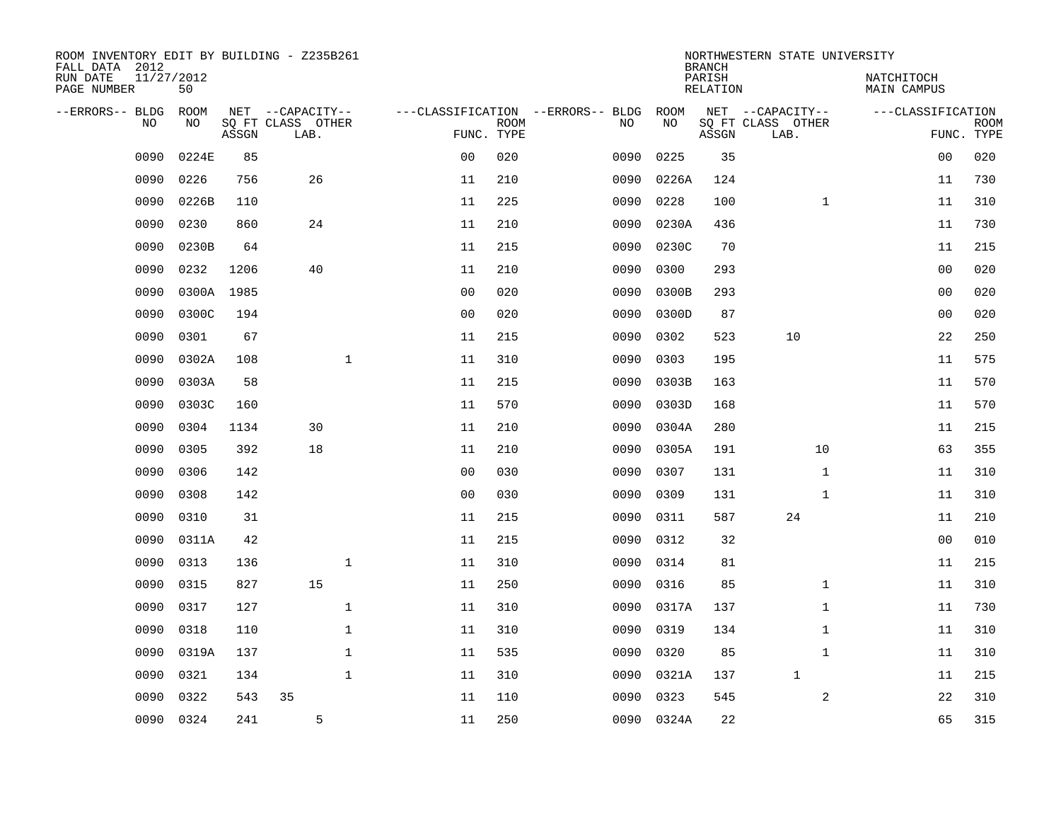| ROOM INVENTORY EDIT BY BUILDING - Z235B261<br>FALL DATA 2012 |                  |            |                           |              |                |                           |                                   |            | <b>BRANCH</b>      | NORTHWESTERN STATE UNIVERSITY |                                  |                           |
|--------------------------------------------------------------|------------------|------------|---------------------------|--------------|----------------|---------------------------|-----------------------------------|------------|--------------------|-------------------------------|----------------------------------|---------------------------|
| RUN DATE<br>PAGE NUMBER                                      | 11/27/2012<br>50 |            |                           |              |                |                           |                                   |            | PARISH<br>RELATION |                               | NATCHITOCH<br><b>MAIN CAMPUS</b> |                           |
| --ERRORS-- BLDG                                              | ROOM             |            | NET --CAPACITY--          |              |                |                           | ---CLASSIFICATION --ERRORS-- BLDG | ROOM       |                    | NET --CAPACITY--              | ---CLASSIFICATION                |                           |
| N <sub>O</sub>                                               | NO.              | ASSGN      | SO FT CLASS OTHER<br>LAB. |              |                | <b>ROOM</b><br>FUNC. TYPE | NO.                               | NO         | ASSGN              | SQ FT CLASS OTHER<br>LAB.     |                                  | <b>ROOM</b><br>FUNC. TYPE |
| 0090                                                         | 0224E            | 85         |                           |              | 0 <sub>0</sub> | 020                       | 0090                              | 0225       | 35                 |                               | 00                               | 020                       |
| 0090                                                         | 0226             | 756        | 26                        |              | 11             | 210                       | 0090                              | 0226A      | 124                |                               | 11                               | 730                       |
| 0090                                                         | 0226B            | 110        |                           |              | 11             | 225                       | 0090                              | 0228       | 100                | $\mathbf{1}$                  | 11                               | 310                       |
| 0090                                                         | 0230             | 860        | 24                        |              | 11             | 210                       | 0090                              | 0230A      | 436                |                               | 11                               | 730                       |
| 0090                                                         | 0230B            | 64         |                           |              | 11             | 215                       | 0090                              | 0230C      | 70                 |                               | 11                               | 215                       |
| 0090                                                         | 0232             | 1206       | 40                        |              | 11             | 210                       | 0090                              | 0300       | 293                |                               | 0 <sub>0</sub>                   | 020                       |
| 0090                                                         |                  | 0300A 1985 |                           |              | 0 <sub>0</sub> | 020                       | 0090                              | 0300B      | 293                |                               | 0 <sub>0</sub>                   | 020                       |
| 0090                                                         | 0300C            | 194        |                           |              | 0 <sub>0</sub> | 020                       | 0090                              | 0300D      | 87                 |                               | 0 <sub>0</sub>                   | 020                       |
| 0090                                                         | 0301             | 67         |                           |              | 11             | 215                       | 0090                              | 0302       | 523                | 10                            | 22                               | 250                       |
| 0090                                                         | 0302A            | 108        |                           | $\mathbf{1}$ | 11             | 310                       | 0090                              | 0303       | 195                |                               | 11                               | 575                       |
| 0090                                                         | 0303A            | 58         |                           |              | 11             | 215                       | 0090                              | 0303B      | 163                |                               | 11                               | 570                       |
| 0090                                                         | 0303C            | 160        |                           |              | 11             | 570                       | 0090                              | 0303D      | 168                |                               | 11                               | 570                       |
| 0090                                                         | 0304             | 1134       | 30                        |              | 11             | 210                       | 0090                              | 0304A      | 280                |                               | 11                               | 215                       |
| 0090                                                         | 0305             | 392        | 18                        |              | 11             | 210                       | 0090                              | 0305A      | 191                | 10                            | 63                               | 355                       |
| 0090                                                         | 0306             | 142        |                           |              | 00             | 030                       | 0090                              | 0307       | 131                | $\mathbf{1}$                  | 11                               | 310                       |
| 0090                                                         | 0308             | 142        |                           |              | 0 <sub>0</sub> | 030                       | 0090                              | 0309       | 131                | $\mathbf{1}$                  | 11                               | 310                       |
| 0090                                                         | 0310             | 31         |                           |              | 11             | 215                       | 0090                              | 0311       | 587                | 24                            | 11                               | 210                       |
| 0090                                                         | 0311A            | 42         |                           |              | 11             | 215                       | 0090                              | 0312       | 32                 |                               | 00                               | 010                       |
| 0090                                                         | 0313             | 136        |                           | $\mathbf{1}$ | 11             | 310                       | 0090                              | 0314       | 81                 |                               | 11                               | 215                       |
| 0090                                                         | 0315             | 827        | 15                        |              | 11             | 250                       | 0090                              | 0316       | 85                 | $\mathbf{1}$                  | 11                               | 310                       |
| 0090                                                         | 0317             | 127        |                           | $\mathbf 1$  | 11             | 310                       | 0090                              | 0317A      | 137                | $\mathbf{1}$                  | 11                               | 730                       |
| 0090                                                         | 0318             | 110        |                           | $\mathbf 1$  | 11             | 310                       | 0090                              | 0319       | 134                | $\mathbf{1}$                  | 11                               | 310                       |
| 0090                                                         | 0319A            | 137        |                           | $\mathbf 1$  | 11             | 535                       | 0090                              | 0320       | 85                 | $\mathbf{1}$                  | 11                               | 310                       |
| 0090                                                         | 0321             | 134        |                           | $\mathbf{1}$ | 11             | 310                       | 0090                              | 0321A      | 137                | $\mathbf 1$                   | 11                               | 215                       |
| 0090                                                         | 0322             | 543        | 35                        |              | 11             | 110                       | 0090                              | 0323       | 545                | $\overline{a}$                | 22                               | 310                       |
| 0090                                                         | 0324             | 241        | 5                         |              | 11             | 250                       |                                   | 0090 0324A | 22                 |                               | 65                               | 315                       |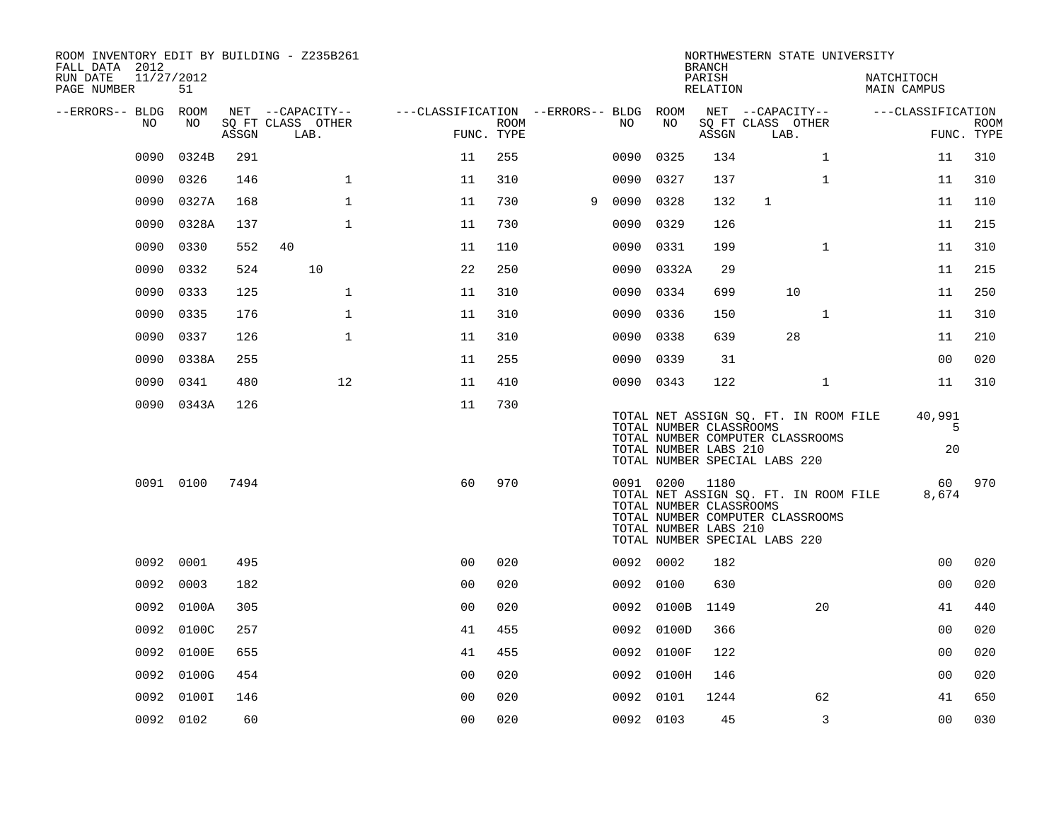| ROOM INVENTORY EDIT BY BUILDING - Z235B261<br>FALL DATA 2012 |                  |       |                                       |                                        |      |   |           |                         | <b>BRANCH</b>      |                                       | NORTHWESTERN STATE UNIVERSITY                                             |                                  |                           |
|--------------------------------------------------------------|------------------|-------|---------------------------------------|----------------------------------------|------|---|-----------|-------------------------|--------------------|---------------------------------------|---------------------------------------------------------------------------|----------------------------------|---------------------------|
| RUN DATE<br>PAGE NUMBER                                      | 11/27/2012<br>51 |       |                                       |                                        |      |   |           |                         | PARISH<br>RELATION |                                       |                                                                           | NATCHITOCH<br><b>MAIN CAMPUS</b> |                           |
| --ERRORS-- BLDG ROOM<br>NO.                                  | NO.              |       | NET --CAPACITY--<br>SQ FT CLASS OTHER | ---CLASSIFICATION --ERRORS-- BLDG ROOM | ROOM |   | NO.       | NO                      |                    | NET --CAPACITY--<br>SQ FT CLASS OTHER |                                                                           | ---CLASSIFICATION                |                           |
|                                                              |                  | ASSGN | LAB.                                  | FUNC. TYPE                             |      |   |           |                         | ASSGN              | LAB.                                  |                                                                           |                                  | <b>ROOM</b><br>FUNC. TYPE |
| 0090                                                         | 0324B            | 291   |                                       | 11                                     | 255  |   | 0090      | 0325                    | 134                |                                       | $\mathbf{1}$                                                              |                                  | 310<br>11                 |
| 0090                                                         | 0326             | 146   | $\mathbf 1$                           | 11                                     | 310  |   | 0090      | 0327                    | 137                |                                       | $\mathbf{1}$                                                              | 11                               | 310                       |
| 0090                                                         | 0327A            | 168   | $\mathbf 1$                           | 11                                     | 730  | 9 | 0090      | 0328                    | 132                | $\mathbf{1}$                          |                                                                           | 11                               | 110                       |
| 0090                                                         | 0328A            | 137   | $\mathbf{1}$                          | 11                                     | 730  |   | 0090      | 0329                    | 126                |                                       |                                                                           | 11                               | 215                       |
| 0090                                                         | 0330             | 552   | 40                                    | 11                                     | 110  |   | 0090      | 0331                    | 199                |                                       | $\mathbf{1}$                                                              | 11                               | 310                       |
| 0090                                                         | 0332             | 524   | 10                                    | 22                                     | 250  |   |           | 0090 0332A              | 29                 |                                       |                                                                           | 11                               | 215                       |
| 0090                                                         | 0333             | 125   | $\mathbf{1}$                          | 11                                     | 310  |   | 0090      | 0334                    | 699                |                                       | 10                                                                        |                                  | 250<br>11                 |
| 0090                                                         | 0335             | 176   | $\mathbf{1}$                          | 11                                     | 310  |   | 0090 0336 |                         | 150                |                                       | $\mathbf{1}$                                                              |                                  | 310<br>11                 |
| 0090                                                         | 0337             | 126   | $\mathbf{1}$                          | 11                                     | 310  |   | 0090      | 0338                    | 639                |                                       | 28                                                                        | 11                               | 210                       |
| 0090                                                         | 0338A            | 255   |                                       | 11                                     | 255  |   | 0090 0339 |                         | 31                 |                                       |                                                                           |                                  | 00<br>020                 |
| 0090                                                         | 0341             | 480   | 12                                    | 11                                     | 410  |   | 0090 0343 |                         | 122                |                                       | $\mathbf{1}$                                                              |                                  | 11<br>310                 |
|                                                              | 0090 0343A       | 126   |                                       | 11                                     | 730  |   |           |                         |                    |                                       |                                                                           |                                  |                           |
|                                                              |                  |       |                                       |                                        |      |   |           | TOTAL NUMBER CLASSROOMS |                    |                                       | TOTAL NET ASSIGN SQ. FT. IN ROOM FILE<br>TOTAL NUMBER COMPUTER CLASSROOMS | 40,991                           | 5                         |
|                                                              |                  |       |                                       |                                        |      |   |           | TOTAL NUMBER LABS 210   |                    | TOTAL NUMBER SPECIAL LABS 220         |                                                                           |                                  | 20                        |
|                                                              | 0091 0100        | 7494  |                                       | 60                                     | 970  |   |           | 0091 0200               | 1180               |                                       |                                                                           |                                  | 60<br>970                 |
|                                                              |                  |       |                                       |                                        |      |   |           | TOTAL NUMBER CLASSROOMS |                    |                                       | TOTAL NET ASSIGN SQ. FT. IN ROOM FILE                                     | 8,674                            |                           |
|                                                              |                  |       |                                       |                                        |      |   |           | TOTAL NUMBER LABS 210   |                    |                                       | TOTAL NUMBER COMPUTER CLASSROOMS                                          |                                  |                           |
|                                                              |                  |       |                                       |                                        |      |   |           |                         |                    | TOTAL NUMBER SPECIAL LABS 220         |                                                                           |                                  |                           |
|                                                              | 0092 0001        | 495   |                                       | 0 <sub>0</sub>                         | 020  |   | 0092 0002 |                         | 182                |                                       |                                                                           |                                  | 0 <sub>0</sub><br>020     |
|                                                              | 0092 0003        | 182   |                                       | 0 <sub>0</sub>                         | 020  |   | 0092 0100 |                         | 630                |                                       |                                                                           |                                  | 0 <sub>0</sub><br>020     |
|                                                              | 0092 0100A       | 305   |                                       | 0 <sub>0</sub>                         | 020  |   |           | 0092 0100B              | 1149               |                                       | 20                                                                        |                                  | 41<br>440                 |
| 0092                                                         | 0100C            | 257   |                                       | 41                                     | 455  |   |           | 0092 0100D              | 366                |                                       |                                                                           |                                  | 0 <sub>0</sub><br>020     |
| 0092                                                         | 0100E            | 655   |                                       | 41                                     | 455  |   |           | 0092 0100F              | 122                |                                       |                                                                           |                                  | 020<br>00                 |
| 0092                                                         | 0100G            | 454   |                                       | 0 <sub>0</sub>                         | 020  |   |           | 0092 0100H              | 146                |                                       |                                                                           |                                  | 0 <sub>0</sub><br>020     |
| 0092                                                         | 0100I            | 146   |                                       | 0 <sub>0</sub>                         | 020  |   | 0092 0101 |                         | 1244               |                                       | 62                                                                        |                                  | 41<br>650                 |
|                                                              | 0092 0102        | 60    |                                       | 0 <sub>0</sub>                         | 020  |   | 0092 0103 |                         | 45                 |                                       | 3                                                                         |                                  | 0 <sub>0</sub><br>030     |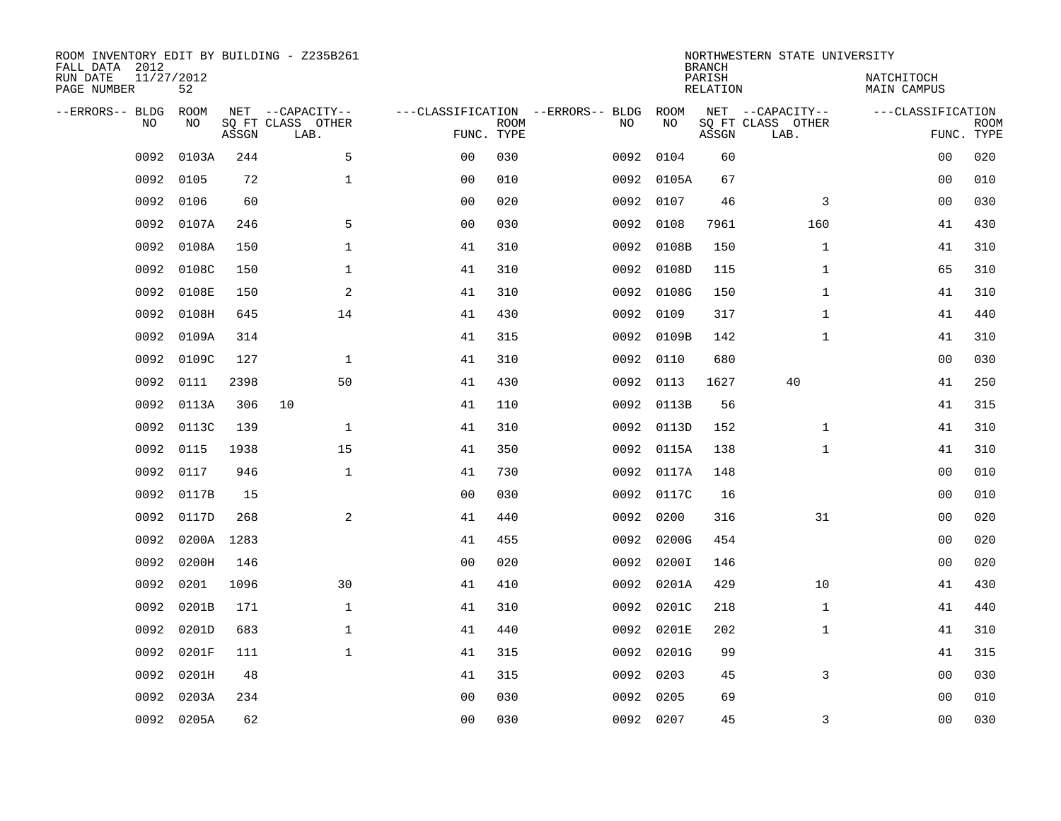| ROOM INVENTORY EDIT BY BUILDING - Z235B261<br>FALL DATA 2012<br>RUN DATE<br>PAGE NUMBER | 11/27/2012<br>52 |       |                                               |                                                 |             |      |            | <b>BRANCH</b><br>PARISH<br>RELATION | NORTHWESTERN STATE UNIVERSITY                 | NATCHITOCH<br>MAIN CAMPUS       |             |
|-----------------------------------------------------------------------------------------|------------------|-------|-----------------------------------------------|-------------------------------------------------|-------------|------|------------|-------------------------------------|-----------------------------------------------|---------------------------------|-------------|
| --ERRORS-- BLDG<br><b>NO</b>                                                            | ROOM<br>NO.      | ASSGN | NET --CAPACITY--<br>SO FT CLASS OTHER<br>LAB. | ---CLASSIFICATION --ERRORS-- BLDG<br>FUNC. TYPE | <b>ROOM</b> | NO   | ROOM<br>NO | ASSGN                               | NET --CAPACITY--<br>SQ FT CLASS OTHER<br>LAB. | ---CLASSIFICATION<br>FUNC. TYPE | <b>ROOM</b> |
| 0092                                                                                    | 0103A            | 244   | 5                                             | 0 <sub>0</sub>                                  | 030         | 0092 | 0104       | 60                                  |                                               | 00                              | 020         |
| 0092                                                                                    | 0105             | 72    | $\mathbf 1$                                   | 0 <sub>0</sub>                                  | 010         |      | 0092 0105A | 67                                  |                                               | 0 <sub>0</sub>                  | 010         |
| 0092                                                                                    | 0106             | 60    |                                               | 0 <sub>0</sub>                                  | 020         | 0092 | 0107       | 46                                  | 3                                             | 0 <sub>0</sub>                  | 030         |
| 0092                                                                                    | 0107A            | 246   | 5                                             | 0 <sub>0</sub>                                  | 030         | 0092 | 0108       | 7961                                | 160                                           | 41                              | 430         |
| 0092                                                                                    | 0108A            | 150   | $\mathbf{1}$                                  | 41                                              | 310         | 0092 | 0108B      | 150                                 | $\mathbf{1}$                                  | 41                              | 310         |
| 0092                                                                                    | 0108C            | 150   | $\mathbf{1}$                                  | 41                                              | 310         |      | 0092 0108D | 115                                 | $\mathbf{1}$                                  | 65                              | 310         |
| 0092                                                                                    | 0108E            | 150   | 2                                             | 41                                              | 310         | 0092 | 0108G      | 150                                 | $\mathbf{1}$                                  | 41                              | 310         |
| 0092                                                                                    | 0108H            | 645   | 14                                            | 41                                              | 430         | 0092 | 0109       | 317                                 | $\mathbf{1}$                                  | 41                              | 440         |
| 0092                                                                                    | 0109A            | 314   |                                               | 41                                              | 315         | 0092 | 0109B      | 142                                 | $\mathbf{1}$                                  | 41                              | 310         |
| 0092                                                                                    | 0109C            | 127   | $\mathbf 1$                                   | 41                                              | 310         | 0092 | 0110       | 680                                 |                                               | 00                              | 030         |
| 0092                                                                                    | 0111             | 2398  | 50                                            | 41                                              | 430         | 0092 | 0113       | 1627                                | 40                                            | 41                              | 250         |
| 0092                                                                                    | 0113A            | 306   | 10                                            | 41                                              | 110         |      | 0092 0113B | 56                                  |                                               | 41                              | 315         |
| 0092                                                                                    | 0113C            | 139   | $\mathbf 1$                                   | 41                                              | 310         | 0092 | 0113D      | 152                                 | $\mathbf{1}$                                  | 41                              | 310         |
| 0092                                                                                    | 0115             | 1938  | 15                                            | 41                                              | 350         |      | 0092 0115A | 138                                 | $\mathbf{1}$                                  | 41                              | 310         |
| 0092                                                                                    | 0117             | 946   | $\mathbf{1}$                                  | 41                                              | 730         |      | 0092 0117A | 148                                 |                                               | 00                              | 010         |
| 0092                                                                                    | 0117B            | 15    |                                               | 0 <sub>0</sub>                                  | 030         |      | 0092 0117C | 16                                  |                                               | 00                              | 010         |
| 0092                                                                                    | 0117D            | 268   | 2                                             | 41                                              | 440         | 0092 | 0200       | 316                                 | 31                                            | 00                              | 020         |
| 0092                                                                                    | 0200A            | 1283  |                                               | 41                                              | 455         | 0092 | 0200G      | 454                                 |                                               | 00                              | 020         |
| 0092                                                                                    | 0200H            | 146   |                                               | 0 <sub>0</sub>                                  | 020         |      | 0092 0200I | 146                                 |                                               | 0 <sub>0</sub>                  | 020         |
| 0092                                                                                    | 0201             | 1096  | 30                                            | 41                                              | 410         | 0092 | 0201A      | 429                                 | 10                                            | 41                              | 430         |
| 0092                                                                                    | 0201B            | 171   | $\mathbf{1}$                                  | 41                                              | 310         |      | 0092 0201C | 218                                 | $\mathbf{1}$                                  | 41                              | 440         |
| 0092                                                                                    | 0201D            | 683   | $\mathbf{1}$                                  | 41                                              | 440         | 0092 | 0201E      | 202                                 | $\mathbf{1}$                                  | 41                              | 310         |
| 0092                                                                                    | 0201F            | 111   | $\mathbf{1}$                                  | 41                                              | 315         |      | 0092 0201G | 99                                  |                                               | 41                              | 315         |
| 0092                                                                                    | 0201H            | 48    |                                               | 41                                              | 315         | 0092 | 0203       | 45                                  | 3                                             | 0 <sub>0</sub>                  | 030         |
| 0092                                                                                    | 0203A            | 234   |                                               | 0 <sub>0</sub>                                  | 030         | 0092 | 0205       | 69                                  |                                               | 00                              | 010         |
|                                                                                         | 0092 0205A       | 62    |                                               | 00                                              | 030         |      | 0092 0207  | 45                                  | 3                                             | 0 <sub>0</sub>                  | 030         |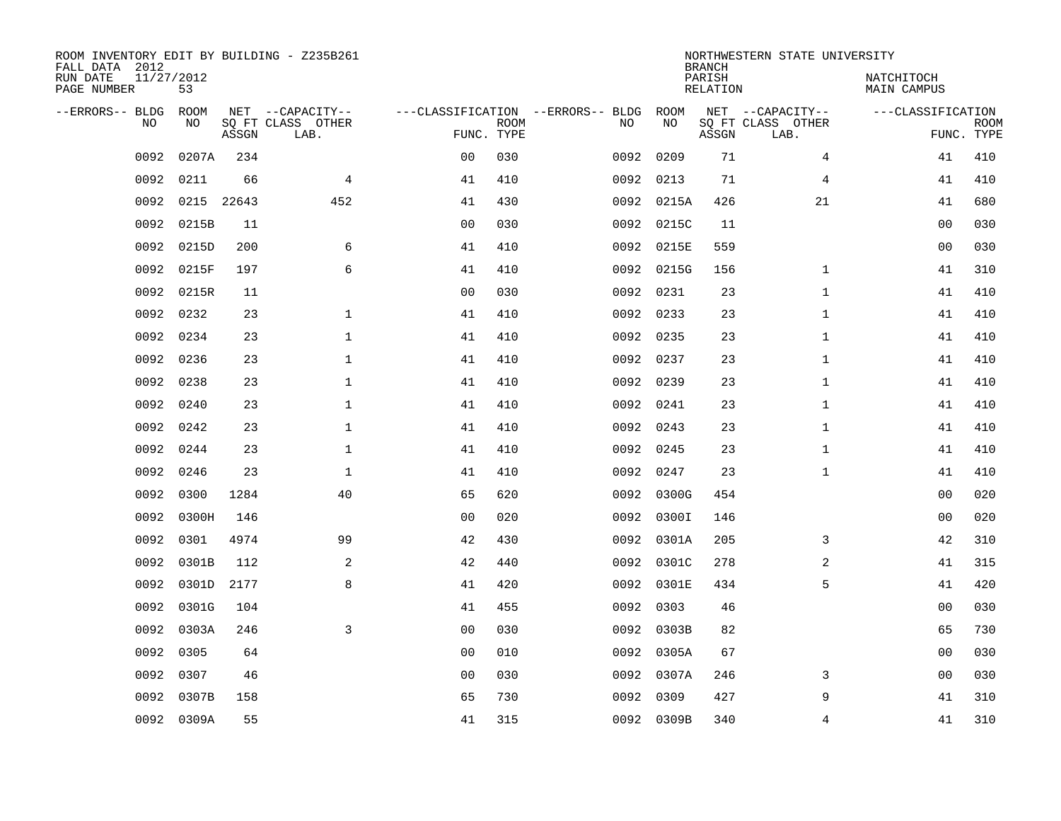| ROOM INVENTORY EDIT BY BUILDING - Z235B261<br>FALL DATA 2012 |                  |            |                           |                |             |                                   |            | <b>BRANCH</b>             | NORTHWESTERN STATE UNIVERSITY |                           |                           |
|--------------------------------------------------------------|------------------|------------|---------------------------|----------------|-------------|-----------------------------------|------------|---------------------------|-------------------------------|---------------------------|---------------------------|
| RUN DATE<br>PAGE NUMBER                                      | 11/27/2012<br>53 |            |                           |                |             |                                   |            | PARISH<br><b>RELATION</b> |                               | NATCHITOCH<br>MAIN CAMPUS |                           |
| --ERRORS-- BLDG                                              | ROOM             |            | NET --CAPACITY--          |                |             | ---CLASSIFICATION --ERRORS-- BLDG | ROOM       |                           | NET --CAPACITY--              | ---CLASSIFICATION         |                           |
| N <sub>O</sub>                                               | NO.              | ASSGN      | SO FT CLASS OTHER<br>LAB. | FUNC. TYPE     | <b>ROOM</b> | NO.                               | NO         | ASSGN                     | SO FT CLASS OTHER<br>LAB.     |                           | <b>ROOM</b><br>FUNC. TYPE |
| 0092                                                         | 0207A            | 234        |                           | 0 <sub>0</sub> | 030         | 0092                              | 0209       | 71                        | 4                             | 41                        | 410                       |
| 0092                                                         | 0211             | 66         | $\overline{4}$            | 41             | 410         | 0092                              | 0213       | 71                        | 4                             | 41                        | 410                       |
| 0092                                                         |                  | 0215 22643 | 452                       | 41             | 430         |                                   | 0092 0215A | 426                       | 21                            | 41                        | 680                       |
| 0092                                                         | 0215B            | 11         |                           | 0 <sub>0</sub> | 030         |                                   | 0092 0215C | 11                        |                               | 0 <sub>0</sub>            | 030                       |
| 0092                                                         | 0215D            | 200        | 6                         | 41             | 410         | 0092                              | 0215E      | 559                       |                               | 0 <sub>0</sub>            | 030                       |
| 0092                                                         | 0215F            | 197        | 6                         | 41             | 410         |                                   | 0092 0215G | 156                       | $\mathbf{1}$                  | 41                        | 310                       |
| 0092                                                         | 0215R            | 11         |                           | 0 <sub>0</sub> | 030         | 0092                              | 0231       | 23                        | $\mathbf{1}$                  | 41                        | 410                       |
| 0092                                                         | 0232             | 23         | $\mathbf 1$               | 41             | 410         |                                   | 0092 0233  | 23                        | $\mathbf{1}$                  | 41                        | 410                       |
| 0092                                                         | 0234             | 23         | $\mathbf{1}$              | 41             | 410         | 0092                              | 0235       | 23                        | $\mathbf{1}$                  | 41                        | 410                       |
| 0092                                                         | 0236             | 23         | $\mathbf{1}$              | 41             | 410         |                                   | 0092 0237  | 23                        | $\mathbf{1}$                  | 41                        | 410                       |
| 0092                                                         | 0238             | 23         | $\mathbf{1}$              | 41             | 410         | 0092                              | 0239       | 23                        | $\mathbf{1}$                  | 41                        | 410                       |
| 0092                                                         | 0240             | 23         | $\mathbf{1}$              | 41             | 410         |                                   | 0092 0241  | 23                        | $\mathbf{1}$                  | 41                        | 410                       |
| 0092                                                         | 0242             | 23         | $\mathbf{1}$              | 41             | 410         | 0092                              | 0243       | 23                        | $\mathbf{1}$                  | 41                        | 410                       |
| 0092                                                         | 0244             | 23         | $\mathbf 1$               | 41             | 410         |                                   | 0092 0245  | 23                        | $\mathbf{1}$                  | 41                        | 410                       |
| 0092                                                         | 0246             | 23         | $\mathbf 1$               | 41             | 410         | 0092                              | 0247       | 23                        | $\mathbf{1}$                  | 41                        | 410                       |
| 0092                                                         | 0300             | 1284       | 40                        | 65             | 620         | 0092                              | 0300G      | 454                       |                               | 00                        | 020                       |
| 0092                                                         | 0300H            | 146        |                           | 0 <sub>0</sub> | 020         | 0092                              | 0300I      | 146                       |                               | 0 <sub>0</sub>            | 020                       |
| 0092                                                         | 0301             | 4974       | 99                        | 42             | 430         | 0092                              | 0301A      | 205                       | 3                             | 42                        | 310                       |
| 0092                                                         | 0301B            | 112        | 2                         | 42             | 440         |                                   | 0092 0301C | 278                       | 2                             | 41                        | 315                       |
| 0092                                                         | 0301D            | 2177       | 8                         | 41             | 420         |                                   | 0092 0301E | 434                       | 5                             | 41                        | 420                       |
| 0092                                                         | 0301G            | 104        |                           | 41             | 455         |                                   | 0092 0303  | 46                        |                               | 0 <sub>0</sub>            | 030                       |
| 0092                                                         | 0303A            | 246        | 3                         | 0 <sub>0</sub> | 030         |                                   | 0092 0303B | 82                        |                               | 65                        | 730                       |
| 0092                                                         | 0305             | 64         |                           | 0 <sub>0</sub> | 010         |                                   | 0092 0305A | 67                        |                               | 0 <sub>0</sub>            | 030                       |
| 0092                                                         | 0307             | 46         |                           | 0 <sub>0</sub> | 030         |                                   | 0092 0307A | 246                       | 3                             | 00                        | 030                       |
| 0092                                                         | 0307B            | 158        |                           | 65             | 730         |                                   | 0092 0309  | 427                       | 9                             | 41                        | 310                       |
|                                                              | 0092 0309A       | 55         |                           | 41             | 315         |                                   | 0092 0309B | 340                       | 4                             | 41                        | 310                       |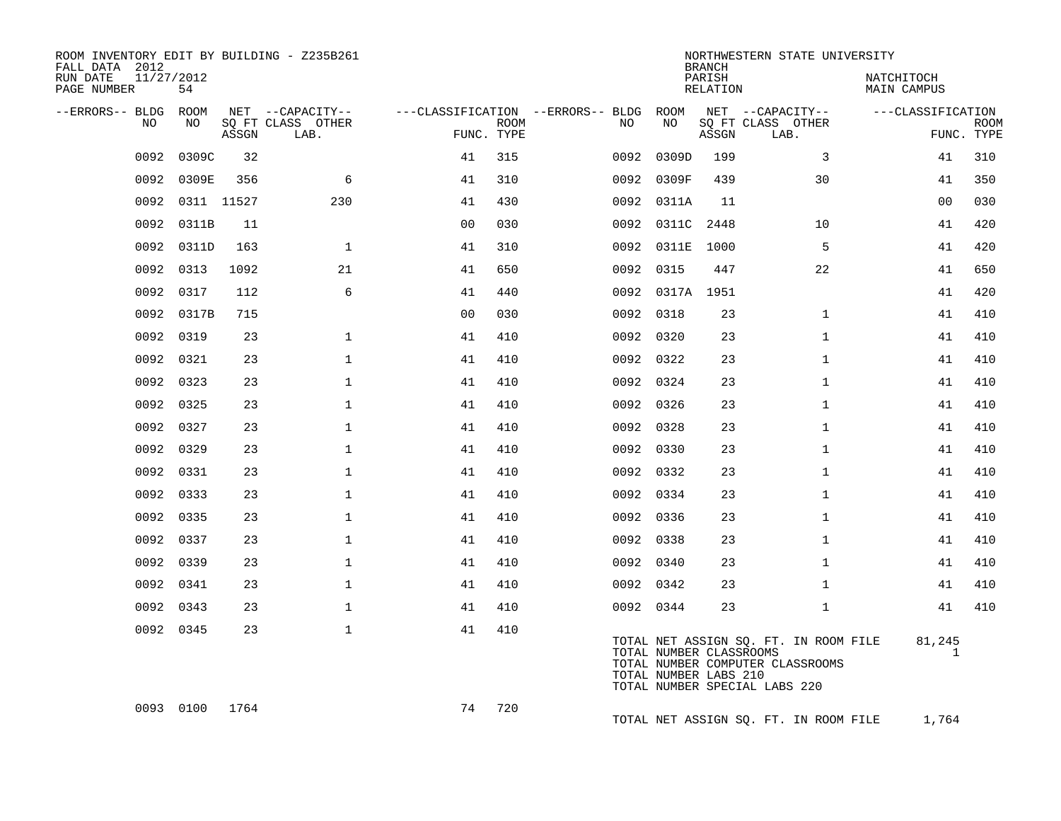| ROOM INVENTORY EDIT BY BUILDING - Z235B261<br>FALL DATA 2012 |                  |            |                                       |                |             |                                              |                                                  | <b>BRANCH</b>      | NORTHWESTERN STATE UNIVERSITY                                                                              |                           |             |
|--------------------------------------------------------------|------------------|------------|---------------------------------------|----------------|-------------|----------------------------------------------|--------------------------------------------------|--------------------|------------------------------------------------------------------------------------------------------------|---------------------------|-------------|
| RUN DATE<br>PAGE NUMBER                                      | 11/27/2012<br>54 |            |                                       |                |             |                                              |                                                  | PARISH<br>RELATION |                                                                                                            | NATCHITOCH<br>MAIN CAMPUS |             |
| --ERRORS-- BLDG<br>NO                                        | ROOM<br>NO       |            | NET --CAPACITY--<br>SO FT CLASS OTHER |                | <b>ROOM</b> | ---CLASSIFICATION --ERRORS-- BLDG ROOM<br>NO | NO                                               |                    | NET --CAPACITY--                                                                                           | ---CLASSIFICATION         | <b>ROOM</b> |
|                                                              |                  | ASSGN      | LAB.                                  | FUNC. TYPE     |             |                                              |                                                  | ASSGN              | SQ FT CLASS OTHER<br>LAB.                                                                                  |                           | FUNC. TYPE  |
| 0092                                                         | 0309C            | 32         |                                       | 41             | 315         | 0092                                         | 0309D                                            | 199                | 3                                                                                                          | 41                        | 310         |
| 0092                                                         | 0309E            | 356        | 6                                     | 41             | 310         | 0092                                         | 0309F                                            | 439                | 30                                                                                                         | 41                        | 350         |
| 0092                                                         |                  | 0311 11527 | 230                                   | 41             | 430         |                                              | 0092 0311A                                       | 11                 |                                                                                                            | 0 <sub>0</sub>            | 030         |
| 0092                                                         | 0311B            | 11         |                                       | 0 <sub>0</sub> | 030         |                                              | 0092 0311C 2448                                  |                    | 10                                                                                                         | 41                        | 420         |
| 0092                                                         | 0311D            | 163        | $\mathbf{1}$                          | 41             | 310         | 0092                                         | 0311E                                            | 1000               | 5                                                                                                          | 41                        | 420         |
| 0092                                                         | 0313             | 1092       | 21                                    | 41             | 650         |                                              | 0092 0315                                        | 447                | 22                                                                                                         | 41                        | 650         |
| 0092                                                         | 0317             | 112        | 6                                     | 41             | 440         |                                              | 0092 0317A 1951                                  |                    |                                                                                                            | 41                        | 420         |
|                                                              | 0092 0317B       | 715        |                                       | 0 <sub>0</sub> | 030         |                                              | 0092 0318                                        | 23                 | $\mathbf{1}$                                                                                               | 41                        | 410         |
| 0092                                                         | 0319             | 23         | $\mathbf{1}$                          | 41             | 410         |                                              | 0092 0320                                        | 23                 | $\mathbf{1}$                                                                                               | 41                        | 410         |
| 0092                                                         | 0321             | 23         | $\mathbf 1$                           | 41             | 410         |                                              | 0092 0322                                        | 23                 | $\mathbf{1}$                                                                                               | 41                        | 410         |
| 0092                                                         | 0323             | 23         | $\mathbf{1}$                          | 41             | 410         |                                              | 0092 0324                                        | 23                 | $\mathbf{1}$                                                                                               | 41                        | 410         |
|                                                              | 0092 0325        | 23         | $\mathbf{1}$                          | 41             | 410         |                                              | 0092 0326                                        | 23                 | $\mathbf{1}$                                                                                               | 41                        | 410         |
|                                                              | 0092 0327        | 23         | $\mathbf 1$                           | 41             | 410         |                                              | 0092 0328                                        | 23                 | $\mathbf{1}$                                                                                               | 41                        | 410         |
| 0092                                                         | 0329             | 23         | $\mathbf 1$                           | 41             | 410         |                                              | 0092 0330                                        | 23                 | $\mathbf{1}$                                                                                               | 41                        | 410         |
| 0092                                                         | 0331             | 23         | $\mathbf{1}$                          | 41             | 410         |                                              | 0092 0332                                        | 23                 | $\mathbf{1}$                                                                                               | 41                        | 410         |
| 0092                                                         | 0333             | 23         | $\mathbf{1}$                          | 41             | 410         |                                              | 0092 0334                                        | 23                 | $\mathbf{1}$                                                                                               | 41                        | 410         |
| 0092                                                         | 0335             | 23         | $\mathbf 1$                           | 41             | 410         |                                              | 0092 0336                                        | 23                 | $\mathbf{1}$                                                                                               | 41                        | 410         |
| 0092                                                         | 0337             | 23         | $\mathbf{1}$                          | 41             | 410         |                                              | 0092 0338                                        | 23                 | $\mathbf{1}$                                                                                               | 41                        | 410         |
| 0092                                                         | 0339             | 23         | $\mathbf{1}$                          | 41             | 410         |                                              | 0092 0340                                        | 23                 | $\mathbf{1}$                                                                                               | 41                        | 410         |
| 0092                                                         | 0341             | 23         | $\mathbf{1}$                          | 41             | 410         |                                              | 0092 0342                                        | 23                 | $\mathbf{1}$                                                                                               | 41                        | 410         |
| 0092                                                         | 0343             | 23         | $\mathbf 1$                           | 41             | 410         |                                              | 0092 0344                                        | 23                 | $\mathbf{1}$                                                                                               | 41                        | 410         |
|                                                              | 0092 0345        | 23         | $\mathbf{1}$                          | 41             | 410         |                                              | TOTAL NUMBER CLASSROOMS<br>TOTAL NUMBER LABS 210 |                    | TOTAL NET ASSIGN SQ. FT. IN ROOM FILE<br>TOTAL NUMBER COMPUTER CLASSROOMS<br>TOTAL NUMBER SPECIAL LABS 220 | 81,245<br>$\mathbf{1}$    |             |
|                                                              | 0093 0100        | 1764       |                                       | 74             | 720         |                                              |                                                  |                    | TOTAL NET ASSIGN SQ. FT. IN ROOM FILE                                                                      | 1,764                     |             |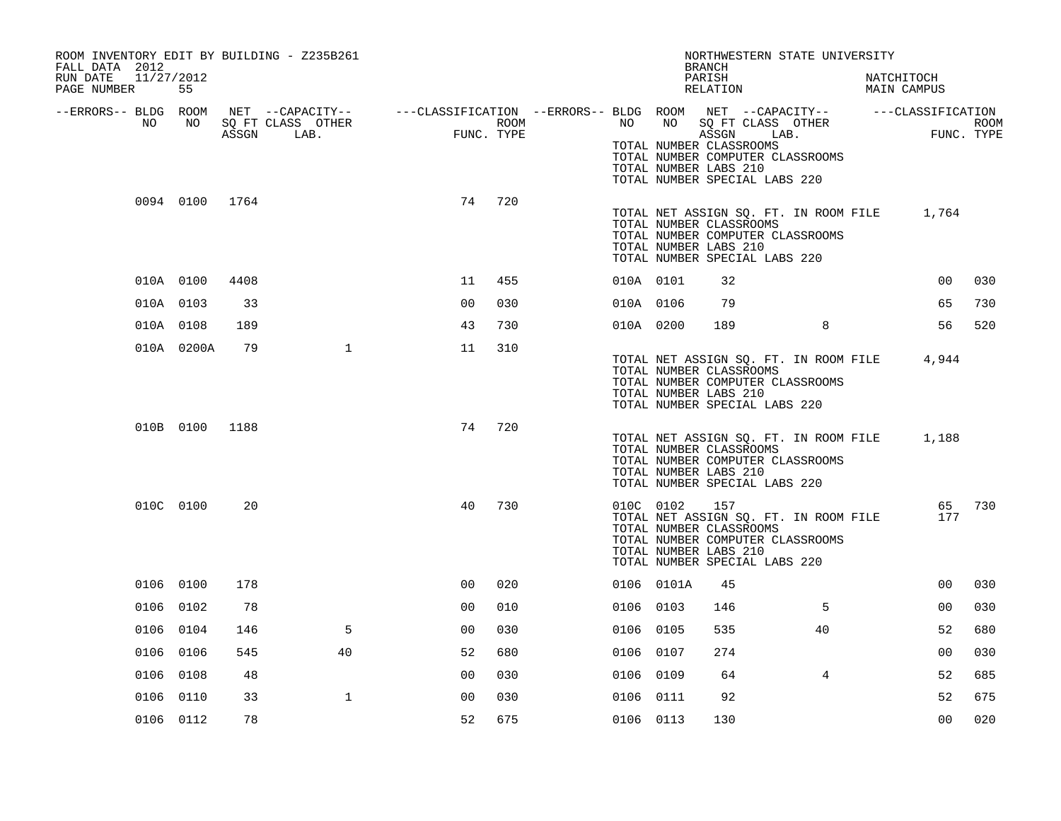| ROOM INVENTORY EDIT BY BUILDING - Z235B261<br>FALL DATA 2012 |                |      |                                                                                                                                    |                |      |           |            | NORTHWESTERN STATE UNIVERSITY<br><b>BRANCH</b>                                                                                                                        |                |            |                |             |
|--------------------------------------------------------------|----------------|------|------------------------------------------------------------------------------------------------------------------------------------|----------------|------|-----------|------------|-----------------------------------------------------------------------------------------------------------------------------------------------------------------------|----------------|------------|----------------|-------------|
| 11/27/2012<br>RUN DATE<br>PAGE NUMBER                        | 55             |      |                                                                                                                                    |                |      |           |            | PARISH<br>RELATION                                                                                                                                                    |                | NATCHITOCH | MAIN CAMPUS    |             |
| --ERRORS-- BLDG ROOM<br>NO                                   | NO             |      | NET --CAPACITY-- - ---CLASSIFICATION --ERRORS-- BLDG ROOM NET --CAPACITY-- - ----CLASSIFICATION<br>SQ FT CLASS OTHER<br>ASSGN LAB. | FUNC. TYPE     | ROOM | NO .      | NO         | SQ FT CLASS OTHER<br>ASSGN<br>LAB.                                                                                                                                    |                |            | FUNC. TYPE     | <b>ROOM</b> |
|                                                              |                |      |                                                                                                                                    |                |      |           |            | TOTAL NUMBER CLASSROOMS<br>TOTAL NUMBER COMPUTER CLASSROOMS<br>TOTAL NUMBER LABS 210<br>TOTAL NUMBER SPECIAL LABS 220                                                 |                |            |                |             |
|                                                              | 0094 0100 1764 |      |                                                                                                                                    | 74             | 720  |           |            | TOTAL NET ASSIGN SQ. FT. IN ROOM FILE 1,764<br>TOTAL NUMBER CLASSROOMS<br>TOTAL NUMBER COMPUTER CLASSROOMS<br>TOTAL NUMBER LABS 210<br>TOTAL NUMBER SPECIAL LABS 220  |                |            |                |             |
|                                                              | 010A 0100      | 4408 |                                                                                                                                    | 11             | 455  | 010A 0101 |            | 32                                                                                                                                                                    |                |            | 00             | 030         |
|                                                              | 010A 0103      | 33   |                                                                                                                                    | 0 <sub>0</sub> | 030  | 010A 0106 |            | 79                                                                                                                                                                    |                |            | 65             | 730         |
|                                                              | 010A 0108      | 189  |                                                                                                                                    | 43             | 730  | 010A 0200 |            | 189                                                                                                                                                                   | 8              |            | 56             | 520         |
|                                                              | 010A 0200A     | 79   | $\mathbf{1}$                                                                                                                       | 11             | 310  |           |            | TOTAL NET ASSIGN SQ. FT. IN ROOM FILE 4,944<br>TOTAL NUMBER CLASSROOMS<br>TOTAL NUMBER COMPUTER CLASSROOMS<br>TOTAL NUMBER LABS 210<br>TOTAL NUMBER SPECIAL LABS 220  |                |            |                |             |
|                                                              | 010B 0100 1188 |      |                                                                                                                                    | 74             | 720  |           |            | TOTAL NET ASSIGN SQ. FT. IN ROOM FILE<br>TOTAL NUMBER CLASSROOMS<br>TOTAL NUMBER COMPUTER CLASSROOMS<br>TOTAL NUMBER LABS 210<br>TOTAL NUMBER SPECIAL LABS 220        |                |            | 1,188          |             |
|                                                              | 010C 0100      | 20   |                                                                                                                                    | 40             | 730  |           | 010C 0102  | 157<br>TOTAL NET ASSIGN SQ. FT. IN ROOM FILE<br>TOTAL NUMBER CLASSROOMS<br>TOTAL NUMBER COMPUTER CLASSROOMS<br>TOTAL NUMBER LABS 210<br>TOTAL NUMBER SPECIAL LABS 220 |                |            | 65<br>177      | 730         |
|                                                              | 0106 0100      | 178  |                                                                                                                                    | 0 <sub>0</sub> | 020  |           | 0106 0101A | 45                                                                                                                                                                    |                |            | 0 <sub>0</sub> | 030         |
|                                                              | 0106 0102      | 78   |                                                                                                                                    | 0 <sub>0</sub> | 010  | 0106 0103 |            | 146                                                                                                                                                                   | 5              |            | 0 <sub>0</sub> | 030         |
|                                                              | 0106 0104      | 146  | 5                                                                                                                                  | 0 <sub>0</sub> | 030  | 0106 0105 |            | 535                                                                                                                                                                   | 40             |            | 52             | 680         |
|                                                              | 0106 0106      | 545  | 40                                                                                                                                 | 52             | 680  | 0106 0107 |            | 274                                                                                                                                                                   |                |            | 0 <sub>0</sub> | 030         |
|                                                              | 0106 0108      | 48   |                                                                                                                                    | 0 <sub>0</sub> | 030  | 0106 0109 |            | 64                                                                                                                                                                    | $\overline{4}$ |            | 52             | 685         |
|                                                              | 0106 0110      | 33   | $\mathbf{1}$                                                                                                                       | 0 <sub>0</sub> | 030  | 0106 0111 |            | 92                                                                                                                                                                    |                |            | 52             | 675         |
|                                                              | 0106 0112      | 78   |                                                                                                                                    | 52             | 675  | 0106 0113 |            | 130                                                                                                                                                                   |                |            | 0 <sub>0</sub> | 020         |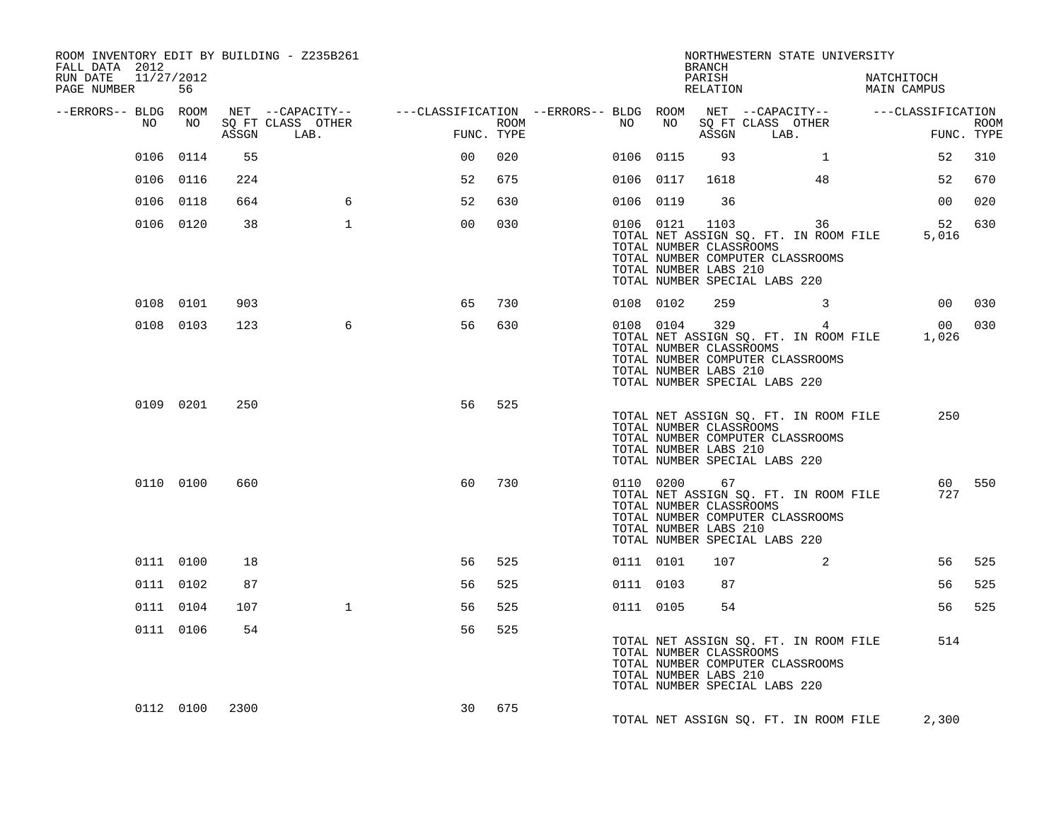| ROOM INVENTORY EDIT BY BUILDING - Z235B261<br>FALL DATA 2012<br>RUN DATE<br>11/27/2012<br>PAGE NUMBER | 56              |     |                                                                                                                                   |                |      |           |           | <b>BRANCH</b><br>PARISH<br>RELATION                                                                 |            | NORTHWESTERN STATE UNIVERSITY                                                   | NATCHITOCH<br>MAIN CAMPUS                   |                           |
|-------------------------------------------------------------------------------------------------------|-----------------|-----|-----------------------------------------------------------------------------------------------------------------------------------|----------------|------|-----------|-----------|-----------------------------------------------------------------------------------------------------|------------|---------------------------------------------------------------------------------|---------------------------------------------|---------------------------|
| --ERRORS-- BLDG ROOM<br>NO                                                                            | NO <sub>1</sub> |     | NET --CAPACITY-- - ---CLASSIFICATION --ERRORS-- BLDG ROOM NET --CAPACITY-- - ---CLASSIFICATION<br>SQ FT CLASS OTHER<br>ASSGN LAB. | FUNC. TYPE     | ROOM | NO        | NO        |                                                                                                     | ASSGN LAB. | SQ FT CLASS OTHER                                                               |                                             | <b>ROOM</b><br>FUNC. TYPE |
|                                                                                                       | 0106 0114       | 55  |                                                                                                                                   | 0 <sub>0</sub> | 020  | 0106 0115 |           | 93                                                                                                  |            | $\mathbf{1}$                                                                    | 52                                          | 310                       |
|                                                                                                       | 0106 0116       | 224 |                                                                                                                                   | 52             | 675  |           | 0106 0117 | 1618                                                                                                |            | 48                                                                              | 52                                          | 670                       |
|                                                                                                       | 0106 0118       | 664 | 6                                                                                                                                 | 52             | 630  | 0106 0119 |           | 36                                                                                                  |            |                                                                                 | 00                                          | 020                       |
|                                                                                                       | 0106 0120       | 38  | $\mathbf{1}$                                                                                                                      | 0 <sub>0</sub> | 030  |           |           | 0106 0121 1103<br>TOTAL NUMBER CLASSROOMS<br>TOTAL NUMBER LABS 210<br>TOTAL NUMBER SPECIAL LABS 220 |            | 36<br>TOTAL NET ASSIGN SQ. FT. IN ROOM FILE<br>TOTAL NUMBER COMPUTER CLASSROOMS | 52<br>5,016                                 | 630                       |
|                                                                                                       | 0108 0101       | 903 |                                                                                                                                   | 65             | 730  |           | 0108 0102 | 259                                                                                                 |            | $\mathbf{3}$                                                                    |                                             | 00 030                    |
|                                                                                                       | 0108 0103       | 123 | 6                                                                                                                                 | 56             | 630  |           |           | TOTAL NUMBER CLASSROOMS<br>TOTAL NUMBER LABS 210<br>TOTAL NUMBER SPECIAL LABS 220                   |            | 0108 0104 329 4<br>TOTAL NUMBER COMPUTER CLASSROOMS                             | TOTAL NET ASSIGN SQ. FT. IN ROOM FILE 1,026 | 00 030                    |
|                                                                                                       | 0109 0201       | 250 |                                                                                                                                   | 56             | 525  |           |           | TOTAL NUMBER CLASSROOMS<br>TOTAL NUMBER LABS 210<br>TOTAL NUMBER SPECIAL LABS 220                   |            | TOTAL NET ASSIGN SQ. FT. IN ROOM FILE<br>TOTAL NUMBER COMPUTER CLASSROOMS       | 250                                         |                           |
|                                                                                                       | 0110 0100       | 660 |                                                                                                                                   | 60             | 730  |           |           | 0110 0200 67<br>TOTAL NUMBER CLASSROOMS<br>TOTAL NUMBER LABS 210<br>TOTAL NUMBER SPECIAL LABS 220   |            | TOTAL NET ASSIGN SQ. FT. IN ROOM FILE<br>TOTAL NUMBER COMPUTER CLASSROOMS       | 727                                         | 60 550                    |
|                                                                                                       | 0111 0100       | 18  |                                                                                                                                   | 56             | 525  |           | 0111 0101 | 107                                                                                                 |            | 2                                                                               | 56                                          | 525                       |
|                                                                                                       | 0111 0102       | 87  |                                                                                                                                   | 56             | 525  | 0111 0103 |           | 87                                                                                                  |            |                                                                                 | 56                                          | 525                       |
|                                                                                                       | 0111 0104       | 107 | $\mathbf{1}$                                                                                                                      | 56             | 525  | 0111 0105 |           | 54                                                                                                  |            |                                                                                 | 56                                          | 525                       |
|                                                                                                       | 0111 0106       | 54  |                                                                                                                                   | 56             | 525  |           |           | TOTAL NUMBER CLASSROOMS<br>TOTAL NUMBER LABS 210<br>TOTAL NUMBER SPECIAL LABS 220                   |            | TOTAL NET ASSIGN SQ. FT. IN ROOM FILE<br>TOTAL NUMBER COMPUTER CLASSROOMS       | 514                                         |                           |
|                                                                                                       | 0112 0100 2300  |     |                                                                                                                                   | 30             | 675  |           |           |                                                                                                     |            | TOTAL NET ASSIGN SO. FT. IN ROOM FILE                                           | 2,300                                       |                           |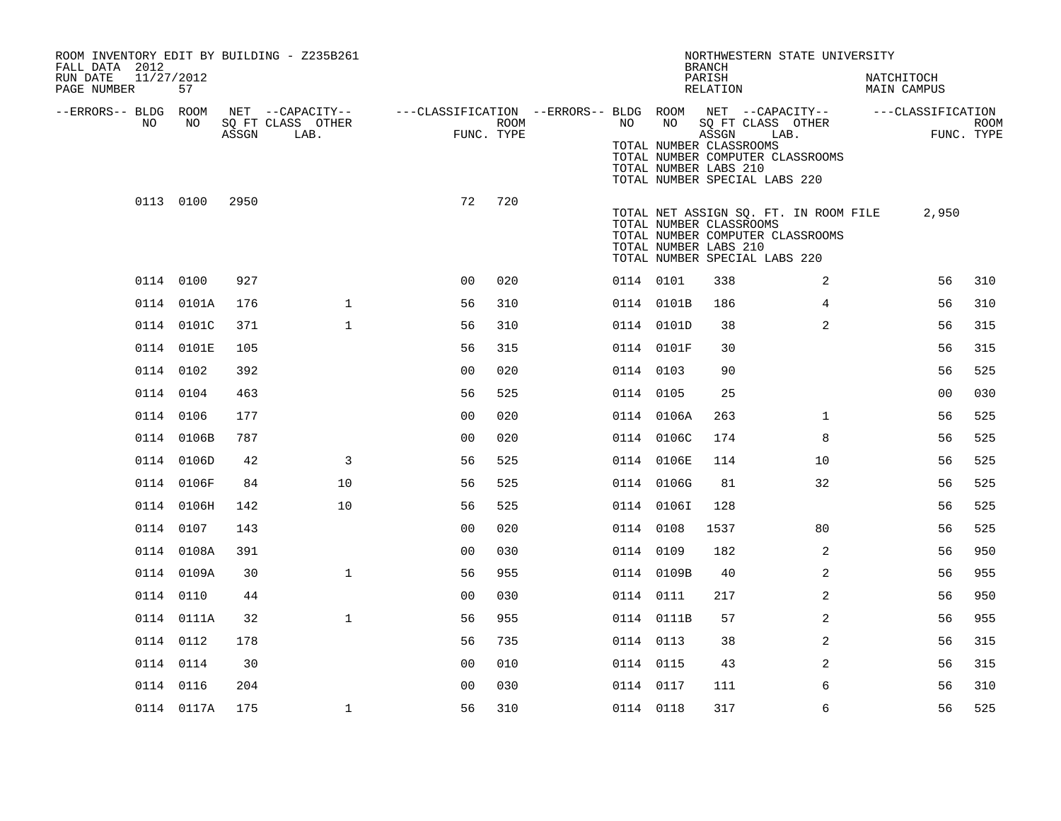| ROOM INVENTORY EDIT BY BUILDING - Z235B261<br>FALL DATA 2012<br>11/27/2012<br>RUN DATE<br>PAGE NUMBER | 57         |       |                                               |                                                         |                    |           |            | <b>BRANCH</b><br>PARISH<br>RELATION                       | NORTHWESTERN STATE UNIVERSITY                                                                              | NATCHITOCH<br>MAIN CAMPUS |                           |
|-------------------------------------------------------------------------------------------------------|------------|-------|-----------------------------------------------|---------------------------------------------------------|--------------------|-----------|------------|-----------------------------------------------------------|------------------------------------------------------------------------------------------------------------|---------------------------|---------------------------|
| --ERRORS-- BLDG ROOM<br>NO.                                                                           | NO         | ASSGN | NET --CAPACITY--<br>SQ FT CLASS OTHER<br>LAB. | ---CLASSIFICATION --ERRORS-- BLDG ROOM NET --CAPACITY-- | ROOM<br>FUNC. TYPE | NO .      | NO         | ASSGN<br>TOTAL NUMBER CLASSROOMS<br>TOTAL NUMBER LABS 210 | SQ FT CLASS OTHER<br>LAB.<br>TOTAL NUMBER COMPUTER CLASSROOMS<br>TOTAL NUMBER SPECIAL LABS 220             | ---CLASSIFICATION         | <b>ROOM</b><br>FUNC. TYPE |
|                                                                                                       | 0113 0100  | 2950  |                                               | 72                                                      | 720                |           |            | TOTAL NUMBER CLASSROOMS<br>TOTAL NUMBER LABS 210          | TOTAL NET ASSIGN SQ. FT. IN ROOM FILE<br>TOTAL NUMBER COMPUTER CLASSROOMS<br>TOTAL NUMBER SPECIAL LABS 220 | 2,950                     |                           |
|                                                                                                       | 0114 0100  | 927   |                                               | 0 <sub>0</sub>                                          | 020                | 0114 0101 |            | 338                                                       | 2                                                                                                          | 56                        | 310                       |
|                                                                                                       | 0114 0101A | 176   | $\mathbf{1}$                                  | 56                                                      | 310                |           | 0114 0101B | 186                                                       | $\overline{4}$                                                                                             | 56                        | 310                       |
|                                                                                                       | 0114 0101C | 371   | $\mathbf{1}$                                  | 56                                                      | 310                |           | 0114 0101D | 38                                                        | 2                                                                                                          | 56                        | 315                       |
|                                                                                                       | 0114 0101E | 105   |                                               | 56                                                      | 315                |           | 0114 0101F | 30                                                        |                                                                                                            | 56                        | 315                       |
|                                                                                                       | 0114 0102  | 392   |                                               | 0 <sub>0</sub>                                          | 020                | 0114 0103 |            | 90                                                        |                                                                                                            | 56                        | 525                       |
|                                                                                                       | 0114 0104  | 463   |                                               | 56                                                      | 525                | 0114 0105 |            | 25                                                        |                                                                                                            | 0 <sub>0</sub>            | 030                       |
|                                                                                                       | 0114 0106  | 177   |                                               | 0 <sub>0</sub>                                          | 020                |           | 0114 0106A | 263                                                       | $\mathbf{1}$                                                                                               | 56                        | 525                       |
|                                                                                                       | 0114 0106B | 787   |                                               | 0 <sub>0</sub>                                          | 020                |           | 0114 0106C | 174                                                       | 8                                                                                                          | 56                        | 525                       |
|                                                                                                       | 0114 0106D | 42    | 3                                             | 56                                                      | 525                |           | 0114 0106E | 114                                                       | 10                                                                                                         | 56                        | 525                       |
|                                                                                                       | 0114 0106F | 84    | 10                                            | 56                                                      | 525                |           | 0114 0106G | 81                                                        | 32                                                                                                         | 56                        | 525                       |
|                                                                                                       | 0114 0106H | 142   | 10                                            | 56                                                      | 525                |           | 0114 01061 | 128                                                       |                                                                                                            | 56                        | 525                       |
|                                                                                                       | 0114 0107  | 143   |                                               | 00                                                      | 020                | 0114 0108 |            | 1537                                                      | 80                                                                                                         | 56                        | 525                       |
|                                                                                                       | 0114 0108A | 391   |                                               | 0 <sub>0</sub>                                          | 030                | 0114 0109 |            | 182                                                       | 2                                                                                                          | 56                        | 950                       |
|                                                                                                       | 0114 0109A | 30    | $\mathbf{1}$                                  | 56                                                      | 955                |           | 0114 0109B | 40                                                        | $\overline{a}$                                                                                             | 56                        | 955                       |
|                                                                                                       | 0114 0110  | 44    |                                               | 0 <sub>0</sub>                                          | 030                | 0114 0111 |            | 217                                                       | 2                                                                                                          | 56                        | 950                       |
|                                                                                                       | 0114 0111A | 32    | $\mathbf{1}$                                  | 56                                                      | 955                |           | 0114 0111B | 57                                                        | $\overline{a}$                                                                                             | 56                        | 955                       |
|                                                                                                       | 0114 0112  | 178   |                                               | 56                                                      | 735                | 0114 0113 |            | 38                                                        | 2                                                                                                          | 56                        | 315                       |
|                                                                                                       | 0114 0114  | 30    |                                               | 00                                                      | 010                | 0114 0115 |            | 43                                                        | 2                                                                                                          | 56                        | 315                       |
|                                                                                                       | 0114 0116  | 204   |                                               | 0 <sub>0</sub>                                          | 030                | 0114 0117 |            | 111                                                       | 6                                                                                                          | 56                        | 310                       |
|                                                                                                       | 0114 0117A | 175   | $\mathbf 1$                                   | 56                                                      | 310                | 0114 0118 |            | 317                                                       | 6                                                                                                          | 56                        | 525                       |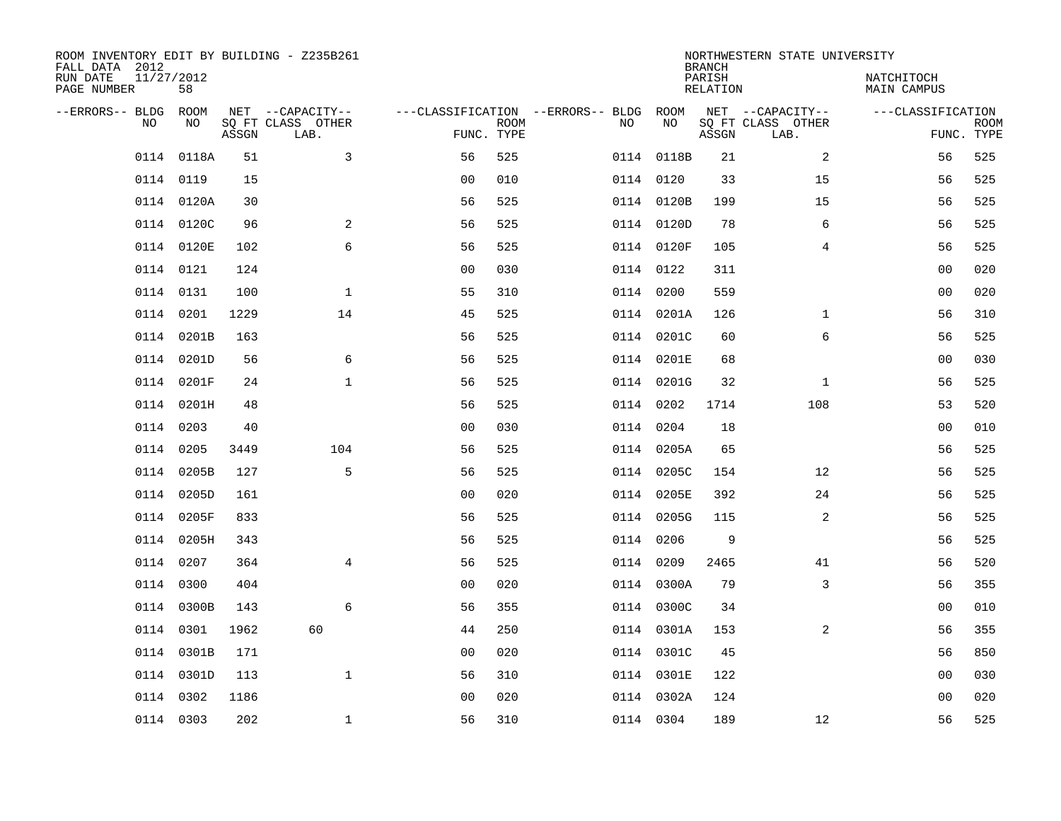| ROOM INVENTORY EDIT BY BUILDING - Z235B261<br>FALL DATA 2012 |                  |       |                           |                                   |             |    |            | <b>BRANCH</b>      | NORTHWESTERN STATE UNIVERSITY |                           |                           |
|--------------------------------------------------------------|------------------|-------|---------------------------|-----------------------------------|-------------|----|------------|--------------------|-------------------------------|---------------------------|---------------------------|
| RUN DATE<br>PAGE NUMBER                                      | 11/27/2012<br>58 |       |                           |                                   |             |    |            | PARISH<br>RELATION |                               | NATCHITOCH<br>MAIN CAMPUS |                           |
| --ERRORS-- BLDG                                              | ROOM             |       | NET --CAPACITY--          | ---CLASSIFICATION --ERRORS-- BLDG |             |    | ROOM       |                    | NET --CAPACITY--              | ---CLASSIFICATION         |                           |
| NO                                                           | NO               | ASSGN | SQ FT CLASS OTHER<br>LAB. | FUNC. TYPE                        | <b>ROOM</b> | NO | NO         | ASSGN              | SQ FT CLASS OTHER<br>LAB.     |                           | <b>ROOM</b><br>FUNC. TYPE |
| 0114                                                         | 0118A            | 51    | 3                         | 56                                | 525         |    | 0114 0118B | 21                 | 2                             | 56                        | 525                       |
|                                                              | 0114 0119        | 15    |                           | 0 <sub>0</sub>                    | 010         |    | 0114 0120  | 33                 | 15                            | 56                        | 525                       |
|                                                              | 0114 0120A       | 30    |                           | 56                                | 525         |    | 0114 0120B | 199                | 15                            | 56                        | 525                       |
|                                                              | 0114 0120C       | 96    | 2                         | 56                                | 525         |    | 0114 0120D | 78                 | 6                             | 56                        | 525                       |
|                                                              | 0114 0120E       | 102   | 6                         | 56                                | 525         |    | 0114 0120F | 105                | 4                             | 56                        | 525                       |
|                                                              | 0114 0121        | 124   |                           | 0 <sub>0</sub>                    | 030         |    | 0114 0122  | 311                |                               | 0 <sub>0</sub>            | 020                       |
|                                                              | 0114 0131        | 100   | $\mathbf{1}$              | 55                                | 310         |    | 0114 0200  | 559                |                               | 0 <sub>0</sub>            | 020                       |
|                                                              | 0114 0201        | 1229  | 14                        | 45                                | 525         |    | 0114 0201A | 126                | $\mathbf{1}$                  | 56                        | 310                       |
| 0114                                                         | 0201B            | 163   |                           | 56                                | 525         |    | 0114 0201C | 60                 | 6                             | 56                        | 525                       |
|                                                              | 0114 0201D       | 56    | 6                         | 56                                | 525         |    | 0114 0201E | 68                 |                               | 0 <sub>0</sub>            | 030                       |
|                                                              | 0114 0201F       | 24    | $\mathbf 1$               | 56                                | 525         |    | 0114 0201G | 32                 | $\mathbf{1}$                  | 56                        | 525                       |
|                                                              | 0114 0201H       | 48    |                           | 56                                | 525         |    | 0114 0202  | 1714               | 108                           | 53                        | 520                       |
| 0114                                                         | 0203             | 40    |                           | 0 <sub>0</sub>                    | 030         |    | 0114 0204  | 18                 |                               | 00                        | 010                       |
| 0114                                                         | 0205             | 3449  | 104                       | 56                                | 525         |    | 0114 0205A | 65                 |                               | 56                        | 525                       |
| 0114                                                         | 0205B            | 127   | 5                         | 56                                | 525         |    | 0114 0205C | 154                | 12                            | 56                        | 525                       |
| 0114                                                         | 0205D            | 161   |                           | 0 <sub>0</sub>                    | 020         |    | 0114 0205E | 392                | 24                            | 56                        | 525                       |
|                                                              | 0114 0205F       | 833   |                           | 56                                | 525         |    | 0114 0205G | 115                | 2                             | 56                        | 525                       |
| 0114                                                         | 0205H            | 343   |                           | 56                                | 525         |    | 0114 0206  | 9                  |                               | 56                        | 525                       |
|                                                              | 0114 0207        | 364   | 4                         | 56                                | 525         |    | 0114 0209  | 2465               | 41                            | 56                        | 520                       |
|                                                              | 0114 0300        | 404   |                           | 0 <sub>0</sub>                    | 020         |    | 0114 0300A | 79                 | 3                             | 56                        | 355                       |
|                                                              | 0114 0300B       | 143   | 6                         | 56                                | 355         |    | 0114 0300C | 34                 |                               | 00                        | 010                       |
|                                                              | 0114 0301        | 1962  | 60                        | 44                                | 250         |    | 0114 0301A | 153                | 2                             | 56                        | 355                       |
|                                                              | 0114 0301B       | 171   |                           | 0 <sub>0</sub>                    | 020         |    | 0114 0301C | 45                 |                               | 56                        | 850                       |
|                                                              | 0114 0301D       | 113   | $\mathbf{1}$              | 56                                | 310         |    | 0114 0301E | 122                |                               | 0 <sub>0</sub>            | 030                       |
| 0114                                                         | 0302             | 1186  |                           | 0 <sub>0</sub>                    | 020         |    | 0114 0302A | 124                |                               | 0 <sub>0</sub>            | 020                       |
|                                                              | 0114 0303        | 202   | $\mathbf{1}$              | 56                                | 310         |    | 0114 0304  | 189                | 12                            | 56                        | 525                       |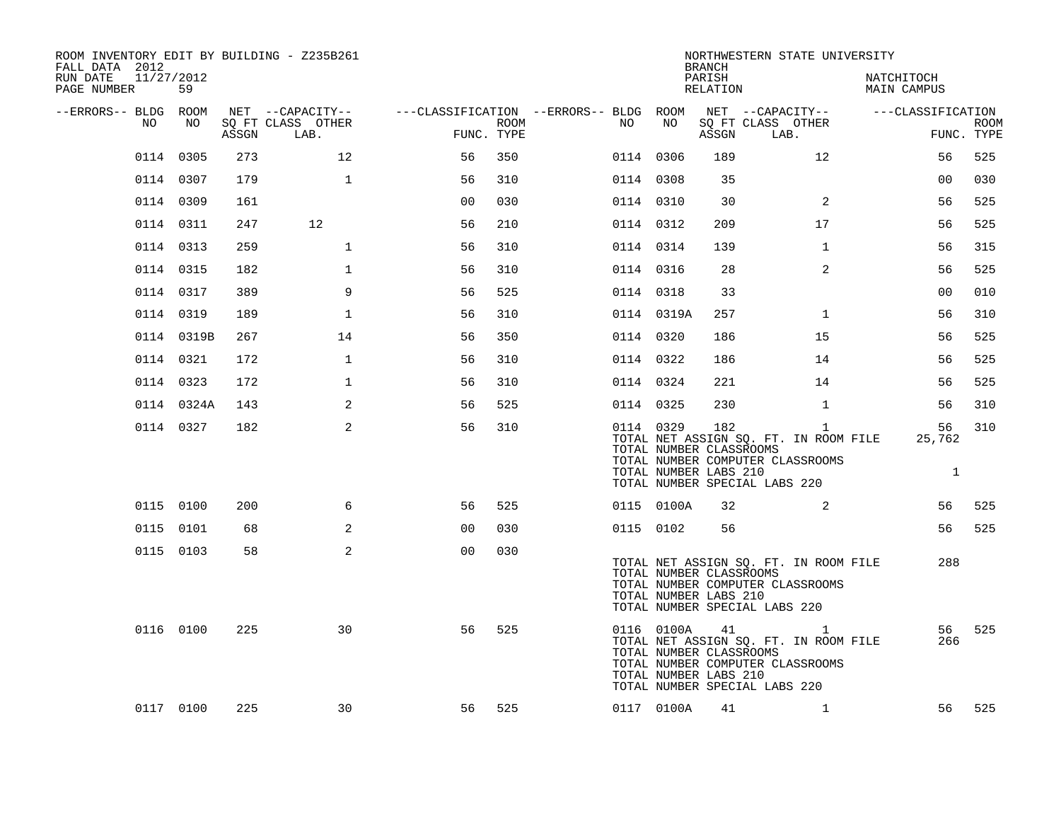| ROOM INVENTORY EDIT BY BUILDING - Z235B261<br>FALL DATA 2012<br>11/27/2012<br>RUN DATE |            |       |                                       |                |      |                                                               |                                                                | <b>BRANCH</b><br>PARISH | NORTHWESTERN STATE UNIVERSITY                                                                                              | NATCHITOCH         |             |
|----------------------------------------------------------------------------------------|------------|-------|---------------------------------------|----------------|------|---------------------------------------------------------------|----------------------------------------------------------------|-------------------------|----------------------------------------------------------------------------------------------------------------------------|--------------------|-------------|
| PAGE NUMBER                                                                            | 59         |       |                                       |                |      |                                                               |                                                                | RELATION                |                                                                                                                            | <b>MAIN CAMPUS</b> |             |
| --ERRORS-- BLDG ROOM<br>NO                                                             | NO         |       | NET --CAPACITY--<br>SO FT CLASS OTHER |                | ROOM | ---CLASSIFICATION --ERRORS-- BLDG ROOM NET --CAPACITY--<br>NO | NO                                                             |                         | SQ FT CLASS OTHER                                                                                                          | ---CLASSIFICATION  | <b>ROOM</b> |
|                                                                                        |            | ASSGN | LAB.                                  | FUNC. TYPE     |      |                                                               |                                                                | ASSGN                   | LAB.                                                                                                                       |                    | FUNC. TYPE  |
|                                                                                        | 0114 0305  | 273   | 12                                    | 56             | 350  |                                                               | 0114 0306                                                      | 189                     | 12                                                                                                                         | 56                 | 525         |
|                                                                                        | 0114 0307  | 179   | $\mathbf{1}$                          | 56             | 310  |                                                               | 0114 0308                                                      | 35                      |                                                                                                                            | 0 <sub>0</sub>     | 030         |
|                                                                                        | 0114 0309  | 161   |                                       | 0 <sub>0</sub> | 030  |                                                               | 0114 0310                                                      | 30                      | 2                                                                                                                          | 56                 | 525         |
|                                                                                        | 0114 0311  | 247   | 12                                    | 56             | 210  |                                                               | 0114 0312                                                      | 209                     | 17                                                                                                                         | 56                 | 525         |
|                                                                                        | 0114 0313  | 259   | $\mathbf{1}$                          | 56             | 310  |                                                               | 0114 0314                                                      | 139                     | $\mathbf{1}$                                                                                                               | 56                 | 315         |
|                                                                                        | 0114 0315  | 182   | $\mathbf{1}$                          | 56             | 310  |                                                               | 0114 0316                                                      | 28                      | $\overline{2}$                                                                                                             | 56                 | 525         |
|                                                                                        | 0114 0317  | 389   | 9                                     | 56             | 525  |                                                               | 0114 0318                                                      | 33                      |                                                                                                                            | 0 <sub>0</sub>     | 010         |
|                                                                                        | 0114 0319  | 189   | $\mathbf{1}$                          | 56             | 310  |                                                               | 0114 0319A                                                     | 257                     | $\mathbf{1}$                                                                                                               | 56                 | 310         |
|                                                                                        | 0114 0319B | 267   | 14                                    | 56             | 350  |                                                               | 0114 0320                                                      | 186                     | 15                                                                                                                         | 56                 | 525         |
|                                                                                        | 0114 0321  | 172   | $\mathbf{1}$                          | 56             | 310  |                                                               | 0114 0322                                                      | 186                     | 14                                                                                                                         | 56                 | 525         |
|                                                                                        | 0114 0323  | 172   | $\mathbf 1$                           | 56             | 310  |                                                               | 0114 0324                                                      | 221                     | 14                                                                                                                         | 56                 | 525         |
|                                                                                        | 0114 0324A | 143   | 2                                     | 56             | 525  |                                                               | 0114 0325                                                      | 230                     | $\mathbf{1}$                                                                                                               | 56                 | 310         |
|                                                                                        | 0114 0327  | 182   | 2                                     | 56             | 310  |                                                               | 0114 0329<br>TOTAL NUMBER CLASSROOMS<br>TOTAL NUMBER LABS 210  | 182                     | $\mathbf{1}$<br>TOTAL NET ASSIGN SQ. FT. IN ROOM FILE<br>TOTAL NUMBER COMPUTER CLASSROOMS<br>TOTAL NUMBER SPECIAL LABS 220 | 56<br>25,762<br>1  | 310         |
|                                                                                        | 0115 0100  | 200   | 6                                     | 56             | 525  |                                                               | 0115 0100A                                                     | 32                      | 2                                                                                                                          | 56                 | 525         |
|                                                                                        | 0115 0101  | 68    | 2                                     | 0 <sub>0</sub> | 030  |                                                               | 0115 0102                                                      | 56                      |                                                                                                                            | 56                 | 525         |
|                                                                                        | 0115 0103  | 58    | 2                                     | 0 <sup>0</sup> | 030  |                                                               | TOTAL NUMBER CLASSROOMS<br>TOTAL NUMBER LABS 210               |                         | TOTAL NET ASSIGN SQ. FT. IN ROOM FILE<br>TOTAL NUMBER COMPUTER CLASSROOMS<br>TOTAL NUMBER SPECIAL LABS 220                 | 288                |             |
|                                                                                        | 0116 0100  | 225   | 30                                    | 56             | 525  |                                                               | 0116 0100A<br>TOTAL NUMBER CLASSROOMS<br>TOTAL NUMBER LABS 210 | 41                      | 1<br>TOTAL NET ASSIGN SQ. FT. IN ROOM FILE<br>TOTAL NUMBER COMPUTER CLASSROOMS<br>TOTAL NUMBER SPECIAL LABS 220            | 56<br>266          | 525         |
|                                                                                        | 0117 0100  | 225   | 30                                    | 56             | 525  |                                                               | 0117 0100A                                                     | 41                      | $\mathbf{1}$                                                                                                               | 56                 | 525         |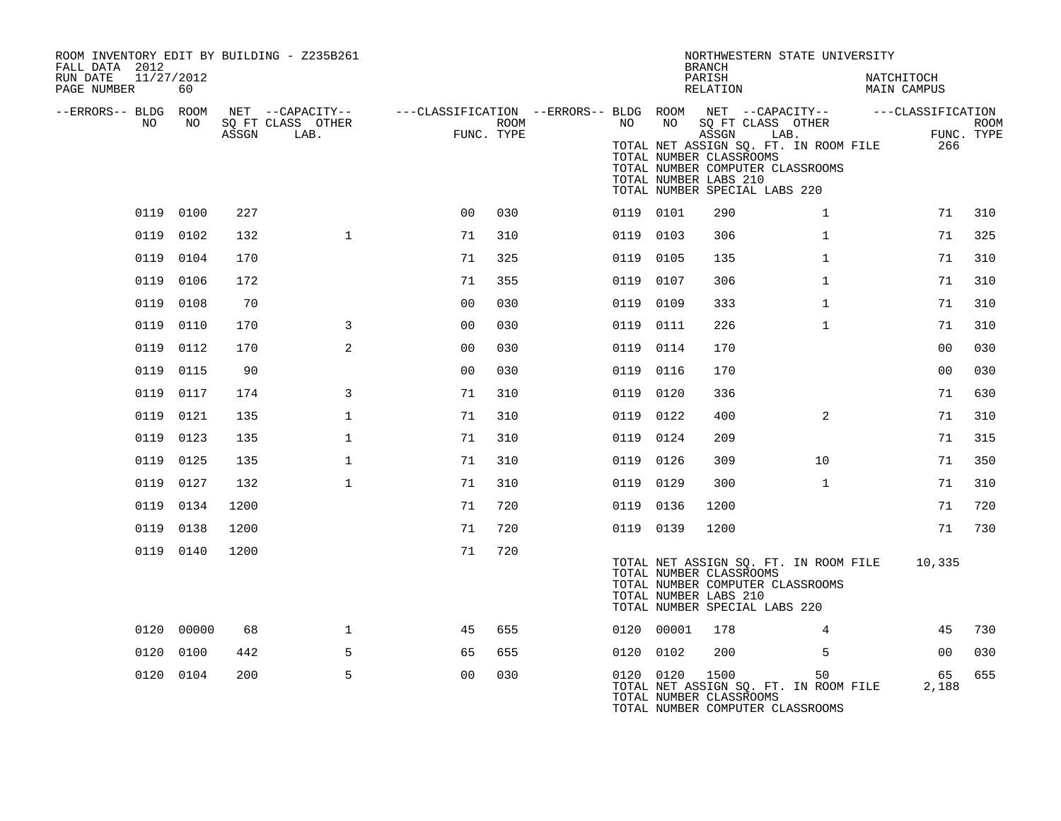| ROOM INVENTORY EDIT BY BUILDING - Z235B261<br>FALL DATA 2012 |            |       |                                       |                |      |                                                                                    |            | <b>BRANCH</b>                                                                                                                  | NORTHWESTERN STATE UNIVERSITY                 |                                  |             |
|--------------------------------------------------------------|------------|-------|---------------------------------------|----------------|------|------------------------------------------------------------------------------------|------------|--------------------------------------------------------------------------------------------------------------------------------|-----------------------------------------------|----------------------------------|-------------|
| RUN DATE<br>11/27/2012<br>PAGE NUMBER                        | 60         |       |                                       |                |      |                                                                                    |            | PARISH<br>RELATION                                                                                                             |                                               | NATCHITOCH<br><b>MAIN CAMPUS</b> |             |
| --ERRORS-- BLDG ROOM<br>NO                                   | NO         |       | NET --CAPACITY--<br>SQ FT CLASS OTHER |                | ROOM | ---CLASSIFICATION --ERRORS-- BLDG ROOM NET --CAPACITY--    ---CLASSIFICATION<br>NO | NO         |                                                                                                                                | SQ FT CLASS OTHER                             |                                  | <b>ROOM</b> |
|                                                              |            | ASSGN | LAB.                                  | FUNC. TYPE     |      |                                                                                    |            | ASSGN<br>TOTAL NUMBER CLASSROOMS<br>TOTAL NUMBER COMPUTER CLASSROOMS<br>TOTAL NUMBER LABS 210<br>TOTAL NUMBER SPECIAL LABS 220 | LAB.<br>TOTAL NET ASSIGN SQ. FT. IN ROOM FILE | 266                              | FUNC. TYPE  |
|                                                              | 0119 0100  | 227   |                                       | 0 <sub>0</sub> | 030  |                                                                                    | 0119 0101  | 290                                                                                                                            | $\mathbf{1}$                                  | 71                               | 310         |
|                                                              | 0119 0102  | 132   | $\mathbf{1}$                          | 71             | 310  |                                                                                    | 0119 0103  | 306                                                                                                                            | $\mathbf{1}$                                  | 71                               | 325         |
|                                                              | 0119 0104  | 170   |                                       | 71             | 325  |                                                                                    | 0119 0105  | 135                                                                                                                            | $\mathbf{1}$                                  | 71                               | 310         |
|                                                              | 0119 0106  | 172   |                                       | 71             | 355  |                                                                                    | 0119 0107  | 306                                                                                                                            | $\mathbf{1}$                                  | 71                               | 310         |
|                                                              | 0119 0108  | 70    |                                       | 0 <sub>0</sub> | 030  |                                                                                    | 0119 0109  | 333                                                                                                                            | $\mathbf{1}$                                  | 71                               | 310         |
|                                                              | 0119 0110  | 170   | 3                                     | 00             | 030  |                                                                                    | 0119 0111  | 226                                                                                                                            | $\mathbf{1}$                                  | 71                               | 310         |
|                                                              | 0119 0112  | 170   | 2                                     | 0 <sub>0</sub> | 030  |                                                                                    | 0119 0114  | 170                                                                                                                            |                                               | 00                               | 030         |
|                                                              | 0119 0115  | 90    |                                       | 0 <sub>0</sub> | 030  |                                                                                    | 0119 0116  | 170                                                                                                                            |                                               | 00                               | 030         |
|                                                              | 0119 0117  | 174   | 3                                     | 71             | 310  |                                                                                    | 0119 0120  | 336                                                                                                                            |                                               | 71                               | 630         |
|                                                              | 0119 0121  | 135   | $\mathbf 1$                           | 71             | 310  |                                                                                    | 0119 0122  | 400                                                                                                                            | 2                                             | 71                               | 310         |
|                                                              | 0119 0123  | 135   | $\mathbf{1}$                          | 71             | 310  |                                                                                    | 0119 0124  | 209                                                                                                                            |                                               | 71                               | 315         |
|                                                              | 0119 0125  | 135   | $\mathbf 1$                           | 71             | 310  |                                                                                    | 0119 0126  | 309                                                                                                                            | 10                                            | 71                               | 350         |
|                                                              | 0119 0127  | 132   | $\mathbf{1}$                          | 71             | 310  |                                                                                    | 0119 0129  | 300                                                                                                                            | $\mathbf{1}$                                  | 71                               | 310         |
|                                                              | 0119 0134  | 1200  |                                       | 71             | 720  |                                                                                    | 0119 0136  | 1200                                                                                                                           |                                               | 71                               | 720         |
|                                                              | 0119 0138  | 1200  |                                       | 71             | 720  |                                                                                    | 0119 0139  | 1200                                                                                                                           |                                               | 71                               | 730         |
|                                                              | 0119 0140  | 1200  |                                       | 71             | 720  |                                                                                    |            | TOTAL NUMBER CLASSROOMS<br>TOTAL NUMBER COMPUTER CLASSROOMS<br>TOTAL NUMBER LABS 210<br>TOTAL NUMBER SPECIAL LABS 220          | TOTAL NET ASSIGN SQ. FT. IN ROOM FILE         | 10,335                           |             |
|                                                              | 0120 00000 | 68    | $\mathbf{1}$                          | 45             | 655  |                                                                                    | 0120 00001 | 178                                                                                                                            | 4                                             | 45                               | 730         |
|                                                              | 0120 0100  | 442   | 5                                     | 65             | 655  |                                                                                    | 0120 0102  | 200                                                                                                                            | 5                                             | 0 <sub>0</sub>                   | 030         |
|                                                              | 0120 0104  | 200   | 5                                     | 0 <sub>0</sub> | 030  |                                                                                    | 0120 0120  | 1500<br>TOTAL NUMBER CLASSROOMS<br>TOTAL NUMBER COMPUTER CLASSROOMS                                                            | 50<br>TOTAL NET ASSIGN SO. FT. IN ROOM FILE   | 65<br>2,188                      | 655         |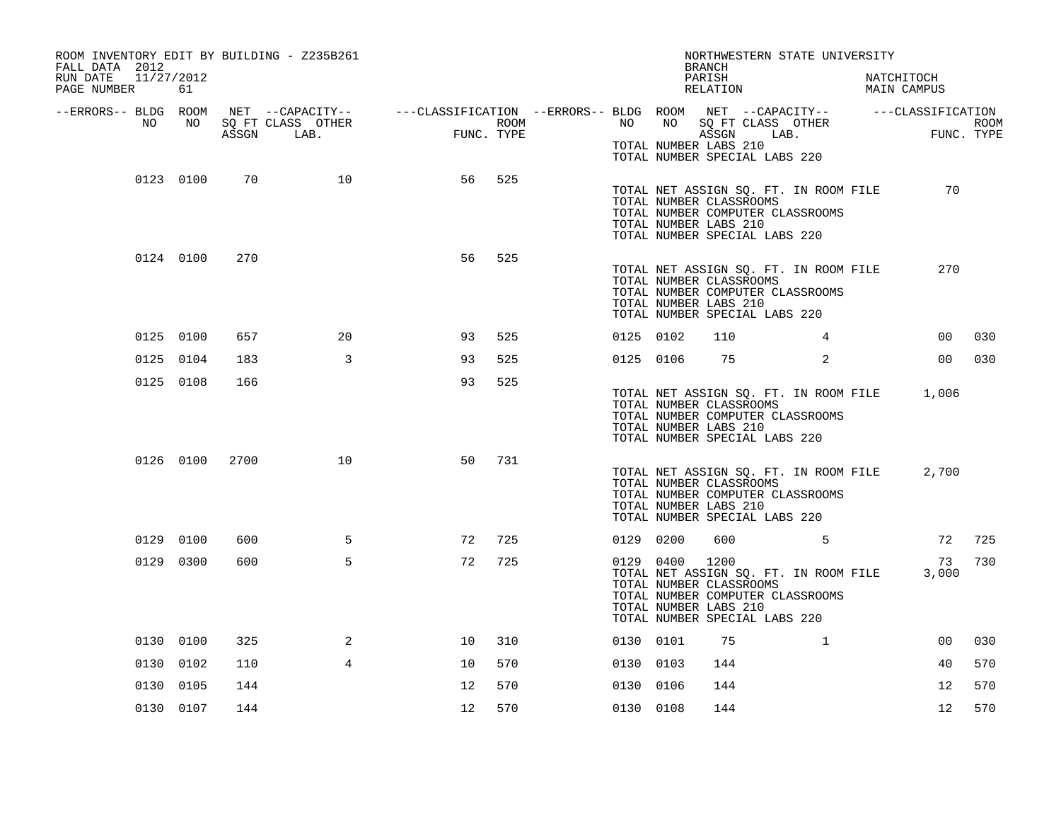| ROOM INVENTORY EDIT BY BUILDING - Z235B261<br>FALL DATA 2012<br>RUN DATE<br>11/27/2012<br>PAGE NUMBER | 61        |       |                           |                                                                                                         |                    |           |           | NORTHWESTERN STATE UNIVERSITY<br><b>BRANCH</b><br>PARISH<br>RELATION                                                                                                   |              | NATCHITOCH<br>MAIN CAMPUS |      |
|-------------------------------------------------------------------------------------------------------|-----------|-------|---------------------------|---------------------------------------------------------------------------------------------------------|--------------------|-----------|-----------|------------------------------------------------------------------------------------------------------------------------------------------------------------------------|--------------|---------------------------|------|
| --ERRORS-- BLDG ROOM<br>NO                                                                            | NO        | ASSGN | SQ FT CLASS OTHER<br>LAB. | NET --CAPACITY-- - ---CLASSIFICATION --ERRORS-- BLDG ROOM NET --CAPACITY-- - ---CLASSIFICATION<br>FITNC | ROOM<br>FUNC. TYPE | NO        | NO        | SQ FT CLASS OTHER<br>ASSGN<br>TOTAL NUMBER LABS 210<br>TOTAL NUMBER SPECIAL LABS 220                                                                                   | LAB.         | FUNC. TYPE                | ROOM |
|                                                                                                       | 0123 0100 | 70    | 10                        | 56                                                                                                      | 525                |           |           | TOTAL NET ASSIGN SQ. FT. IN ROOM FILE<br>TOTAL NUMBER CLASSROOMS<br>TOTAL NUMBER COMPUTER CLASSROOMS<br>TOTAL NUMBER LABS 210<br>TOTAL NUMBER SPECIAL LABS 220         |              | 70                        |      |
|                                                                                                       | 0124 0100 | 270   |                           | 56                                                                                                      | 525                |           |           | TOTAL NET ASSIGN SQ. FT. IN ROOM FILE<br>TOTAL NUMBER CLASSROOMS<br>TOTAL NUMBER COMPUTER CLASSROOMS<br>TOTAL NUMBER LABS 210<br>TOTAL NUMBER SPECIAL LABS 220         |              | 270                       |      |
|                                                                                                       | 0125 0100 | 657   | 20                        | 93                                                                                                      | 525                | 0125 0102 |           | 110                                                                                                                                                                    | 4            | 00                        | 030  |
|                                                                                                       | 0125 0104 | 183   | $\mathbf{3}$              | 93                                                                                                      | 525                |           | 0125 0106 | 75                                                                                                                                                                     | 2            | 00 <sub>0</sub>           | 030  |
|                                                                                                       | 0125 0108 | 166   |                           | 93                                                                                                      | 525                |           |           | TOTAL NET ASSIGN SQ. FT. IN ROOM FILE<br>TOTAL NUMBER CLASSROOMS<br>TOTAL NUMBER COMPUTER CLASSROOMS<br>TOTAL NUMBER LABS 210<br>TOTAL NUMBER SPECIAL LABS 220         |              | 1,006                     |      |
|                                                                                                       | 0126 0100 | 2700  | 10                        | 50                                                                                                      | 731                |           |           | TOTAL NET ASSIGN SQ. FT. IN ROOM FILE<br>TOTAL NUMBER CLASSROOMS<br>TOTAL NUMBER COMPUTER CLASSROOMS<br>TOTAL NUMBER LABS 210<br>TOTAL NUMBER SPECIAL LABS 220         |              | 2,700                     |      |
|                                                                                                       | 0129 0100 | 600   | 5                         | 72                                                                                                      | 725                | 0129 0200 |           | 600                                                                                                                                                                    | $\sim$ 5     | 72                        | 725  |
|                                                                                                       | 0129 0300 | 600   | 5                         | 72                                                                                                      | 725                |           | 0129 0400 | 1200<br>TOTAL NET ASSIGN SQ. FT. IN ROOM FILE<br>TOTAL NUMBER CLASSROOMS<br>TOTAL NUMBER COMPUTER CLASSROOMS<br>TOTAL NUMBER LABS 210<br>TOTAL NUMBER SPECIAL LABS 220 |              | 73<br>3,000               | 730  |
|                                                                                                       | 0130 0100 | 325   | 2                         | 10                                                                                                      | 310                | 0130 0101 |           | 75                                                                                                                                                                     | $\mathbf{1}$ | 00                        | 030  |
|                                                                                                       | 0130 0102 | 110   | 4                         | 10                                                                                                      | 570                | 0130 0103 |           | 144                                                                                                                                                                    |              | 40                        | 570  |
|                                                                                                       | 0130 0105 | 144   |                           | 12                                                                                                      | 570                | 0130 0106 |           | 144                                                                                                                                                                    |              | 12                        | 570  |
|                                                                                                       | 0130 0107 | 144   |                           | 12                                                                                                      | 570                | 0130 0108 |           | 144                                                                                                                                                                    |              | 12                        | 570  |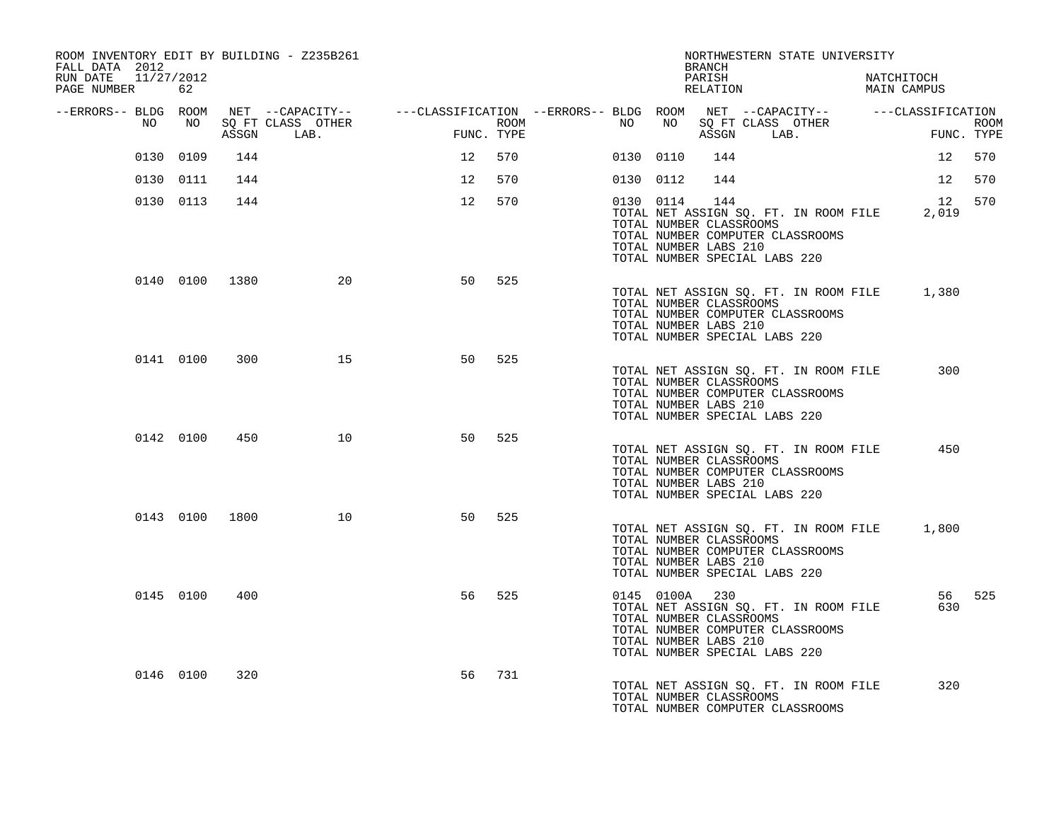| ROOM INVENTORY EDIT BY BUILDING - Z235B261<br>FALL DATA 2012 |           |                |                                 |                                                                                                                                                                                                                                 |                    |           |    | BRANCH                                                                                              |            | NORTHWESTERN STATE UNIVERSITY                                             |                                             |                           |
|--------------------------------------------------------------|-----------|----------------|---------------------------------|---------------------------------------------------------------------------------------------------------------------------------------------------------------------------------------------------------------------------------|--------------------|-----------|----|-----------------------------------------------------------------------------------------------------|------------|---------------------------------------------------------------------------|---------------------------------------------|---------------------------|
| RUN DATE<br>11/27/2012<br>PAGE NUMBER                        | 62        |                |                                 |                                                                                                                                                                                                                                 |                    |           |    | PARISH<br>RELATION                                                                                  |            |                                                                           | NATCHITOCH<br>MAIN CAMPUS                   |                           |
| --ERRORS-- BLDG ROOM                                         |           |                |                                 | NET --CAPACITY-- - ---CLASSIFICATION --ERRORS-- BLDG ROOM NET --CAPACITY-- - ---CLASSIFICATION                                                                                                                                  |                    |           |    |                                                                                                     |            |                                                                           |                                             |                           |
| NO                                                           | NO        |                | SQ FT CLASS OTHER<br>ASSGN LAB. | and a straight and the state of the state of the state of the state of the state of the state of the state of<br>The state of the state of the state of the state of the state of the state of the state of the state of the st | ROOM<br>FUNC. TYPE | NO .      | NO |                                                                                                     | ASSGN LAB. | SQ FT CLASS OTHER                                                         | $\mathbf{F}$                                | <b>ROOM</b><br>FUNC. TYPE |
|                                                              | 0130 0109 | 144            |                                 | 12                                                                                                                                                                                                                              | 570                | 0130 0110 |    | 144                                                                                                 |            |                                                                           | 12                                          | 570                       |
|                                                              | 0130 0111 | 144            |                                 | 12                                                                                                                                                                                                                              | 570                | 0130 0112 |    | 144                                                                                                 |            |                                                                           |                                             | 12 570                    |
|                                                              | 0130 0113 | 144            |                                 | 12                                                                                                                                                                                                                              | 570                | 0130 0114 |    | 144<br>TOTAL NUMBER CLASSROOMS<br>TOTAL NUMBER LABS 210<br>TOTAL NUMBER SPECIAL LABS 220            |            | TOTAL NET ASSIGN SQ. FT. IN ROOM FILE<br>TOTAL NUMBER COMPUTER CLASSROOMS | 12<br>2,019                                 | 570                       |
|                                                              |           | 0140 0100 1380 | 20                              | 50                                                                                                                                                                                                                              | 525                |           |    | TOTAL NUMBER CLASSROOMS<br>TOTAL NUMBER LABS 210<br>TOTAL NUMBER SPECIAL LABS 220                   |            | TOTAL NUMBER COMPUTER CLASSROOMS                                          | TOTAL NET ASSIGN SQ. FT. IN ROOM FILE 1,380 |                           |
|                                                              | 0141 0100 | 300            | 15                              | 50                                                                                                                                                                                                                              | 525                |           |    | TOTAL NUMBER CLASSROOMS<br>TOTAL NUMBER LABS 210<br>TOTAL NUMBER SPECIAL LABS 220                   |            | TOTAL NET ASSIGN SO. FT. IN ROOM FILE<br>TOTAL NUMBER COMPUTER CLASSROOMS | 300                                         |                           |
|                                                              | 0142 0100 | 450            | 10                              | 50                                                                                                                                                                                                                              | 525                |           |    | TOTAL NUMBER CLASSROOMS<br>TOTAL NUMBER LABS 210<br>TOTAL NUMBER SPECIAL LABS 220                   |            | TOTAL NET ASSIGN SQ. FT. IN ROOM FILE<br>TOTAL NUMBER COMPUTER CLASSROOMS | 450                                         |                           |
|                                                              |           | 0143 0100 1800 | 10                              | 50                                                                                                                                                                                                                              | 525                |           |    | TOTAL NUMBER CLASSROOMS<br>TOTAL NUMBER LABS 210<br>TOTAL NUMBER SPECIAL LABS 220                   |            | TOTAL NET ASSIGN SQ. FT. IN ROOM FILE<br>TOTAL NUMBER COMPUTER CLASSROOMS | 1,800                                       |                           |
|                                                              | 0145 0100 | 400            |                                 | 56                                                                                                                                                                                                                              | 525                |           |    | 0145 0100A 230<br>TOTAL NUMBER CLASSROOMS<br>TOTAL NUMBER LABS 210<br>TOTAL NUMBER SPECIAL LABS 220 |            | TOTAL NET ASSIGN SQ. FT. IN ROOM FILE<br>TOTAL NUMBER COMPUTER CLASSROOMS |                                             | 56 525<br>630             |
|                                                              | 0146 0100 | 320            |                                 | 56                                                                                                                                                                                                                              | 731                |           |    | TOTAL NUMBER CLASSROOMS                                                                             |            | TOTAL NET ASSIGN SQ. FT. IN ROOM FILE<br>TOTAL NUMBER COMPUTER CLASSROOMS |                                             | 320                       |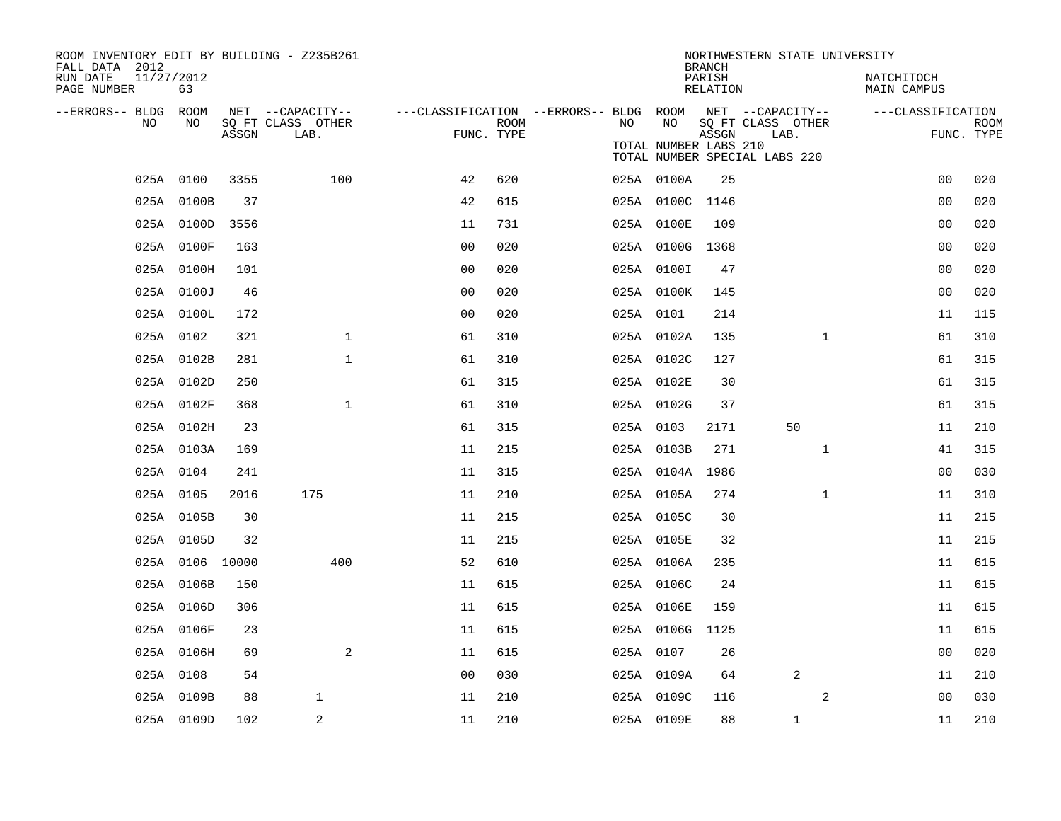| ROOM INVENTORY EDIT BY BUILDING - Z235B261<br>FALL DATA 2012 |                 |       |                                       |                                        |      |    |                       | <b>BRANCH</b>      | NORTHWESTERN STATE UNIVERSITY         |              |                           |             |
|--------------------------------------------------------------|-----------------|-------|---------------------------------------|----------------------------------------|------|----|-----------------------|--------------------|---------------------------------------|--------------|---------------------------|-------------|
| RUN DATE<br>11/27/2012<br>PAGE NUMBER                        | 63              |       |                                       |                                        |      |    |                       | PARISH<br>RELATION |                                       |              | NATCHITOCH<br>MAIN CAMPUS |             |
| --ERRORS-- BLDG ROOM<br>NO                                   | NO              |       | NET --CAPACITY--<br>SQ FT CLASS OTHER | ---CLASSIFICATION --ERRORS-- BLDG ROOM | ROOM | NO | NO                    |                    | NET --CAPACITY--<br>SQ FT CLASS OTHER |              | ---CLASSIFICATION         | <b>ROOM</b> |
|                                                              |                 | ASSGN | LAB.                                  | FUNC. TYPE                             |      |    | TOTAL NUMBER LABS 210 | ASSGN              | LAB.<br>TOTAL NUMBER SPECIAL LABS 220 |              |                           | FUNC. TYPE  |
|                                                              | 025A 0100       | 3355  | 100                                   | 42                                     | 620  |    | 025A 0100A            | 25                 |                                       |              | 0 <sub>0</sub>            | 020         |
|                                                              | 025A 0100B      | 37    |                                       | 42                                     | 615  |    | 025A 0100C 1146       |                    |                                       |              | 0 <sub>0</sub>            | 020         |
|                                                              | 025A 0100D      | 3556  |                                       | 11                                     | 731  |    | 025A 0100E            | 109                |                                       |              | 0 <sub>0</sub>            | 020         |
|                                                              | 025A 0100F      | 163   |                                       | 00                                     | 020  |    | 025A 0100G 1368       |                    |                                       |              | 0 <sub>0</sub>            | 020         |
|                                                              | 025A 0100H      | 101   |                                       | 0 <sub>0</sub>                         | 020  |    | 025A 0100I            | 47                 |                                       |              | 0 <sub>0</sub>            | 020         |
|                                                              | 025A 0100J      | 46    |                                       | 0 <sub>0</sub>                         | 020  |    | 025A 0100K            | 145                |                                       |              | 0 <sub>0</sub>            | 020         |
|                                                              | 025A 0100L      | 172   |                                       | 0 <sub>0</sub>                         | 020  |    | 025A 0101             | 214                |                                       |              | 11                        | 115         |
|                                                              | 025A 0102       | 321   | $\mathbf{1}$                          | 61                                     | 310  |    | 025A 0102A            | 135                |                                       | $\mathbf{1}$ | 61                        | 310         |
|                                                              | 025A 0102B      | 281   | $\mathbf{1}$                          | 61                                     | 310  |    | 025A 0102C            | 127                |                                       |              | 61                        | 315         |
|                                                              | 025A 0102D      | 250   |                                       | 61                                     | 315  |    | 025A 0102E            | 30                 |                                       |              | 61                        | 315         |
|                                                              | 025A 0102F      | 368   | $\mathbf 1$                           | 61                                     | 310  |    | 025A 0102G            | 37                 |                                       |              | 61                        | 315         |
|                                                              | 025A 0102H      | 23    |                                       | 61                                     | 315  |    | 025A 0103             | 2171               | 50                                    |              | 11                        | 210         |
|                                                              | 025A 0103A      | 169   |                                       | 11                                     | 215  |    | 025A 0103B            | 271                |                                       | $\mathbf{1}$ | 41                        | 315         |
|                                                              | 025A 0104       | 241   |                                       | 11                                     | 315  |    | 025A 0104A            | 1986               |                                       |              | 00                        | 030         |
|                                                              | 025A 0105       | 2016  | 175                                   | 11                                     | 210  |    | 025A 0105A            | 274                |                                       | $\mathbf{1}$ | 11                        | 310         |
|                                                              | 025A 0105B      | 30    |                                       | 11                                     | 215  |    | 025A 0105C            | 30                 |                                       |              | 11                        | 215         |
|                                                              | 025A 0105D      | 32    |                                       | 11                                     | 215  |    | 025A 0105E            | 32                 |                                       |              | 11                        | 215         |
|                                                              | 025A 0106 10000 |       | 400                                   | 52                                     | 610  |    | 025A 0106A            | 235                |                                       |              | 11                        | 615         |
|                                                              | 025A 0106B      | 150   |                                       | 11                                     | 615  |    | 025A 0106C            | 24                 |                                       |              | 11                        | 615         |
|                                                              | 025A 0106D      | 306   |                                       | 11                                     | 615  |    | 025A 0106E            | 159                |                                       |              | 11                        | 615         |
|                                                              | 025A 0106F      | 23    |                                       | 11                                     | 615  |    | 025A 0106G            | 1125               |                                       |              | 11                        | 615         |
|                                                              | 025A 0106H      | 69    | 2                                     | 11                                     | 615  |    | 025A 0107             | 26                 |                                       |              | 0 <sub>0</sub>            | 020         |
|                                                              | 025A 0108       | 54    |                                       | 0 <sub>0</sub>                         | 030  |    | 025A 0109A            | 64                 | 2                                     |              | 11                        | 210         |
|                                                              | 025A 0109B      | 88    | 1                                     | 11                                     | 210  |    | 025A 0109C            | 116                |                                       | 2            | 0 <sub>0</sub>            | 030         |
|                                                              | 025A 0109D      | 102   | 2                                     | 11                                     | 210  |    | 025A 0109E            | 88                 | $\mathbf 1$                           |              | 11                        | 210         |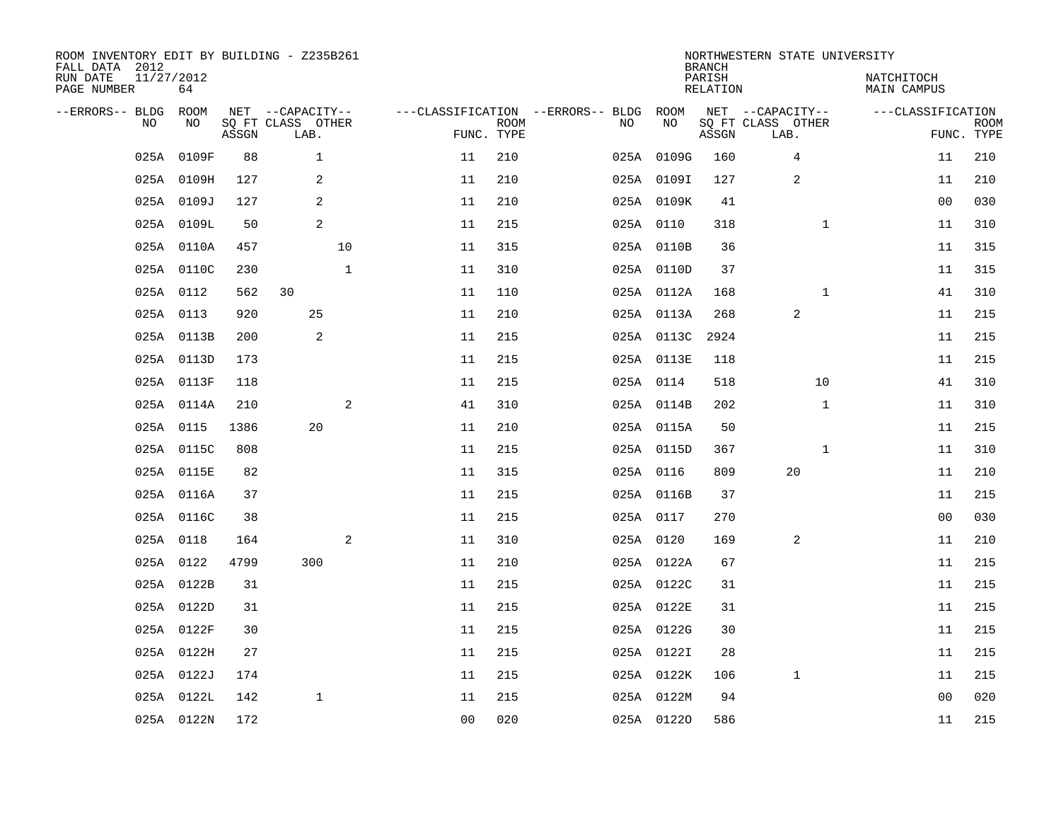| ROOM INVENTORY EDIT BY BUILDING - Z235B261<br>FALL DATA 2012 |                  |       |                           |                |                |                           |                                        |            | <b>BRANCH</b>             | NORTHWESTERN STATE UNIVERSITY |                           |                           |
|--------------------------------------------------------------|------------------|-------|---------------------------|----------------|----------------|---------------------------|----------------------------------------|------------|---------------------------|-------------------------------|---------------------------|---------------------------|
| RUN DATE<br>PAGE NUMBER                                      | 11/27/2012<br>64 |       |                           |                |                |                           |                                        |            | PARISH<br><b>RELATION</b> |                               | NATCHITOCH<br>MAIN CAMPUS |                           |
| --ERRORS-- BLDG                                              | ROOM             |       | NET --CAPACITY--          |                |                |                           | ---CLASSIFICATION --ERRORS-- BLDG ROOM |            |                           | NET --CAPACITY--              | ---CLASSIFICATION         |                           |
| NO                                                           | NO               | ASSGN | SQ FT CLASS OTHER<br>LAB. |                |                | <b>ROOM</b><br>FUNC. TYPE | NO                                     | NO         | ASSGN                     | SQ FT CLASS OTHER<br>LAB.     |                           | <b>ROOM</b><br>FUNC. TYPE |
| 025A                                                         | 0109F            | 88    | $\mathbf{1}$              |                | 11             | 210                       |                                        | 025A 0109G | 160                       | 4                             | 11                        | 210                       |
|                                                              | 025A 0109H       | 127   | 2                         |                | 11             | 210                       |                                        | 025A 0109I | 127                       | $\overline{c}$                | 11                        | 210                       |
|                                                              | 025A 0109J       | 127   | 2                         |                | 11             | 210                       |                                        | 025A 0109K | 41                        |                               | 00                        | 030                       |
|                                                              | 025A 0109L       | 50    | 2                         |                | 11             | 215                       |                                        | 025A 0110  | 318                       | $\mathbf{1}$                  | 11                        | 310                       |
|                                                              | 025A 0110A       | 457   |                           | 10             | 11             | 315                       |                                        | 025A 0110B | 36                        |                               | 11                        | 315                       |
|                                                              | 025A 0110C       | 230   |                           | $\mathbf 1$    | 11             | 310                       |                                        | 025A 0110D | 37                        |                               | 11                        | 315                       |
|                                                              | 025A 0112        | 562   | 30                        |                | 11             | 110                       |                                        | 025A 0112A | 168                       | $\mathbf{1}$                  | 41                        | 310                       |
|                                                              | 025A 0113        | 920   | 25                        |                | 11             | 210                       |                                        | 025A 0113A | 268                       | 2                             | 11                        | 215                       |
|                                                              | 025A 0113B       | 200   | 2                         |                | 11             | 215                       |                                        | 025A 0113C | 2924                      |                               | 11                        | 215                       |
|                                                              | 025A 0113D       | 173   |                           |                | 11             | 215                       |                                        | 025A 0113E | 118                       |                               | 11                        | 215                       |
|                                                              | 025A 0113F       | 118   |                           |                | 11             | 215                       |                                        | 025A 0114  | 518                       | 10                            | 41                        | 310                       |
|                                                              | 025A 0114A       | 210   |                           | 2              | 41             | 310                       |                                        | 025A 0114B | 202                       | $\mathbf{1}$                  | 11                        | 310                       |
|                                                              | 025A 0115        | 1386  | 20                        |                | 11             | 210                       |                                        | 025A 0115A | 50                        |                               | 11                        | 215                       |
|                                                              | 025A 0115C       | 808   |                           |                | 11             | 215                       |                                        | 025A 0115D | 367                       | $\mathbf{1}$                  | 11                        | 310                       |
|                                                              | 025A 0115E       | 82    |                           |                | 11             | 315                       |                                        | 025A 0116  | 809                       | 20                            | 11                        | 210                       |
|                                                              | 025A 0116A       | 37    |                           |                | 11             | 215                       |                                        | 025A 0116B | 37                        |                               | 11                        | 215                       |
|                                                              | 025A 0116C       | 38    |                           |                | 11             | 215                       |                                        | 025A 0117  | 270                       |                               | 0 <sub>0</sub>            | 030                       |
|                                                              | 025A 0118        | 164   |                           | $\overline{a}$ | 11             | 310                       |                                        | 025A 0120  | 169                       | 2                             | 11                        | 210                       |
|                                                              | 025A 0122        | 4799  | 300                       |                | 11             | 210                       |                                        | 025A 0122A | 67                        |                               | 11                        | 215                       |
|                                                              | 025A 0122B       | 31    |                           |                | 11             | 215                       |                                        | 025A 0122C | 31                        |                               | 11                        | 215                       |
|                                                              | 025A 0122D       | 31    |                           |                | 11             | 215                       |                                        | 025A 0122E | 31                        |                               | 11                        | 215                       |
|                                                              | 025A 0122F       | 30    |                           |                | 11             | 215                       |                                        | 025A 0122G | 30                        |                               | 11                        | 215                       |
|                                                              | 025A 0122H       | 27    |                           |                | 11             | 215                       |                                        | 025A 0122I | 28                        |                               | 11                        | 215                       |
|                                                              | 025A 0122J       | 174   |                           |                | 11             | 215                       |                                        | 025A 0122K | 106                       | $\mathbf 1$                   | 11                        | 215                       |
|                                                              | 025A 0122L       | 142   | $\mathbf 1$               |                | 11             | 215                       |                                        | 025A 0122M | 94                        |                               | 0 <sub>0</sub>            | 020                       |
|                                                              | 025A 0122N       | 172   |                           |                | 0 <sub>0</sub> | 020                       |                                        | 025A 01220 | 586                       |                               | 11                        | 215                       |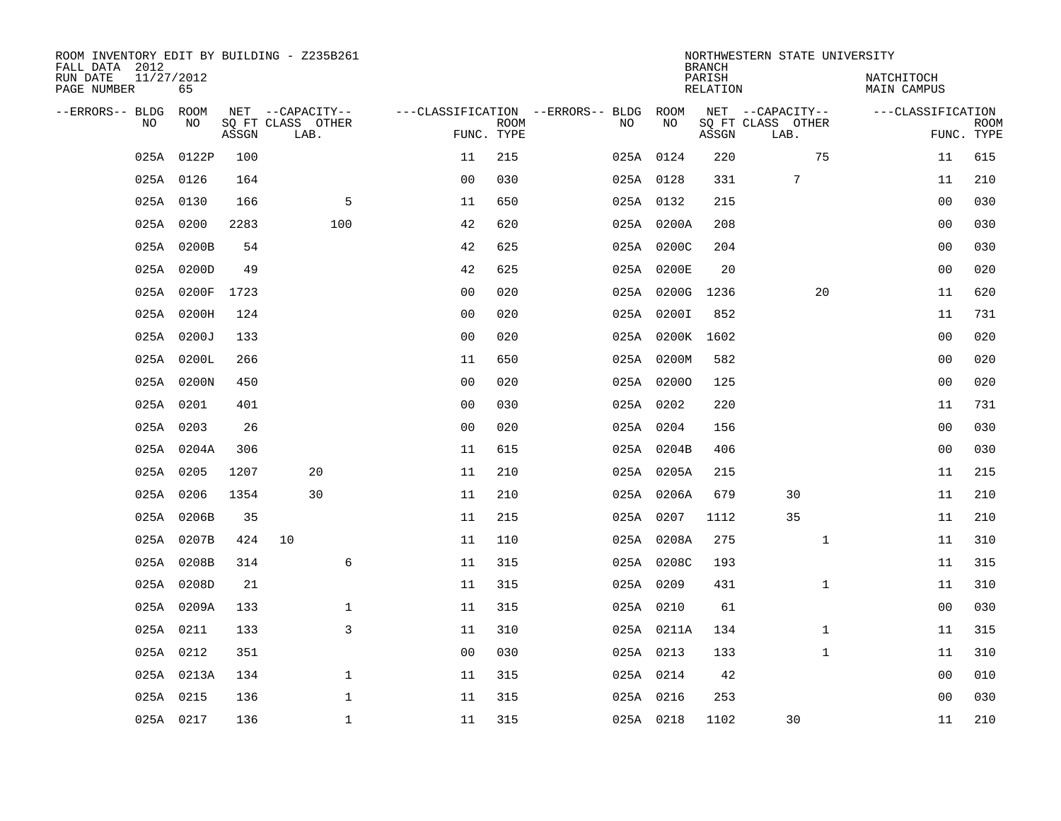| ROOM INVENTORY EDIT BY BUILDING - Z235B261<br>FALL DATA 2012 |                  |       |                           |                |             |                                              |            | <b>BRANCH</b>      | NORTHWESTERN STATE UNIVERSITY |                           |             |
|--------------------------------------------------------------|------------------|-------|---------------------------|----------------|-------------|----------------------------------------------|------------|--------------------|-------------------------------|---------------------------|-------------|
| RUN DATE<br>PAGE NUMBER                                      | 11/27/2012<br>65 |       |                           |                |             |                                              |            | PARISH<br>RELATION |                               | NATCHITOCH<br>MAIN CAMPUS |             |
| --ERRORS-- BLDG ROOM<br>NO                                   | NO               |       | NET --CAPACITY--          |                | <b>ROOM</b> | ---CLASSIFICATION --ERRORS-- BLDG ROOM<br>NO | NO         |                    | NET --CAPACITY--              | ---CLASSIFICATION         | <b>ROOM</b> |
|                                                              |                  | ASSGN | SQ FT CLASS OTHER<br>LAB. |                | FUNC. TYPE  |                                              |            | ASSGN              | SQ FT CLASS OTHER<br>LAB.     |                           | FUNC. TYPE  |
|                                                              | 025A 0122P       | 100   |                           | 11             | 215         |                                              | 025A 0124  | 220                | 75                            | 11                        | 615         |
|                                                              | 025A 0126        | 164   |                           | 0 <sub>0</sub> | 030         |                                              | 025A 0128  | 331                | 7                             | 11                        | 210         |
|                                                              | 025A 0130        | 166   | 5                         | 11             | 650         |                                              | 025A 0132  | 215                |                               | 0 <sub>0</sub>            | 030         |
|                                                              | 025A 0200        | 2283  | 100                       | 42             | 620         |                                              | 025A 0200A | 208                |                               | 0 <sub>0</sub>            | 030         |
|                                                              | 025A 0200B       | 54    |                           | 42             | 625         |                                              | 025A 0200C | 204                |                               | 0 <sub>0</sub>            | 030         |
|                                                              | 025A 0200D       | 49    |                           | 42             | 625         |                                              | 025A 0200E | 20                 |                               | 00                        | 020         |
|                                                              | 025A 0200F       | 1723  |                           | 0 <sub>0</sub> | 020         |                                              | 025A 0200G | 1236               | 20                            | 11                        | 620         |
|                                                              | 025A 0200H       | 124   |                           | 0 <sub>0</sub> | 020         |                                              | 025A 0200I | 852                |                               | 11                        | 731         |
|                                                              | 025A 0200J       | 133   |                           | 0 <sub>0</sub> | 020         |                                              | 025A 0200K | 1602               |                               | 0 <sub>0</sub>            | 020         |
|                                                              | 025A 0200L       | 266   |                           | 11             | 650         |                                              | 025A 0200M | 582                |                               | 00                        | 020         |
|                                                              | 025A 0200N       | 450   |                           | 0 <sub>0</sub> | 020         |                                              | 025A 02000 | 125                |                               | 0 <sub>0</sub>            | 020         |
|                                                              | 025A 0201        | 401   |                           | 0 <sub>0</sub> | 030         |                                              | 025A 0202  | 220                |                               | 11                        | 731         |
|                                                              | 025A 0203        | 26    |                           | 0 <sub>0</sub> | 020         |                                              | 025A 0204  | 156                |                               | 00                        | 030         |
|                                                              | 025A 0204A       | 306   |                           | 11             | 615         |                                              | 025A 0204B | 406                |                               | 00                        | 030         |
|                                                              | 025A 0205        | 1207  | 20                        | 11             | 210         |                                              | 025A 0205A | 215                |                               | 11                        | 215         |
|                                                              | 025A 0206        | 1354  | 30                        | 11             | 210         |                                              | 025A 0206A | 679                | 30                            | 11                        | 210         |
|                                                              | 025A 0206B       | 35    |                           | 11             | 215         |                                              | 025A 0207  | 1112               | 35                            | 11                        | 210         |
|                                                              | 025A 0207B       | 424   | 10                        | 11             | 110         |                                              | 025A 0208A | 275                | $\mathbf{1}$                  | 11                        | 310         |
|                                                              | 025A 0208B       | 314   | 6                         | 11             | 315         |                                              | 025A 0208C | 193                |                               | 11                        | 315         |
|                                                              | 025A 0208D       | 21    |                           | 11             | 315         |                                              | 025A 0209  | 431                | $\mathbf{1}$                  | 11                        | 310         |
|                                                              | 025A 0209A       | 133   | $\mathbf 1$               | 11             | 315         |                                              | 025A 0210  | 61                 |                               | 00                        | 030         |
|                                                              | 025A 0211        | 133   | 3                         | 11             | 310         |                                              | 025A 0211A | 134                | $\mathbf{1}$                  | 11                        | 315         |
|                                                              | 025A 0212        | 351   |                           | 0 <sub>0</sub> | 030         |                                              | 025A 0213  | 133                | $\mathbf{1}$                  | 11                        | 310         |
|                                                              | 025A 0213A       | 134   | $\mathbf{1}$              | 11             | 315         |                                              | 025A 0214  | 42                 |                               | 00                        | 010         |
|                                                              | 025A 0215        | 136   | $\mathbf 1$               | 11             | 315         |                                              | 025A 0216  | 253                |                               | 00                        | 030         |
|                                                              | 025A 0217        | 136   | $\mathbf 1$               | 11             | 315         |                                              | 025A 0218  | 1102               | 30                            | 11                        | 210         |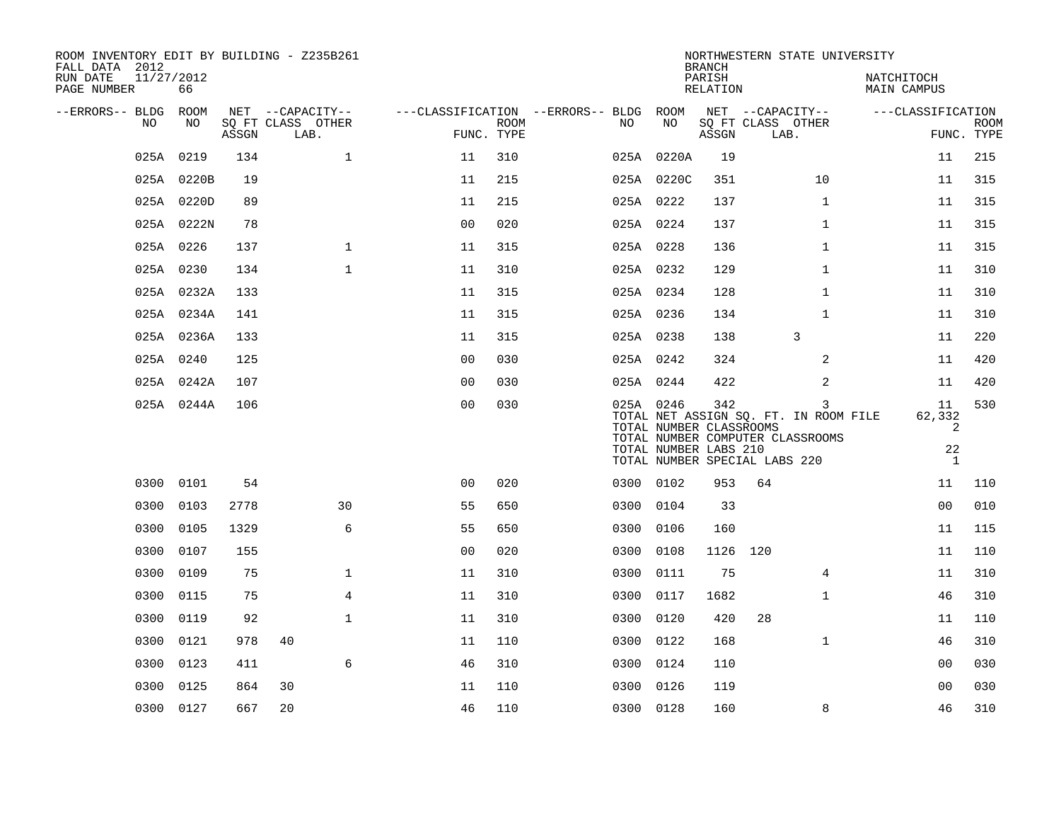| ROOM INVENTORY EDIT BY BUILDING - Z235B261<br>FALL DATA 2012 |                  |       |                           |                |             |                                        |                                                               | <b>BRANCH</b>      | NORTHWESTERN STATE UNIVERSITY                                                                                   |                                         |                           |
|--------------------------------------------------------------|------------------|-------|---------------------------|----------------|-------------|----------------------------------------|---------------------------------------------------------------|--------------------|-----------------------------------------------------------------------------------------------------------------|-----------------------------------------|---------------------------|
| RUN DATE<br>PAGE NUMBER                                      | 11/27/2012<br>66 |       |                           |                |             |                                        |                                                               | PARISH<br>RELATION |                                                                                                                 | NATCHITOCH<br><b>MAIN CAMPUS</b>        |                           |
| --ERRORS-- BLDG ROOM                                         |                  |       | NET --CAPACITY--          |                |             | ---CLASSIFICATION --ERRORS-- BLDG ROOM |                                                               |                    | NET --CAPACITY--                                                                                                | ---CLASSIFICATION                       |                           |
| NO.                                                          | NO.              | ASSGN | SQ FT CLASS OTHER<br>LAB. | FUNC. TYPE     | <b>ROOM</b> | NO.                                    | NO                                                            | ASSGN              | SQ FT CLASS OTHER<br>LAB.                                                                                       |                                         | <b>ROOM</b><br>FUNC. TYPE |
|                                                              | 025A 0219        | 134   | $\mathbf{1}$              | 11             | 310         |                                        | 025A 0220A                                                    | 19                 |                                                                                                                 | 11                                      | 215                       |
|                                                              | 025A 0220B       | 19    |                           | 11             | 215         |                                        | 025A 0220C                                                    | 351                | 10                                                                                                              | 11                                      | 315                       |
|                                                              | 025A 0220D       | 89    |                           | 11             | 215         |                                        | 025A 0222                                                     | 137                | $\mathbf{1}$                                                                                                    | 11                                      | 315                       |
|                                                              | 025A 0222N       | 78    |                           | 0 <sub>0</sub> | 020         |                                        | 025A 0224                                                     | 137                | $\mathbf{1}$                                                                                                    | 11                                      | 315                       |
|                                                              | 025A 0226        | 137   | $\mathbf{1}$              | 11             | 315         |                                        | 025A 0228                                                     | 136                | $\mathbf{1}$                                                                                                    | 11                                      | 315                       |
|                                                              | 025A 0230        | 134   | $\mathbf{1}$              | 11             | 310         |                                        | 025A 0232                                                     | 129                | $\mathbf{1}$                                                                                                    | 11                                      | 310                       |
|                                                              | 025A 0232A       | 133   |                           | 11             | 315         |                                        | 025A 0234                                                     | 128                | $\mathbf{1}$                                                                                                    | 11                                      | 310                       |
|                                                              | 025A 0234A       | 141   |                           | 11             | 315         |                                        | 025A 0236                                                     | 134                | $\mathbf{1}$                                                                                                    | 11                                      | 310                       |
|                                                              | 025A 0236A       | 133   |                           | 11             | 315         |                                        | 025A 0238                                                     | 138                | 3                                                                                                               | 11                                      | 220                       |
|                                                              | 025A 0240        | 125   |                           | 0 <sub>0</sub> | 030         |                                        | 025A 0242                                                     | 324                | 2                                                                                                               | 11                                      | 420                       |
|                                                              | 025A 0242A       | 107   |                           | 0 <sub>0</sub> | 030         |                                        | 025A 0244                                                     | 422                | 2                                                                                                               | 11                                      | 420                       |
|                                                              | 025A 0244A       | 106   |                           | 00             | 030         |                                        | 025A 0246<br>TOTAL NUMBER CLASSROOMS<br>TOTAL NUMBER LABS 210 | 342                | 3<br>TOTAL NET ASSIGN SQ. FT. IN ROOM FILE<br>TOTAL NUMBER COMPUTER CLASSROOMS<br>TOTAL NUMBER SPECIAL LABS 220 | 11<br>62,332<br>2<br>22<br>$\mathbf{1}$ | 530                       |
|                                                              | 0300 0101        | 54    |                           | 0 <sub>0</sub> | 020         |                                        | 0300 0102                                                     | 953                | 64                                                                                                              | 11                                      | 110                       |
| 0300                                                         | 0103             | 2778  | 30                        | 55             | 650         |                                        | 0300 0104                                                     | 33                 |                                                                                                                 | 0 <sub>0</sub>                          | 010                       |
| 0300                                                         | 0105             | 1329  | 6                         | 55             | 650         | 0300                                   | 0106                                                          | 160                |                                                                                                                 | 11                                      | 115                       |
| 0300                                                         | 0107             | 155   |                           | 0 <sub>0</sub> | 020         |                                        | 0300 0108                                                     | 1126               | 120                                                                                                             | 11                                      | 110                       |
| 0300                                                         | 0109             | 75    | $\mathbf{1}$              | 11             | 310         | 0300                                   | 0111                                                          | 75                 | $\overline{4}$                                                                                                  | 11                                      | 310                       |
| 0300                                                         | 0115             | 75    | 4                         | 11             | 310         | 0300                                   | 0117                                                          | 1682               | $\mathbf{1}$                                                                                                    | 46                                      | 310                       |
| 0300                                                         | 0119             | 92    | $\mathbf{1}$              | 11             | 310         | 0300                                   | 0120                                                          | 420                | 28                                                                                                              | 11                                      | 110                       |
| 0300                                                         | 0121             | 978   | 40                        | 11             | 110         |                                        | 0300 0122                                                     | 168                | $\mathbf{1}$                                                                                                    | 46                                      | 310                       |
| 0300                                                         | 0123             | 411   | 6                         | 46             | 310         | 0300                                   | 0124                                                          | 110                |                                                                                                                 | 0 <sub>0</sub>                          | 030                       |
| 0300                                                         | 0125             | 864   | 30                        | 11             | 110         |                                        | 0300 0126                                                     | 119                |                                                                                                                 | 0 <sub>0</sub>                          | 030                       |
|                                                              | 0300 0127        | 667   | 20                        | 46             | 110         |                                        | 0300 0128                                                     | 160                | 8                                                                                                               | 46                                      | 310                       |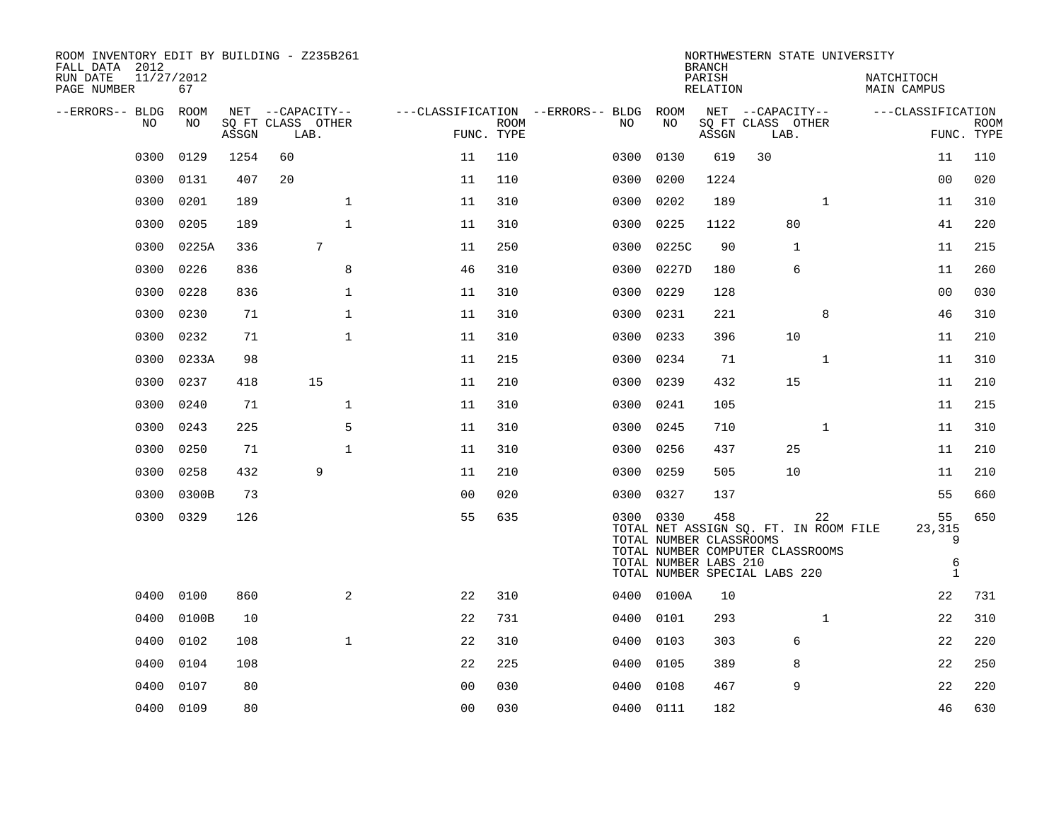| ROOM INVENTORY EDIT BY BUILDING - Z235B261<br>FALL DATA 2012<br>RUN DATE<br>PAGE NUMBER | 11/27/2012<br>67 |       |      |                                       |                |                           |                                         |                                                               | <b>BRANCH</b><br>PARISH<br>RELATION | NORTHWESTERN STATE UNIVERSITY                                                                              |              | NATCHITOCH<br>MAIN CAMPUS |                              |                           |
|-----------------------------------------------------------------------------------------|------------------|-------|------|---------------------------------------|----------------|---------------------------|-----------------------------------------|---------------------------------------------------------------|-------------------------------------|------------------------------------------------------------------------------------------------------------|--------------|---------------------------|------------------------------|---------------------------|
| --ERRORS-- BLDG<br>NO                                                                   | ROOM<br>NO       | ASSGN | LAB. | NET --CAPACITY--<br>SQ FT CLASS OTHER |                | <b>ROOM</b><br>FUNC. TYPE | ---CLASSIFICATION --ERRORS-- BLDG<br>NO | ROOM<br>NO                                                    | ASSGN                               | NET --CAPACITY--<br>SQ FT CLASS OTHER<br>LAB.                                                              |              | ---CLASSIFICATION         |                              | <b>ROOM</b><br>FUNC. TYPE |
| 0300                                                                                    | 0129             | 1254  | 60   |                                       | 11             | 110                       | 0300                                    | 0130                                                          | 619                                 | 30                                                                                                         |              |                           | 11                           | 110                       |
| 0300                                                                                    | 0131             | 407   | 20   |                                       | 11             | 110                       | 0300                                    | 0200                                                          | 1224                                |                                                                                                            |              |                           | 0 <sub>0</sub>               | 020                       |
| 0300                                                                                    | 0201             | 189   |      | $\mathbf 1$                           | 11             | 310                       | 0300                                    | 0202                                                          | 189                                 |                                                                                                            | $\mathbf{1}$ |                           | 11                           | 310                       |
| 0300                                                                                    | 0205             | 189   |      | $\mathbf{1}$                          | 11             | 310                       | 0300                                    | 0225                                                          | 1122                                | 80                                                                                                         |              |                           | 41                           | 220                       |
| 0300                                                                                    | 0225A            | 336   |      | 7                                     | 11             | 250                       | 0300                                    | 0225C                                                         | 90                                  | $\mathbf 1$                                                                                                |              |                           | 11                           | 215                       |
| 0300                                                                                    | 0226             | 836   |      | 8                                     | 46             | 310                       | 0300                                    | 0227D                                                         | 180                                 | 6                                                                                                          |              |                           | 11                           | 260                       |
| 0300                                                                                    | 0228             | 836   |      | $\mathbf{1}$                          | 11             | 310                       | 0300                                    | 0229                                                          | 128                                 |                                                                                                            |              |                           | 0 <sub>0</sub>               | 030                       |
| 0300                                                                                    | 0230             | 71    |      | $\mathbf{1}$                          | 11             | 310                       | 0300                                    | 0231                                                          | 221                                 |                                                                                                            | 8            |                           | 46                           | 310                       |
| 0300                                                                                    | 0232             | 71    |      | $\mathbf{1}$                          | 11             | 310                       | 0300                                    | 0233                                                          | 396                                 | 10                                                                                                         |              |                           | 11                           | 210                       |
| 0300                                                                                    | 0233A            | 98    |      |                                       | 11             | 215                       | 0300                                    | 0234                                                          | 71                                  |                                                                                                            | $\mathbf{1}$ |                           | 11                           | 310                       |
| 0300                                                                                    | 0237             | 418   |      | 15                                    | 11             | 210                       | 0300                                    | 0239                                                          | 432                                 | 15                                                                                                         |              |                           | 11                           | 210                       |
| 0300                                                                                    | 0240             | 71    |      | $\mathbf{1}$                          | 11             | 310                       | 0300                                    | 0241                                                          | 105                                 |                                                                                                            |              |                           | 11                           | 215                       |
| 0300                                                                                    | 0243             | 225   |      | 5                                     | 11             | 310                       | 0300                                    | 0245                                                          | 710                                 |                                                                                                            | $\mathbf{1}$ |                           | 11                           | 310                       |
| 0300                                                                                    | 0250             | 71    |      | $\mathbf{1}$                          | 11             | 310                       | 0300                                    | 0256                                                          | 437                                 | 25                                                                                                         |              |                           | 11                           | 210                       |
| 0300                                                                                    | 0258             | 432   |      | 9                                     | 11             | 210                       | 0300                                    | 0259                                                          | 505                                 | 10                                                                                                         |              |                           | 11                           | 210                       |
| 0300                                                                                    | 0300B            | 73    |      |                                       | 0 <sub>0</sub> | 020                       | 0300                                    | 0327                                                          | 137                                 |                                                                                                            |              |                           | 55                           | 660                       |
|                                                                                         | 0300 0329        | 126   |      |                                       | 55             | 635                       |                                         | 0300 0330<br>TOTAL NUMBER CLASSROOMS<br>TOTAL NUMBER LABS 210 | 458                                 | TOTAL NET ASSIGN SQ. FT. IN ROOM FILE<br>TOTAL NUMBER COMPUTER CLASSROOMS<br>TOTAL NUMBER SPECIAL LABS 220 | 22           | 23,315                    | 55<br>9<br>6<br>$\mathbf{1}$ | 650                       |
| 0400                                                                                    | 0100             | 860   |      | 2                                     | 22             | 310                       |                                         | 0400 0100A                                                    | 10                                  |                                                                                                            |              |                           | 22                           | 731                       |
| 0400                                                                                    | 0100B            | 10    |      |                                       | 22             | 731                       | 0400                                    | 0101                                                          | 293                                 |                                                                                                            | $\mathbf{1}$ |                           | 22                           | 310                       |
| 0400                                                                                    | 0102             | 108   |      | $\mathbf{1}$                          | 22             | 310                       |                                         | 0400 0103                                                     | 303                                 | 6                                                                                                          |              |                           | 22                           | 220                       |
| 0400                                                                                    | 0104             | 108   |      |                                       | 22             | 225                       | 0400                                    | 0105                                                          | 389                                 | 8                                                                                                          |              |                           | 22                           | 250                       |
| 0400                                                                                    | 0107             | 80    |      |                                       | 0 <sub>0</sub> | 030                       | 0400                                    | 0108                                                          | 467                                 | 9                                                                                                          |              |                           | 22                           | 220                       |
|                                                                                         | 0400 0109        | 80    |      |                                       | 0 <sub>0</sub> | 030                       |                                         | 0400 0111                                                     | 182                                 |                                                                                                            |              |                           | 46                           | 630                       |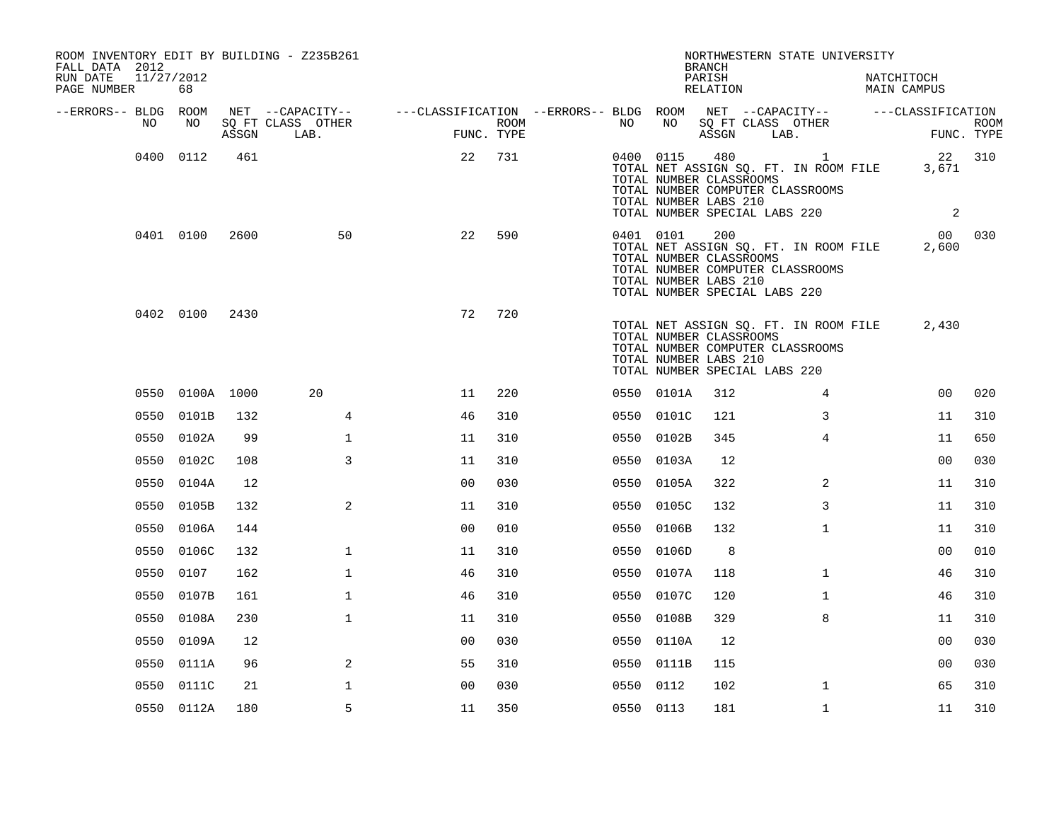| ROOM INVENTORY EDIT BY BUILDING - Z235B261<br>FALL DATA 2012 |                  |       |                                                                                                                                                                                                                                                                  |                |      |           |            | <b>BRANCH</b>                                           | NORTHWESTERN STATE UNIVERSITY                                                                                                 |                             |                           |
|--------------------------------------------------------------|------------------|-------|------------------------------------------------------------------------------------------------------------------------------------------------------------------------------------------------------------------------------------------------------------------|----------------|------|-----------|------------|---------------------------------------------------------|-------------------------------------------------------------------------------------------------------------------------------|-----------------------------|---------------------------|
| RUN DATE<br>PAGE NUMBER                                      | 11/27/2012<br>68 |       |                                                                                                                                                                                                                                                                  |                |      |           |            | PARISH<br>RELATION                                      |                                                                                                                               | NATCHITOCH<br>MAIN CAMPUS   |                           |
| --ERRORS-- BLDG ROOM<br>NO                                   | NO               | ASSGN | $\begin{array}{cccccccccccccc} \texttt{NET} & --\texttt{CPACITY--} & --\texttt{CLASSIFICATION} & --\texttt{ERRORS--} & \texttt{BLDG} & \texttt{ROOM} & \texttt{NET} & --\texttt{CPACITY--} & --\texttt{CLASSIFICATION} \end{array}$<br>SQ FT CLASS OTHER<br>LAB. | FUNC. TYPE     | ROOM | NO        | NO         |                                                         | SQ FT CLASS OTHER<br>ASSGN LAB.                                                                                               |                             | <b>ROOM</b><br>FUNC. TYPE |
|                                                              | 0400 0112        | 461   |                                                                                                                                                                                                                                                                  | 22             | 731  |           |            | TOTAL NUMBER CLASSROOMS<br>TOTAL NUMBER LABS 210        | 0400 0115 480 1<br>TOTAL NET ASSIGN SQ. FT. IN ROOM FILE<br>TOTAL NUMBER COMPUTER CLASSROOMS<br>TOTAL NUMBER SPECIAL LABS 220 | 22 310<br>3,671<br>$\sim$ 2 |                           |
|                                                              | 0401 0100        | 2600  | 50                                                                                                                                                                                                                                                               | 22             | 590  |           | 0401 0101  | 200<br>TOTAL NUMBER CLASSROOMS<br>TOTAL NUMBER LABS 210 | TOTAL NET ASSIGN SQ. FT. IN ROOM FILE<br>TOTAL NUMBER COMPUTER CLASSROOMS<br>TOTAL NUMBER SPECIAL LABS 220                    | 00 030<br>2,600             |                           |
|                                                              | 0402 0100        | 2430  |                                                                                                                                                                                                                                                                  | 72             | 720  |           |            | TOTAL NUMBER CLASSROOMS<br>TOTAL NUMBER LABS 210        | TOTAL NET ASSIGN SQ. FT. IN ROOM FILE<br>TOTAL NUMBER COMPUTER CLASSROOMS<br>TOTAL NUMBER SPECIAL LABS 220                    | 2,430                       |                           |
|                                                              | 0550 0100A 1000  |       | 20                                                                                                                                                                                                                                                               | 11             | 220  |           | 0550 0101A | 312                                                     | $\overline{4}$                                                                                                                | 0 <sub>0</sub>              | 020                       |
|                                                              | 0550 0101B       | 132   | 4                                                                                                                                                                                                                                                                | 46             | 310  |           | 0550 0101C | 121                                                     | 3                                                                                                                             | 11                          | 310                       |
|                                                              | 0550 0102A       | 99    | $\mathbf{1}$                                                                                                                                                                                                                                                     | 11             | 310  |           | 0550 0102B | 345                                                     | $\overline{4}$                                                                                                                | 11                          | 650                       |
|                                                              | 0550 0102C       | 108   | 3                                                                                                                                                                                                                                                                | 11             | 310  |           | 0550 0103A | 12                                                      |                                                                                                                               | 00                          | 030                       |
|                                                              | 0550 0104A       | 12    |                                                                                                                                                                                                                                                                  | 0 <sub>0</sub> | 030  |           | 0550 0105A | 322                                                     | $\overline{2}$                                                                                                                | 11                          | 310                       |
|                                                              | 0550 0105B       | 132   | 2                                                                                                                                                                                                                                                                | 11             | 310  |           | 0550 0105C | 132                                                     | 3                                                                                                                             | 11                          | 310                       |
|                                                              | 0550 0106A       | 144   |                                                                                                                                                                                                                                                                  | 0 <sub>0</sub> | 010  |           | 0550 0106B | 132                                                     | $\mathbf{1}$                                                                                                                  | 11                          | 310                       |
|                                                              | 0550 0106C       | 132   | $\mathbf{1}$                                                                                                                                                                                                                                                     | 11             | 310  |           | 0550 0106D | 8                                                       |                                                                                                                               | 00                          | 010                       |
|                                                              | 0550 0107        | 162   | $\mathbf{1}$                                                                                                                                                                                                                                                     | 46             | 310  | 0550      | 0107A      | 118                                                     | $\mathbf{1}$                                                                                                                  | 46                          | 310                       |
|                                                              | 0550 0107B       | 161   | $\mathbf 1$                                                                                                                                                                                                                                                      | 46             | 310  |           | 0550 0107C | 120                                                     | $\mathbf{1}$                                                                                                                  | 46                          | 310                       |
| 0550                                                         | 0108A            | 230   | $\mathbf{1}$                                                                                                                                                                                                                                                     | 11             | 310  | 0550      | 0108B      | 329                                                     | 8                                                                                                                             | 11                          | 310                       |
|                                                              | 0550 0109A       | 12    |                                                                                                                                                                                                                                                                  | 0 <sub>0</sub> | 030  |           | 0550 0110A | 12                                                      |                                                                                                                               | 00                          | 030                       |
| 0550                                                         | 0111A            | 96    | 2                                                                                                                                                                                                                                                                | 55             | 310  |           | 0550 0111B | 115                                                     |                                                                                                                               | 00                          | 030                       |
|                                                              | 0550 0111C       | 21    | $\mathbf 1$                                                                                                                                                                                                                                                      | 0 <sub>0</sub> | 030  | 0550 0112 |            | 102                                                     | $\mathbf{1}$                                                                                                                  | 65                          | 310                       |
|                                                              | 0550 0112A       | 180   | 5                                                                                                                                                                                                                                                                | 11             | 350  | 0550 0113 |            | 181                                                     | $\mathbf{1}$                                                                                                                  | 11                          | 310                       |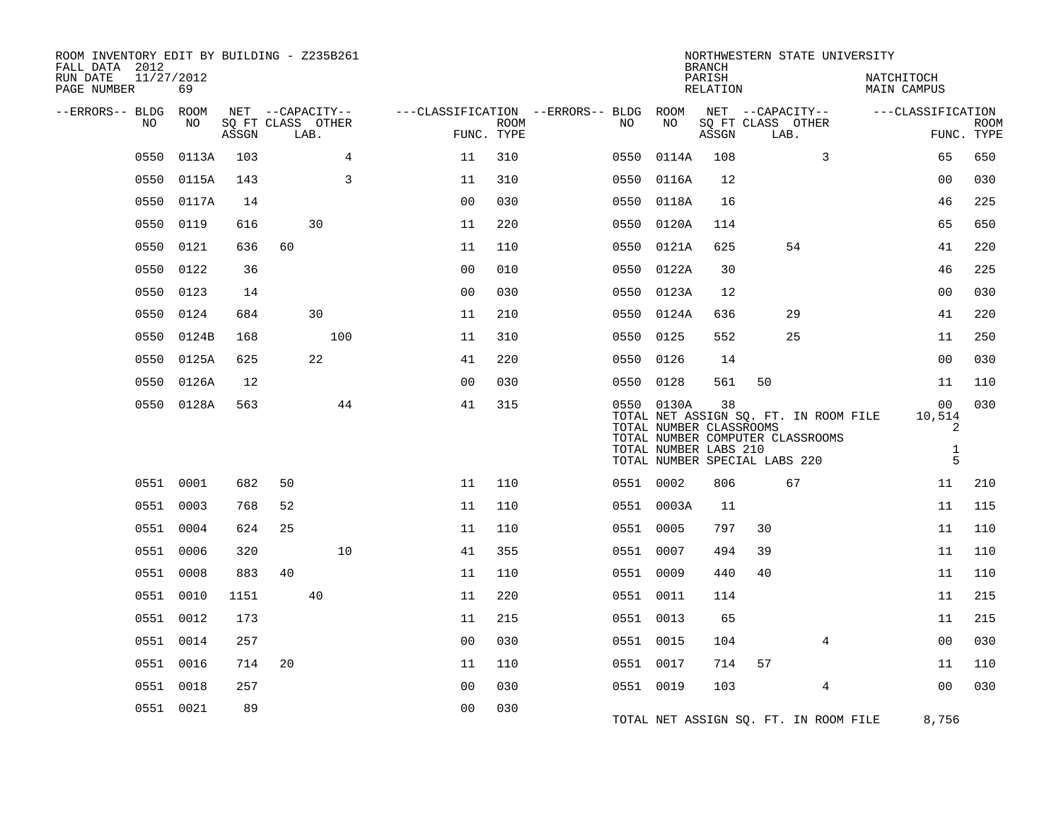| ROOM INVENTORY EDIT BY BUILDING - Z235B261<br>FALL DATA 2012 |            |       |      |                   |                |                           |                                                         |                                                                | <b>BRANCH</b>      |                                                                                                            |                | NORTHWESTERN STATE UNIVERSITY |                                        |                           |
|--------------------------------------------------------------|------------|-------|------|-------------------|----------------|---------------------------|---------------------------------------------------------|----------------------------------------------------------------|--------------------|------------------------------------------------------------------------------------------------------------|----------------|-------------------------------|----------------------------------------|---------------------------|
| RUN DATE<br>11/27/2012<br>PAGE NUMBER                        | 69         |       |      |                   |                |                           |                                                         |                                                                | PARISH<br>RELATION |                                                                                                            |                | NATCHITOCH<br>MAIN CAMPUS     |                                        |                           |
| --ERRORS-- BLDG ROOM                                         |            |       |      | NET --CAPACITY--  |                |                           | ---CLASSIFICATION --ERRORS-- BLDG ROOM NET --CAPACITY-- |                                                                |                    |                                                                                                            |                | ---CLASSIFICATION             |                                        |                           |
| NO.                                                          | NO         | ASSGN | LAB. | SQ FT CLASS OTHER |                | <b>ROOM</b><br>FUNC. TYPE | NO                                                      | NO                                                             | ASSGN              | SQ FT CLASS OTHER<br>LAB.                                                                                  |                |                               |                                        | <b>ROOM</b><br>FUNC. TYPE |
| 0550                                                         | 0113A      | 103   |      | 4                 | 11             | 310                       | 0550                                                    | 0114A                                                          | 108                |                                                                                                            | 3              |                               | 65                                     | 650                       |
| 0550                                                         | 0115A      | 143   |      | 3                 | 11             | 310                       | 0550                                                    | 0116A                                                          | 12                 |                                                                                                            |                |                               | 0 <sub>0</sub>                         | 030                       |
| 0550                                                         | 0117A      | 14    |      |                   | 0 <sub>0</sub> | 030                       | 0550                                                    | 0118A                                                          | 16                 |                                                                                                            |                |                               | 46                                     | 225                       |
| 0550                                                         | 0119       | 616   |      | 30                | 11             | 220                       |                                                         | 0550 0120A                                                     | 114                |                                                                                                            |                |                               | 65                                     | 650                       |
| 0550                                                         | 0121       | 636   | 60   |                   | 11             | 110                       | 0550                                                    | 0121A                                                          | 625                |                                                                                                            | 54             |                               | 41                                     | 220                       |
| 0550                                                         | 0122       | 36    |      |                   | 0 <sub>0</sub> | 010                       |                                                         | 0550 0122A                                                     | 30                 |                                                                                                            |                |                               | 46                                     | 225                       |
| 0550                                                         | 0123       | 14    |      |                   | 0 <sub>0</sub> | 030                       |                                                         | 0550 0123A                                                     | 12                 |                                                                                                            |                |                               | 0 <sub>0</sub>                         | 030                       |
| 0550                                                         | 0124       | 684   |      | 30                | 11             | 210                       |                                                         | 0550 0124A                                                     | 636                |                                                                                                            | 29             |                               | 41                                     | 220                       |
| 0550                                                         | 0124B      | 168   |      | 100               | 11             | 310                       | 0550                                                    | 0125                                                           | 552                |                                                                                                            | 25             |                               | 11                                     | 250                       |
|                                                              | 0550 0125A | 625   |      | 22                | 41             | 220                       |                                                         | 0550 0126                                                      | 14                 |                                                                                                            |                |                               | 00                                     | 030                       |
| 0550                                                         | 0126A      | 12    |      |                   | 0 <sub>0</sub> | 030                       |                                                         | 0550 0128                                                      | 561                | 50                                                                                                         |                |                               | 11                                     | 110                       |
|                                                              | 0550 0128A | 563   |      | 44                | 41             | 315                       |                                                         | 0550 0130A<br>TOTAL NUMBER CLASSROOMS<br>TOTAL NUMBER LABS 210 | 38                 | TOTAL NET ASSIGN SQ. FT. IN ROOM FILE<br>TOTAL NUMBER COMPUTER CLASSROOMS<br>TOTAL NUMBER SPECIAL LABS 220 |                |                               | 00<br>10,514<br>2<br>$\mathbf{1}$<br>5 | 030                       |
|                                                              | 0551 0001  | 682   | 50   |                   | 11             | 110                       |                                                         | 0551 0002                                                      | 806                |                                                                                                            | 67             |                               | 11                                     | 210                       |
|                                                              | 0551 0003  | 768   | 52   |                   | 11             | 110                       |                                                         | 0551 0003A                                                     | 11                 |                                                                                                            |                |                               | 11                                     | 115                       |
|                                                              | 0551 0004  | 624   | 25   |                   | 11             | 110                       |                                                         | 0551 0005                                                      | 797                | 30                                                                                                         |                |                               | 11                                     | 110                       |
|                                                              | 0551 0006  | 320   |      | 10                | 41             | 355                       |                                                         | 0551 0007                                                      | 494                | 39                                                                                                         |                |                               | 11                                     | 110                       |
|                                                              | 0551 0008  | 883   | 40   |                   | 11             | 110                       |                                                         | 0551 0009                                                      | 440                | 40                                                                                                         |                |                               | 11                                     | 110                       |
|                                                              | 0551 0010  | 1151  |      | 40                | 11             | 220                       |                                                         | 0551 0011                                                      | 114                |                                                                                                            |                |                               | 11                                     | 215                       |
|                                                              | 0551 0012  | 173   |      |                   | 11             | 215                       |                                                         | 0551 0013                                                      | 65                 |                                                                                                            |                |                               | 11                                     | 215                       |
|                                                              | 0551 0014  | 257   |      |                   | 0 <sub>0</sub> | 030                       |                                                         | 0551 0015                                                      | 104                |                                                                                                            | 4              |                               | 00                                     | 030                       |
|                                                              | 0551 0016  | 714   | 20   |                   | 11             | 110                       |                                                         | 0551 0017                                                      | 714                | 57                                                                                                         |                |                               | 11                                     | 110                       |
|                                                              | 0551 0018  | 257   |      |                   | 0 <sub>0</sub> | 030                       |                                                         | 0551 0019                                                      | 103                |                                                                                                            | $\overline{4}$ |                               | 0 <sub>0</sub>                         | 030                       |
|                                                              | 0551 0021  | 89    |      |                   | 0 <sub>0</sub> | 030                       |                                                         |                                                                |                    | TOTAL NET ASSIGN SQ. FT. IN ROOM FILE                                                                      |                |                               | 8,756                                  |                           |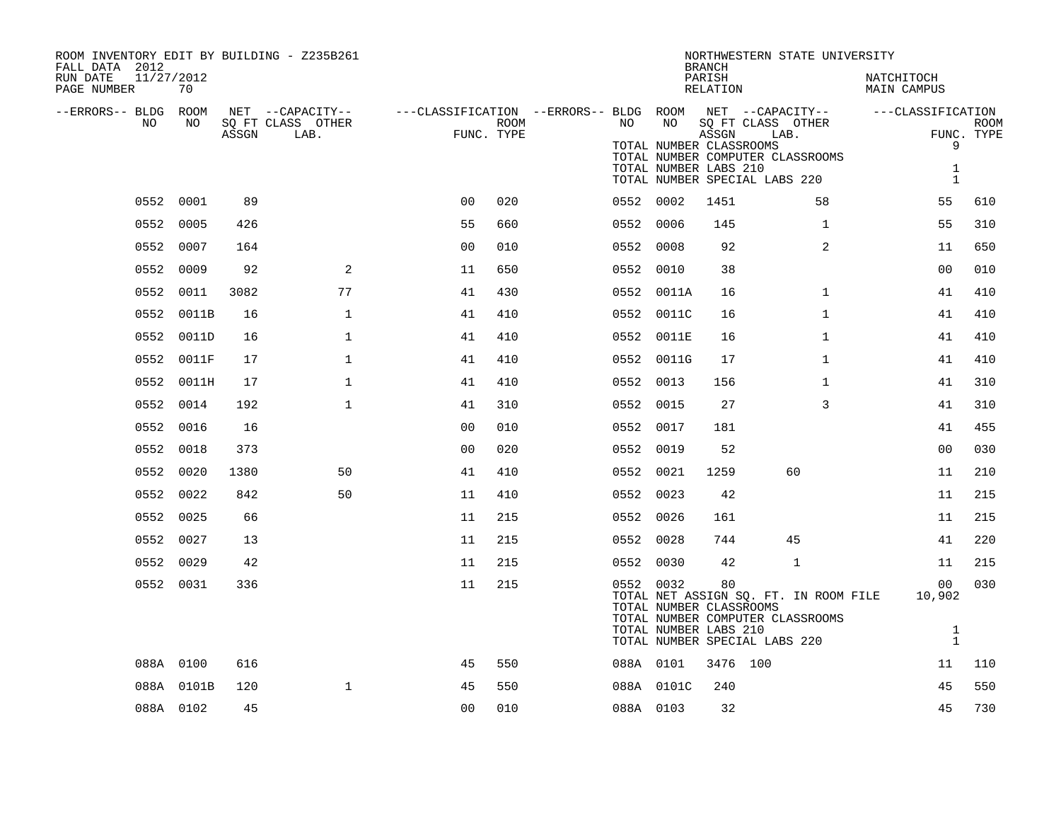| ROOM INVENTORY EDIT BY BUILDING - Z235B261<br>FALL DATA 2012<br>RUN DATE<br>11/27/2012<br>PAGE NUMBER | 70         |       |                           |                |      |           |                                                               | <b>BRANCH</b><br>PARISH<br>RELATION | NORTHWESTERN STATE UNIVERSITY                                                                              | NATCHITOCH<br>MAIN CAMPUS                    |                           |
|-------------------------------------------------------------------------------------------------------|------------|-------|---------------------------|----------------|------|-----------|---------------------------------------------------------------|-------------------------------------|------------------------------------------------------------------------------------------------------------|----------------------------------------------|---------------------------|
| --ERRORS-- BLDG ROOM                                                                                  |            |       | NET --CAPACITY--          |                |      |           |                                                               |                                     | ---CLASSIFICATION --ERRORS-- BLDG ROOM  NET --CAPACITY--                                                   | ---CLASSIFICATION                            |                           |
| NO.                                                                                                   | NO.        | ASSGN | SQ FT CLASS OTHER<br>LAB. | FUNC. TYPE     | ROOM | NO.       | NO<br>TOTAL NUMBER CLASSROOMS<br>TOTAL NUMBER LABS 210        | ASSGN                               | SQ FT CLASS OTHER<br>LAB.<br>TOTAL NUMBER COMPUTER CLASSROOMS<br>TOTAL NUMBER SPECIAL LABS 220             | 9<br>1<br>$\mathbf{1}$                       | <b>ROOM</b><br>FUNC. TYPE |
|                                                                                                       | 0552 0001  | 89    |                           | 0 <sup>0</sup> | 020  | 0552 0002 |                                                               | 1451                                | 58                                                                                                         | 55                                           | 610                       |
| 0552                                                                                                  | 0005       | 426   |                           | 55             | 660  | 0552      | 0006                                                          | 145                                 | $\mathbf{1}$                                                                                               | 55                                           | 310                       |
|                                                                                                       | 0552 0007  | 164   |                           | 0 <sub>0</sub> | 010  |           | 0552 0008                                                     | 92                                  | $\overline{2}$                                                                                             | 11                                           | 650                       |
| 0552                                                                                                  | 0009       | 92    | 2                         | 11             | 650  | 0552 0010 |                                                               | 38                                  |                                                                                                            | 0 <sub>0</sub>                               | 010                       |
|                                                                                                       | 0552 0011  | 3082  | 77                        | 41             | 430  |           | 0552 0011A                                                    | 16                                  | $\mathbf{1}$                                                                                               | 41                                           | 410                       |
| 0552                                                                                                  | 0011B      | 16    | $\mathbf{1}$              | 41             | 410  |           | 0552 0011C                                                    | 16                                  | $\mathbf{1}$                                                                                               | 41                                           | 410                       |
|                                                                                                       | 0552 0011D | 16    | $\mathbf{1}$              | 41             | 410  |           | 0552 0011E                                                    | 16                                  | $\mathbf{1}$                                                                                               | 41                                           | 410                       |
|                                                                                                       | 0552 0011F | 17    | $\mathbf{1}$              | 41             | 410  |           | 0552 0011G                                                    | 17                                  | $\mathbf{1}$                                                                                               | 41                                           | 410                       |
|                                                                                                       | 0552 0011H | 17    | $\mathbf{1}$              | 41             | 410  |           | 0552 0013                                                     | 156                                 | $\mathbf{1}$                                                                                               | 41                                           | 310                       |
| 0552                                                                                                  | 0014       | 192   | $\mathbf{1}$              | 41             | 310  | 0552 0015 |                                                               | 27                                  | 3                                                                                                          | 41                                           | 310                       |
|                                                                                                       | 0552 0016  | 16    |                           | 0 <sub>0</sub> | 010  |           | 0552 0017                                                     | 181                                 |                                                                                                            | 41                                           | 455                       |
|                                                                                                       | 0552 0018  | 373   |                           | 0 <sub>0</sub> | 020  | 0552 0019 |                                                               | 52                                  |                                                                                                            | 0 <sub>0</sub>                               | 030                       |
|                                                                                                       | 0552 0020  | 1380  | 50                        | 41             | 410  |           | 0552 0021                                                     | 1259                                | 60                                                                                                         | 11                                           | 210                       |
| 0552                                                                                                  | 0022       | 842   | 50                        | 11             | 410  | 0552 0023 |                                                               | 42                                  |                                                                                                            | 11                                           | 215                       |
|                                                                                                       | 0552 0025  | 66    |                           | 11             | 215  | 0552 0026 |                                                               | 161                                 |                                                                                                            | 11                                           | 215                       |
|                                                                                                       | 0552 0027  | 13    |                           | 11             | 215  | 0552 0028 |                                                               | 744                                 | 45                                                                                                         | 41                                           | 220                       |
|                                                                                                       | 0552 0029  | 42    |                           | 11             | 215  |           | 0552 0030                                                     | 42                                  | 1                                                                                                          | 11                                           | 215                       |
|                                                                                                       | 0552 0031  | 336   |                           | 11             | 215  |           | 0552 0032<br>TOTAL NUMBER CLASSROOMS<br>TOTAL NUMBER LABS 210 | 80                                  | TOTAL NET ASSIGN SQ. FT. IN ROOM FILE<br>TOTAL NUMBER COMPUTER CLASSROOMS<br>TOTAL NUMBER SPECIAL LABS 220 | 00<br>10,902<br>$\mathbf{1}$<br>$\mathbf{1}$ | 030                       |
|                                                                                                       | 088A 0100  | 616   |                           | 45             | 550  |           | 088A 0101                                                     | 3476 100                            |                                                                                                            | 11                                           | 110                       |
|                                                                                                       | 088A 0101B | 120   | $\mathbf{1}$              | 45             | 550  |           | 088A 0101C                                                    | 240                                 |                                                                                                            | 45                                           | 550                       |
|                                                                                                       | 088A 0102  | 45    |                           | 0 <sub>0</sub> | 010  | 088A 0103 |                                                               | 32                                  |                                                                                                            | 45                                           | 730                       |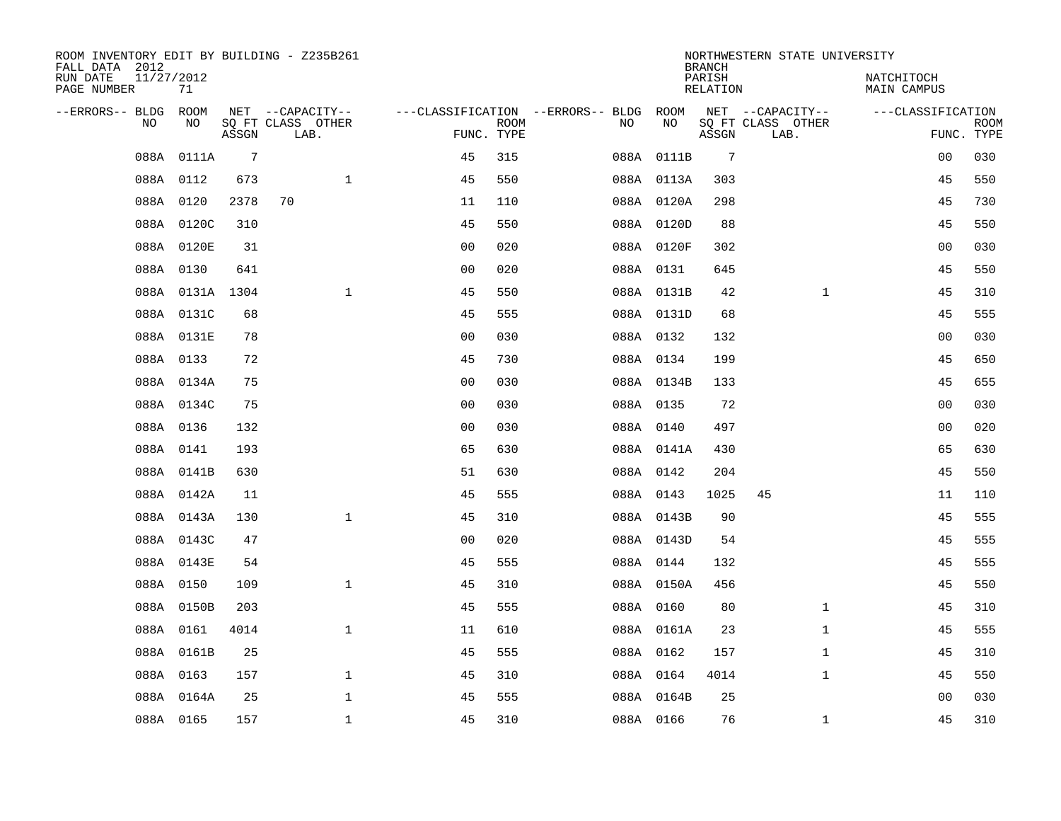| ROOM INVENTORY EDIT BY BUILDING - Z235B261<br>FALL DATA 2012 |                  |       |                                       |                |             |                                              |            | <b>BRANCH</b>             | NORTHWESTERN STATE UNIVERSITY         |                                  |             |
|--------------------------------------------------------------|------------------|-------|---------------------------------------|----------------|-------------|----------------------------------------------|------------|---------------------------|---------------------------------------|----------------------------------|-------------|
| RUN DATE<br>PAGE NUMBER                                      | 11/27/2012<br>71 |       |                                       |                |             |                                              |            | PARISH<br><b>RELATION</b> |                                       | NATCHITOCH<br><b>MAIN CAMPUS</b> |             |
| --ERRORS-- BLDG ROOM<br>NO.                                  | NO               |       | NET --CAPACITY--<br>SQ FT CLASS OTHER |                | <b>ROOM</b> | ---CLASSIFICATION --ERRORS-- BLDG ROOM<br>NO | NO         |                           | NET --CAPACITY--<br>SQ FT CLASS OTHER | ---CLASSIFICATION                | <b>ROOM</b> |
|                                                              |                  | ASSGN | LAB.                                  |                | FUNC. TYPE  |                                              |            | ASSGN                     | LAB.                                  |                                  | FUNC. TYPE  |
| 088A                                                         | 0111A            | 7     |                                       | 45             | 315         |                                              | 088A 0111B | 7                         |                                       | 00                               | 030         |
|                                                              | 088A 0112        | 673   | $\mathbf{1}$                          | 45             | 550         |                                              | 088A 0113A | 303                       |                                       | 45                               | 550         |
|                                                              | 088A 0120        | 2378  | 70                                    | 11             | 110         |                                              | 088A 0120A | 298                       |                                       | 45                               | 730         |
|                                                              | 088A 0120C       | 310   |                                       | 45             | 550         |                                              | 088A 0120D | 88                        |                                       | 45                               | 550         |
|                                                              | 088A 0120E       | 31    |                                       | 0 <sub>0</sub> | 020         |                                              | 088A 0120F | 302                       |                                       | 0 <sub>0</sub>                   | 030         |
|                                                              | 088A 0130        | 641   |                                       | 0 <sub>0</sub> | 020         |                                              | 088A 0131  | 645                       |                                       | 45                               | 550         |
|                                                              | 088A 0131A 1304  |       | $\mathbf{1}$                          | 45             | 550         |                                              | 088A 0131B | 42                        | $\mathbf{1}$                          | 45                               | 310         |
|                                                              | 088A 0131C       | 68    |                                       | 45             | 555         |                                              | 088A 0131D | 68                        |                                       | 45                               | 555         |
|                                                              | 088A 0131E       | 78    |                                       | 0 <sub>0</sub> | 030         |                                              | 088A 0132  | 132                       |                                       | 0 <sub>0</sub>                   | 030         |
|                                                              | 088A 0133        | 72    |                                       | 45             | 730         |                                              | 088A 0134  | 199                       |                                       | 45                               | 650         |
|                                                              | 088A 0134A       | 75    |                                       | 0 <sub>0</sub> | 030         |                                              | 088A 0134B | 133                       |                                       | 45                               | 655         |
|                                                              | 088A 0134C       | 75    |                                       | 0 <sub>0</sub> | 030         |                                              | 088A 0135  | 72                        |                                       | 00                               | 030         |
|                                                              | 088A 0136        | 132   |                                       | 0 <sub>0</sub> | 030         |                                              | 088A 0140  | 497                       |                                       | 00                               | 020         |
|                                                              | 088A 0141        | 193   |                                       | 65             | 630         |                                              | 088A 0141A | 430                       |                                       | 65                               | 630         |
|                                                              | 088A 0141B       | 630   |                                       | 51             | 630         |                                              | 088A 0142  | 204                       |                                       | 45                               | 550         |
|                                                              | 088A 0142A       | 11    |                                       | 45             | 555         |                                              | 088A 0143  | 1025                      | 45                                    | 11                               | 110         |
|                                                              | 088A 0143A       | 130   | $\mathbf{1}$                          | 45             | 310         |                                              | 088A 0143B | 90                        |                                       | 45                               | 555         |
|                                                              | 088A 0143C       | 47    |                                       | 0 <sub>0</sub> | 020         |                                              | 088A 0143D | 54                        |                                       | 45                               | 555         |
|                                                              | 088A 0143E       | 54    |                                       | 45             | 555         |                                              | 088A 0144  | 132                       |                                       | 45                               | 555         |
|                                                              | 088A 0150        | 109   | $\mathbf{1}$                          | 45             | 310         |                                              | 088A 0150A | 456                       |                                       | 45                               | 550         |
|                                                              | 088A 0150B       | 203   |                                       | 45             | 555         |                                              | 088A 0160  | 80                        | $\mathbf{1}$                          | 45                               | 310         |
|                                                              | 088A 0161        | 4014  | $\mathbf{1}$                          | 11             | 610         |                                              | 088A 0161A | 23                        | $\mathbf{1}$                          | 45                               | 555         |
|                                                              | 088A 0161B       | 25    |                                       | 45             | 555         |                                              | 088A 0162  | 157                       | $\mathbf{1}$                          | 45                               | 310         |
|                                                              | 088A 0163        | 157   | $\mathbf{1}$                          | 45             | 310         |                                              | 088A 0164  | 4014                      | $\mathbf{1}$                          | 45                               | 550         |
|                                                              | 088A 0164A       | 25    | $\mathbf 1$                           | 45             | 555         |                                              | 088A 0164B | 25                        |                                       | 0 <sub>0</sub>                   | 030         |
|                                                              | 088A 0165        | 157   | $\mathbf{1}$                          | 45             | 310         |                                              | 088A 0166  | 76                        | $\mathbf{1}$                          | 45                               | 310         |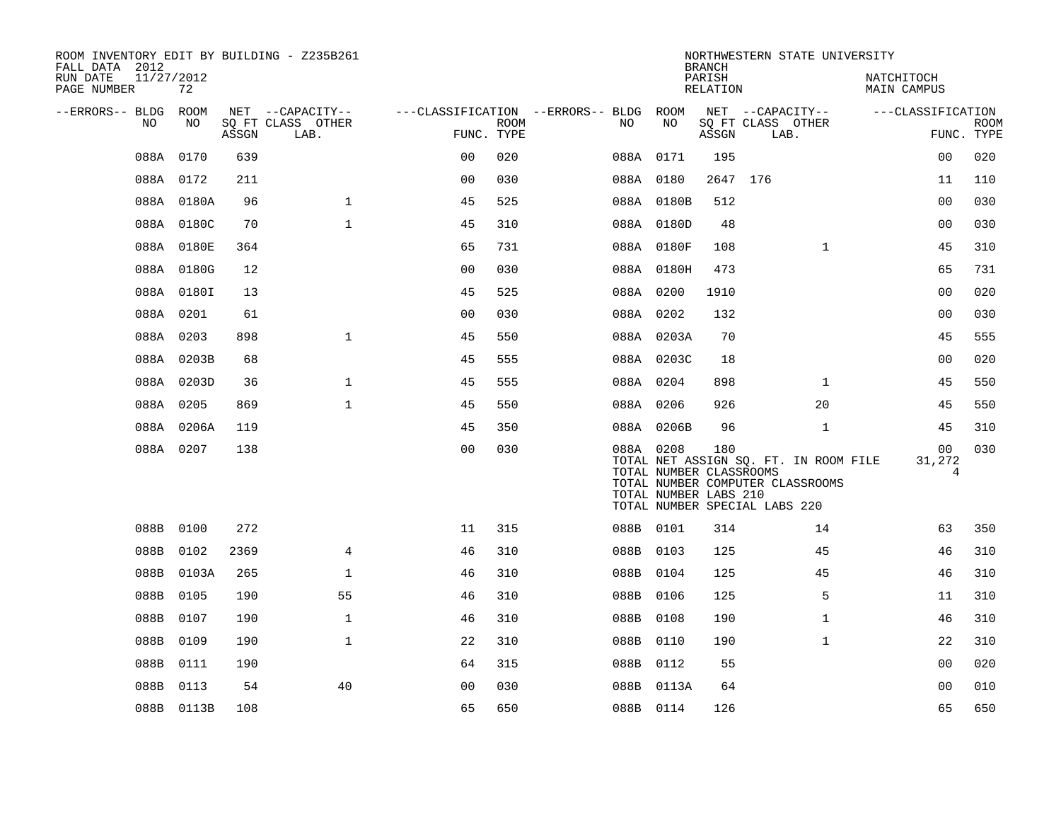| ROOM INVENTORY EDIT BY BUILDING - Z235B261<br>FALL DATA 2012 |                  |       |                           |                |             |                                        |                                                  | <b>BRANCH</b>      | NORTHWESTERN STATE UNIVERSITY                                                                              |                               |                           |
|--------------------------------------------------------------|------------------|-------|---------------------------|----------------|-------------|----------------------------------------|--------------------------------------------------|--------------------|------------------------------------------------------------------------------------------------------------|-------------------------------|---------------------------|
| RUN DATE<br>PAGE NUMBER                                      | 11/27/2012<br>72 |       |                           |                |             |                                        |                                                  | PARISH<br>RELATION |                                                                                                            | NATCHITOCH<br>MAIN CAMPUS     |                           |
| --ERRORS-- BLDG ROOM                                         |                  |       | NET --CAPACITY--          |                |             | ---CLASSIFICATION --ERRORS-- BLDG ROOM |                                                  |                    | NET --CAPACITY--                                                                                           | ---CLASSIFICATION             |                           |
| NO.                                                          | NO.              | ASSGN | SO FT CLASS OTHER<br>LAB. | FUNC. TYPE     | <b>ROOM</b> | NO.                                    | NO                                               | ASSGN              | SQ FT CLASS OTHER<br>LAB.                                                                                  |                               | <b>ROOM</b><br>FUNC. TYPE |
|                                                              | 088A 0170        | 639   |                           | 0 <sub>0</sub> | 020         | 088A 0171                              |                                                  | 195                |                                                                                                            | 0 <sub>0</sub>                | 020                       |
|                                                              | 088A 0172        | 211   |                           | 0 <sub>0</sub> | 030         | 088A 0180                              |                                                  | 2647 176           |                                                                                                            | 11                            | 110                       |
|                                                              | 088A 0180A       | 96    | $\mathbf{1}$              | 45             | 525         |                                        | 088A 0180B                                       | 512                |                                                                                                            | 0 <sub>0</sub>                | 030                       |
|                                                              | 088A 0180C       | 70    | $\mathbf{1}$              | 45             | 310         |                                        | 088A 0180D                                       | 48                 |                                                                                                            | 0 <sub>0</sub>                | 030                       |
|                                                              | 088A 0180E       | 364   |                           | 65             | 731         |                                        | 088A 0180F                                       | 108                | $\mathbf{1}$                                                                                               | 45                            | 310                       |
|                                                              | 088A 0180G       | 12    |                           | 00             | 030         |                                        | 088A 0180H                                       | 473                |                                                                                                            | 65                            | 731                       |
|                                                              | 088A 0180I       | 13    |                           | 45             | 525         | 088A 0200                              |                                                  | 1910               |                                                                                                            | 0 <sub>0</sub>                | 020                       |
|                                                              | 088A 0201        | 61    |                           | 00             | 030         | 088A 0202                              |                                                  | 132                |                                                                                                            | 0 <sub>0</sub>                | 030                       |
|                                                              | 088A 0203        | 898   | $\mathbf{1}$              | 45             | 550         |                                        | 088A 0203A                                       | 70                 |                                                                                                            | 45                            | 555                       |
|                                                              | 088A 0203B       | 68    |                           | 45             | 555         |                                        | 088A 0203C                                       | 18                 |                                                                                                            | 0 <sub>0</sub>                | 020                       |
|                                                              | 088A 0203D       | 36    | $\mathbf{1}$              | 45             | 555         | 088A 0204                              |                                                  | 898                | $\mathbf{1}$                                                                                               | 45                            | 550                       |
|                                                              | 088A 0205        | 869   | $\mathbf{1}$              | 45             | 550         | 088A 0206                              |                                                  | 926                | 20                                                                                                         | 45                            | 550                       |
|                                                              | 088A 0206A       | 119   |                           | 45             | 350         |                                        | 088A 0206B                                       | 96                 | $\mathbf{1}$                                                                                               | 45                            | 310                       |
|                                                              | 088A 0207        | 138   |                           | 0 <sub>0</sub> | 030         | 088A 0208                              | TOTAL NUMBER CLASSROOMS<br>TOTAL NUMBER LABS 210 | 180                | TOTAL NET ASSIGN SQ. FT. IN ROOM FILE<br>TOTAL NUMBER COMPUTER CLASSROOMS<br>TOTAL NUMBER SPECIAL LABS 220 | 0 <sub>0</sub><br>31,272<br>4 | 030                       |
|                                                              | 088B 0100        | 272   |                           | 11             | 315         | 088B 0101                              |                                                  | 314                | 14                                                                                                         | 63                            | 350                       |
| 088B                                                         | 0102             | 2369  | $\overline{4}$            | 46             | 310         | 088B 0103                              |                                                  | 125                | 45                                                                                                         | 46                            | 310                       |
|                                                              | 088B 0103A       | 265   | $\mathbf 1$               | 46             | 310         | 088B 0104                              |                                                  | 125                | 45                                                                                                         | 46                            | 310                       |
| 088B                                                         | 0105             | 190   | 55                        | 46             | 310         | 088B 0106                              |                                                  | 125                | 5                                                                                                          | 11                            | 310                       |
| 088B                                                         | 0107             | 190   | $\mathbf{1}$              | 46             | 310         | 088B                                   | 0108                                             | 190                | $\mathbf{1}$                                                                                               | 46                            | 310                       |
| 088B                                                         | 0109             | 190   | $\mathbf{1}$              | 22             | 310         | 088B 0110                              |                                                  | 190                | $\mathbf{1}$                                                                                               | 22                            | 310                       |
| 088B                                                         | 0111             | 190   |                           | 64             | 315         | 088B 0112                              |                                                  | 55                 |                                                                                                            | 0 <sub>0</sub>                | 020                       |
| 088B                                                         | 0113             | 54    | 40                        | 0 <sub>0</sub> | 030         |                                        | 088B 0113A                                       | 64                 |                                                                                                            | 0 <sub>0</sub>                | 010                       |
|                                                              | 088B 0113B       | 108   |                           | 65             | 650         | 088B 0114                              |                                                  | 126                |                                                                                                            | 65                            | 650                       |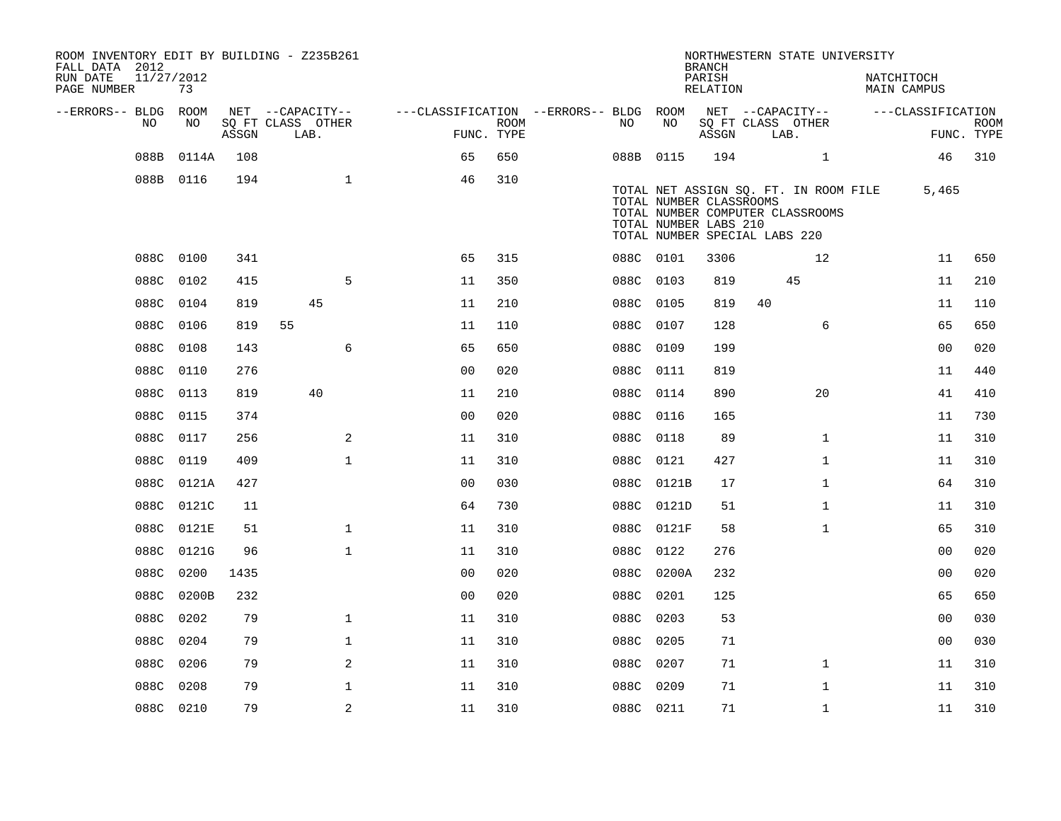| ROOM INVENTORY EDIT BY BUILDING - Z235B261<br>FALL DATA 2012<br>RUN DATE | 11/27/2012 |       |                           |                                        |                           |           |                                                  | <b>BRANCH</b><br>PARISH |                                                                   | NORTHWESTERN STATE UNIVERSITY         | NATCHITOCH         |                   |                           |
|--------------------------------------------------------------------------|------------|-------|---------------------------|----------------------------------------|---------------------------|-----------|--------------------------------------------------|-------------------------|-------------------------------------------------------------------|---------------------------------------|--------------------|-------------------|---------------------------|
| PAGE NUMBER                                                              | 73         |       |                           |                                        |                           |           |                                                  | RELATION                |                                                                   |                                       | <b>MAIN CAMPUS</b> |                   |                           |
| --ERRORS-- BLDG ROOM                                                     |            |       | NET --CAPACITY--          | ---CLASSIFICATION --ERRORS-- BLDG ROOM |                           |           |                                                  |                         |                                                                   | NET --CAPACITY--                      |                    | ---CLASSIFICATION |                           |
| NO                                                                       | NO         | ASSGN | SQ FT CLASS OTHER<br>LAB. |                                        | <b>ROOM</b><br>FUNC. TYPE | NO        | NO                                               | ASSGN                   | SQ FT CLASS OTHER<br>LAB.                                         |                                       |                    |                   | <b>ROOM</b><br>FUNC. TYPE |
| 088B                                                                     | 0114A      | 108   |                           | 65                                     | 650                       |           | 088B 0115                                        | 194                     |                                                                   | $\mathbf{1}$                          |                    | 46                | 310                       |
|                                                                          | 088B 0116  | 194   | $\mathbf{1}$              | 46                                     | 310                       |           | TOTAL NUMBER CLASSROOMS<br>TOTAL NUMBER LABS 210 |                         | TOTAL NUMBER COMPUTER CLASSROOMS<br>TOTAL NUMBER SPECIAL LABS 220 | TOTAL NET ASSIGN SQ. FT. IN ROOM FILE |                    | 5,465             |                           |
|                                                                          | 088C 0100  | 341   |                           | 65                                     | 315                       | 088C 0101 |                                                  | 3306                    |                                                                   | 12                                    |                    | 11                | 650                       |
|                                                                          | 088C 0102  | 415   | 5                         | 11                                     | 350                       | 088C 0103 |                                                  | 819                     |                                                                   | 45                                    |                    | 11                | 210                       |
|                                                                          | 088C 0104  | 819   | 45                        | 11                                     | 210                       | 088C 0105 |                                                  | 819                     | 40                                                                |                                       |                    | 11                | 110                       |
|                                                                          | 088C 0106  | 819   | 55                        | 11                                     | 110                       | 088C 0107 |                                                  | 128                     |                                                                   | 6                                     |                    | 65                | 650                       |
| 088C                                                                     | 0108       | 143   | 6                         | 65                                     | 650                       | 088C 0109 |                                                  | 199                     |                                                                   |                                       |                    | 00                | 020                       |
|                                                                          | 088C 0110  | 276   |                           | 0 <sub>0</sub>                         | 020                       | 088C 0111 |                                                  | 819                     |                                                                   |                                       |                    | 11                | 440                       |
|                                                                          | 088C 0113  | 819   | 40                        | 11                                     | 210                       | 088C 0114 |                                                  | 890                     |                                                                   | 20                                    |                    | 41                | 410                       |
|                                                                          | 088C 0115  | 374   |                           | 0 <sub>0</sub>                         | 020                       | 088C 0116 |                                                  | 165                     |                                                                   |                                       |                    | 11                | 730                       |
| 088C                                                                     | 0117       | 256   | 2                         | 11                                     | 310                       | 088C      | 0118                                             | 89                      |                                                                   | $\mathbf{1}$                          |                    | 11                | 310                       |
|                                                                          | 088C 0119  | 409   | $\mathbf{1}$              | 11                                     | 310                       | 088C 0121 |                                                  | 427                     |                                                                   | $\mathbf{1}$                          |                    | 11                | 310                       |
|                                                                          | 088C 0121A | 427   |                           | 0 <sub>0</sub>                         | 030                       |           | 088C 0121B                                       | 17                      |                                                                   | $\mathbf{1}$                          |                    | 64                | 310                       |
|                                                                          | 088C 0121C | 11    |                           | 64                                     | 730                       |           | 088C 0121D                                       | 51                      |                                                                   | $\mathbf{1}$                          |                    | 11                | 310                       |
| 088C                                                                     | 0121E      | 51    | $\mathbf{1}$              | 11                                     | 310                       |           | 088C 0121F                                       | 58                      |                                                                   | $\mathbf{1}$                          |                    | 65                | 310                       |
|                                                                          | 088C 0121G | 96    | $\mathbf{1}$              | 11                                     | 310                       | 088C 0122 |                                                  | 276                     |                                                                   |                                       |                    | 00                | 020                       |
| 088C                                                                     | 0200       | 1435  |                           | 00                                     | 020                       |           | 088C 0200A                                       | 232                     |                                                                   |                                       |                    | 0 <sub>0</sub>    | 020                       |
| 088C                                                                     | 0200B      | 232   |                           | 0 <sub>0</sub>                         | 020                       | 088C 0201 |                                                  | 125                     |                                                                   |                                       |                    | 65                | 650                       |
| 088C                                                                     | 0202       | 79    | $\mathbf{1}$              | 11                                     | 310                       | 088C      | 0203                                             | 53                      |                                                                   |                                       |                    | 0 <sub>0</sub>    | 030                       |
| 088C                                                                     | 0204       | 79    | $\mathbf{1}$              | 11                                     | 310                       | 088C 0205 |                                                  | 71                      |                                                                   |                                       |                    | 00                | 030                       |
| 088C                                                                     | 0206       | 79    | 2                         | 11                                     | 310                       | 088C 0207 |                                                  | 71                      |                                                                   | $\mathbf{1}$                          |                    | 11                | 310                       |
| 088C                                                                     | 0208       | 79    | $\mathbf 1$               | 11                                     | 310                       | 088C 0209 |                                                  | 71                      |                                                                   | $\mathbf{1}$                          |                    | 11                | 310                       |
|                                                                          | 088C 0210  | 79    | $\overline{2}$            | 11                                     | 310                       | 088C 0211 |                                                  | 71                      |                                                                   | $\mathbf{1}$                          |                    | 11                | 310                       |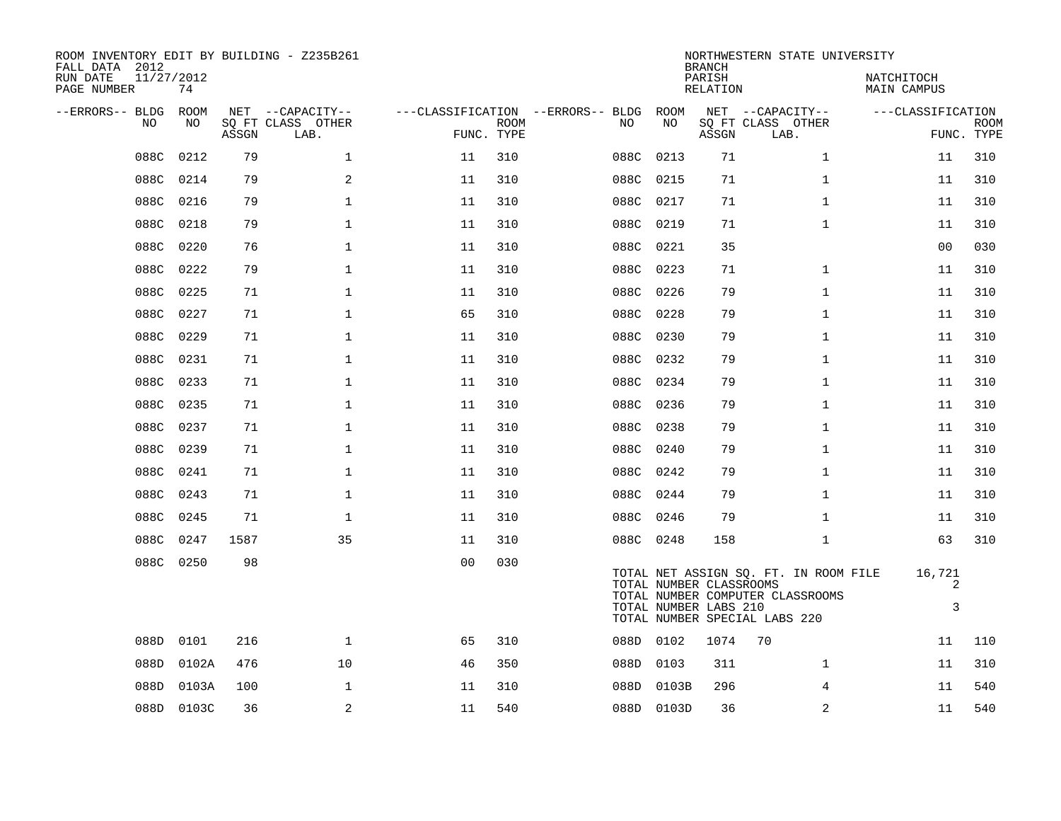| ROOM INVENTORY EDIT BY BUILDING - Z235B261<br>FALL DATA 2012<br>RUN DATE | 11/27/2012 |       |                           |                |             |                                               |           |            | <b>BRANCH</b><br>PARISH                          | NORTHWESTERN STATE UNIVERSITY                                                                              | NATCHITOCH        |                           |
|--------------------------------------------------------------------------|------------|-------|---------------------------|----------------|-------------|-----------------------------------------------|-----------|------------|--------------------------------------------------|------------------------------------------------------------------------------------------------------------|-------------------|---------------------------|
| PAGE NUMBER                                                              | 74         |       |                           |                |             |                                               |           |            | RELATION                                         |                                                                                                            | MAIN CAMPUS       |                           |
| --ERRORS-- BLDG ROOM<br>NO.                                              | NO.        |       | NET --CAPACITY--          |                | <b>ROOM</b> | ---CLASSIFICATION --ERRORS-- BLDG ROOM<br>NO. |           | NO         |                                                  | NET --CAPACITY--                                                                                           | ---CLASSIFICATION |                           |
|                                                                          |            | ASSGN | SQ FT CLASS OTHER<br>LAB. | FUNC. TYPE     |             |                                               |           |            | ASSGN                                            | SQ FT CLASS OTHER<br>LAB.                                                                                  |                   | <b>ROOM</b><br>FUNC. TYPE |
| 088C                                                                     | 0212       | 79    | $\mathbf 1$               | 11             | 310         | 088C                                          |           | 0213       | 71                                               | $\mathbf{1}$                                                                                               | 11                | 310                       |
| 088C                                                                     | 0214       | 79    | 2                         | 11             | 310         | 088C                                          |           | 0215       | 71                                               | $\mathbf{1}$                                                                                               | 11                | 310                       |
|                                                                          | 088C 0216  | 79    | $\mathbf 1$               | 11             | 310         |                                               | 088C 0217 |            | 71                                               | $\mathbf{1}$                                                                                               | 11                | 310                       |
| 088C                                                                     | 0218       | 79    | $\mathbf{1}$              | 11             | 310         | 088C                                          |           | 0219       | 71                                               | $\mathbf{1}$                                                                                               | 11                | 310                       |
|                                                                          | 088C 0220  | 76    | $\mathbf 1$               | 11             | 310         | 088C                                          |           | 0221       | 35                                               |                                                                                                            | 0 <sub>0</sub>    | 030                       |
| 088C                                                                     | 0222       | 79    | $\mathbf{1}$              | 11             | 310         |                                               | 088C 0223 |            | 71                                               | $\mathbf{1}$                                                                                               | 11                | 310                       |
|                                                                          | 088C 0225  | 71    | $\mathbf 1$               | 11             | 310         |                                               | 088C 0226 |            | 79                                               | $\mathbf{1}$                                                                                               | 11                | 310                       |
| 088C                                                                     | 0227       | 71    | $\mathbf{1}$              | 65             | 310         | 088C                                          |           | 0228       | 79                                               | $\mathbf{1}$                                                                                               | 11                | 310                       |
|                                                                          | 088C 0229  | 71    | $\mathbf{1}$              | 11             | 310         |                                               | 088C 0230 |            | 79                                               | $\mathbf{1}$                                                                                               | 11                | 310                       |
| 088C                                                                     | 0231       | 71    | $\mathbf{1}$              | 11             | 310         |                                               | 088C 0232 |            | 79                                               | $\mathbf{1}$                                                                                               | 11                | 310                       |
|                                                                          | 088C 0233  | 71    | $\mathbf 1$               | 11             | 310         |                                               | 088C 0234 |            | 79                                               | $\mathbf{1}$                                                                                               | 11                | 310                       |
|                                                                          | 088C 0235  | 71    | $\mathbf{1}$              | 11             | 310         |                                               | 088C 0236 |            | 79                                               | $\mathbf{1}$                                                                                               | 11                | 310                       |
|                                                                          | 088C 0237  | 71    | $\mathbf 1$               | 11             | 310         |                                               | 088C 0238 |            | 79                                               | $\mathbf{1}$                                                                                               | 11                | 310                       |
|                                                                          | 088C 0239  | 71    | $\mathbf 1$               | 11             | 310         |                                               | 088C 0240 |            | 79                                               | $\mathbf{1}$                                                                                               | 11                | 310                       |
|                                                                          | 088C 0241  | 71    | $\mathbf 1$               | 11             | 310         |                                               | 088C 0242 |            | 79                                               | $\mathbf{1}$                                                                                               | 11                | 310                       |
|                                                                          | 088C 0243  | 71    | $\mathbf 1$               | 11             | 310         |                                               | 088C 0244 |            | 79                                               | $\mathbf{1}$                                                                                               | 11                | 310                       |
|                                                                          | 088C 0245  | 71    | $\mathbf{1}$              | 11             | 310         |                                               | 088C 0246 |            | 79                                               | $\mathbf{1}$                                                                                               | 11                | 310                       |
|                                                                          | 088C 0247  | 1587  | 35                        | 11             | 310         |                                               | 088C 0248 |            | 158                                              | $\mathbf{1}$                                                                                               | 63                | 310                       |
|                                                                          | 088C 0250  | 98    |                           | 0 <sub>0</sub> | 030         |                                               |           |            | TOTAL NUMBER CLASSROOMS<br>TOTAL NUMBER LABS 210 | TOTAL NET ASSIGN SQ. FT. IN ROOM FILE<br>TOTAL NUMBER COMPUTER CLASSROOMS<br>TOTAL NUMBER SPECIAL LABS 220 | 16,721<br>2<br>3  |                           |
| 088D                                                                     | 0101       | 216   | $\mathbf{1}$              | 65             | 310         |                                               | 088D 0102 |            | 1074                                             | 70                                                                                                         | 11                | 110                       |
| 088D                                                                     | 0102A      | 476   | 10                        | 46             | 350         | 088D                                          |           | 0103       | 311                                              | $\mathbf{1}$                                                                                               | 11                | 310                       |
| 088D                                                                     | 0103A      | 100   | 1                         | 11             | 310         |                                               |           | 088D 0103B | 296                                              | 4                                                                                                          | 11                | 540                       |
|                                                                          | 088D 0103C | 36    | 2                         | 11             | 540         |                                               |           | 088D 0103D | 36                                               | 2                                                                                                          | 11                | 540                       |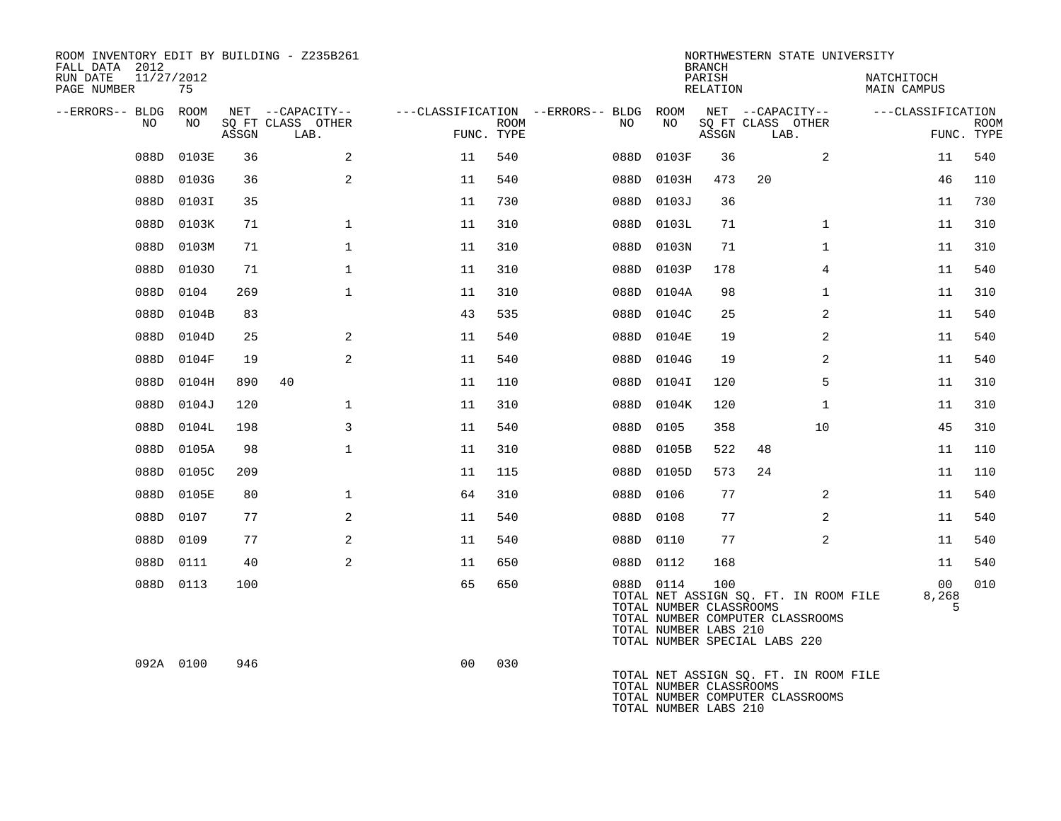| ROOM INVENTORY EDIT BY BUILDING - Z235B261<br>FALL DATA 2012<br>RUN DATE<br>11/27/2012<br>PAGE NUMBER | 75        |       |                                       |                |      |                                        |      |                                                               | <b>BRANCH</b><br>PARISH<br>RELATION |                               | NORTHWESTERN STATE UNIVERSITY                                             | NATCHITOCH<br>MAIN CAMPUS |             |
|-------------------------------------------------------------------------------------------------------|-----------|-------|---------------------------------------|----------------|------|----------------------------------------|------|---------------------------------------------------------------|-------------------------------------|-------------------------------|---------------------------------------------------------------------------|---------------------------|-------------|
| --ERRORS-- BLDG ROOM<br>NO.                                                                           | NO.       |       | NET --CAPACITY--<br>SQ FT CLASS OTHER |                | ROOM | ---CLASSIFICATION --ERRORS-- BLDG ROOM | NO.  | NO                                                            |                                     | SQ FT CLASS OTHER             | NET --CAPACITY--                                                          | ---CLASSIFICATION         | <b>ROOM</b> |
|                                                                                                       |           | ASSGN | LAB.                                  | FUNC. TYPE     |      |                                        |      |                                                               | ASSGN                               | LAB.                          |                                                                           |                           | FUNC. TYPE  |
| 088D                                                                                                  | 0103E     | 36    | 2                                     | 11             | 540  |                                        | 088D | 0103F                                                         | 36                                  |                               | 2                                                                         | 11                        | 540         |
| 088D                                                                                                  | 0103G     | 36    | 2                                     | 11             | 540  |                                        | 088D | 0103H                                                         | 473                                 | 20                            |                                                                           | 46                        | 110         |
| 088D                                                                                                  | 0103I     | 35    |                                       | 11             | 730  |                                        |      | 088D 0103J                                                    | 36                                  |                               |                                                                           | 11                        | 730         |
| 088D                                                                                                  | 0103K     | 71    | $\mathbf{1}$                          | 11             | 310  |                                        |      | 088D 0103L                                                    | 71                                  |                               | $\mathbf{1}$                                                              | 11                        | 310         |
| 088D                                                                                                  | 0103M     | 71    | $\mathbf 1$                           | 11             | 310  |                                        |      | 088D 0103N                                                    | 71                                  |                               | $\mathbf{1}$                                                              | 11                        | 310         |
| 088D                                                                                                  | 01030     | 71    | $\mathbf{1}$                          | 11             | 310  |                                        |      | 088D 0103P                                                    | 178                                 |                               | $\overline{4}$                                                            | 11                        | 540         |
| 088D                                                                                                  | 0104      | 269   | $\mathbf 1$                           | 11             | 310  |                                        |      | 088D 0104A                                                    | 98                                  |                               | $\mathbf{1}$                                                              | 11                        | 310         |
| 088D                                                                                                  | 0104B     | 83    |                                       | 43             | 535  |                                        | 088D | 0104C                                                         | 25                                  |                               | 2                                                                         | 11                        | 540         |
| 088D                                                                                                  | 0104D     | 25    | 2                                     | 11             | 540  |                                        |      | 088D 0104E                                                    | 19                                  |                               | $\overline{2}$                                                            | 11                        | 540         |
| 088D                                                                                                  | 0104F     | 19    | 2                                     | 11             | 540  |                                        | 088D | 0104G                                                         | 19                                  |                               | 2                                                                         | 11                        | 540         |
| 088D                                                                                                  | 0104H     | 890   | 40                                    | 11             | 110  |                                        |      | 088D 0104I                                                    | 120                                 |                               | 5                                                                         | 11                        | 310         |
| 088D                                                                                                  | 0104J     | 120   | $\mathbf 1$                           | 11             | 310  |                                        | 088D | 0104K                                                         | 120                                 |                               | $\mathbf{1}$                                                              | 11                        | 310         |
| 088D                                                                                                  | 0104L     | 198   | 3                                     | 11             | 540  |                                        | 088D | 0105                                                          | 358                                 |                               | 10                                                                        | 45                        | 310         |
| 088D                                                                                                  | 0105A     | 98    | $\mathbf 1$                           | 11             | 310  |                                        | 088D | 0105B                                                         | 522                                 | 48                            |                                                                           | 11                        | 110         |
| 088D                                                                                                  | 0105C     | 209   |                                       | 11             | 115  |                                        |      | 088D 0105D                                                    | 573                                 | 24                            |                                                                           | 11                        | 110         |
| 088D                                                                                                  | 0105E     | 80    | $\mathbf 1$                           | 64             | 310  |                                        | 088D | 0106                                                          | 77                                  |                               | $\overline{a}$                                                            | 11                        | 540         |
| 088D                                                                                                  | 0107      | 77    | 2                                     | 11             | 540  |                                        |      | 088D 0108                                                     | 77                                  |                               | 2                                                                         | 11                        | 540         |
| 088D                                                                                                  | 0109      | 77    | 2                                     | 11             | 540  |                                        |      | 088D 0110                                                     | 77                                  |                               | $\overline{2}$                                                            | 11                        | 540         |
| 088D                                                                                                  | 0111      | 40    | 2                                     | 11             | 650  |                                        |      | 088D 0112                                                     | 168                                 |                               |                                                                           | 11                        | 540         |
|                                                                                                       | 088D 0113 | 100   |                                       | 65             | 650  |                                        |      | 088D 0114<br>TOTAL NUMBER CLASSROOMS<br>TOTAL NUMBER LABS 210 | 100                                 | TOTAL NUMBER SPECIAL LABS 220 | TOTAL NET ASSIGN SQ. FT. IN ROOM FILE<br>TOTAL NUMBER COMPUTER CLASSROOMS | 00<br>8,268<br>5          | 010         |
|                                                                                                       | 092A 0100 | 946   |                                       | 0 <sub>0</sub> | 030  |                                        |      | TOTAL NUMBER CLASSROOMS<br>TOTAL NUMBER LABS 210              |                                     |                               | TOTAL NET ASSIGN SQ. FT. IN ROOM FILE<br>TOTAL NUMBER COMPUTER CLASSROOMS |                           |             |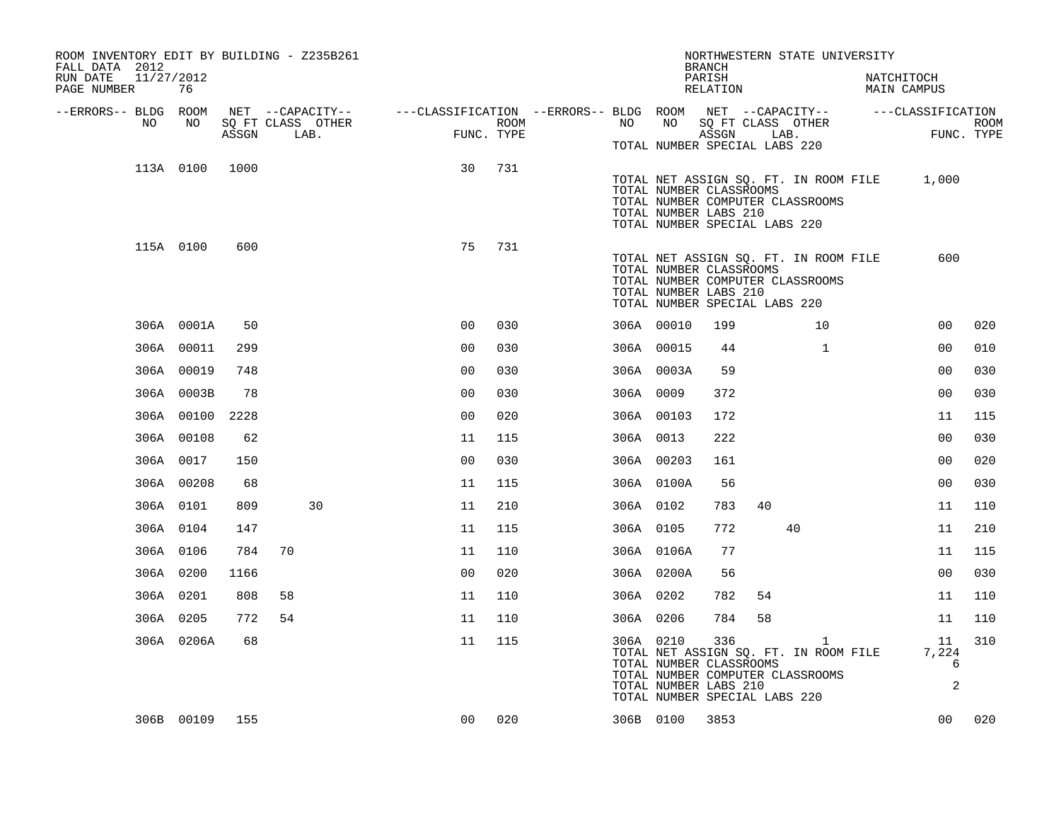| ROOM INVENTORY EDIT BY BUILDING - Z235B261<br>FALL DATA 2012<br>11/27/2012<br>RUN DATE<br>PAGE NUMBER | 76         |       |    |                   |                |      |                                                                                                |           |                                                                                   | <b>BRANCH</b><br>PARISH<br>RELATION |    | NORTHWESTERN STATE UNIVERSITY                                                             | NATCHITOCH<br><b>MAIN CAMPUS</b>            |             |
|-------------------------------------------------------------------------------------------------------|------------|-------|----|-------------------|----------------|------|------------------------------------------------------------------------------------------------|-----------|-----------------------------------------------------------------------------------|-------------------------------------|----|-------------------------------------------------------------------------------------------|---------------------------------------------|-------------|
| --ERRORS-- BLDG ROOM                                                                                  |            |       |    |                   |                |      | NET --CAPACITY-- - ---CLASSIFICATION --ERRORS-- BLDG ROOM NET --CAPACITY-- - ---CLASSIFICATION |           |                                                                                   |                                     |    |                                                                                           |                                             |             |
| NO                                                                                                    | NO         |       |    | SQ FT CLASS OTHER |                | ROOM |                                                                                                | NO        | NO                                                                                |                                     |    | SQ FT CLASS OTHER                                                                         |                                             | <b>ROOM</b> |
|                                                                                                       |            | ASSGN |    | LAB.              | FUNC. TYPE     |      |                                                                                                |           | TOTAL NUMBER SPECIAL LABS 220                                                     | ASSGN                               |    | LAB.                                                                                      |                                             | FUNC. TYPE  |
|                                                                                                       | 113A 0100  | 1000  |    |                   | 30             | 731  |                                                                                                |           | TOTAL NUMBER CLASSROOMS<br>TOTAL NUMBER LABS 210<br>TOTAL NUMBER SPECIAL LABS 220 |                                     |    | TOTAL NUMBER COMPUTER CLASSROOMS                                                          | TOTAL NET ASSIGN SQ. FT. IN ROOM FILE 1,000 |             |
|                                                                                                       | 115A 0100  | 600   |    |                   | 75             | 731  |                                                                                                |           | TOTAL NUMBER CLASSROOMS<br>TOTAL NUMBER LABS 210<br>TOTAL NUMBER SPECIAL LABS 220 |                                     |    | TOTAL NET ASSIGN SQ. FT. IN ROOM FILE<br>TOTAL NUMBER COMPUTER CLASSROOMS                 | 600                                         |             |
|                                                                                                       | 306A 0001A | 50    |    |                   | 0 <sup>0</sup> | 030  |                                                                                                |           | 306A 00010                                                                        | 199                                 |    | 10                                                                                        | 0 <sub>0</sub>                              | 020         |
|                                                                                                       | 306A 00011 | 299   |    |                   | 00             | 030  |                                                                                                |           | 306A 00015                                                                        | 44                                  |    | $\mathbf{1}$                                                                              | 00                                          | 010         |
|                                                                                                       | 306A 00019 | 748   |    |                   | 0 <sub>0</sub> | 030  |                                                                                                |           | 306A 0003A                                                                        | 59                                  |    |                                                                                           | 00                                          | 030         |
|                                                                                                       | 306A 0003B | 78    |    |                   | 0 <sub>0</sub> | 030  |                                                                                                | 306A 0009 |                                                                                   | 372                                 |    |                                                                                           | 00                                          | 030         |
|                                                                                                       | 306A 00100 | 2228  |    |                   | 0 <sub>0</sub> | 020  |                                                                                                |           | 306A 00103                                                                        | 172                                 |    |                                                                                           | 11                                          | 115         |
|                                                                                                       | 306A 00108 | 62    |    |                   | 11             | 115  |                                                                                                | 306A 0013 |                                                                                   | 222                                 |    |                                                                                           | 0 <sub>0</sub>                              | 030         |
|                                                                                                       | 306A 0017  | 150   |    |                   | 0 <sub>0</sub> | 030  |                                                                                                |           | 306A 00203                                                                        | 161                                 |    |                                                                                           | 00                                          | 020         |
|                                                                                                       | 306A 00208 | 68    |    |                   | 11             | 115  |                                                                                                |           | 306A 0100A                                                                        | 56                                  |    |                                                                                           | 0 <sub>0</sub>                              | 030         |
|                                                                                                       | 306A 0101  | 809   |    | 30                | 11             | 210  |                                                                                                | 306A 0102 |                                                                                   | 783                                 | 40 |                                                                                           | 11                                          | 110         |
|                                                                                                       | 306A 0104  | 147   |    |                   | 11             | 115  |                                                                                                | 306A 0105 |                                                                                   | 772                                 |    | 40                                                                                        | 11                                          | 210         |
|                                                                                                       | 306A 0106  | 784   | 70 |                   | 11             | 110  |                                                                                                |           | 306A 0106A                                                                        | 77                                  |    |                                                                                           | 11                                          | 115         |
|                                                                                                       | 306A 0200  | 1166  |    |                   | 0 <sub>0</sub> | 020  |                                                                                                |           | 306A 0200A                                                                        | 56                                  |    |                                                                                           | 0 <sub>0</sub>                              | 030         |
|                                                                                                       | 306A 0201  | 808   | 58 |                   | 11             | 110  |                                                                                                | 306A 0202 |                                                                                   | 782                                 | 54 |                                                                                           | 11                                          | 110         |
|                                                                                                       | 306A 0205  | 772   | 54 |                   | 11             | 110  |                                                                                                | 306A 0206 |                                                                                   | 784                                 | 58 |                                                                                           | 11                                          | 110         |
|                                                                                                       | 306A 0206A | 68    |    |                   | 11             | 115  |                                                                                                | 306A 0210 | TOTAL NUMBER CLASSROOMS<br>TOTAL NUMBER LABS 210<br>TOTAL NUMBER SPECIAL LABS 220 | 336                                 |    | $\mathbf{1}$<br>TOTAL NET ASSIGN SQ. FT. IN ROOM FILE<br>TOTAL NUMBER COMPUTER CLASSROOMS | 11<br>7,224<br>6<br>$\mathbf{2}$            | 310         |
|                                                                                                       | 306B 00109 | 155   |    |                   | 0 <sub>0</sub> | 020  |                                                                                                | 306B 0100 |                                                                                   | 3853                                |    |                                                                                           | 00                                          | 020         |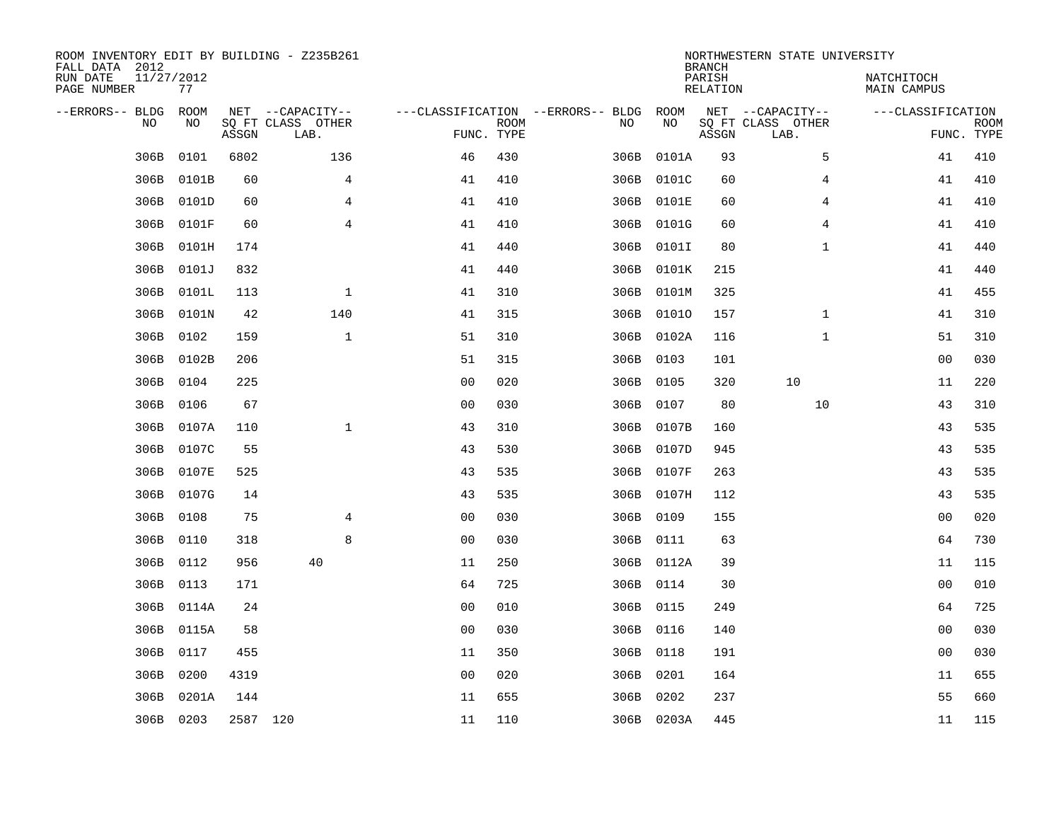| ROOM INVENTORY EDIT BY BUILDING - Z235B261<br>FALL DATA 2012<br>RUN DATE<br>PAGE NUMBER | 11/27/2012<br>77 |          |                                               |                                                 |             |      |            | <b>BRANCH</b><br>PARISH<br>RELATION | NORTHWESTERN STATE UNIVERSITY                 | NATCHITOCH<br>MAIN CAMPUS |                           |
|-----------------------------------------------------------------------------------------|------------------|----------|-----------------------------------------------|-------------------------------------------------|-------------|------|------------|-------------------------------------|-----------------------------------------------|---------------------------|---------------------------|
| --ERRORS-- BLDG<br><b>NO</b>                                                            | ROOM<br>NO.      | ASSGN    | NET --CAPACITY--<br>SO FT CLASS OTHER<br>LAB. | ---CLASSIFICATION --ERRORS-- BLDG<br>FUNC. TYPE | <b>ROOM</b> | NO   | ROOM<br>NO | ASSGN                               | NET --CAPACITY--<br>SQ FT CLASS OTHER<br>LAB. | ---CLASSIFICATION         | <b>ROOM</b><br>FUNC. TYPE |
| 306B                                                                                    | 0101             | 6802     | 136                                           | 46                                              | 430         | 306B | 0101A      | 93                                  | 5                                             | 41                        | 410                       |
| 306B                                                                                    | 0101B            | 60       | 4                                             | 41                                              | 410         |      | 306B 0101C | 60                                  | 4                                             | 41                        | 410                       |
| 306B                                                                                    | 0101D            | 60       | $\overline{4}$                                | 41                                              | 410         |      | 306B 0101E | 60                                  | 4                                             | 41                        | 410                       |
| 306B                                                                                    | 0101F            | 60       | $\overline{4}$                                | 41                                              | 410         |      | 306B 0101G | 60                                  | 4                                             | 41                        | 410                       |
| 306B                                                                                    | 0101H            | 174      |                                               | 41                                              | 440         |      | 306B 0101I | 80                                  | $\mathbf{1}$                                  | 41                        | 440                       |
| 306B                                                                                    | 0101J            | 832      |                                               | 41                                              | 440         |      | 306B 0101K | 215                                 |                                               | 41                        | 440                       |
| 306B                                                                                    | 0101L            | 113      | $\mathbf{1}$                                  | 41                                              | 310         |      | 306B 0101M | 325                                 |                                               | 41                        | 455                       |
| 306B                                                                                    | 0101N            | 42       | 140                                           | 41                                              | 315         |      | 306B 01010 | 157                                 | $\mathbf{1}$                                  | 41                        | 310                       |
| 306B                                                                                    | 0102             | 159      | $\mathbf{1}$                                  | 51                                              | 310         |      | 306B 0102A | 116                                 | $\mathbf{1}$                                  | 51                        | 310                       |
| 306B                                                                                    | 0102B            | 206      |                                               | 51                                              | 315         |      | 306B 0103  | 101                                 |                                               | 00                        | 030                       |
| 306B                                                                                    | 0104             | 225      |                                               | 0 <sub>0</sub>                                  | 020         |      | 306B 0105  | 320                                 | 10                                            | 11                        | 220                       |
| 306B                                                                                    | 0106             | 67       |                                               | 0 <sub>0</sub>                                  | 030         |      | 306B 0107  | 80                                  | 10                                            | 43                        | 310                       |
| 306B                                                                                    | 0107A            | 110      | $\mathbf{1}$                                  | 43                                              | 310         |      | 306B 0107B | 160                                 |                                               | 43                        | 535                       |
| 306B                                                                                    | 0107C            | 55       |                                               | 43                                              | 530         |      | 306B 0107D | 945                                 |                                               | 43                        | 535                       |
| 306B                                                                                    | 0107E            | 525      |                                               | 43                                              | 535         |      | 306B 0107F | 263                                 |                                               | 43                        | 535                       |
| 306B                                                                                    | 0107G            | 14       |                                               | 43                                              | 535         |      | 306B 0107H | 112                                 |                                               | 43                        | 535                       |
| 306B                                                                                    | 0108             | 75       | 4                                             | 0 <sub>0</sub>                                  | 030         | 306B | 0109       | 155                                 |                                               | 0 <sub>0</sub>            | 020                       |
| 306B                                                                                    | 0110             | 318      | 8                                             | 0 <sub>0</sub>                                  | 030         |      | 306B 0111  | 63                                  |                                               | 64                        | 730                       |
| 306B                                                                                    | 0112             | 956      | 40                                            | 11                                              | 250         |      | 306B 0112A | 39                                  |                                               | 11                        | 115                       |
| 306B                                                                                    | 0113             | 171      |                                               | 64                                              | 725         |      | 306B 0114  | 30                                  |                                               | 0 <sub>0</sub>            | 010                       |
| 306B                                                                                    | 0114A            | 24       |                                               | 0 <sub>0</sub>                                  | 010         |      | 306B 0115  | 249                                 |                                               | 64                        | 725                       |
| 306B                                                                                    | 0115A            | 58       |                                               | 0 <sub>0</sub>                                  | 030         |      | 306B 0116  | 140                                 |                                               | 0 <sub>0</sub>            | 030                       |
| 306B                                                                                    | 0117             | 455      |                                               | 11                                              | 350         |      | 306B 0118  | 191                                 |                                               | 0 <sub>0</sub>            | 030                       |
| 306B                                                                                    | 0200             | 4319     |                                               | 0 <sub>0</sub>                                  | 020         |      | 306B 0201  | 164                                 |                                               | 11                        | 655                       |
| 306B                                                                                    | 0201A            | 144      |                                               | 11                                              | 655         |      | 306B 0202  | 237                                 |                                               | 55                        | 660                       |
|                                                                                         | 306B 0203        | 2587 120 |                                               | 11                                              | 110         |      | 306B 0203A | 445                                 |                                               | 11                        | 115                       |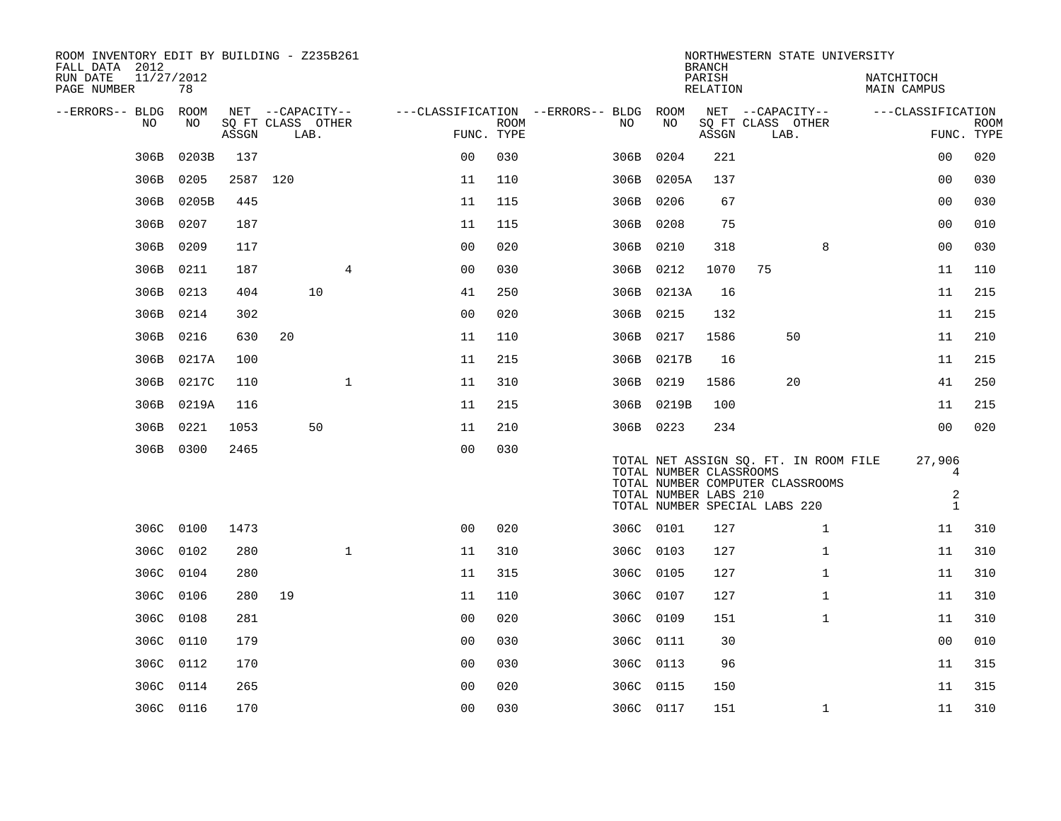| ROOM INVENTORY EDIT BY BUILDING - Z235B261<br>FALL DATA 2012 |                  |          |                                       |      |                |                                                      |             |           |                                                                                                                                                                | NORTHWESTERN STATE UNIVERSITY<br><b>BRANCH</b> |                   |      |              |                           |                                                        |                           |
|--------------------------------------------------------------|------------------|----------|---------------------------------------|------|----------------|------------------------------------------------------|-------------|-----------|----------------------------------------------------------------------------------------------------------------------------------------------------------------|------------------------------------------------|-------------------|------|--------------|---------------------------|--------------------------------------------------------|---------------------------|
| RUN DATE<br>PAGE NUMBER                                      | 11/27/2012<br>78 |          |                                       |      |                |                                                      |             |           |                                                                                                                                                                | PARISH<br>RELATION                             |                   |      |              | NATCHITOCH<br>MAIN CAMPUS |                                                        |                           |
| --ERRORS-- BLDG<br>NO                                        | ROOM<br>NO       | ASSGN    | NET --CAPACITY--<br>SQ FT CLASS OTHER | LAB. |                | ---CLASSIFICATION --ERRORS-- BLDG ROOM<br>FUNC. TYPE | <b>ROOM</b> | NO        | NO                                                                                                                                                             | NET --CAPACITY--<br>ASSGN                      | SQ FT CLASS OTHER | LAB. |              | ---CLASSIFICATION         |                                                        | <b>ROOM</b><br>FUNC. TYPE |
| 306B                                                         | 0203B            | 137      |                                       |      |                | 0 <sub>0</sub>                                       | 030         | 306B      | 0204                                                                                                                                                           | 221                                            |                   |      |              |                           | 00                                                     | 020                       |
| 306B                                                         | 0205             | 2587 120 |                                       |      |                | 11                                                   | 110         |           | 306B 0205A                                                                                                                                                     | 137                                            |                   |      |              |                           | 0 <sub>0</sub>                                         | 030                       |
| 306B                                                         | 0205B            | 445      |                                       |      |                | 11                                                   | 115         | 306B 0206 |                                                                                                                                                                | 67                                             |                   |      |              |                           | 0 <sub>0</sub>                                         | 030                       |
| 306B                                                         | 0207             | 187      |                                       |      |                | 11                                                   | 115         | 306B 0208 |                                                                                                                                                                | 75                                             |                   |      |              |                           | 0 <sub>0</sub>                                         | 010                       |
| 306B                                                         | 0209             | 117      |                                       |      |                | 0 <sub>0</sub>                                       | 020         | 306B 0210 |                                                                                                                                                                | 318                                            |                   |      | 8            |                           | 00                                                     | 030                       |
| 306B                                                         | 0211             | 187      |                                       |      | $\overline{4}$ | 0 <sub>0</sub>                                       | 030         | 306B 0212 |                                                                                                                                                                | 1070                                           | 75                |      |              |                           | 11                                                     | 110                       |
| 306B                                                         | 0213             | 404      |                                       | 10   |                | 41                                                   | 250         |           | 306B 0213A                                                                                                                                                     | 16                                             |                   |      |              |                           | 11                                                     | 215                       |
| 306B                                                         | 0214             | 302      |                                       |      |                | 00                                                   | 020         | 306B      | 0215                                                                                                                                                           | 132                                            |                   |      |              |                           | 11                                                     | 215                       |
| 306B                                                         | 0216             | 630      | 20                                    |      |                | 11                                                   | 110         | 306B 0217 |                                                                                                                                                                | 1586                                           |                   | 50   |              |                           | 11                                                     | 210                       |
| 306B                                                         | 0217A            | 100      |                                       |      |                | 11                                                   | 215         |           | 306B 0217B                                                                                                                                                     | 16                                             |                   |      |              |                           | 11                                                     | 215                       |
| 306B                                                         | 0217C            | 110      |                                       |      | $\mathbf{1}$   | 11                                                   | 310         | 306B 0219 |                                                                                                                                                                | 1586                                           |                   | 20   |              |                           | 41                                                     | 250                       |
| 306B                                                         | 0219A            | 116      |                                       |      |                | 11                                                   | 215         |           | 306B 0219B                                                                                                                                                     | 100                                            |                   |      |              |                           | 11                                                     | 215                       |
| 306B                                                         | 0221             | 1053     |                                       | 50   |                | 11                                                   | 210         | 306B 0223 |                                                                                                                                                                | 234                                            |                   |      |              |                           | 0 <sub>0</sub>                                         | 020                       |
|                                                              | 306B 0300        | 2465     |                                       |      |                | 0 <sub>0</sub>                                       | 030         |           | TOTAL NET ASSIGN SQ. FT. IN ROOM FILE<br>TOTAL NUMBER CLASSROOMS<br>TOTAL NUMBER COMPUTER CLASSROOMS<br>TOTAL NUMBER LABS 210<br>TOTAL NUMBER SPECIAL LABS 220 |                                                |                   |      |              |                           | 27,906<br>$\overline{4}$<br>$\sqrt{2}$<br>$\mathbf{1}$ |                           |
|                                                              | 306C 0100        | 1473     |                                       |      |                | 0 <sub>0</sub>                                       | 020         | 306C 0101 |                                                                                                                                                                | 127                                            |                   |      | $\mathbf{1}$ |                           | 11                                                     | 310                       |
|                                                              | 306C 0102        | 280      |                                       |      | $\mathbf 1$    | 11                                                   | 310         | 306C 0103 |                                                                                                                                                                | 127                                            |                   |      | $\mathbf{1}$ |                           | 11                                                     | 310                       |
|                                                              | 306C 0104        | 280      |                                       |      |                | 11                                                   | 315         | 306C 0105 |                                                                                                                                                                | 127                                            |                   |      | $\mathbf{1}$ |                           | 11                                                     | 310                       |
|                                                              | 306C 0106        | 280      | 19                                    |      |                | 11                                                   | 110         | 306C 0107 |                                                                                                                                                                | 127                                            |                   |      | $\mathbf{1}$ |                           | 11                                                     | 310                       |
| 306C                                                         | 0108             | 281      |                                       |      |                | 0 <sub>0</sub>                                       | 020         | 306C 0109 |                                                                                                                                                                | 151                                            |                   |      | $\mathbf{1}$ |                           | 11                                                     | 310                       |
|                                                              | 306C 0110        | 179      |                                       |      |                | 0 <sub>0</sub>                                       | 030         | 306C 0111 |                                                                                                                                                                | 30                                             |                   |      |              |                           | 0 <sub>0</sub>                                         | 010                       |
| 306C                                                         | 0112             | 170      |                                       |      |                | 0 <sub>0</sub>                                       | 030         | 306C 0113 |                                                                                                                                                                | 96                                             |                   |      |              |                           | 11                                                     | 315                       |
|                                                              | 306C 0114        | 265      |                                       |      |                | 0 <sub>0</sub>                                       | 020         | 306C 0115 |                                                                                                                                                                | 150                                            |                   |      |              |                           | 11                                                     | 315                       |
|                                                              | 306C 0116        | 170      |                                       |      |                | 0 <sub>0</sub>                                       | 030         | 306C 0117 |                                                                                                                                                                | 151                                            |                   |      | $\mathbf{1}$ |                           | 11                                                     | 310                       |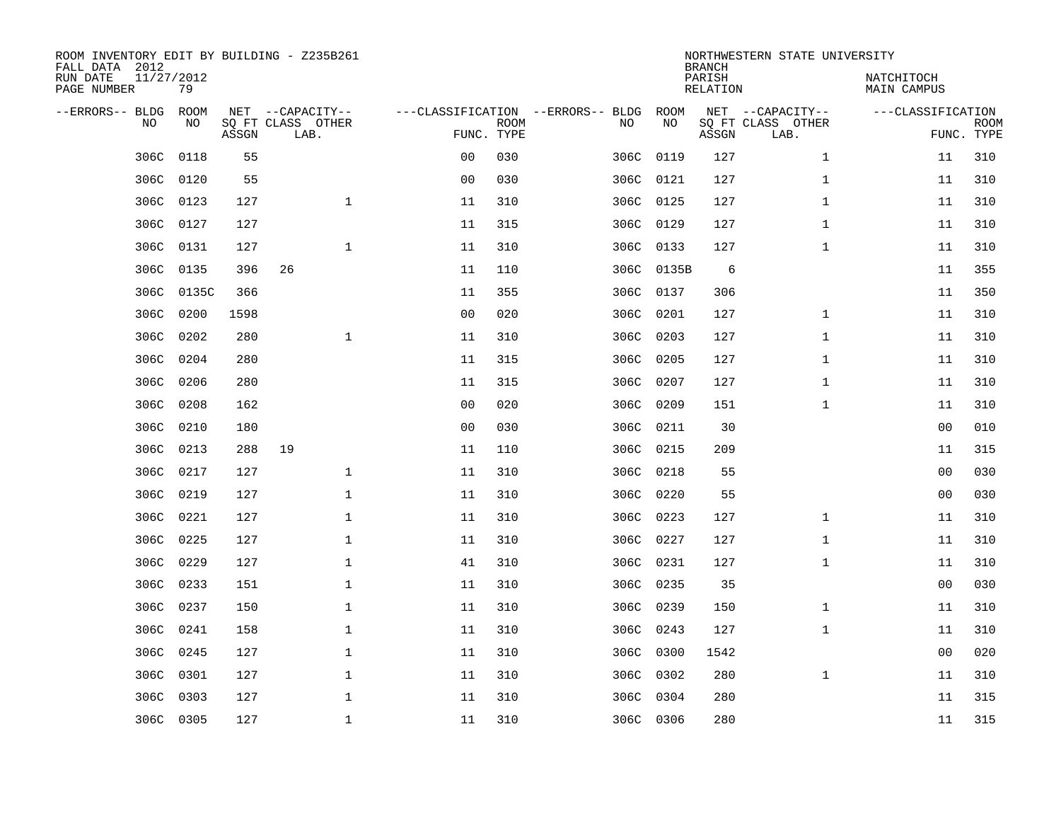| ROOM INVENTORY EDIT BY BUILDING - Z235B261<br>FALL DATA 2012 |                  |       |                           |                |                           |                                   |            | <b>BRANCH</b>             | NORTHWESTERN STATE UNIVERSITY |                                  |                           |
|--------------------------------------------------------------|------------------|-------|---------------------------|----------------|---------------------------|-----------------------------------|------------|---------------------------|-------------------------------|----------------------------------|---------------------------|
| RUN DATE<br>PAGE NUMBER                                      | 11/27/2012<br>79 |       |                           |                |                           |                                   |            | PARISH<br><b>RELATION</b> |                               | NATCHITOCH<br><b>MAIN CAMPUS</b> |                           |
| --ERRORS-- BLDG                                              | ROOM             |       | NET --CAPACITY--          |                |                           | ---CLASSIFICATION --ERRORS-- BLDG | ROOM       |                           | NET --CAPACITY--              | ---CLASSIFICATION                |                           |
| NO                                                           | NO               | ASSGN | SQ FT CLASS OTHER<br>LAB. |                | <b>ROOM</b><br>FUNC. TYPE | NO                                | NO         | ASSGN                     | SQ FT CLASS OTHER<br>LAB.     |                                  | <b>ROOM</b><br>FUNC. TYPE |
| 306C                                                         | 0118             | 55    |                           | 0 <sub>0</sub> | 030                       |                                   | 306C 0119  | 127                       | $\mathbf{1}$                  | 11                               | 310                       |
| 306C                                                         | 0120             | 55    |                           | 0 <sub>0</sub> | 030                       |                                   | 306C 0121  | 127                       | $\mathbf{1}$                  | 11                               | 310                       |
| 306C                                                         | 0123             | 127   | $\mathbf 1$               | 11             | 310                       |                                   | 306C 0125  | 127                       | $\mathbf{1}$                  | 11                               | 310                       |
| 306C                                                         | 0127             | 127   |                           | 11             | 315                       |                                   | 306C 0129  | 127                       | $\mathbf{1}$                  | 11                               | 310                       |
| 306C                                                         | 0131             | 127   | $\mathbf{1}$              | 11             | 310                       |                                   | 306C 0133  | 127                       | $\mathbf{1}$                  | 11                               | 310                       |
| 306C                                                         | 0135             | 396   | 26                        | 11             | 110                       |                                   | 306C 0135B | 6                         |                               | 11                               | 355                       |
| 306C                                                         | 0135C            | 366   |                           | 11             | 355                       |                                   | 306C 0137  | 306                       |                               | 11                               | 350                       |
| 306C                                                         | 0200             | 1598  |                           | 0 <sub>0</sub> | 020                       |                                   | 306C 0201  | 127                       | $\mathbf{1}$                  | 11                               | 310                       |
| 306C                                                         | 0202             | 280   | $\mathbf{1}$              | 11             | 310                       | 306C                              | 0203       | 127                       | $\mathbf{1}$                  | 11                               | 310                       |
| 306C                                                         | 0204             | 280   |                           | 11             | 315                       |                                   | 306C 0205  | 127                       | $\mathbf{1}$                  | 11                               | 310                       |
| 306C                                                         | 0206             | 280   |                           | 11             | 315                       | 306C                              | 0207       | 127                       | $\mathbf{1}$                  | 11                               | 310                       |
| 306C                                                         | 0208             | 162   |                           | 0 <sub>0</sub> | 020                       |                                   | 306C 0209  | 151                       | $\mathbf{1}$                  | 11                               | 310                       |
| 306C                                                         | 0210             | 180   |                           | 0 <sub>0</sub> | 030                       | 306C                              | 0211       | 30                        |                               | 00                               | 010                       |
| 306C                                                         | 0213             | 288   | 19                        | 11             | 110                       | 306C                              | 0215       | 209                       |                               | 11                               | 315                       |
| 306C                                                         | 0217             | 127   | $\mathbf 1$               | 11             | 310                       | 306C                              | 0218       | 55                        |                               | 0 <sub>0</sub>                   | 030                       |
| 306C                                                         | 0219             | 127   | $\mathbf{1}$              | 11             | 310                       | 306C                              | 0220       | 55                        |                               | 00                               | 030                       |
| 306C                                                         | 0221             | 127   | $\mathbf 1$               | 11             | 310                       | 306C                              | 0223       | 127                       | $\mathbf{1}$                  | 11                               | 310                       |
| 306C                                                         | 0225             | 127   | $\mathbf{1}$              | 11             | 310                       | 306C                              | 0227       | 127                       | $\mathbf{1}$                  | 11                               | 310                       |
|                                                              | 306C 0229        | 127   | $\mathbf{1}$              | 41             | 310                       |                                   | 306C 0231  | 127                       | $\mathbf{1}$                  | 11                               | 310                       |
| 306C                                                         | 0233             | 151   | $\mathbf 1$               | 11             | 310                       |                                   | 306C 0235  | 35                        |                               | 0 <sub>0</sub>                   | 030                       |
|                                                              | 306C 0237        | 150   | $\mathbf 1$               | 11             | 310                       |                                   | 306C 0239  | 150                       | $\mathbf{1}$                  | 11                               | 310                       |
| 306C                                                         | 0241             | 158   | $\mathbf 1$               | 11             | 310                       |                                   | 306C 0243  | 127                       | $\mathbf{1}$                  | 11                               | 310                       |
| 306C                                                         | 0245             | 127   | 1                         | 11             | 310                       |                                   | 306C 0300  | 1542                      |                               | 00                               | 020                       |
| 306C                                                         | 0301             | 127   | $\mathbf 1$               | 11             | 310                       |                                   | 306C 0302  | 280                       | $\mathbf{1}$                  | 11                               | 310                       |
| 306C                                                         | 0303             | 127   | $\mathbf 1$               | 11             | 310                       | 306C                              | 0304       | 280                       |                               | 11                               | 315                       |
|                                                              | 306C 0305        | 127   | $\mathbf{1}$              | 11             | 310                       |                                   | 306C 0306  | 280                       |                               | 11                               | 315                       |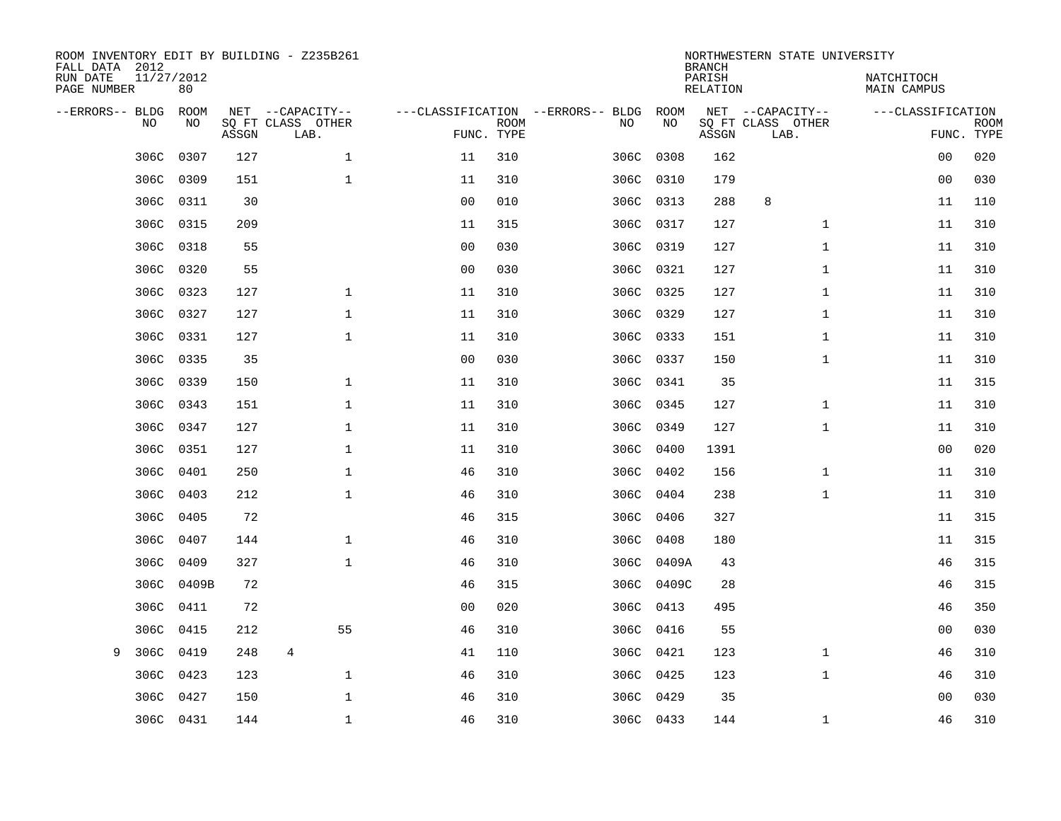| ROOM INVENTORY EDIT BY BUILDING - Z235B261<br>FALL DATA 2012<br>RUN DATE<br>PAGE NUMBER | 11/27/2012<br>80 |       |                                               | NORTHWESTERN STATE UNIVERSITY<br><b>BRANCH</b><br>PARISH<br>NATCHITOCH<br>RELATION<br>MAIN CAMPUS |             |  |           |            |       |                                               |                   |                           |
|-----------------------------------------------------------------------------------------|------------------|-------|-----------------------------------------------|---------------------------------------------------------------------------------------------------|-------------|--|-----------|------------|-------|-----------------------------------------------|-------------------|---------------------------|
| --ERRORS-- BLDG<br>NO                                                                   | ROOM<br>NO       | ASSGN | NET --CAPACITY--<br>SQ FT CLASS OTHER<br>LAB. | ---CLASSIFICATION --ERRORS-- BLDG<br>FUNC. TYPE                                                   | <b>ROOM</b> |  | NO        | ROOM<br>NO | ASSGN | NET --CAPACITY--<br>SQ FT CLASS OTHER<br>LAB. | ---CLASSIFICATION | <b>ROOM</b><br>FUNC. TYPE |
| 306C                                                                                    | 0307             | 127   | $\mathbf{1}$                                  | 11                                                                                                | 310         |  | 306C      | 0308       | 162   |                                               | 00                | 020                       |
| 306C                                                                                    | 0309             | 151   | $\mathbf 1$                                   | 11                                                                                                | 310         |  | 306C 0310 |            | 179   |                                               | 00                | 030                       |
| 306C                                                                                    | 0311             | 30    |                                               | 0 <sub>0</sub>                                                                                    | 010         |  | 306C 0313 |            | 288   | 8                                             | 11                | 110                       |
|                                                                                         | 306C 0315        | 209   |                                               | 11                                                                                                | 315         |  |           | 306C 0317  | 127   | $\mathbf{1}$                                  | 11                | 310                       |
| 306C                                                                                    | 0318             | 55    |                                               | 0 <sub>0</sub>                                                                                    | 030         |  | 306C      | 0319       | 127   | $\mathbf{1}$                                  | 11                | 310                       |
|                                                                                         | 306C 0320        | 55    |                                               | 0 <sub>0</sub>                                                                                    | 030         |  |           | 306C 0321  | 127   | $\mathbf{1}$                                  | 11                | 310                       |
| 306C                                                                                    | 0323             | 127   | $\mathbf{1}$                                  | 11                                                                                                | 310         |  | 306C 0325 |            | 127   | $\mathbf{1}$                                  | 11                | 310                       |
|                                                                                         | 306C 0327        | 127   | $\mathbf 1$                                   | 11                                                                                                | 310         |  |           | 306C 0329  | 127   | $\mathbf{1}$                                  | 11                | 310                       |
| 306C                                                                                    | 0331             | 127   | $\mathbf{1}$                                  | 11                                                                                                | 310         |  | 306C      | 0333       | 151   | $\mathbf{1}$                                  | 11                | 310                       |
|                                                                                         | 306C 0335        | 35    |                                               | 0 <sub>0</sub>                                                                                    | 030         |  |           | 306C 0337  | 150   | $\mathbf{1}$                                  | 11                | 310                       |
| 306C                                                                                    | 0339             | 150   | $\mathbf 1$                                   | 11                                                                                                | 310         |  |           | 306C 0341  | 35    |                                               | 11                | 315                       |
|                                                                                         | 306C 0343        | 151   | $\mathbf 1$                                   | 11                                                                                                | 310         |  |           | 306C 0345  | 127   | $\mathbf{1}$                                  | 11                | 310                       |
| 306C                                                                                    | 0347             | 127   | $\mathbf 1$                                   | 11                                                                                                | 310         |  | 306C      | 0349       | 127   | $\mathbf{1}$                                  | 11                | 310                       |
|                                                                                         | 306C 0351        | 127   | $\mathbf 1$                                   | 11                                                                                                | 310         |  |           | 306C 0400  | 1391  |                                               | 00                | 020                       |
| 306C                                                                                    | 0401             | 250   | $\mathbf 1$                                   | 46                                                                                                | 310         |  | 306C      | 0402       | 156   | $\mathbf{1}$                                  | 11                | 310                       |
| 306C                                                                                    | 0403             | 212   | $\mathbf 1$                                   | 46                                                                                                | 310         |  |           | 306C 0404  | 238   | $\mathbf{1}$                                  | 11                | 310                       |
| 306C                                                                                    | 0405             | 72    |                                               | 46                                                                                                | 315         |  | 306C      | 0406       | 327   |                                               | 11                | 315                       |
| 306C                                                                                    | 0407             | 144   | $\mathbf 1$                                   | 46                                                                                                | 310         |  | 306C      | 0408       | 180   |                                               | 11                | 315                       |
| 306C                                                                                    | 0409             | 327   | $\mathbf 1$                                   | 46                                                                                                | 310         |  | 306C      | 0409A      | 43    |                                               | 46                | 315                       |
| 306C                                                                                    | 0409B            | 72    |                                               | 46                                                                                                | 315         |  | 306C      | 0409C      | 28    |                                               | 46                | 315                       |
| 306C                                                                                    | 0411             | 72    |                                               | 0 <sub>0</sub>                                                                                    | 020         |  | 306C      | 0413       | 495   |                                               | 46                | 350                       |
| 306C                                                                                    | 0415             | 212   | 55                                            | 46                                                                                                | 310         |  | 306C      | 0416       | 55    |                                               | 00                | 030                       |
| 9<br>306C                                                                               | 0419             | 248   | 4                                             | 41                                                                                                | 110         |  | 306C 0421 |            | 123   | $\mathbf{1}$                                  | 46                | 310                       |
| 306C                                                                                    | 0423             | 123   | $\mathbf 1$                                   | 46                                                                                                | 310         |  | 306C 0425 |            | 123   | $\mathbf{1}$                                  | 46                | 310                       |
|                                                                                         | 306C 0427        | 150   | $\mathbf{1}$                                  | 46                                                                                                | 310         |  |           | 306C 0429  | 35    |                                               | 00                | 030                       |
|                                                                                         | 306C 0431        | 144   | $\mathbf{1}$                                  | 46                                                                                                | 310         |  | 306C 0433 |            | 144   | $\mathbf{1}$                                  | 46                | 310                       |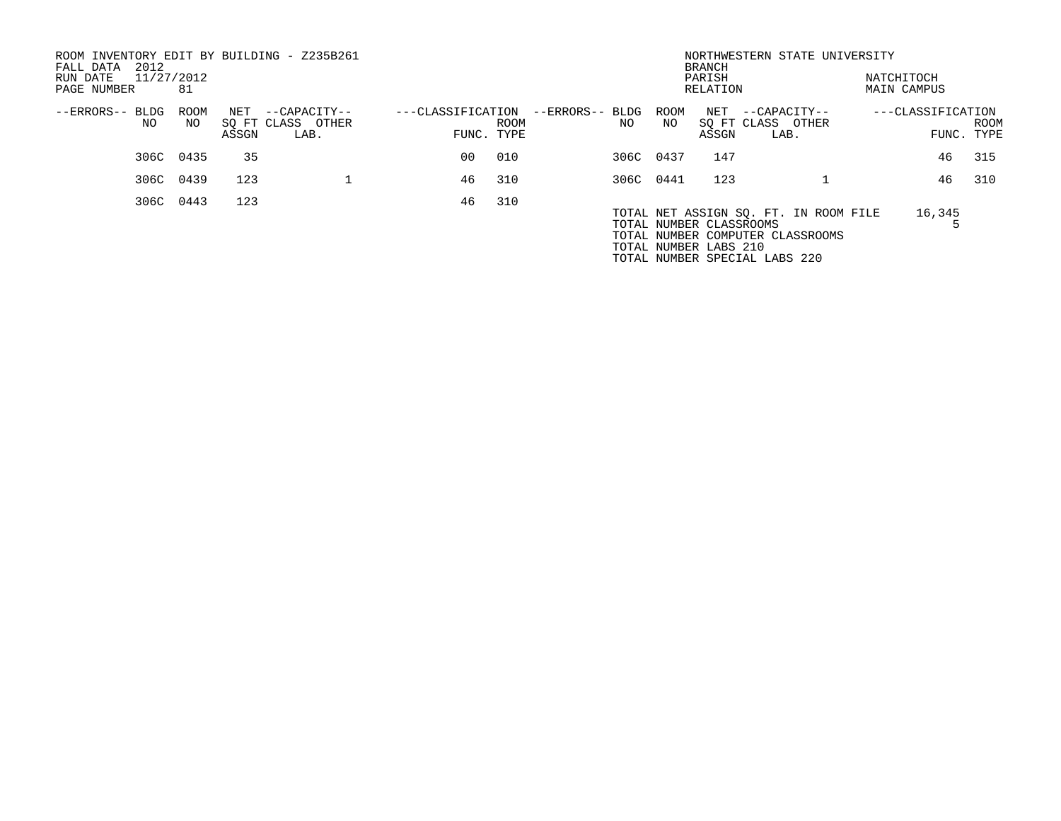| ROOM INVENTORY EDIT BY BUILDING - Z235B261<br>2012<br>FALL DATA |           |       |                   |                   |            |                 |           | <b>BRANCH</b>           | NORTHWESTERN STATE UNIVERSITY         |                                  |            |      |
|-----------------------------------------------------------------|-----------|-------|-------------------|-------------------|------------|-----------------|-----------|-------------------------|---------------------------------------|----------------------------------|------------|------|
| 11/27/2012<br>RUN DATE<br>PAGE NUMBER                           | 81        |       |                   |                   |            |                 |           | PARISH<br>RELATION      |                                       | NATCHITOCH<br><b>MAIN CAMPUS</b> |            |      |
|                                                                 |           |       |                   |                   |            |                 |           |                         |                                       |                                  |            |      |
| --ERRORS-- BLDG                                                 | ROOM      | NET   | --CAPACITY--      | ---CLASSIFICATION |            | --ERRORS-- BLDG | ROOM      | NET                     | --CAPACITY--                          | ---CLASSIFICATION                |            |      |
| NO                                                              | NO.       |       | SQ FT CLASS OTHER |                   | ROOM       | NO.             | NO.       |                         | SQ FT CLASS OTHER                     |                                  |            | ROOM |
|                                                                 |           | ASSGN | LAB.              |                   | FUNC. TYPE |                 |           | ASSGN                   | LAB.                                  |                                  | FUNC. TYPE |      |
|                                                                 | 306C 0435 | 35    |                   | 00                | 010        |                 | 306C 0437 | 147                     |                                       |                                  | 46         | 315  |
|                                                                 | 306C 0439 | 123   |                   | 46                | 310        |                 | 306C 0441 | 123                     |                                       |                                  | 46         | 310  |
|                                                                 | 306C 0443 | 123   |                   | 46                | 310        |                 |           |                         |                                       |                                  |            |      |
|                                                                 |           |       |                   |                   |            |                 |           |                         | TOTAL NET ASSIGN SO. FT. IN ROOM FILE |                                  | 16,345     |      |
|                                                                 |           |       |                   |                   |            |                 |           | TOTAL NUMBER CLASSROOMS |                                       |                                  |            |      |
|                                                                 |           |       |                   |                   |            |                 |           |                         | TOTAL NUMBER COMPUTER CLASSROOMS      |                                  |            |      |
|                                                                 |           |       |                   |                   |            |                 |           | TOTAL NUMBER LABS 210   |                                       |                                  |            |      |
|                                                                 |           |       |                   |                   |            |                 |           |                         | TOTAL NUMBER SPECIAL LABS 220         |                                  |            |      |